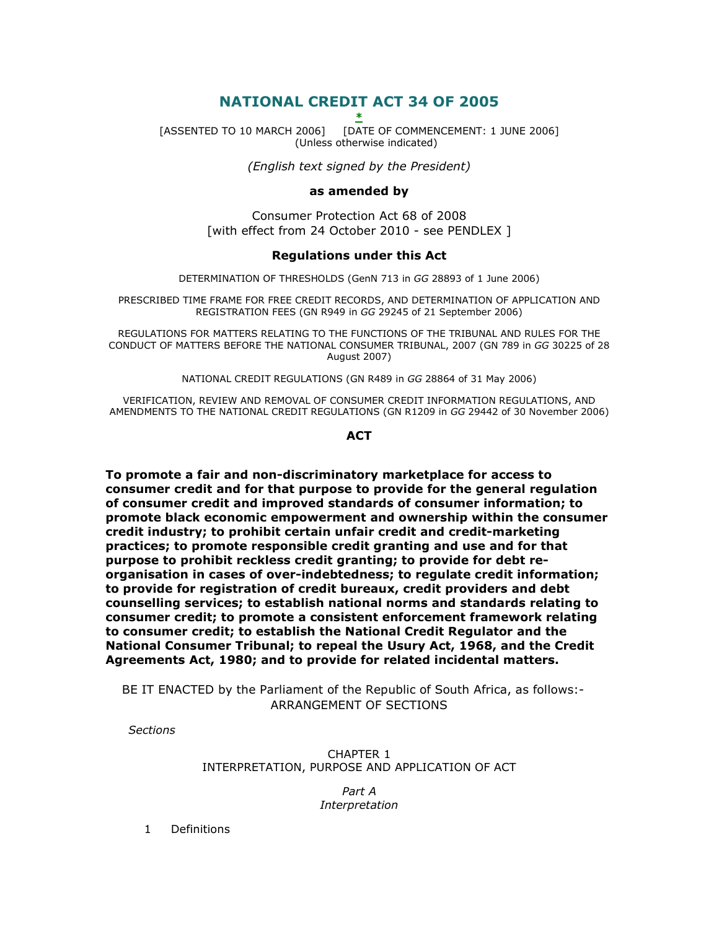# NATIONAL CREDIT ACT 34 OF 2005

\*

[ASSENTED TO 10 MARCH 2006] [DATE OF COMMENCEMENT: 1 JUNE 2006] (Unless otherwise indicated)

(English text signed by the President)

#### as amended by

Consumer Protection Act 68 of 2008 [with effect from 24 October 2010 - see PENDLEX ]

### Regulations under this Act

DETERMINATION OF THRESHOLDS (GenN 713 in GG 28893 of 1 June 2006)

PRESCRIBED TIME FRAME FOR FREE CREDIT RECORDS, AND DETERMINATION OF APPLICATION AND REGISTRATION FEES (GN R949 in GG 29245 of 21 September 2006)

REGULATIONS FOR MATTERS RELATING TO THE FUNCTIONS OF THE TRIBUNAL AND RULES FOR THE CONDUCT OF MATTERS BEFORE THE NATIONAL CONSUMER TRIBUNAL, 2007 (GN 789 in GG 30225 of 28 August 2007)

NATIONAL CREDIT REGULATIONS (GN R489 in GG 28864 of 31 May 2006)

VERIFICATION, REVIEW AND REMOVAL OF CONSUMER CREDIT INFORMATION REGULATIONS, AND AMENDMENTS TO THE NATIONAL CREDIT REGULATIONS (GN R1209 in GG 29442 of 30 November 2006)

#### **ACT**

To promote a fair and non-discriminatory marketplace for access to consumer credit and for that purpose to provide for the general regulation of consumer credit and improved standards of consumer information; to promote black economic empowerment and ownership within the consumer credit industry; to prohibit certain unfair credit and credit-marketing practices; to promote responsible credit granting and use and for that purpose to prohibit reckless credit granting; to provide for debt reorganisation in cases of over-indebtedness; to regulate credit information; to provide for registration of credit bureaux, credit providers and debt counselling services; to establish national norms and standards relating to consumer credit; to promote a consistent enforcement framework relating to consumer credit; to establish the National Credit Regulator and the National Consumer Tribunal; to repeal the Usury Act, 1968, and the Credit Agreements Act, 1980; and to provide for related incidental matters.

 BE IT ENACTED by the Parliament of the Republic of South Africa, as follows:- ARRANGEMENT OF SECTIONS

**Sections** 

CHAPTER 1 INTERPRETATION, PURPOSE AND APPLICATION OF ACT

> Part A Interpretation

1 Definitions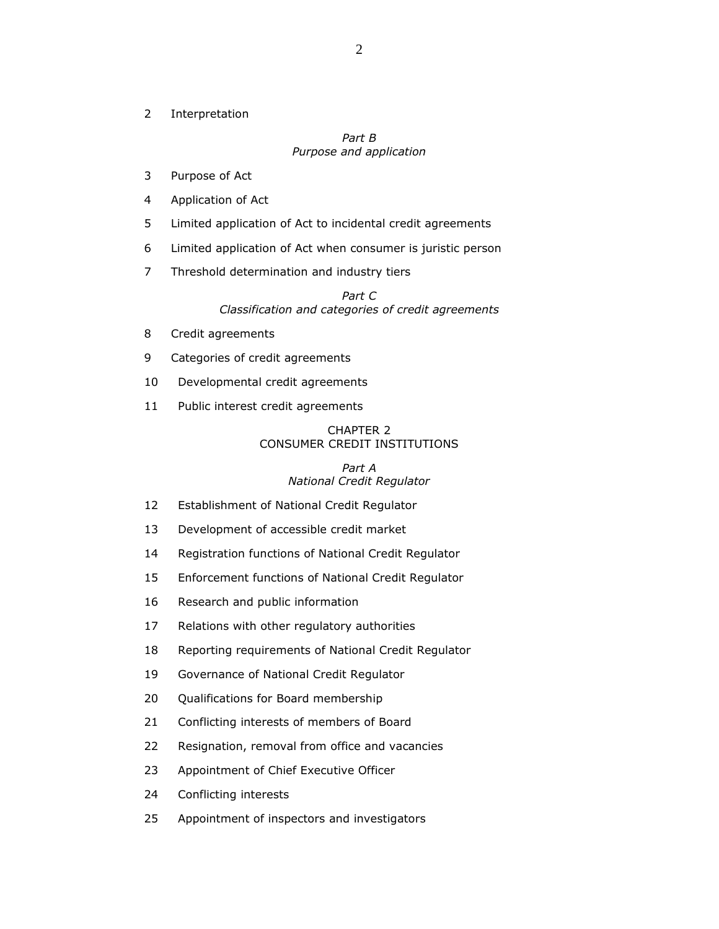2 Interpretation

#### Part B Purpose and application

- 3 Purpose of Act
- 4 Application of Act
- 5 Limited application of Act to incidental credit agreements
- 6 Limited application of Act when consumer is juristic person
- 7 Threshold determination and industry tiers

## Part C Classification and categories of credit agreements

- 8 Credit agreements
- 9 Categories of credit agreements
- 10 Developmental credit agreements
- 11 Public interest credit agreements

#### CHAPTER 2 CONSUMER CREDIT INSTITUTIONS

# Part A National Credit Regulator

- 12 Establishment of National Credit Regulator
- 13 Development of accessible credit market
- 14 Registration functions of National Credit Regulator
- 15 Enforcement functions of National Credit Regulator
- 16 Research and public information
- 17 Relations with other regulatory authorities
- 18 Reporting requirements of National Credit Regulator
- 19 Governance of National Credit Regulator
- 20 Qualifications for Board membership
- 21 Conflicting interests of members of Board
- 22 Resignation, removal from office and vacancies
- 23 Appointment of Chief Executive Officer
- 24 Conflicting interests
- 25 Appointment of inspectors and investigators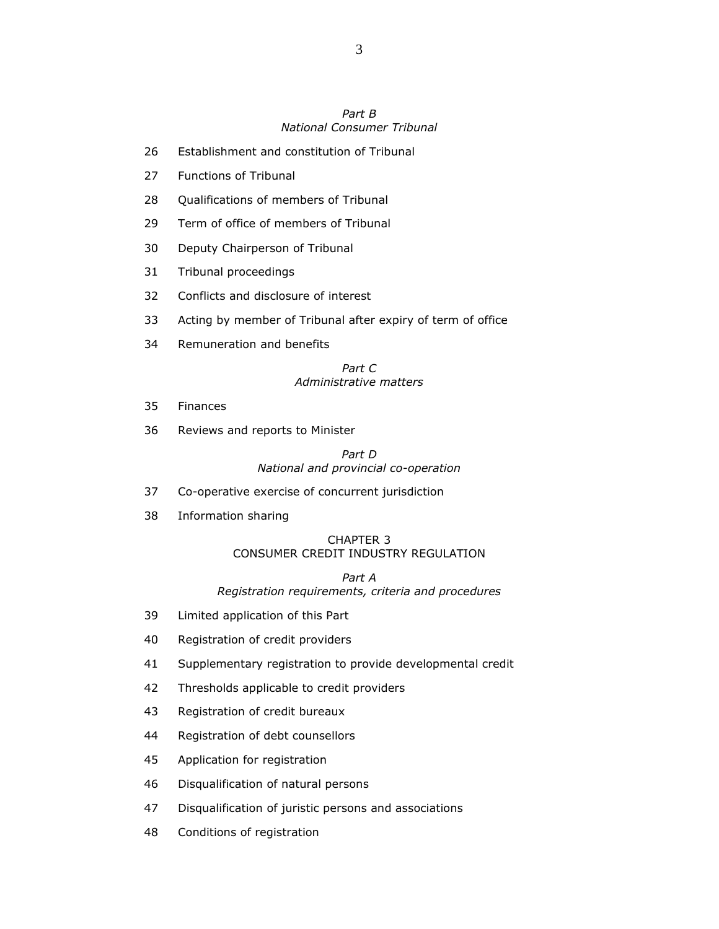### Part B National Consumer Tribunal

- 26 Establishment and constitution of Tribunal
- 27 Functions of Tribunal
- 28 Qualifications of members of Tribunal
- 29 Term of office of members of Tribunal
- 30 Deputy Chairperson of Tribunal
- 31 Tribunal proceedings
- 32 Conflicts and disclosure of interest
- 33 Acting by member of Tribunal after expiry of term of office
- 34 Remuneration and benefits

### Part C Administrative matters

- 35 Finances
- 36 Reviews and reports to Minister

#### Part D National and provincial co-operation

- 37 Co-operative exercise of concurrent jurisdiction
- 38 Information sharing

## CHAPTER 3 CONSUMER CREDIT INDUSTRY REGULATION

#### Part A Registration requirements, criteria and procedures

- 39 Limited application of this Part
- 40 Registration of credit providers
- 41 Supplementary registration to provide developmental credit
- 42 Thresholds applicable to credit providers
- 43 Registration of credit bureaux
- 44 Registration of debt counsellors
- 45 Application for registration
- 46 Disqualification of natural persons
- 47 Disqualification of juristic persons and associations
- 48 Conditions of registration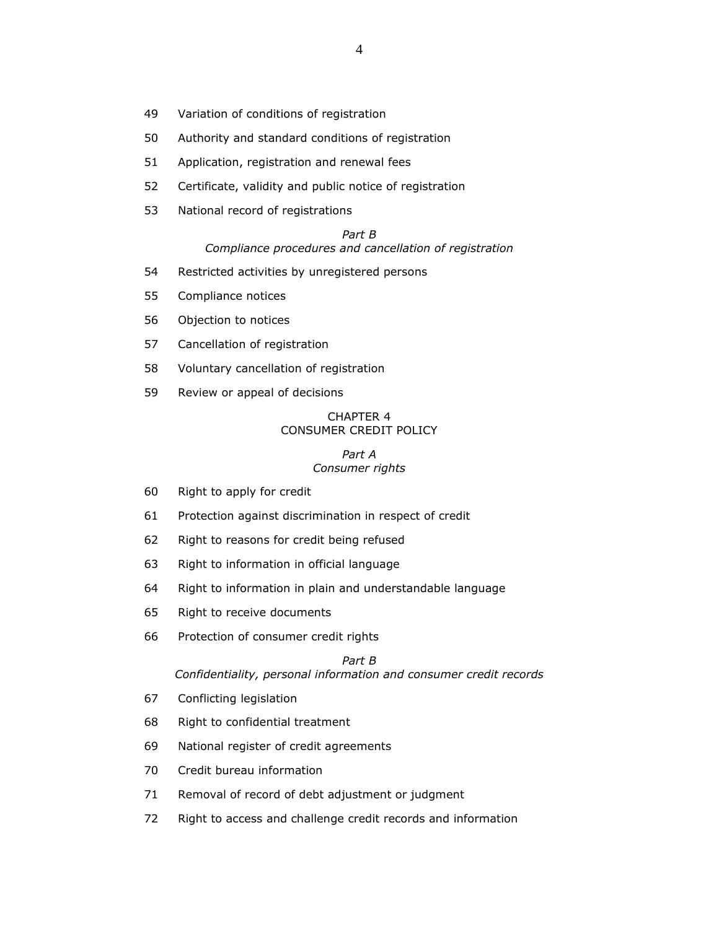- 49 Variation of conditions of registration
- 50 Authority and standard conditions of registration
- 51 Application, registration and renewal fees
- 52 Certificate, validity and public notice of registration
- 53 National record of registrations

#### Part B Compliance procedures and cancellation of registration

- 54 Restricted activities by unregistered persons
- 55 Compliance notices
- 56 Objection to notices
- 57 Cancellation of registration
- 58 Voluntary cancellation of registration
- 59 Review or appeal of decisions

### CHAPTER 4 CONSUMER CREDIT POLICY

#### Part A Consumer rights

- 60 Right to apply for credit
- 61 Protection against discrimination in respect of credit
- 62 Right to reasons for credit being refused
- 63 Right to information in official language
- 64 Right to information in plain and understandable language
- 65 Right to receive documents
- 66 Protection of consumer credit rights

### Part B Confidentiality, personal information and consumer credit records

- 67 Conflicting legislation
- 68 Right to confidential treatment
- 69 National register of credit agreements
- 70 Credit bureau information
- 71 Removal of record of debt adjustment or judgment
- 72 Right to access and challenge credit records and information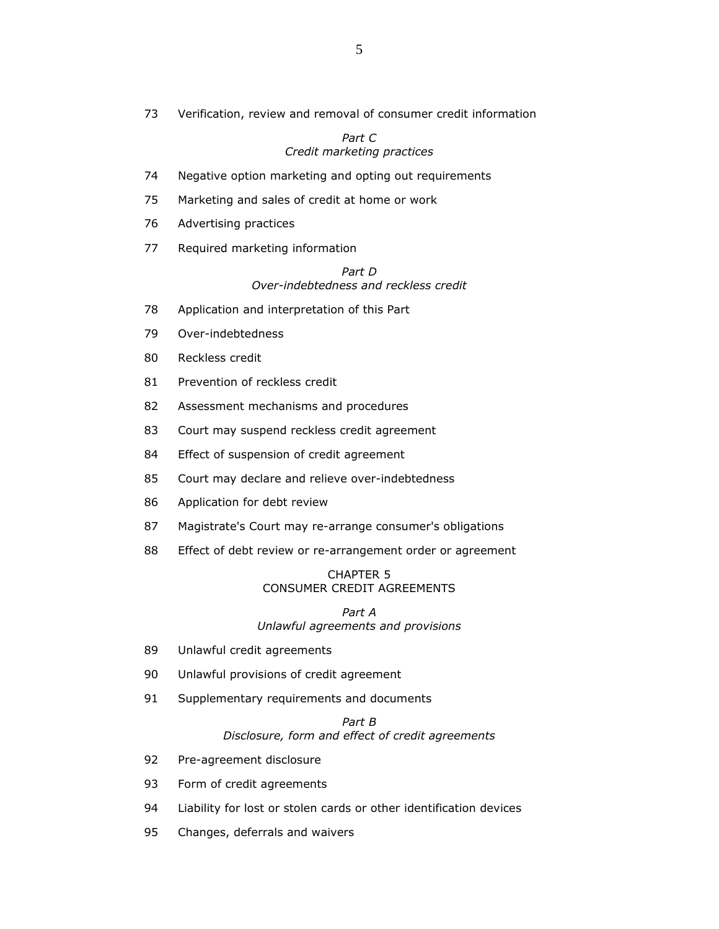73 Verification, review and removal of consumer credit information

#### Part C Credit marketing practices

- 74 Negative option marketing and opting out requirements
- 75 Marketing and sales of credit at home or work
- 76 Advertising practices
- 77 Required marketing information

#### Part D Over-indebtedness and reckless credit

- 78 Application and interpretation of this Part
- 79 Over-indebtedness
- 80 Reckless credit
- 81 Prevention of reckless credit
- 82 Assessment mechanisms and procedures
- 83 Court may suspend reckless credit agreement
- 84 Effect of suspension of credit agreement
- 85 Court may declare and relieve over-indebtedness
- 86 Application for debt review
- 87 Magistrate's Court may re-arrange consumer's obligations
- 88 Effect of debt review or re-arrangement order or agreement

### CHAPTER 5 CONSUMER CREDIT AGREEMENTS

Part A Unlawful agreements and provisions

- 89 Unlawful credit agreements
- 90 Unlawful provisions of credit agreement
- 91 Supplementary requirements and documents

## Part B Disclosure, form and effect of credit agreements

- 92 Pre-agreement disclosure
- 93 Form of credit agreements
- 94 Liability for lost or stolen cards or other identification devices
- 95 Changes, deferrals and waivers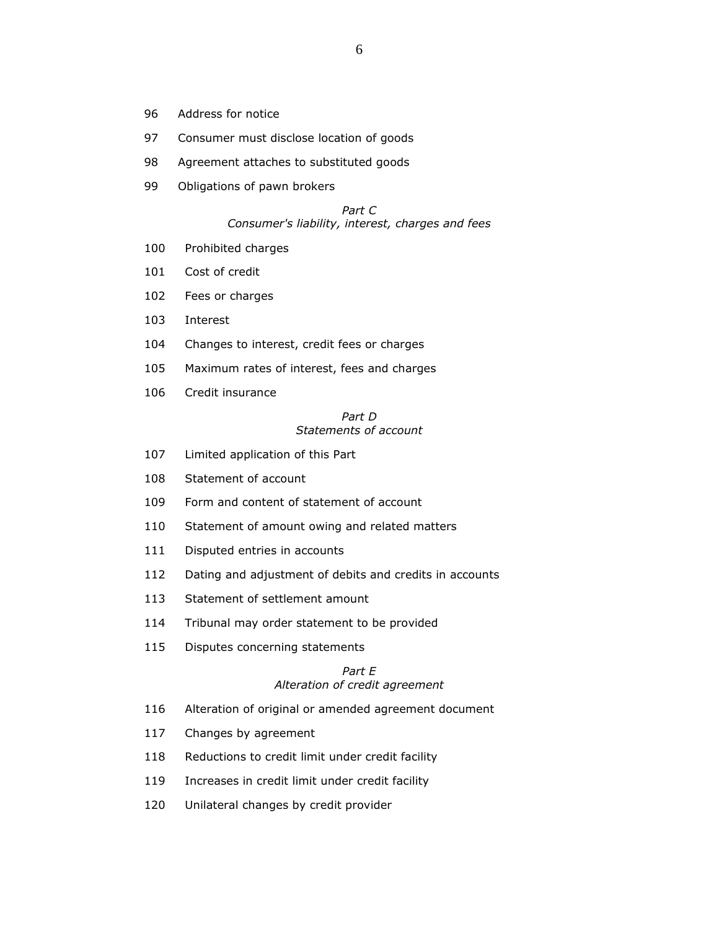- 96 Address for notice
- 97 Consumer must disclose location of goods
- 98 Agreement attaches to substituted goods
- 99 Obligations of pawn brokers

#### Part C Consumer's liability, interest, charges and fees

- 100 Prohibited charges
- 101 Cost of credit
- 102 Fees or charges
- 103 Interest
- 104 Changes to interest, credit fees or charges
- 105 Maximum rates of interest, fees and charges
- 106 Credit insurance

#### Part D Statements of account

- 107 Limited application of this Part
- 108 Statement of account
- 109 Form and content of statement of account
- 110 Statement of amount owing and related matters
- 111 Disputed entries in accounts
- 112 Dating and adjustment of debits and credits in accounts
- 113 Statement of settlement amount
- 114 Tribunal may order statement to be provided
- 115 Disputes concerning statements

#### Part E Alteration of credit agreement

- 116 Alteration of original or amended agreement document
- 117 Changes by agreement
- 118 Reductions to credit limit under credit facility
- 119 Increases in credit limit under credit facility
- 120 Unilateral changes by credit provider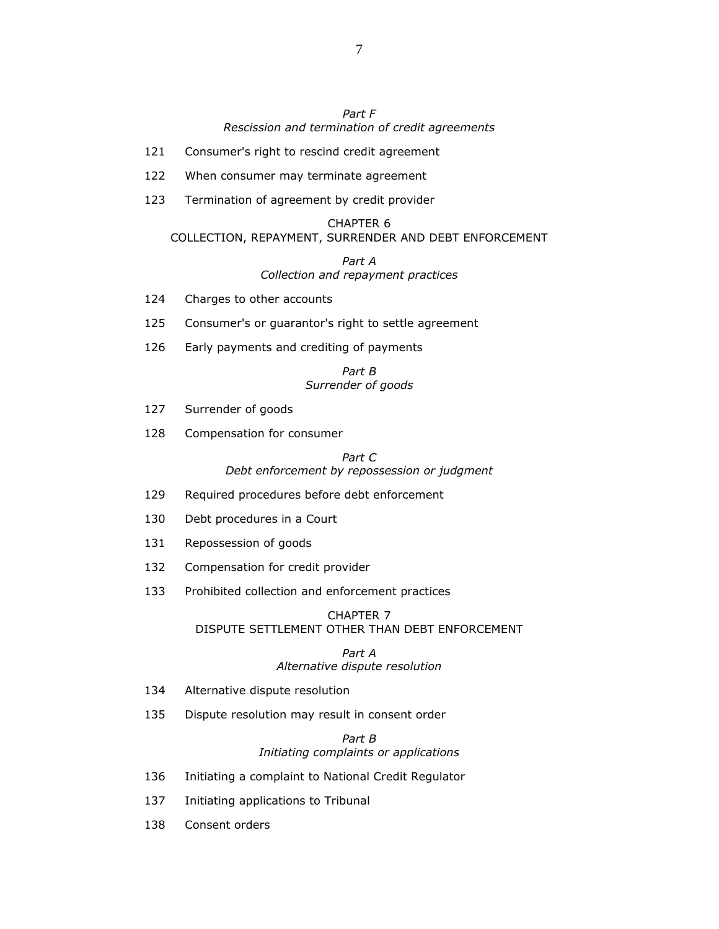# Part F Rescission and termination of credit agreements

- 121 Consumer's right to rescind credit agreement
- 122 When consumer may terminate agreement
- 123 Termination of agreement by credit provider

## CHAPTER 6

# COLLECTION, REPAYMENT, SURRENDER AND DEBT ENFORCEMENT

#### Part A Collection and repayment practices

- 124 Charges to other accounts
- 125 Consumer's or guarantor's right to settle agreement
- 126 Early payments and crediting of payments

#### Part B Surrender of goods

- 127 Surrender of goods
- 128 Compensation for consumer

### Part C Debt enforcement by repossession or judgment

- 129 Required procedures before debt enforcement
- 130 Debt procedures in a Court
- 131 Repossession of goods
- 132 Compensation for credit provider
- 133 Prohibited collection and enforcement practices

#### CHAPTER 7 DISPUTE SETTLEMENT OTHER THAN DEBT ENFORCEMENT

#### Part A Alternative dispute resolution

- 134 Alternative dispute resolution
- 135 Dispute resolution may result in consent order

Part B Initiating complaints or applications

- 136 Initiating a complaint to National Credit Regulator
- 137 Initiating applications to Tribunal
- 138 Consent orders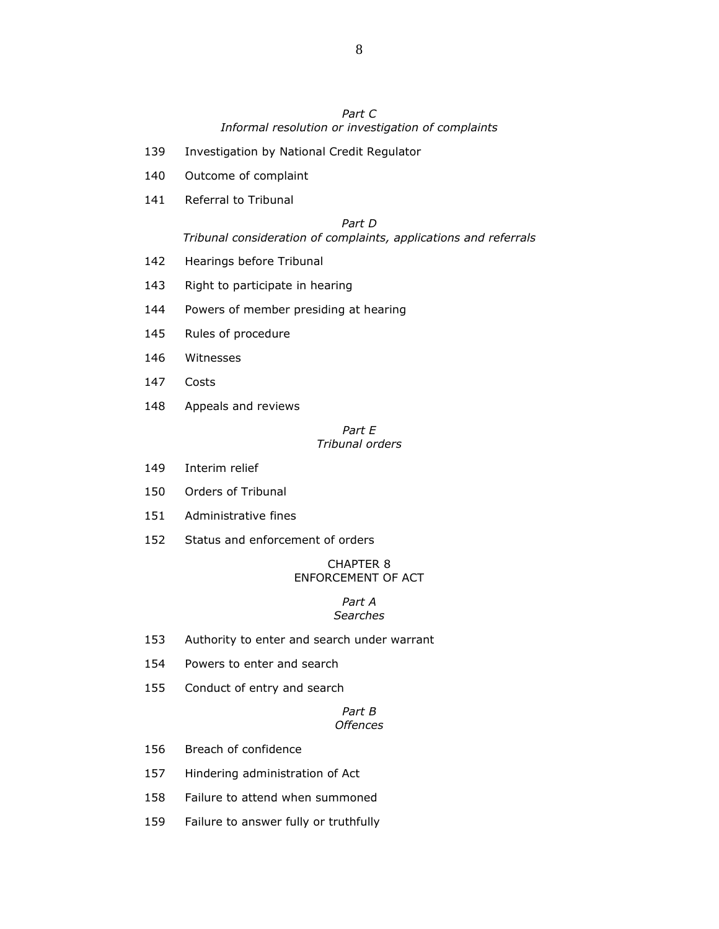## Part C Informal resolution or investigation of complaints

- 139 Investigation by National Credit Regulator
- 140 Outcome of complaint
- 141 Referral to Tribunal

#### Part D

#### Tribunal consideration of complaints, applications and referrals

- 142 Hearings before Tribunal
- 143 Right to participate in hearing
- 144 Powers of member presiding at hearing
- 145 Rules of procedure
- 146 Witnesses
- 147 Costs
- 148 Appeals and reviews

#### Part E Tribunal orders

- 149 Interim relief
- 150 Orders of Tribunal
- 151 Administrative fines
- 152 Status and enforcement of orders

#### CHAPTER 8 ENFORCEMENT OF ACT

#### Part A **Searches**

- 153 Authority to enter and search under warrant
- 154 Powers to enter and search
- 155 Conduct of entry and search

### Part B **Offences**

- 156 Breach of confidence
- 157 Hindering administration of Act
- 158 Failure to attend when summoned
- 159 Failure to answer fully or truthfully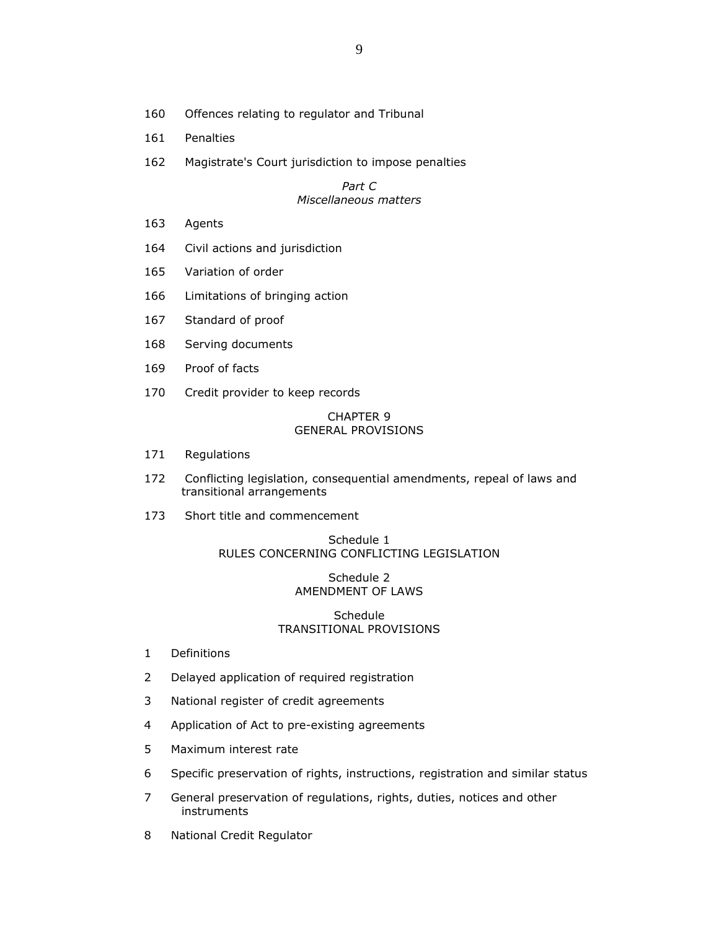- 160 Offences relating to regulator and Tribunal
- 161 Penalties
- 162 Magistrate's Court jurisdiction to impose penalties

## Part C Miscellaneous matters

- 163 Agents
- 164 Civil actions and jurisdiction
- 165 Variation of order
- 166 Limitations of bringing action
- 167 Standard of proof
- 168 Serving documents
- 169 Proof of facts
- 170 Credit provider to keep records

## CHAPTER 9 GENERAL PROVISIONS

- 171 Regulations
- 172 Conflicting legislation, consequential amendments, repeal of laws and transitional arrangements
- 173 Short title and commencement

## Schedule 1 RULES CONCERNING CONFLICTING LEGISLATION

## Schedule 2 AMENDMENT OF LAWS

### Schedule TRANSITIONAL PROVISIONS

- 1 Definitions
- 2 Delayed application of required registration
- 3 National register of credit agreements
- 4 Application of Act to pre-existing agreements
- 5 Maximum interest rate
- 6 Specific preservation of rights, instructions, registration and similar status
- 7 General preservation of regulations, rights, duties, notices and other instruments
- 8 National Credit Regulator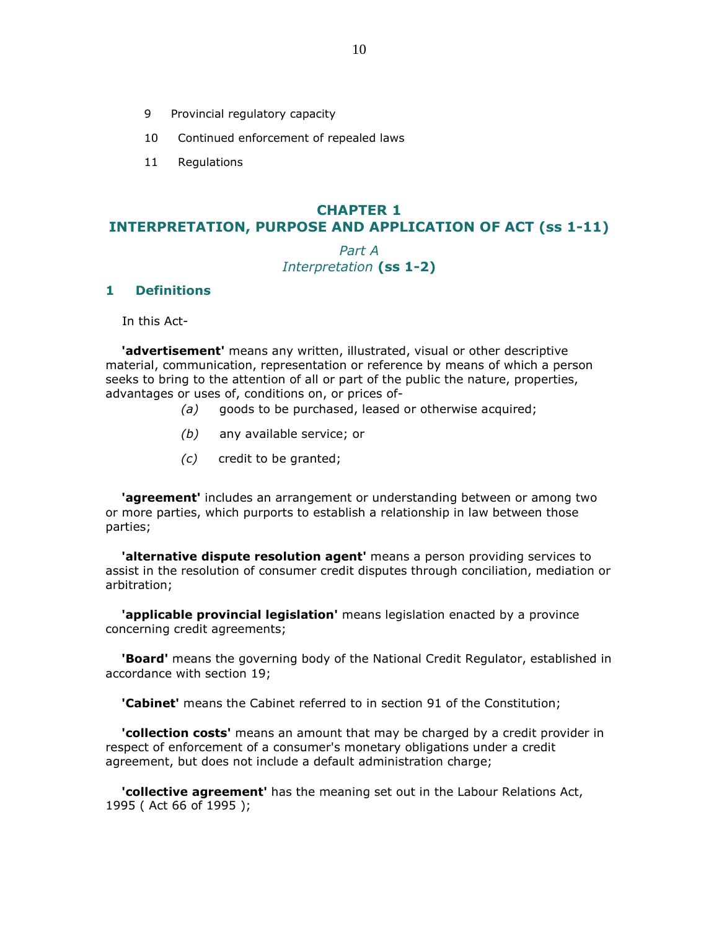- 9 Provincial regulatory capacity
- 10 Continued enforcement of repealed laws
- 11 Regulations

# CHAPTER 1 INTERPRETATION, PURPOSE AND APPLICATION OF ACT (ss 1-11)

# Part A Interpretation (ss 1-2)

# 1 Definitions

In this Act-

**'advertisement'** means any written, illustrated, visual or other descriptive material, communication, representation or reference by means of which a person seeks to bring to the attention of all or part of the public the nature, properties, advantages or uses of, conditions on, or prices of-

- (a) goods to be purchased, leased or otherwise acquired;
- (b) any available service; or
- (c) credit to be granted;

**'agreement'** includes an arrangement or understanding between or among two or more parties, which purports to establish a relationship in law between those parties;

**'alternative dispute resolution agent'** means a person providing services to assist in the resolution of consumer credit disputes through conciliation, mediation or arbitration;

'applicable provincial legislation' means legislation enacted by a province concerning credit agreements;

**Board'** means the governing body of the National Credit Regulator, established in accordance with section 19;

**'Cabinet'** means the Cabinet referred to in section 91 of the Constitution;

**'collection costs'** means an amount that may be charged by a credit provider in respect of enforcement of a consumer's monetary obligations under a credit agreement, but does not include a default administration charge;

 'collective agreement' has the meaning set out in the Labour Relations Act, 1995 ( Act 66 of 1995 );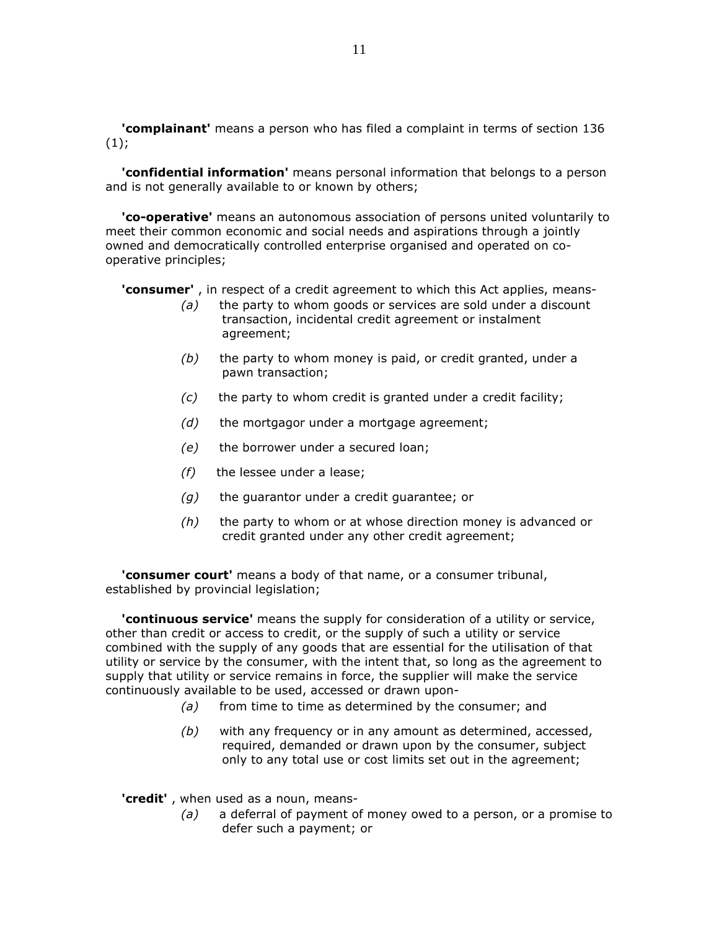'complainant' means a person who has filed a complaint in terms of section 136  $(1)$ ;

 'confidential information' means personal information that belongs to a person and is not generally available to or known by others;

 'co-operative' means an autonomous association of persons united voluntarily to meet their common economic and social needs and aspirations through a jointly owned and democratically controlled enterprise organised and operated on cooperative principles;

'consumer', in respect of a credit agreement to which this Act applies, means-

- $(a)$  the party to whom goods or services are sold under a discount transaction, incidental credit agreement or instalment agreement;
- $(b)$  the party to whom money is paid, or credit granted, under a pawn transaction;
- $(c)$  the party to whom credit is granted under a credit facility;
- $(d)$  the mortgagor under a mortgage agreement;
- (e) the borrower under a secured loan;
- $(f)$  the lessee under a lease;
- $(g)$  the guarantor under a credit guarantee; or
- $(h)$  the party to whom or at whose direction money is advanced or credit granted under any other credit agreement;

'consumer court' means a body of that name, or a consumer tribunal, established by provincial legislation;

**'continuous service'** means the supply for consideration of a utility or service, other than credit or access to credit, or the supply of such a utility or service combined with the supply of any goods that are essential for the utilisation of that utility or service by the consumer, with the intent that, so long as the agreement to supply that utility or service remains in force, the supplier will make the service continuously available to be used, accessed or drawn upon-

- $(a)$  from time to time as determined by the consumer; and
- $(b)$  with any frequency or in any amount as determined, accessed, required, demanded or drawn upon by the consumer, subject only to any total use or cost limits set out in the agreement;

'credit', when used as a noun, means-

 $(a)$  a deferral of payment of money owed to a person, or a promise to defer such a payment; or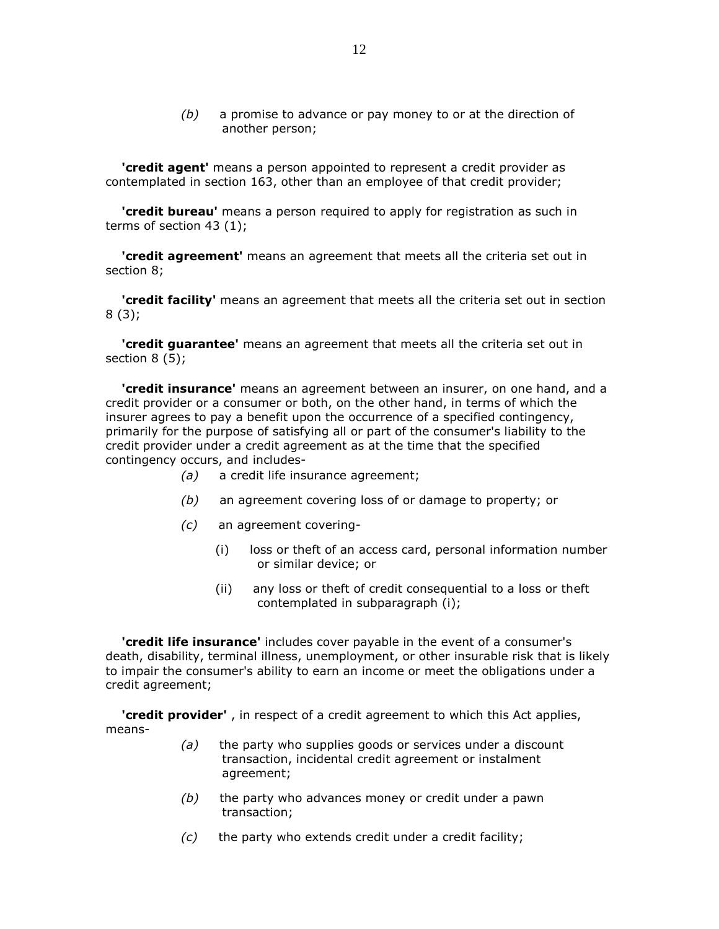$(b)$  a promise to advance or pay money to or at the direction of another person;

'credit agent' means a person appointed to represent a credit provider as contemplated in section 163, other than an employee of that credit provider;

**'credit bureau'** means a person required to apply for registration as such in terms of section 43 (1);

**'credit agreement'** means an agreement that meets all the criteria set out in section 8;

**'credit facility'** means an agreement that meets all the criteria set out in section 8 (3);

**'credit guarantee'** means an agreement that meets all the criteria set out in section 8 (5);

 'credit insurance' means an agreement between an insurer, on one hand, and a credit provider or a consumer or both, on the other hand, in terms of which the insurer agrees to pay a benefit upon the occurrence of a specified contingency, primarily for the purpose of satisfying all or part of the consumer's liability to the credit provider under a credit agreement as at the time that the specified contingency occurs, and includes-

- (a) a credit life insurance agreement;
- (b) an agreement covering loss of or damage to property; or
- (c) an agreement covering-
	- (i) loss or theft of an access card, personal information number or similar device; or
	- (ii) any loss or theft of credit consequential to a loss or theft contemplated in subparagraph (i);

 'credit life insurance' includes cover payable in the event of a consumer's death, disability, terminal illness, unemployment, or other insurable risk that is likely to impair the consumer's ability to earn an income or meet the obligations under a credit agreement;

'credit provider', in respect of a credit agreement to which this Act applies, means-

- $(a)$  the party who supplies goods or services under a discount transaction, incidental credit agreement or instalment agreement;
- $(b)$  the party who advances money or credit under a pawn transaction;
- (c) the party who extends credit under a credit facility;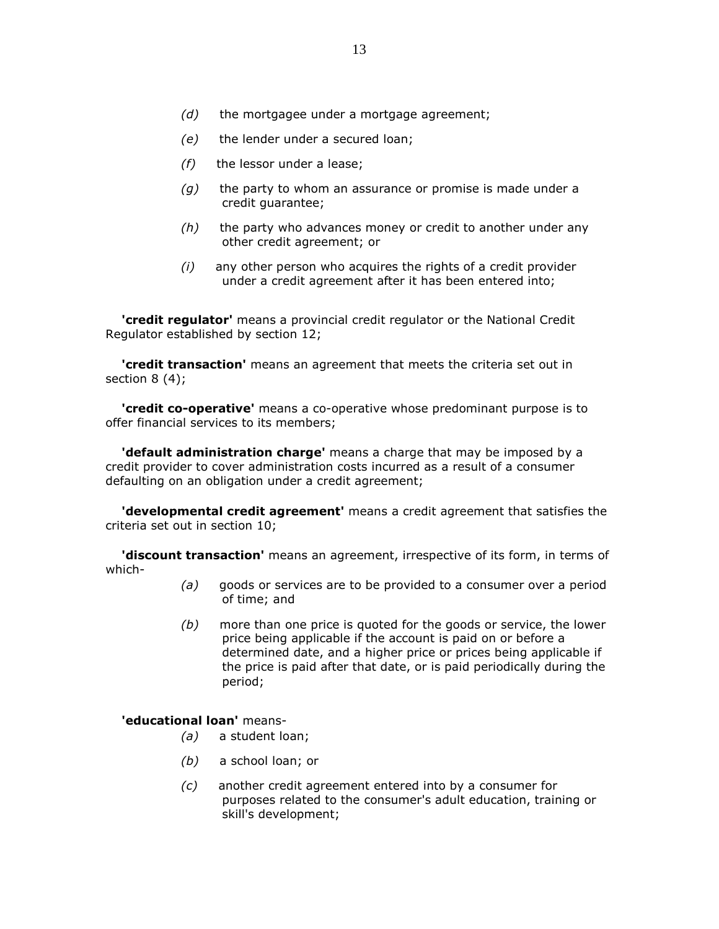- $(e)$  the lender under a secured loan;
- $(f)$  the lessor under a lease;
- $(q)$  the party to whom an assurance or promise is made under a credit guarantee;
- $(h)$  the party who advances money or credit to another under any other credit agreement; or
- $(i)$  any other person who acquires the rights of a credit provider under a credit agreement after it has been entered into;

**'credit regulator'** means a provincial credit regulator or the National Credit Regulator established by section 12;

**'credit transaction'** means an agreement that meets the criteria set out in section 8 (4);

 'credit co-operative' means a co-operative whose predominant purpose is to offer financial services to its members;

**'default administration charge'** means a charge that may be imposed by a credit provider to cover administration costs incurred as a result of a consumer defaulting on an obligation under a credit agreement;

 'developmental credit agreement' means a credit agreement that satisfies the criteria set out in section 10;

'discount transaction' means an agreement, irrespective of its form, in terms of which-

- $(a)$  goods or services are to be provided to a consumer over a period of time; and
- $(b)$  more than one price is quoted for the goods or service, the lower price being applicable if the account is paid on or before a determined date, and a higher price or prices being applicable if the price is paid after that date, or is paid periodically during the period;

### 'educational loan' means-

- (a) a student loan;
- (b) a school loan; or
- (c) another credit agreement entered into by a consumer for purposes related to the consumer's adult education, training or skill's development;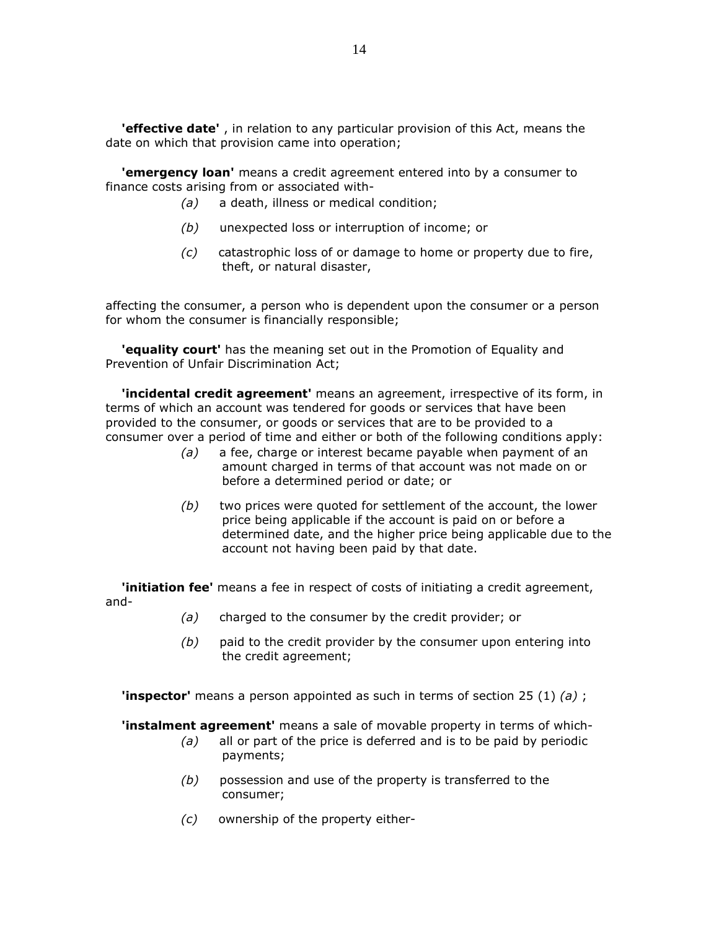'effective date', in relation to any particular provision of this Act, means the date on which that provision came into operation;

'emergency loan' means a credit agreement entered into by a consumer to finance costs arising from or associated with-

- (a) a death, illness or medical condition;
- (b) unexpected loss or interruption of income; or
- (c) catastrophic loss of or damage to home or property due to fire, theft, or natural disaster,

affecting the consumer, a person who is dependent upon the consumer or a person for whom the consumer is financially responsible;

'equality court' has the meaning set out in the Promotion of Equality and Prevention of Unfair Discrimination Act;

'incidental credit agreement' means an agreement, irrespective of its form, in terms of which an account was tendered for goods or services that have been provided to the consumer, or goods or services that are to be provided to a consumer over a period of time and either or both of the following conditions apply:

- (a) a fee, charge or interest became payable when payment of an amount charged in terms of that account was not made on or before a determined period or date; or
- $(b)$  two prices were quoted for settlement of the account, the lower price being applicable if the account is paid on or before a determined date, and the higher price being applicable due to the account not having been paid by that date.

**'initiation fee'** means a fee in respect of costs of initiating a credit agreement, and-

- (a) charged to the consumer by the credit provider; or
- $(b)$  paid to the credit provider by the consumer upon entering into the credit agreement;

**'inspector'** means a person appointed as such in terms of section 25 (1) (a) ;

**'instalment agreement'** means a sale of movable property in terms of which-

- $(a)$  all or part of the price is deferred and is to be paid by periodic payments;
- $(b)$  possession and use of the property is transferred to the consumer;
- (c) ownership of the property either-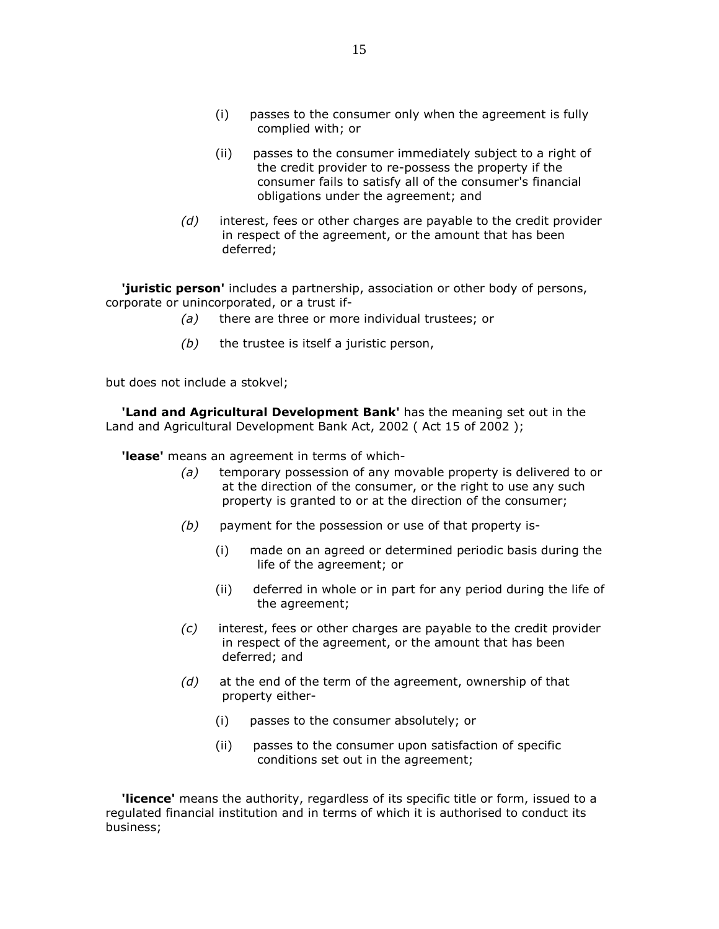- (i) passes to the consumer only when the agreement is fully complied with; or
- (ii) passes to the consumer immediately subject to a right of the credit provider to re-possess the property if the consumer fails to satisfy all of the consumer's financial obligations under the agreement; and
- $(d)$  interest, fees or other charges are payable to the credit provider in respect of the agreement, or the amount that has been deferred;

'juristic person' includes a partnership, association or other body of persons, corporate or unincorporated, or a trust if-

- (a) there are three or more individual trustees; or
- $(b)$  the trustee is itself a juristic person,

but does not include a stokvel;

'Land and Agricultural Development Bank' has the meaning set out in the Land and Agricultural Development Bank Act, 2002 ( Act 15 of 2002 );

**'lease'** means an agreement in terms of which-

- (a) temporary possession of any movable property is delivered to or at the direction of the consumer, or the right to use any such property is granted to or at the direction of the consumer;
- $(b)$  payment for the possession or use of that property is-
	- (i) made on an agreed or determined periodic basis during the life of the agreement; or
	- (ii) deferred in whole or in part for any period during the life of the agreement;
- $(c)$  interest, fees or other charges are payable to the credit provider in respect of the agreement, or the amount that has been deferred; and
- $(d)$  at the end of the term of the agreement, ownership of that property either-
	- (i) passes to the consumer absolutely; or
	- (ii) passes to the consumer upon satisfaction of specific conditions set out in the agreement;

'licence' means the authority, regardless of its specific title or form, issued to a regulated financial institution and in terms of which it is authorised to conduct its business;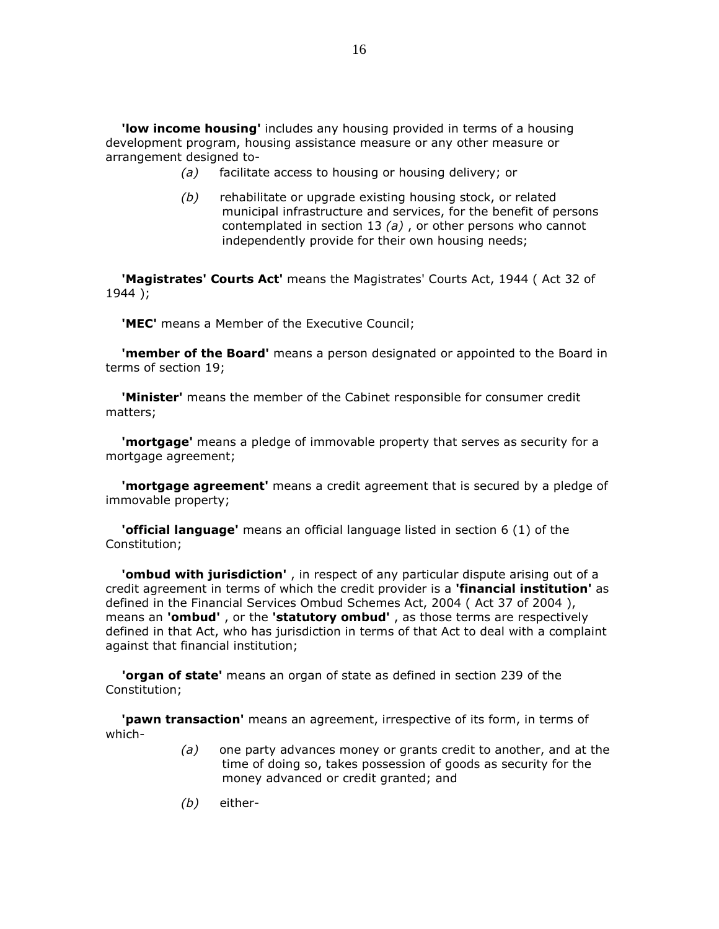'low income housing' includes any housing provided in terms of a housing development program, housing assistance measure or any other measure or arrangement designed to-

- (a) facilitate access to housing or housing delivery; or
- $(b)$  rehabilitate or upgrade existing housing stock, or related municipal infrastructure and services, for the benefit of persons contemplated in section 13  $(a)$ , or other persons who cannot independently provide for their own housing needs;

**'Magistrates' Courts Act'** means the Magistrates' Courts Act, 1944 (Act 32 of 1944 );

'MEC' means a Member of the Executive Council;

**'member of the Board'** means a person designated or appointed to the Board in terms of section 19;

'Minister' means the member of the Cabinet responsible for consumer credit matters;

 'mortgage' means a pledge of immovable property that serves as security for a mortgage agreement;

**'mortgage agreement'** means a credit agreement that is secured by a pledge of immovable property;

 'official language' means an official language listed in section 6 (1) of the Constitution;

'ombud with jurisdiction', in respect of any particular dispute arising out of a credit agreement in terms of which the credit provider is a **'financial institution'** as defined in the Financial Services Ombud Schemes Act, 2004 ( Act 37 of 2004 ), means an 'ombud', or the 'statutory ombud', as those terms are respectively defined in that Act, who has jurisdiction in terms of that Act to deal with a complaint against that financial institution;

**'organ of state'** means an organ of state as defined in section 239 of the Constitution;

**'pawn transaction'** means an agreement, irrespective of its form, in terms of which-

- (a) one party advances money or grants credit to another, and at the time of doing so, takes possession of goods as security for the money advanced or credit granted; and
- (b) either-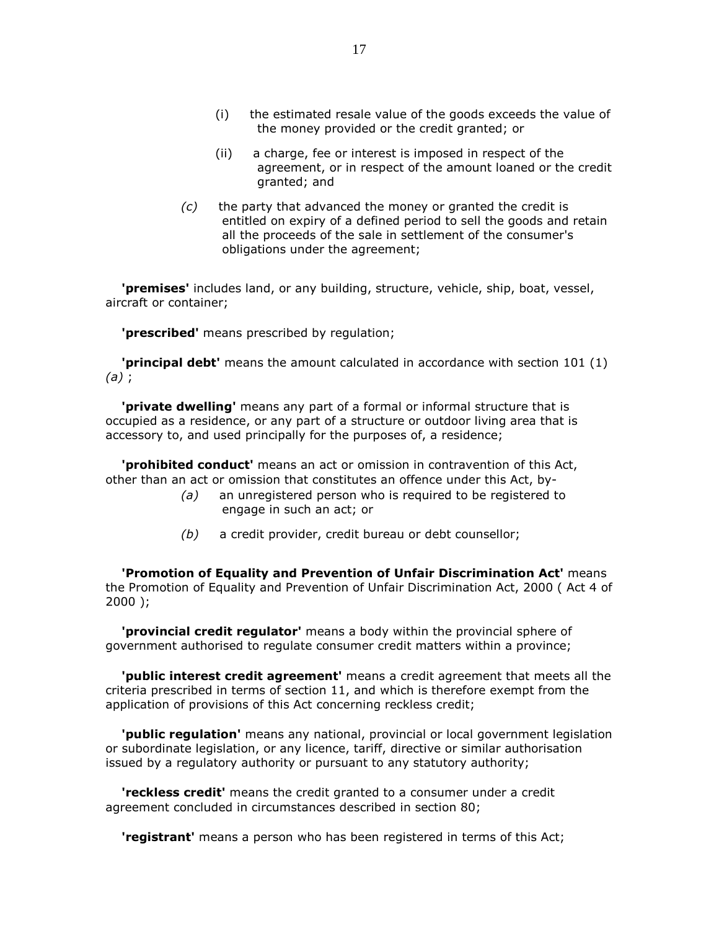- (i) the estimated resale value of the goods exceeds the value of the money provided or the credit granted; or
- (ii) a charge, fee or interest is imposed in respect of the agreement, or in respect of the amount loaned or the credit granted; and
- $(c)$  the party that advanced the money or granted the credit is entitled on expiry of a defined period to sell the goods and retain all the proceeds of the sale in settlement of the consumer's obligations under the agreement;

'premises' includes land, or any building, structure, vehicle, ship, boat, vessel, aircraft or container;

**'prescribed'** means prescribed by regulation;

 'principal debt' means the amount calculated in accordance with section 101 (1) (a) ;

'private dwelling' means any part of a formal or informal structure that is occupied as a residence, or any part of a structure or outdoor living area that is accessory to, and used principally for the purposes of, a residence;

'prohibited conduct' means an act or omission in contravention of this Act, other than an act or omission that constitutes an offence under this Act, by-

- (a) an unregistered person who is required to be registered to engage in such an act; or
- (b) a credit provider, credit bureau or debt counsellor;

 'Promotion of Equality and Prevention of Unfair Discrimination Act' means the Promotion of Equality and Prevention of Unfair Discrimination Act, 2000 ( Act 4 of 2000 );

'provincial credit regulator' means a body within the provincial sphere of government authorised to regulate consumer credit matters within a province;

'public interest credit agreement' means a credit agreement that meets all the criteria prescribed in terms of section 11, and which is therefore exempt from the application of provisions of this Act concerning reckless credit;

'public regulation' means any national, provincial or local government legislation or subordinate legislation, or any licence, tariff, directive or similar authorisation issued by a regulatory authority or pursuant to any statutory authority;

 'reckless credit' means the credit granted to a consumer under a credit agreement concluded in circumstances described in section 80;

**'registrant'** means a person who has been registered in terms of this Act;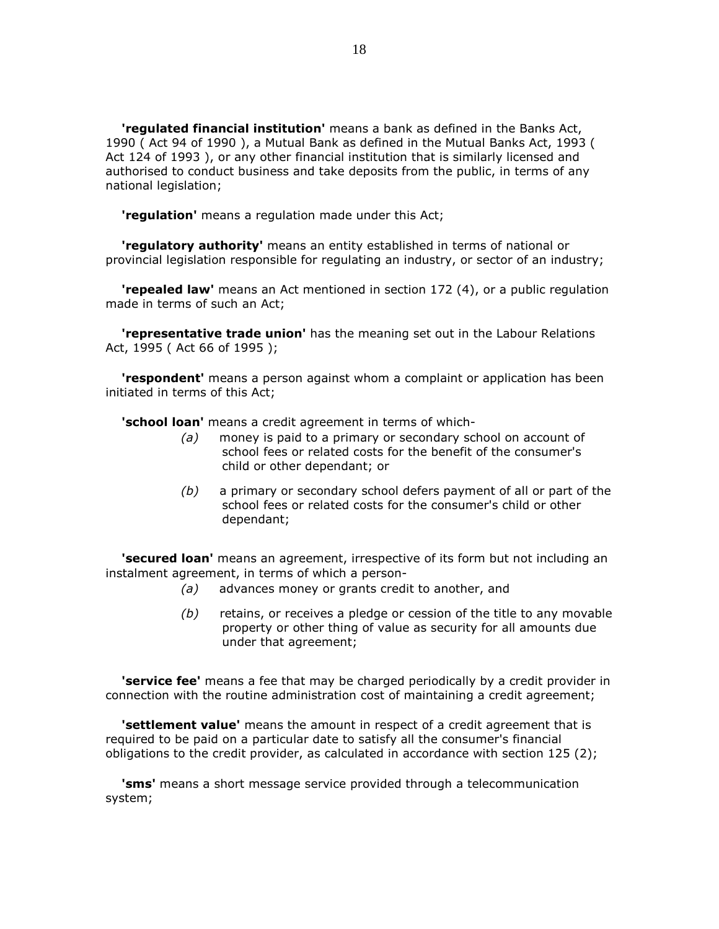'regulated financial institution' means a bank as defined in the Banks Act, 1990 ( Act 94 of 1990 ), a Mutual Bank as defined in the Mutual Banks Act, 1993 ( Act 124 of 1993 ), or any other financial institution that is similarly licensed and authorised to conduct business and take deposits from the public, in terms of any national legislation;

'regulation' means a regulation made under this Act;

'regulatory authority' means an entity established in terms of national or provincial legislation responsible for regulating an industry, or sector of an industry;

'repealed law' means an Act mentioned in section 172 (4), or a public regulation made in terms of such an Act;

**Trepresentative trade union'** has the meaning set out in the Labour Relations Act, 1995 ( Act 66 of 1995 );

**'respondent'** means a person against whom a complaint or application has been initiated in terms of this Act;

**'school loan'** means a credit agreement in terms of which-

- (a) money is paid to a primary or secondary school on account of school fees or related costs for the benefit of the consumer's child or other dependant; or
- $(b)$  a primary or secondary school defers payment of all or part of the school fees or related costs for the consumer's child or other dependant;

**'secured loan'** means an agreement, irrespective of its form but not including an instalment agreement, in terms of which a person-

- (a) advances money or grants credit to another, and
- (b) retains, or receives a pledge or cession of the title to any movable property or other thing of value as security for all amounts due under that agreement;

**'service fee'** means a fee that may be charged periodically by a credit provider in connection with the routine administration cost of maintaining a credit agreement;

**'settlement value'** means the amount in respect of a credit agreement that is required to be paid on a particular date to satisfy all the consumer's financial obligations to the credit provider, as calculated in accordance with section 125 (2);

**'sms'** means a short message service provided through a telecommunication system;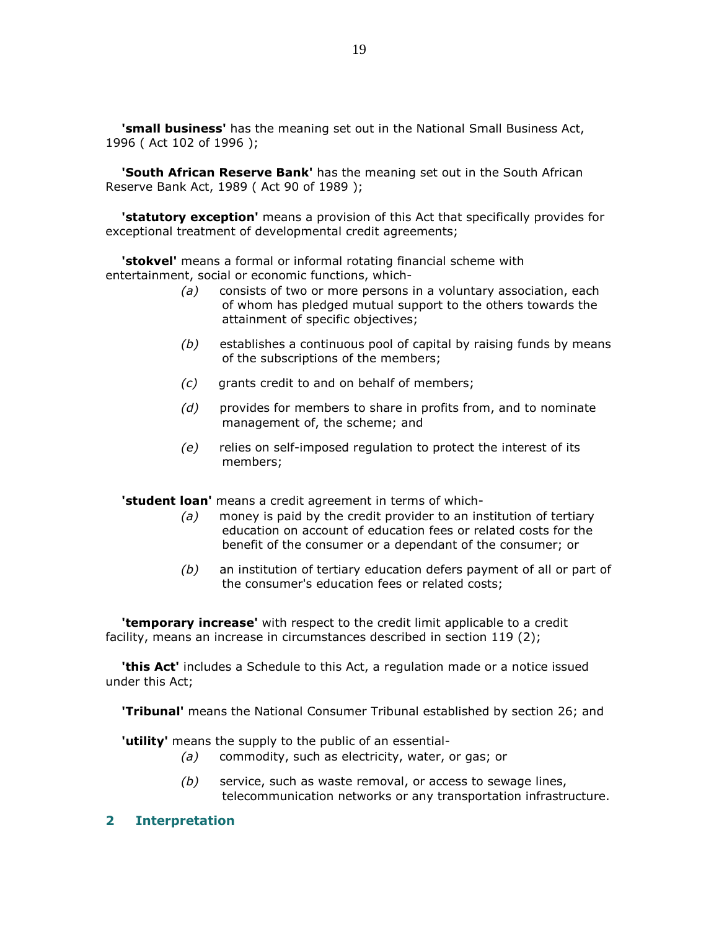'small business' has the meaning set out in the National Small Business Act, 1996 ( Act 102 of 1996 );

**'South African Reserve Bank'** has the meaning set out in the South African Reserve Bank Act, 1989 ( Act 90 of 1989 );

**'statutory exception'** means a provision of this Act that specifically provides for exceptional treatment of developmental credit agreements;

**'stokvel'** means a formal or informal rotating financial scheme with entertainment, social or economic functions, which-

- $(a)$  consists of two or more persons in a voluntary association, each of whom has pledged mutual support to the others towards the attainment of specific objectives;
- $(b)$  establishes a continuous pool of capital by raising funds by means of the subscriptions of the members;
- (c) grants credit to and on behalf of members;
- $(d)$  provides for members to share in profits from, and to nominate management of, the scheme; and
- (e) relies on self-imposed regulation to protect the interest of its members;

**'student loan'** means a credit agreement in terms of which-

- $(a)$  money is paid by the credit provider to an institution of tertiary education on account of education fees or related costs for the benefit of the consumer or a dependant of the consumer; or
- (b) an institution of tertiary education defers payment of all or part of the consumer's education fees or related costs;

**'temporary increase'** with respect to the credit limit applicable to a credit facility, means an increase in circumstances described in section 119 (2);

**this Act'** includes a Schedule to this Act, a regulation made or a notice issued under this Act;

'Tribunal' means the National Consumer Tribunal established by section 26; and

'utility' means the supply to the public of an essential-

- (a) commodity, such as electricity, water, or gas; or
- $(b)$  service, such as waste removal, or access to sewage lines, telecommunication networks or any transportation infrastructure.

### 2 Interpretation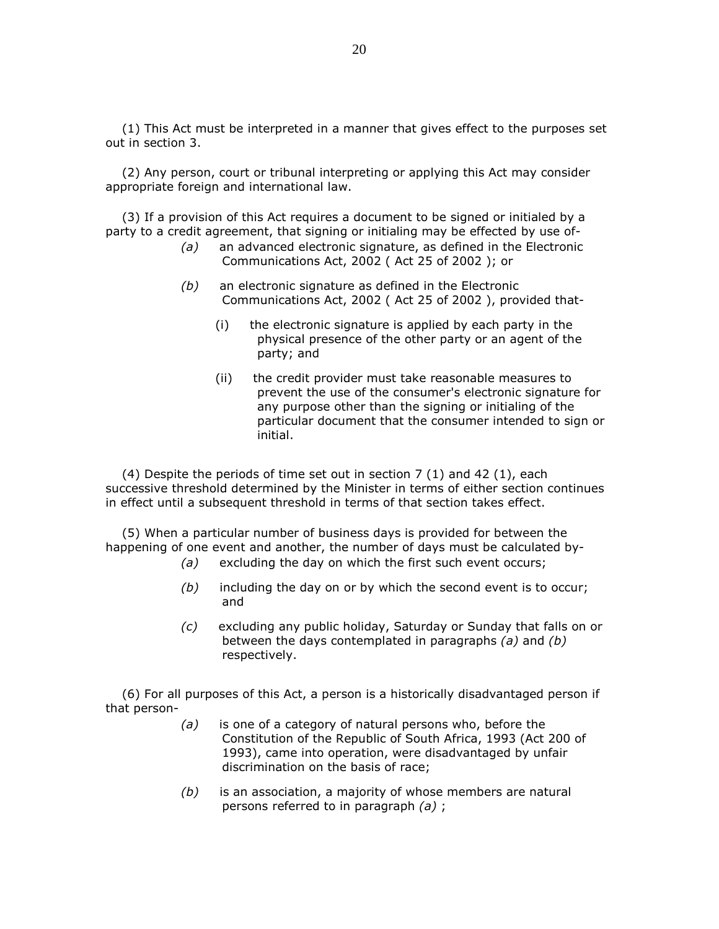(1) This Act must be interpreted in a manner that gives effect to the purposes set out in section 3.

 (2) Any person, court or tribunal interpreting or applying this Act may consider appropriate foreign and international law.

 (3) If a provision of this Act requires a document to be signed or initialed by a party to a credit agreement, that signing or initialing may be effected by use of-

- (a) an advanced electronic signature, as defined in the Electronic Communications Act, 2002 ( Act 25 of 2002 ); or
- (b) an electronic signature as defined in the Electronic Communications Act, 2002 ( Act 25 of 2002 ), provided that-
	- (i) the electronic signature is applied by each party in the physical presence of the other party or an agent of the party; and
	- (ii) the credit provider must take reasonable measures to prevent the use of the consumer's electronic signature for any purpose other than the signing or initialing of the particular document that the consumer intended to sign or initial.

(4) Despite the periods of time set out in section  $7(1)$  and  $42(1)$ , each successive threshold determined by the Minister in terms of either section continues in effect until a subsequent threshold in terms of that section takes effect.

 (5) When a particular number of business days is provided for between the happening of one event and another, the number of days must be calculated by-

- (a) excluding the day on which the first such event occurs;
- $(b)$  including the day on or by which the second event is to occur; and
- (c) excluding any public holiday, Saturday or Sunday that falls on or between the days contemplated in paragraphs  $(a)$  and  $(b)$ respectively.

 (6) For all purposes of this Act, a person is a historically disadvantaged person if that person-

- $(a)$  is one of a category of natural persons who, before the Constitution of the Republic of South Africa, 1993 (Act 200 of 1993), came into operation, were disadvantaged by unfair discrimination on the basis of race;
- $(b)$  is an association, a majority of whose members are natural persons referred to in paragraph  $(a)$ ;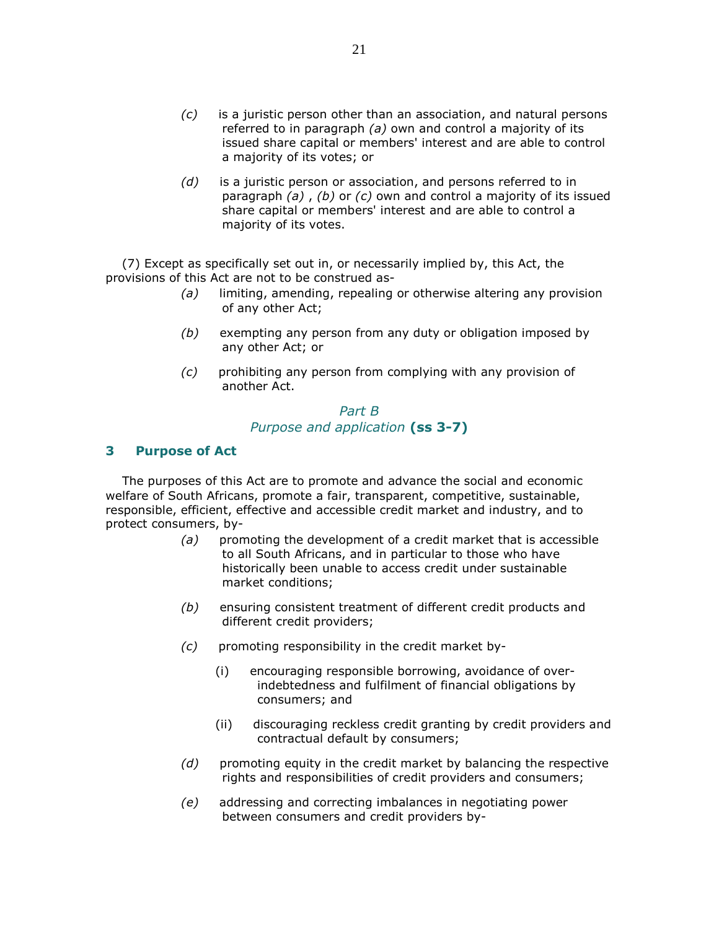- $(c)$  is a juristic person other than an association, and natural persons referred to in paragraph (a) own and control a majority of its issued share capital or members' interest and are able to control a majority of its votes; or
- $(d)$  is a juristic person or association, and persons referred to in paragraph  $(a)$ ,  $(b)$  or  $(c)$  own and control a majority of its issued share capital or members' interest and are able to control a majority of its votes.

 (7) Except as specifically set out in, or necessarily implied by, this Act, the provisions of this Act are not to be construed as-

- $(a)$  limiting, amending, repealing or otherwise altering any provision of any other Act;
- (b) exempting any person from any duty or obligation imposed by any other Act; or
- (c) prohibiting any person from complying with any provision of another Act.

# Part B Purpose and application (ss 3-7)

# 3 Purpose of Act

 The purposes of this Act are to promote and advance the social and economic welfare of South Africans, promote a fair, transparent, competitive, sustainable, responsible, efficient, effective and accessible credit market and industry, and to protect consumers, by-

- $(a)$  promoting the development of a credit market that is accessible to all South Africans, and in particular to those who have historically been unable to access credit under sustainable market conditions;
- (b) ensuring consistent treatment of different credit products and different credit providers;
- (c) promoting responsibility in the credit market by-
	- (i) encouraging responsible borrowing, avoidance of overindebtedness and fulfilment of financial obligations by consumers; and
	- (ii) discouraging reckless credit granting by credit providers and contractual default by consumers;
- $(d)$  promoting equity in the credit market by balancing the respective rights and responsibilities of credit providers and consumers;
- (e) addressing and correcting imbalances in negotiating power between consumers and credit providers by-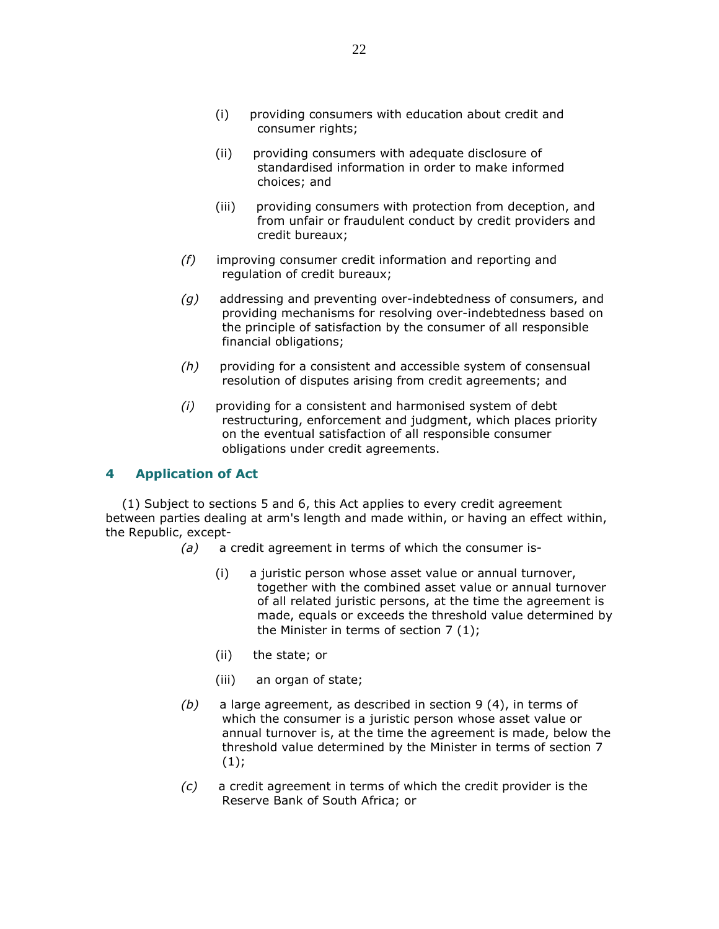- (i) providing consumers with education about credit and consumer rights;
- (ii) providing consumers with adequate disclosure of standardised information in order to make informed choices; and
- (iii) providing consumers with protection from deception, and from unfair or fraudulent conduct by credit providers and credit bureaux;
- $(f)$  improving consumer credit information and reporting and regulation of credit bureaux;
- $(q)$  addressing and preventing over-indebtedness of consumers, and providing mechanisms for resolving over-indebtedness based on the principle of satisfaction by the consumer of all responsible financial obligations;
- (h) providing for a consistent and accessible system of consensual resolution of disputes arising from credit agreements; and
- (i) providing for a consistent and harmonised system of debt restructuring, enforcement and judgment, which places priority on the eventual satisfaction of all responsible consumer obligations under credit agreements.

# 4 Application of Act

 (1) Subject to sections 5 and 6, this Act applies to every credit agreement between parties dealing at arm's length and made within, or having an effect within, the Republic, except-

- $(a)$  a credit agreement in terms of which the consumer is-
	- (i) a juristic person whose asset value or annual turnover, together with the combined asset value or annual turnover of all related juristic persons, at the time the agreement is made, equals or exceeds the threshold value determined by the Minister in terms of section 7 (1);
	- (ii) the state; or
	- (iii) an organ of state;
- $(b)$  a large agreement, as described in section 9 (4), in terms of which the consumer is a juristic person whose asset value or annual turnover is, at the time the agreement is made, below the threshold value determined by the Minister in terms of section 7  $(1);$
- $(c)$  a credit agreement in terms of which the credit provider is the Reserve Bank of South Africa; or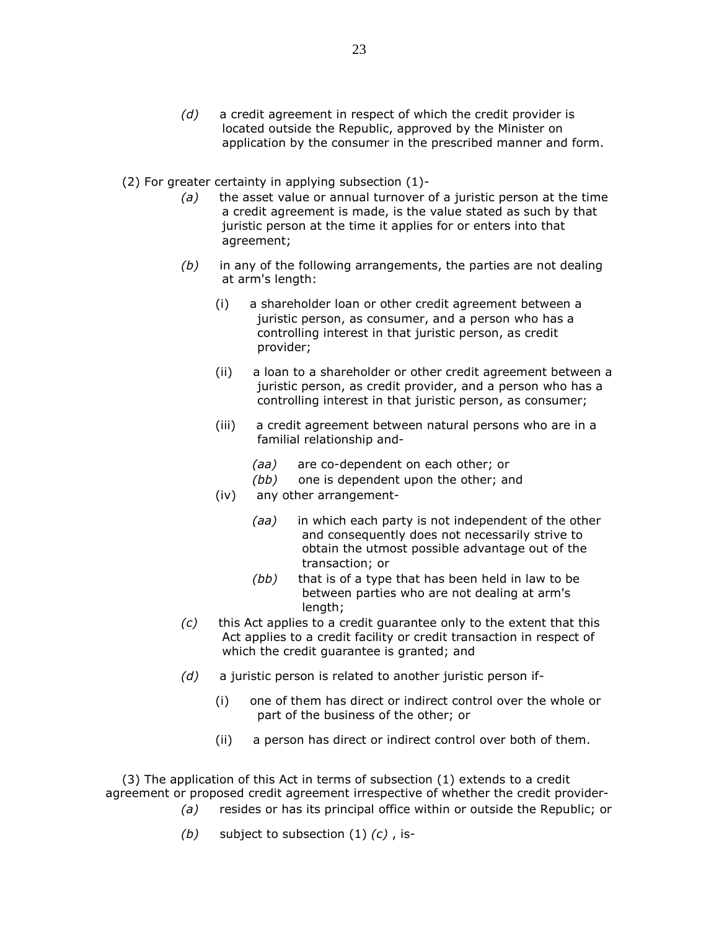- $(d)$  a credit agreement in respect of which the credit provider is located outside the Republic, approved by the Minister on application by the consumer in the prescribed manner and form.
- (2) For greater certainty in applying subsection (1)-
	- $(a)$  the asset value or annual turnover of a juristic person at the time a credit agreement is made, is the value stated as such by that juristic person at the time it applies for or enters into that agreement;
	- $(b)$  in any of the following arrangements, the parties are not dealing at arm's length:
		- (i) a shareholder loan or other credit agreement between a juristic person, as consumer, and a person who has a controlling interest in that juristic person, as credit provider;
		- (ii) a loan to a shareholder or other credit agreement between a juristic person, as credit provider, and a person who has a controlling interest in that juristic person, as consumer;
		- (iii) a credit agreement between natural persons who are in a familial relationship and-
			- (aa) are co-dependent on each other; or
			- (bb) one is dependent upon the other; and
		- (iv) any other arrangement-
			- (aa) in which each party is not independent of the other and consequently does not necessarily strive to obtain the utmost possible advantage out of the transaction; or
			- $(bb)$  that is of a type that has been held in law to be between parties who are not dealing at arm's length;
	- $(c)$  this Act applies to a credit guarantee only to the extent that this Act applies to a credit facility or credit transaction in respect of which the credit guarantee is granted; and
	- $(d)$  a juristic person is related to another juristic person if-
		- (i) one of them has direct or indirect control over the whole or part of the business of the other; or
		- (ii) a person has direct or indirect control over both of them.

 (3) The application of this Act in terms of subsection (1) extends to a credit agreement or proposed credit agreement irrespective of whether the credit provider-

- $(a)$  resides or has its principal office within or outside the Republic; or
- (b) subject to subsection  $(1)$   $(c)$ , is-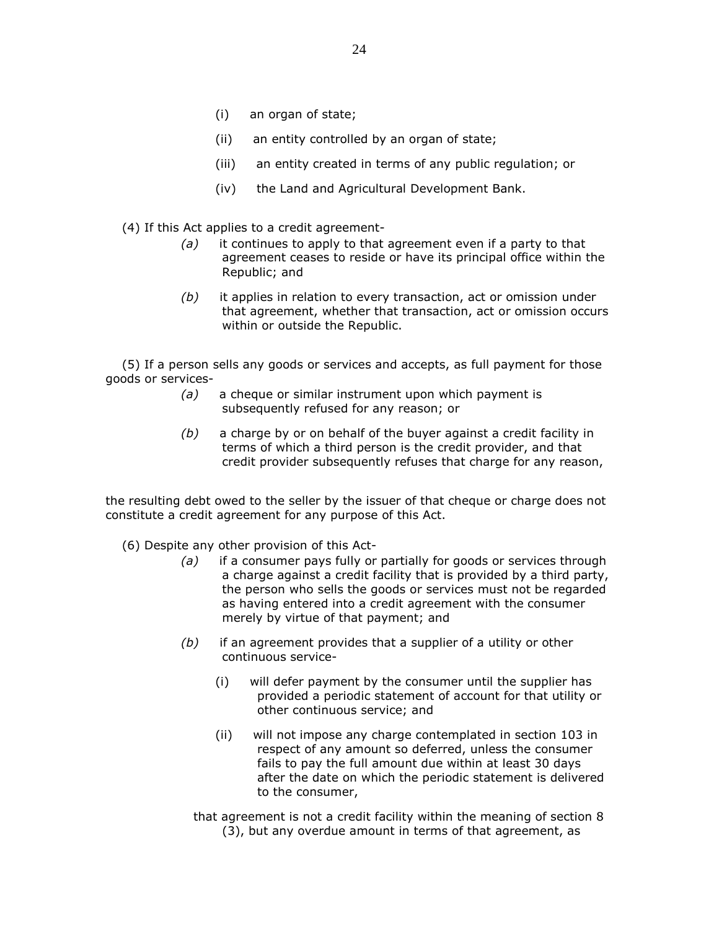- (i) an organ of state;
- (ii) an entity controlled by an organ of state;
- (iii) an entity created in terms of any public regulation; or
- (iv) the Land and Agricultural Development Bank.
- (4) If this Act applies to a credit agreement-
	- $(a)$  it continues to apply to that agreement even if a party to that agreement ceases to reside or have its principal office within the Republic; and
	- $(b)$  it applies in relation to every transaction, act or omission under that agreement, whether that transaction, act or omission occurs within or outside the Republic.

 (5) If a person sells any goods or services and accepts, as full payment for those goods or services-

- $(a)$  a cheque or similar instrument upon which payment is subsequently refused for any reason; or
- $(b)$  a charge by or on behalf of the buyer against a credit facility in terms of which a third person is the credit provider, and that credit provider subsequently refuses that charge for any reason,

the resulting debt owed to the seller by the issuer of that cheque or charge does not constitute a credit agreement for any purpose of this Act.

- (6) Despite any other provision of this Act-
	- (a) if a consumer pays fully or partially for goods or services through a charge against a credit facility that is provided by a third party, the person who sells the goods or services must not be regarded as having entered into a credit agreement with the consumer merely by virtue of that payment; and
	- $(b)$  if an agreement provides that a supplier of a utility or other continuous service-
		- (i) will defer payment by the consumer until the supplier has provided a periodic statement of account for that utility or other continuous service; and
		- (ii) will not impose any charge contemplated in section 103 in respect of any amount so deferred, unless the consumer fails to pay the full amount due within at least 30 days after the date on which the periodic statement is delivered to the consumer,
		- that agreement is not a credit facility within the meaning of section 8 (3), but any overdue amount in terms of that agreement, as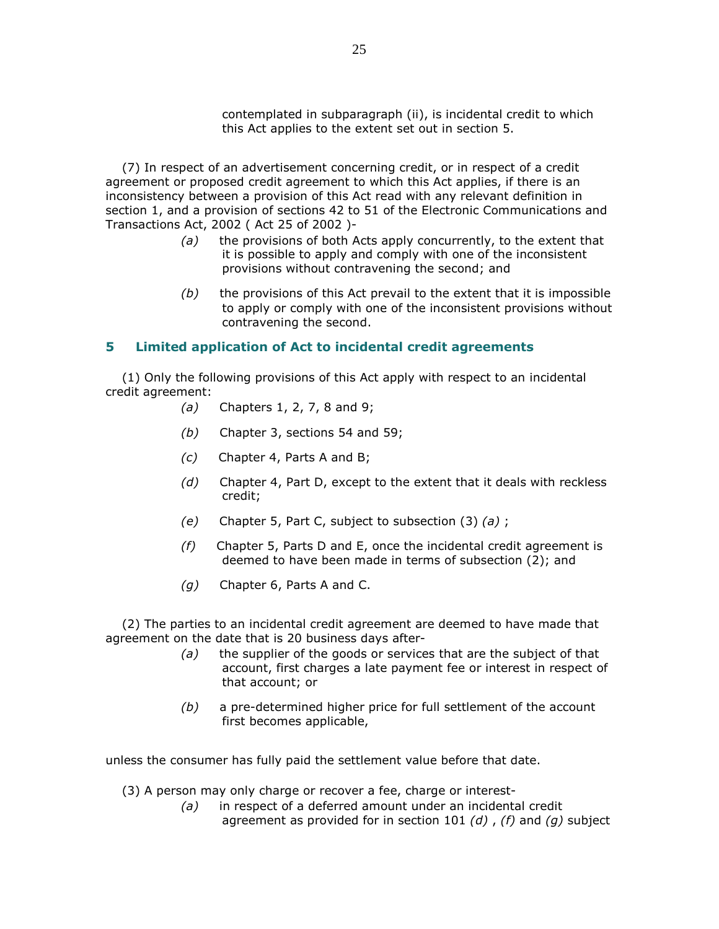contemplated in subparagraph (ii), is incidental credit to which this Act applies to the extent set out in section 5.

 (7) In respect of an advertisement concerning credit, or in respect of a credit agreement or proposed credit agreement to which this Act applies, if there is an inconsistency between a provision of this Act read with any relevant definition in section 1, and a provision of sections 42 to 51 of the Electronic Communications and Transactions Act, 2002 ( Act 25 of 2002 )-

- $(a)$  the provisions of both Acts apply concurrently, to the extent that it is possible to apply and comply with one of the inconsistent provisions without contravening the second; and
- $(b)$  the provisions of this Act prevail to the extent that it is impossible to apply or comply with one of the inconsistent provisions without contravening the second.

# 5 Limited application of Act to incidental credit agreements

 (1) Only the following provisions of this Act apply with respect to an incidental credit agreement:

- (a) Chapters 1, 2, 7, 8 and 9;
- (b) Chapter 3, sections 54 and 59;
- (c) Chapter 4, Parts A and B;
- $(d)$  Chapter 4, Part D, except to the extent that it deals with reckless credit;
- (e) Chapter 5, Part C, subject to subsection  $(3)$   $(a)$ ;
- $(f)$  Chapter 5, Parts D and E, once the incidental credit agreement is deemed to have been made in terms of subsection (2); and
- (g) Chapter 6, Parts A and C.

 (2) The parties to an incidental credit agreement are deemed to have made that agreement on the date that is 20 business days after-

- $(a)$  the supplier of the goods or services that are the subject of that account, first charges a late payment fee or interest in respect of that account; or
- $(b)$  a pre-determined higher price for full settlement of the account first becomes applicable,

unless the consumer has fully paid the settlement value before that date.

- (3) A person may only charge or recover a fee, charge or interest-
	- (a) in respect of a deferred amount under an incidental credit agreement as provided for in section 101  $(d)$ ,  $(f)$  and  $(q)$  subject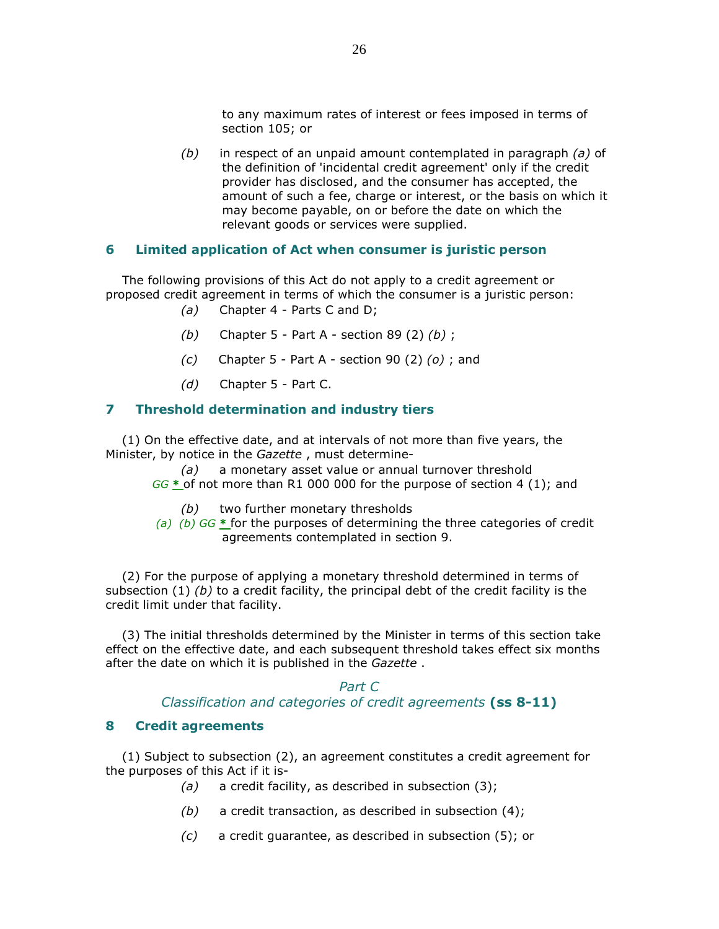to any maximum rates of interest or fees imposed in terms of section 105; or

 $(b)$  in respect of an unpaid amount contemplated in paragraph  $(a)$  of the definition of 'incidental credit agreement' only if the credit provider has disclosed, and the consumer has accepted, the amount of such a fee, charge or interest, or the basis on which it may become payable, on or before the date on which the relevant goods or services were supplied.

## 6 Limited application of Act when consumer is juristic person

 The following provisions of this Act do not apply to a credit agreement or proposed credit agreement in terms of which the consumer is a juristic person:

- (a) Chapter 4 Parts C and D;
- (b) Chapter 5 Part A section 89 (2)  $(b)$ ;
- $(c)$  Chapter 5 Part A section 90 (2)  $(o)$ ; and
- (d) Chapter 5 Part C.

# 7 Threshold determination and industry tiers

 (1) On the effective date, and at intervals of not more than five years, the Minister, by notice in the Gazette, must determine-

 (a) a monetary asset value or annual turnover threshold GG  $*$  of not more than R1 000 000 for the purpose of section 4 (1); and

- (b) two further monetary thresholds
- (a) (b)  $GG *$  for the purposes of determining the three categories of credit agreements contemplated in section 9.

 (2) For the purpose of applying a monetary threshold determined in terms of subsection  $(1)$  (b) to a credit facility, the principal debt of the credit facility is the credit limit under that facility.

 (3) The initial thresholds determined by the Minister in terms of this section take effect on the effective date, and each subsequent threshold takes effect six months after the date on which it is published in the Gazette.

#### Part C

Classification and categories of credit agreements (ss 8-11)

### 8 Credit agreements

 (1) Subject to subsection (2), an agreement constitutes a credit agreement for the purposes of this Act if it is-

- (a) a credit facility, as described in subsection  $(3)$ ;
- (b) a credit transaction, as described in subsection  $(4)$ ;
- (c) a credit guarantee, as described in subsection (5); or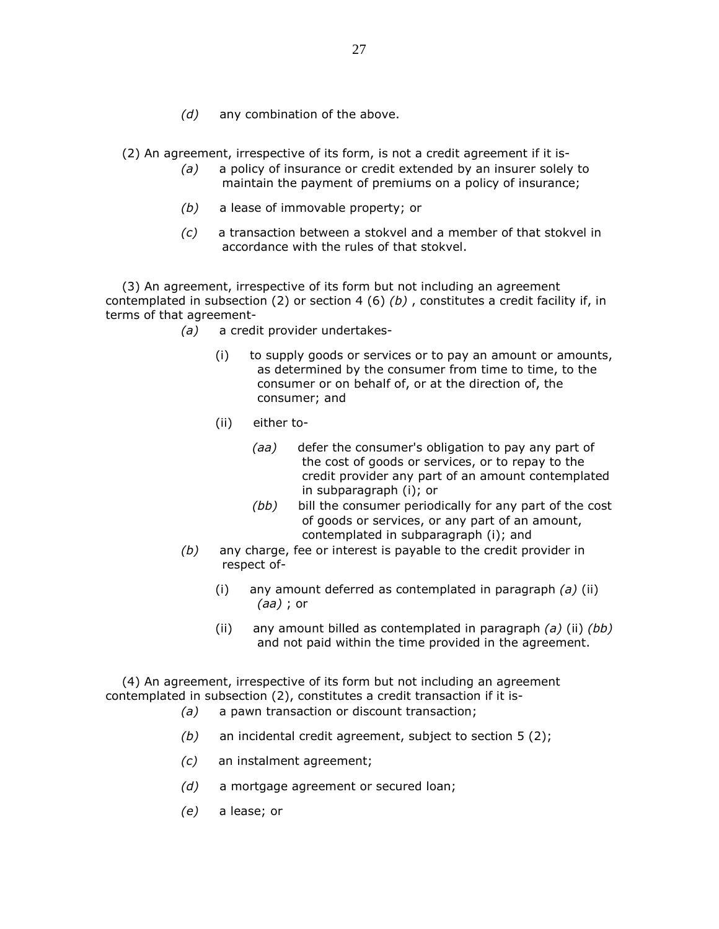$(d)$  any combination of the above.

(2) An agreement, irrespective of its form, is not a credit agreement if it is-

- (a) a policy of insurance or credit extended by an insurer solely to maintain the payment of premiums on a policy of insurance;
- (b) a lease of immovable property; or
- (c) a transaction between a stokvel and a member of that stokvel in accordance with the rules of that stokvel.

 (3) An agreement, irrespective of its form but not including an agreement contemplated in subsection (2) or section 4 (6) (b), constitutes a credit facility if, in terms of that agreement-

- (a) a credit provider undertakes-
	- (i) to supply goods or services or to pay an amount or amounts, as determined by the consumer from time to time, to the consumer or on behalf of, or at the direction of, the consumer; and
	- (ii) either to-
		- (aa) defer the consumer's obligation to pay any part of the cost of goods or services, or to repay to the credit provider any part of an amount contemplated in subparagraph (i); or
		- (bb) bill the consumer periodically for any part of the cost of goods or services, or any part of an amount, contemplated in subparagraph (i); and
- $(b)$  any charge, fee or interest is payable to the credit provider in respect of-
	- (i) any amount deferred as contemplated in paragraph  $(a)$  (ii) (aa) ; or
	- (ii) any amount billed as contemplated in paragraph  $(a)$  (ii)  $(bb)$ and not paid within the time provided in the agreement.

 (4) An agreement, irrespective of its form but not including an agreement contemplated in subsection (2), constitutes a credit transaction if it is-

- (a) a pawn transaction or discount transaction;
- $(b)$  an incidental credit agreement, subject to section 5 (2);
- (c) an instalment agreement;
- (d) a mortgage agreement or secured loan;
- (e) a lease; or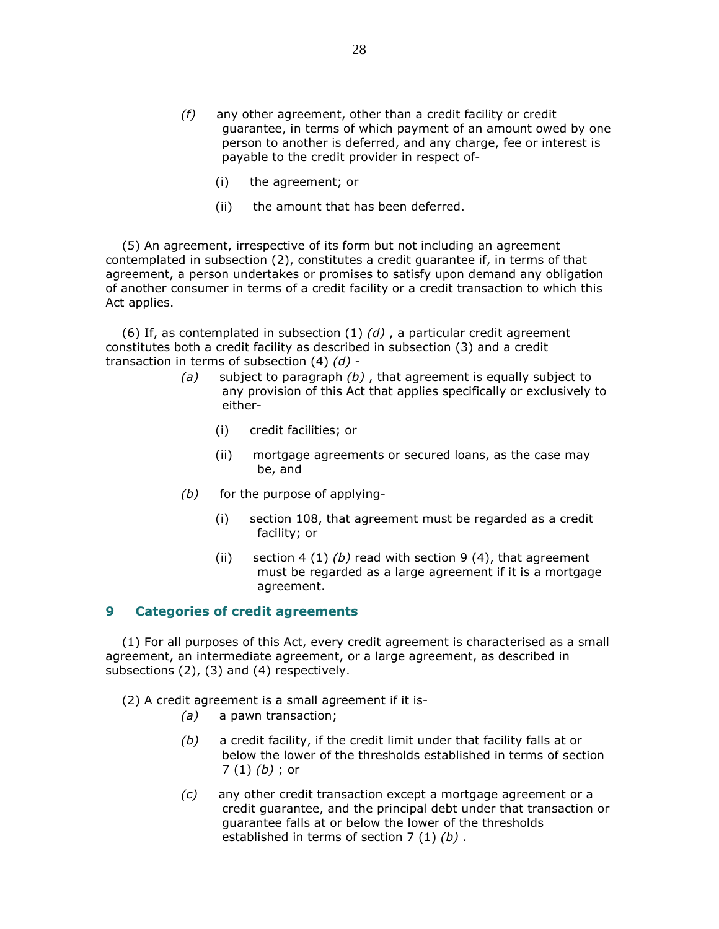- $(f)$  any other agreement, other than a credit facility or credit guarantee, in terms of which payment of an amount owed by one person to another is deferred, and any charge, fee or interest is payable to the credit provider in respect of-
	- (i) the agreement; or
	- (ii) the amount that has been deferred.

 (5) An agreement, irrespective of its form but not including an agreement contemplated in subsection (2), constitutes a credit guarantee if, in terms of that agreement, a person undertakes or promises to satisfy upon demand any obligation of another consumer in terms of a credit facility or a credit transaction to which this Act applies.

(6) If, as contemplated in subsection  $(1)$   $(d)$ , a particular credit agreement constitutes both a credit facility as described in subsection (3) and a credit transaction in terms of subsection  $(4)$   $(d)$  -

- (a) subject to paragraph  $(b)$ , that agreement is equally subject to any provision of this Act that applies specifically or exclusively to either-
	- (i) credit facilities; or
	- (ii) mortgage agreements or secured loans, as the case may be, and
- (b) for the purpose of applying-
	- (i) section 108, that agreement must be regarded as a credit facility; or
	- (ii) section 4 (1) (b) read with section 9 (4), that agreement must be regarded as a large agreement if it is a mortgage agreement.

### 9 Categories of credit agreements

 (1) For all purposes of this Act, every credit agreement is characterised as a small agreement, an intermediate agreement, or a large agreement, as described in subsections (2), (3) and (4) respectively.

(2) A credit agreement is a small agreement if it is-

- (a) a pawn transaction;
- $(b)$  a credit facility, if the credit limit under that facility falls at or below the lower of the thresholds established in terms of section  $7(1)(b)$ ; or
- $(c)$  any other credit transaction except a mortgage agreement or a credit guarantee, and the principal debt under that transaction or guarantee falls at or below the lower of the thresholds established in terms of section 7 (1) (b).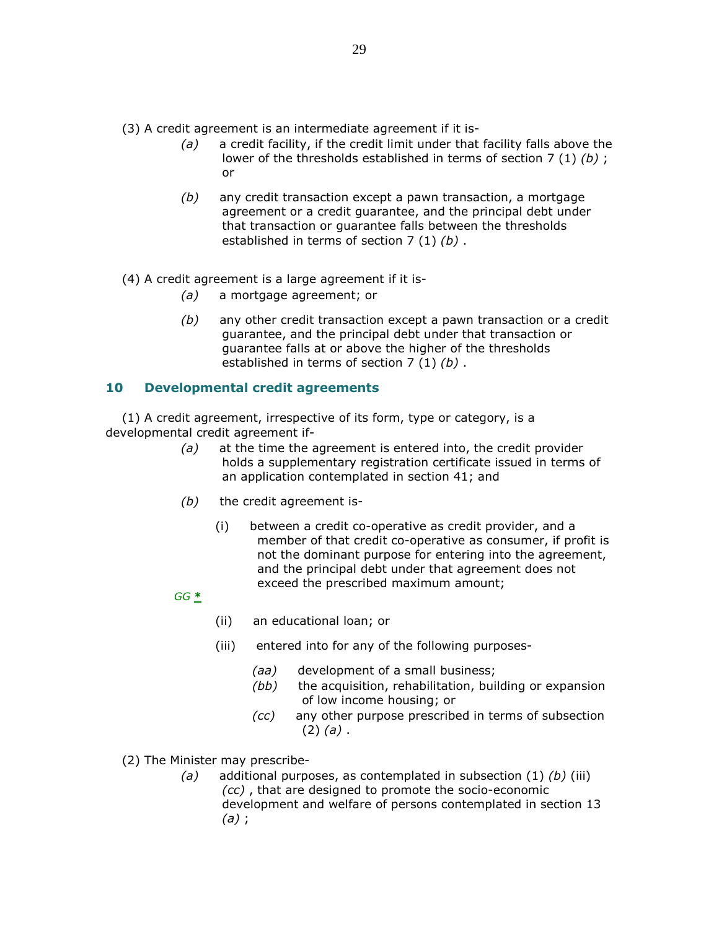(3) A credit agreement is an intermediate agreement if it is-

- $(a)$  a credit facility, if the credit limit under that facility falls above the lower of the thresholds established in terms of section 7 (1) (b) ; or
- $(b)$  any credit transaction except a pawn transaction, a mortgage agreement or a credit guarantee, and the principal debt under that transaction or guarantee falls between the thresholds established in terms of section 7 (1) (b).

## (4) A credit agreement is a large agreement if it is-

- (a) a mortgage agreement; or
- $(b)$  any other credit transaction except a pawn transaction or a credit guarantee, and the principal debt under that transaction or guarantee falls at or above the higher of the thresholds established in terms of section 7 (1) (b).

# 10 Developmental credit agreements

 (1) A credit agreement, irrespective of its form, type or category, is a developmental credit agreement if-

- $(a)$  at the time the agreement is entered into, the credit provider holds a supplementary registration certificate issued in terms of an application contemplated in section 41; and
- $(b)$  the credit agreement is-
	- (i) between a credit co-operative as credit provider, and a member of that credit co-operative as consumer, if profit is not the dominant purpose for entering into the agreement, and the principal debt under that agreement does not exceed the prescribed maximum amount;

## $GG \triangleq$

- (ii) an educational loan; or
- (iii) entered into for any of the following purposes-
	- (aa) development of a small business;
	- (bb) the acquisition, rehabilitation, building or expansion of low income housing; or
	- (cc) any other purpose prescribed in terms of subsection  $(2)$   $(a)$ .
- (2) The Minister may prescribe-
	- (a) additional purposes, as contemplated in subsection  $(1)$  (b) (iii) (cc) , that are designed to promote the socio-economic development and welfare of persons contemplated in section 13  $(a)$ ;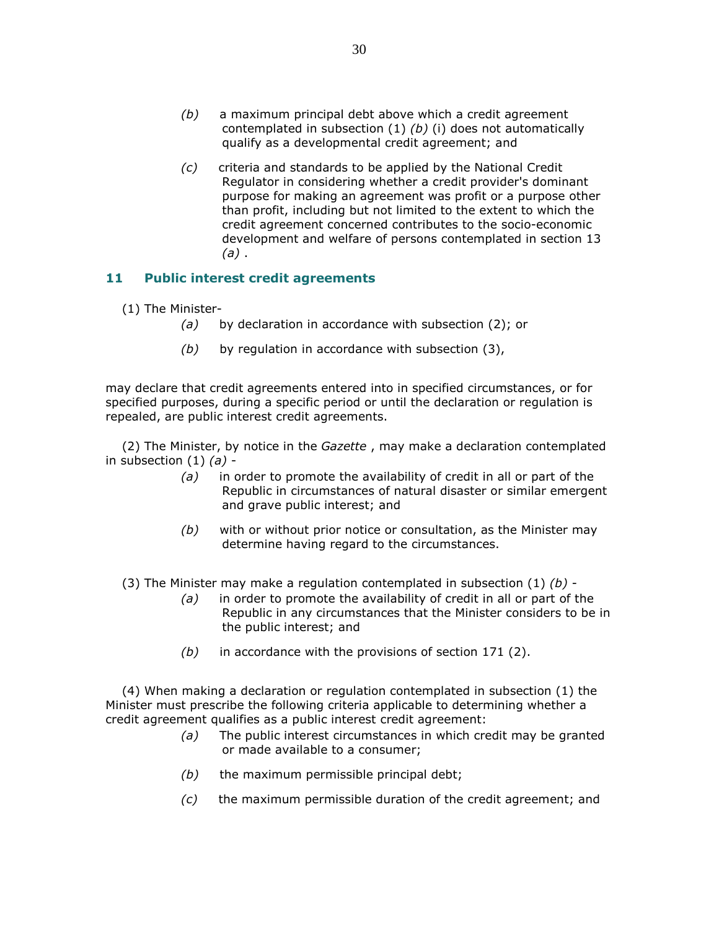- $(b)$  a maximum principal debt above which a credit agreement contemplated in subsection  $(1)$   $(b)$   $(i)$  does not automatically qualify as a developmental credit agreement; and
- (c) criteria and standards to be applied by the National Credit Regulator in considering whether a credit provider's dominant purpose for making an agreement was profit or a purpose other than profit, including but not limited to the extent to which the credit agreement concerned contributes to the socio-economic development and welfare of persons contemplated in section 13  $(a)$ .

# 11 Public interest credit agreements

- (1) The Minister-
	- (a) by declaration in accordance with subsection (2); or
	- $(b)$  by regulation in accordance with subsection (3),

may declare that credit agreements entered into in specified circumstances, or for specified purposes, during a specific period or until the declaration or regulation is repealed, are public interest credit agreements.

 (2) The Minister, by notice in the Gazette , may make a declaration contemplated in subsection  $(1)$   $(a)$  -

- $(a)$  in order to promote the availability of credit in all or part of the Republic in circumstances of natural disaster or similar emergent and grave public interest; and
- $(b)$  with or without prior notice or consultation, as the Minister may determine having regard to the circumstances.
- (3) The Minister may make a regulation contemplated in subsection  $(1)$  (b) -
	- $(a)$  in order to promote the availability of credit in all or part of the Republic in any circumstances that the Minister considers to be in the public interest; and
	- $(b)$  in accordance with the provisions of section 171 (2).

 (4) When making a declaration or regulation contemplated in subsection (1) the Minister must prescribe the following criteria applicable to determining whether a credit agreement qualifies as a public interest credit agreement:

- $(a)$  The public interest circumstances in which credit may be granted or made available to a consumer;
- $(b)$  the maximum permissible principal debt;
- $(c)$  the maximum permissible duration of the credit agreement; and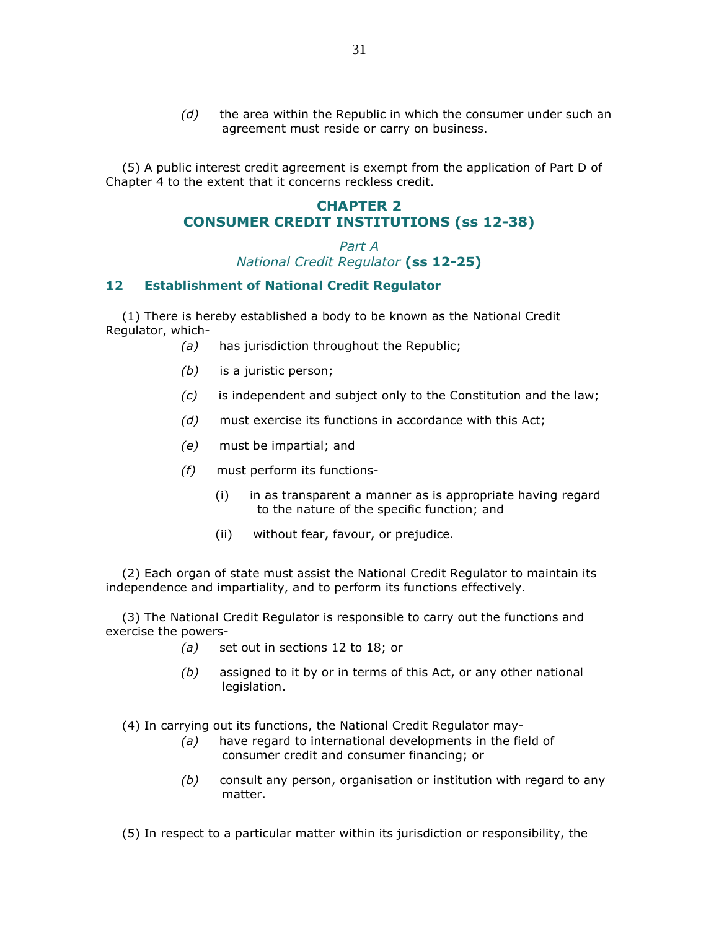$(d)$  the area within the Republic in which the consumer under such an agreement must reside or carry on business.

 (5) A public interest credit agreement is exempt from the application of Part D of Chapter 4 to the extent that it concerns reckless credit.

# CHAPTER 2 CONSUMER CREDIT INSTITUTIONS (ss 12-38)

Part A National Credit Regulator (ss 12-25)

# 12 Establishment of National Credit Regulator

 (1) There is hereby established a body to be known as the National Credit Regulator, which-

- (a) has jurisdiction throughout the Republic;
- (b) is a juristic person;
- $(c)$  is independent and subject only to the Constitution and the law;
- (d) must exercise its functions in accordance with this Act;
- (e) must be impartial; and
- (f) must perform its functions-
	- (i) in as transparent a manner as is appropriate having regard to the nature of the specific function; and
	- (ii) without fear, favour, or prejudice.

 (2) Each organ of state must assist the National Credit Regulator to maintain its independence and impartiality, and to perform its functions effectively.

 (3) The National Credit Regulator is responsible to carry out the functions and exercise the powers-

- (a) set out in sections 12 to 18; or
- $(b)$  assigned to it by or in terms of this Act, or any other national legislation.

(4) In carrying out its functions, the National Credit Regulator may-

- (a) have regard to international developments in the field of consumer credit and consumer financing; or
- $(b)$  consult any person, organisation or institution with regard to any matter.

(5) In respect to a particular matter within its jurisdiction or responsibility, the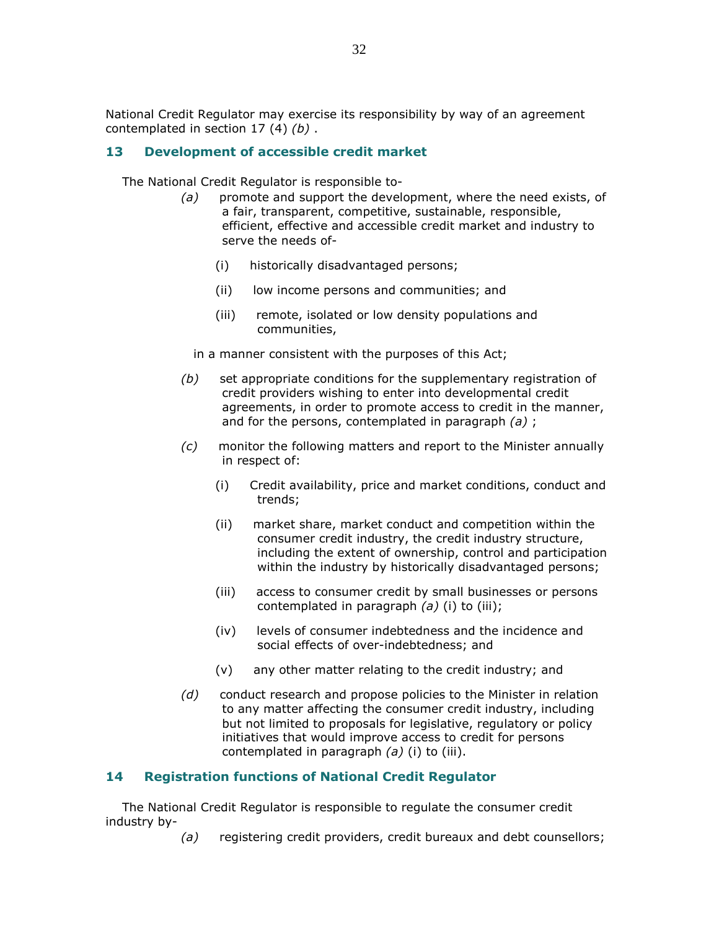National Credit Regulator may exercise its responsibility by way of an agreement contemplated in section 17 (4)  $(b)$ .

# 13 Development of accessible credit market

The National Credit Regulator is responsible to-

- $(a)$  promote and support the development, where the need exists, of a fair, transparent, competitive, sustainable, responsible, efficient, effective and accessible credit market and industry to serve the needs of-
	- (i) historically disadvantaged persons;
	- (ii) low income persons and communities; and
	- (iii) remote, isolated or low density populations and communities,

in a manner consistent with the purposes of this Act;

- $(b)$  set appropriate conditions for the supplementary registration of credit providers wishing to enter into developmental credit agreements, in order to promote access to credit in the manner, and for the persons, contemplated in paragraph  $(a)$ ;
- (c) monitor the following matters and report to the Minister annually in respect of:
	- (i) Credit availability, price and market conditions, conduct and trends;
	- (ii) market share, market conduct and competition within the consumer credit industry, the credit industry structure, including the extent of ownership, control and participation within the industry by historically disadvantaged persons;
	- (iii) access to consumer credit by small businesses or persons contemplated in paragraph  $(a)$  (i) to (iii);
	- (iv) levels of consumer indebtedness and the incidence and social effects of over-indebtedness; and
	- (v) any other matter relating to the credit industry; and
- (d) conduct research and propose policies to the Minister in relation to any matter affecting the consumer credit industry, including but not limited to proposals for legislative, regulatory or policy initiatives that would improve access to credit for persons contemplated in paragraph  $(a)$  (i) to (iii).

# 14 Registration functions of National Credit Regulator

 The National Credit Regulator is responsible to regulate the consumer credit industry by-

(a) registering credit providers, credit bureaux and debt counsellors;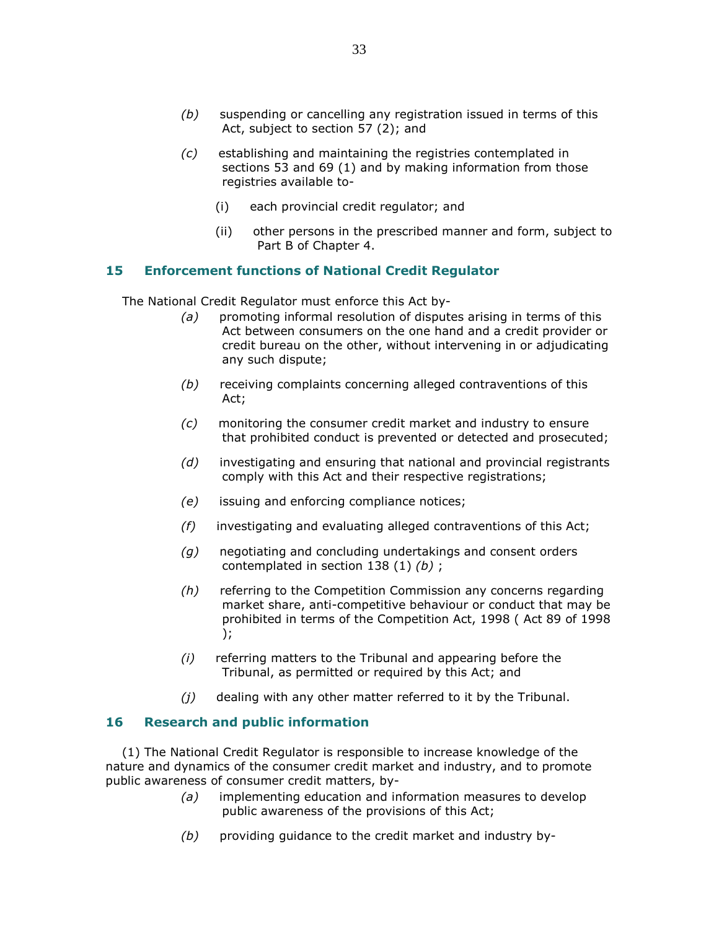- (b) suspending or cancelling any registration issued in terms of this Act, subject to section 57 (2); and
- (c) establishing and maintaining the registries contemplated in sections 53 and 69 (1) and by making information from those registries available to-
	- (i) each provincial credit regulator; and
	- (ii) other persons in the prescribed manner and form, subject to Part B of Chapter 4.

# 15 Enforcement functions of National Credit Regulator

The National Credit Regulator must enforce this Act by-

- (a) promoting informal resolution of disputes arising in terms of this Act between consumers on the one hand and a credit provider or credit bureau on the other, without intervening in or adjudicating any such dispute;
- (b) receiving complaints concerning alleged contraventions of this Act;
- (c) monitoring the consumer credit market and industry to ensure that prohibited conduct is prevented or detected and prosecuted;
- $(d)$  investigating and ensuring that national and provincial registrants comply with this Act and their respective registrations;
- (e) issuing and enforcing compliance notices;
- (f) investigating and evaluating alleged contraventions of this Act;
- $(g)$  negotiating and concluding undertakings and consent orders contemplated in section 138  $(1)$   $(b)$ ;
- (h) referring to the Competition Commission any concerns regarding market share, anti-competitive behaviour or conduct that may be prohibited in terms of the Competition Act, 1998 ( Act 89 of 1998 );
- (i) referring matters to the Tribunal and appearing before the Tribunal, as permitted or required by this Act; and
- $(j)$  dealing with any other matter referred to it by the Tribunal.

# 16 Research and public information

 (1) The National Credit Regulator is responsible to increase knowledge of the nature and dynamics of the consumer credit market and industry, and to promote public awareness of consumer credit matters, by-

- (a) implementing education and information measures to develop public awareness of the provisions of this Act;
- $(b)$  providing guidance to the credit market and industry by-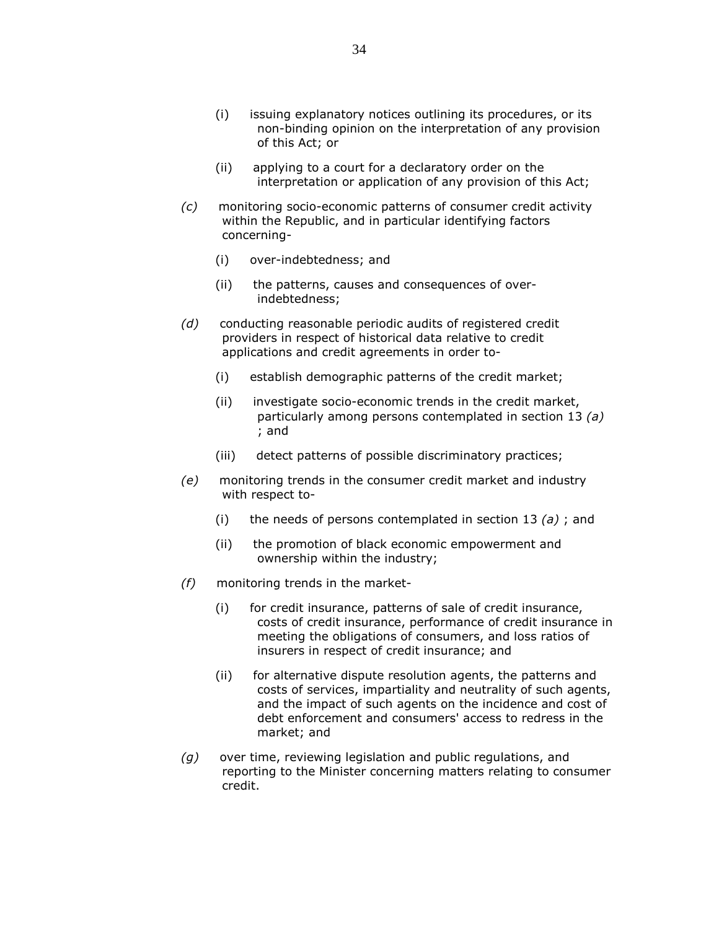- (i) issuing explanatory notices outlining its procedures, or its non-binding opinion on the interpretation of any provision of this Act; or
- (ii) applying to a court for a declaratory order on the interpretation or application of any provision of this Act;
- (c) monitoring socio-economic patterns of consumer credit activity within the Republic, and in particular identifying factors concerning-
	- (i) over-indebtedness; and
	- (ii) the patterns, causes and consequences of overindebtedness;
- (d) conducting reasonable periodic audits of registered credit providers in respect of historical data relative to credit applications and credit agreements in order to-
	- (i) establish demographic patterns of the credit market;
	- (ii) investigate socio-economic trends in the credit market, particularly among persons contemplated in section 13 (a) ; and
	- (iii) detect patterns of possible discriminatory practices;
- (e) monitoring trends in the consumer credit market and industry with respect to-
	- (i) the needs of persons contemplated in section 13  $(a)$ ; and
	- (ii) the promotion of black economic empowerment and ownership within the industry;
- (f) monitoring trends in the market-
	- (i) for credit insurance, patterns of sale of credit insurance, costs of credit insurance, performance of credit insurance in meeting the obligations of consumers, and loss ratios of insurers in respect of credit insurance; and
	- (ii) for alternative dispute resolution agents, the patterns and costs of services, impartiality and neutrality of such agents, and the impact of such agents on the incidence and cost of debt enforcement and consumers' access to redress in the market; and
- $(q)$  over time, reviewing legislation and public regulations, and reporting to the Minister concerning matters relating to consumer credit.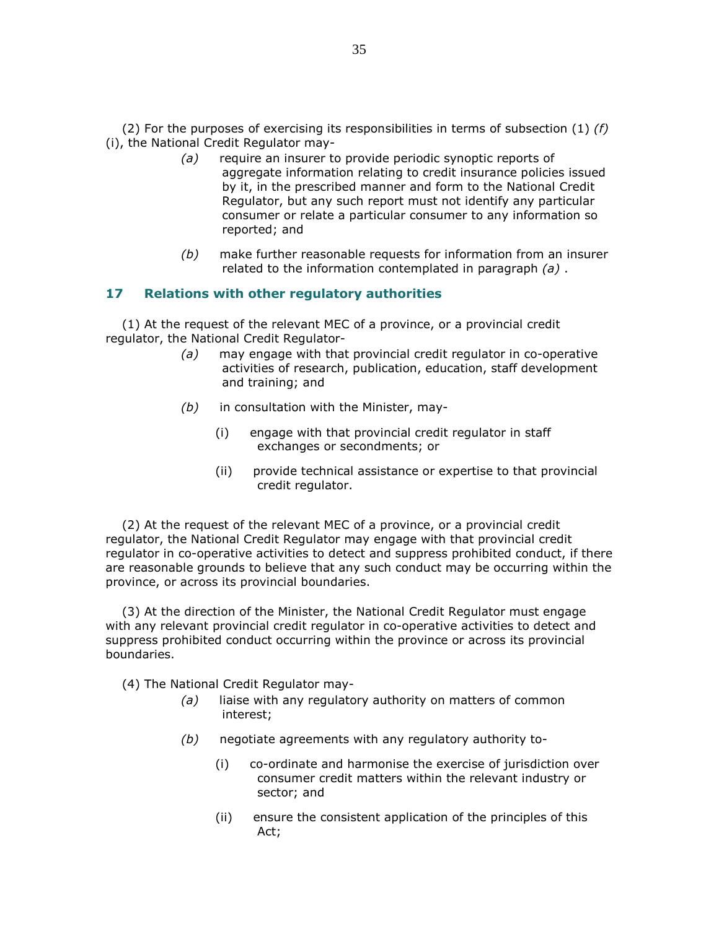(2) For the purposes of exercising its responsibilities in terms of subsection (1)  $(f)$ (i), the National Credit Regulator may-

- (a) require an insurer to provide periodic synoptic reports of aggregate information relating to credit insurance policies issued by it, in the prescribed manner and form to the National Credit Regulator, but any such report must not identify any particular consumer or relate a particular consumer to any information so reported; and
- (b) make further reasonable requests for information from an insurer related to the information contemplated in paragraph  $(a)$ .

# 17 Relations with other regulatory authorities

 (1) At the request of the relevant MEC of a province, or a provincial credit regulator, the National Credit Regulator-

- (a) may engage with that provincial credit regulator in co-operative activities of research, publication, education, staff development and training; and
- $(b)$  in consultation with the Minister, may-
	- (i) engage with that provincial credit regulator in staff exchanges or secondments; or
	- (ii) provide technical assistance or expertise to that provincial credit regulator.

 (2) At the request of the relevant MEC of a province, or a provincial credit regulator, the National Credit Regulator may engage with that provincial credit regulator in co-operative activities to detect and suppress prohibited conduct, if there are reasonable grounds to believe that any such conduct may be occurring within the province, or across its provincial boundaries.

 (3) At the direction of the Minister, the National Credit Regulator must engage with any relevant provincial credit regulator in co-operative activities to detect and suppress prohibited conduct occurring within the province or across its provincial boundaries.

- (4) The National Credit Regulator may-
	- $(a)$  liaise with any regulatory authority on matters of common interest;
	- $(b)$  negotiate agreements with any regulatory authority to-
		- (i) co-ordinate and harmonise the exercise of jurisdiction over consumer credit matters within the relevant industry or sector; and
		- (ii) ensure the consistent application of the principles of this Act;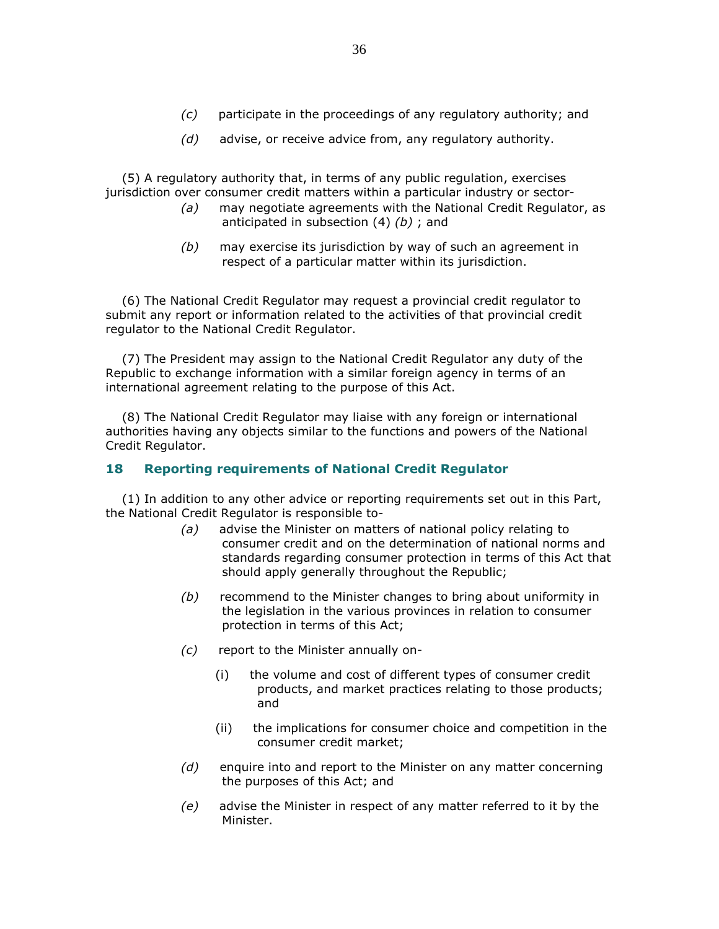$(d)$  advise, or receive advice from, any regulatory authority.

 (5) A regulatory authority that, in terms of any public regulation, exercises jurisdiction over consumer credit matters within a particular industry or sector-

- $(a)$  may negotiate agreements with the National Credit Regulator, as anticipated in subsection  $(4)$   $(b)$ ; and
- (b) may exercise its jurisdiction by way of such an agreement in respect of a particular matter within its jurisdiction.

 (6) The National Credit Regulator may request a provincial credit regulator to submit any report or information related to the activities of that provincial credit regulator to the National Credit Regulator.

 (7) The President may assign to the National Credit Regulator any duty of the Republic to exchange information with a similar foreign agency in terms of an international agreement relating to the purpose of this Act.

 (8) The National Credit Regulator may liaise with any foreign or international authorities having any objects similar to the functions and powers of the National Credit Regulator.

# 18 Reporting requirements of National Credit Regulator

 (1) In addition to any other advice or reporting requirements set out in this Part, the National Credit Regulator is responsible to-

- (a) advise the Minister on matters of national policy relating to consumer credit and on the determination of national norms and standards regarding consumer protection in terms of this Act that should apply generally throughout the Republic;
- $(b)$  recommend to the Minister changes to bring about uniformity in the legislation in the various provinces in relation to consumer protection in terms of this Act;
- (c) report to the Minister annually on-
	- (i) the volume and cost of different types of consumer credit products, and market practices relating to those products; and
	- (ii) the implications for consumer choice and competition in the consumer credit market;
- $(d)$  enquire into and report to the Minister on any matter concerning the purposes of this Act; and
- (e) advise the Minister in respect of any matter referred to it by the Minister.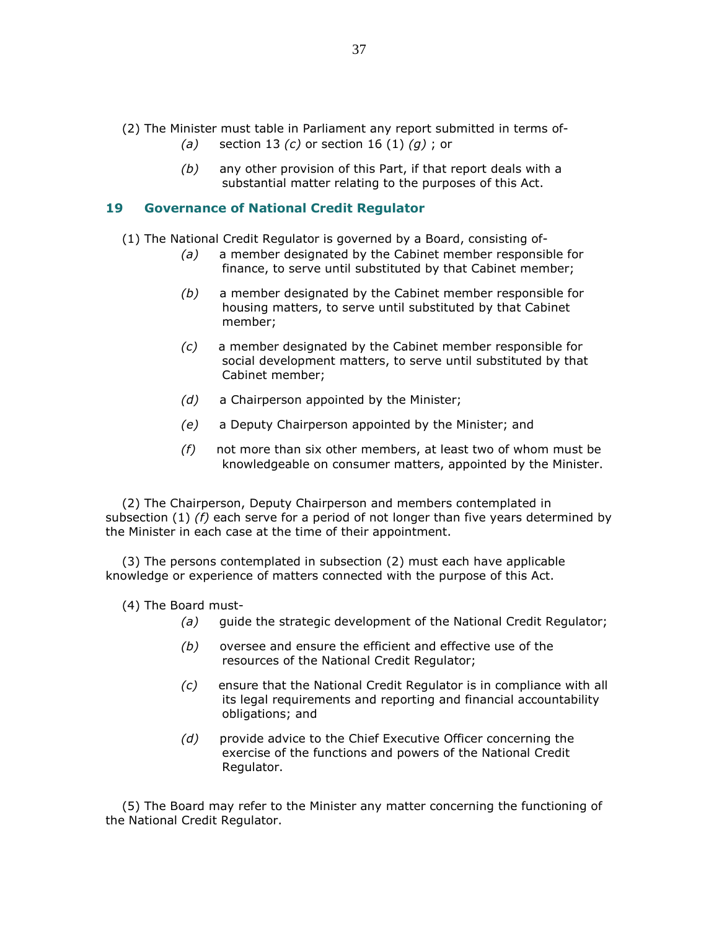- (2) The Minister must table in Parliament any report submitted in terms of-
	- (a) section 13 (c) or section 16 (1) (g) ; or
	- $(b)$  any other provision of this Part, if that report deals with a substantial matter relating to the purposes of this Act.

# 19 Governance of National Credit Regulator

(1) The National Credit Regulator is governed by a Board, consisting of-

- (a) a member designated by the Cabinet member responsible for finance, to serve until substituted by that Cabinet member;
- (b) a member designated by the Cabinet member responsible for housing matters, to serve until substituted by that Cabinet member;
- (c) a member designated by the Cabinet member responsible for social development matters, to serve until substituted by that Cabinet member;
- (d) a Chairperson appointed by the Minister;
- (e) a Deputy Chairperson appointed by the Minister; and
- $(f)$  not more than six other members, at least two of whom must be knowledgeable on consumer matters, appointed by the Minister.

 (2) The Chairperson, Deputy Chairperson and members contemplated in subsection  $(1)$  (f) each serve for a period of not longer than five years determined by the Minister in each case at the time of their appointment.

 (3) The persons contemplated in subsection (2) must each have applicable knowledge or experience of matters connected with the purpose of this Act.

- (4) The Board must-
	- (a) guide the strategic development of the National Credit Regulator;
	- $(b)$  oversee and ensure the efficient and effective use of the resources of the National Credit Regulator;
	- (c) ensure that the National Credit Regulator is in compliance with all its legal requirements and reporting and financial accountability obligations; and
	- (d) provide advice to the Chief Executive Officer concerning the exercise of the functions and powers of the National Credit Regulator.

 (5) The Board may refer to the Minister any matter concerning the functioning of the National Credit Regulator.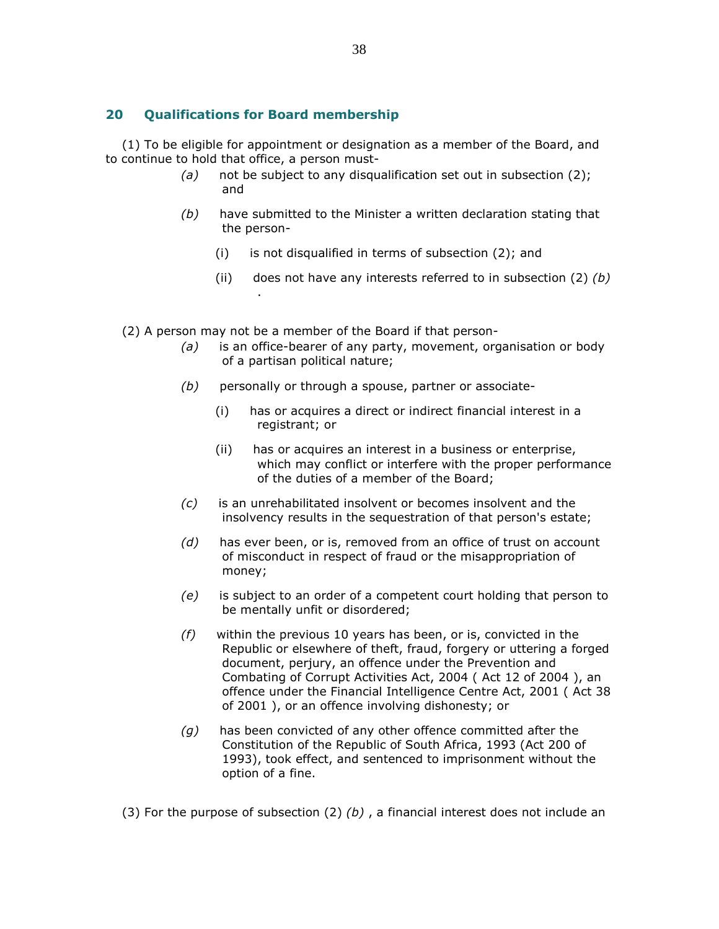# 20 Qualifications for Board membership

 (1) To be eligible for appointment or designation as a member of the Board, and to continue to hold that office, a person must-

- (a) not be subject to any disqualification set out in subsection  $(2)$ ; and
- $(b)$  have submitted to the Minister a written declaration stating that the person-
	- (i) is not disqualified in terms of subsection (2); and
	- (ii) does not have any interests referred to in subsection  $(2)$   $(b)$ .
- (2) A person may not be a member of the Board if that person-
	- $(a)$  is an office-bearer of any party, movement, organisation or body of a partisan political nature;
	- $(b)$  personally or through a spouse, partner or associate-
		- (i) has or acquires a direct or indirect financial interest in a registrant; or
		- (ii) has or acquires an interest in a business or enterprise, which may conflict or interfere with the proper performance of the duties of a member of the Board;
	- (c) is an unrehabilitated insolvent or becomes insolvent and the insolvency results in the sequestration of that person's estate;
	- $(d)$  has ever been, or is, removed from an office of trust on account of misconduct in respect of fraud or the misappropriation of money;
	- (e) is subject to an order of a competent court holding that person to be mentally unfit or disordered;
	- $(f)$  within the previous 10 years has been, or is, convicted in the Republic or elsewhere of theft, fraud, forgery or uttering a forged document, perjury, an offence under the Prevention and Combating of Corrupt Activities Act, 2004 ( Act 12 of 2004 ), an offence under the Financial Intelligence Centre Act, 2001 ( Act 38 of 2001 ), or an offence involving dishonesty; or
	- $(q)$  has been convicted of any other offence committed after the Constitution of the Republic of South Africa, 1993 (Act 200 of 1993), took effect, and sentenced to imprisonment without the option of a fine.

(3) For the purpose of subsection (2)  $(b)$ , a financial interest does not include an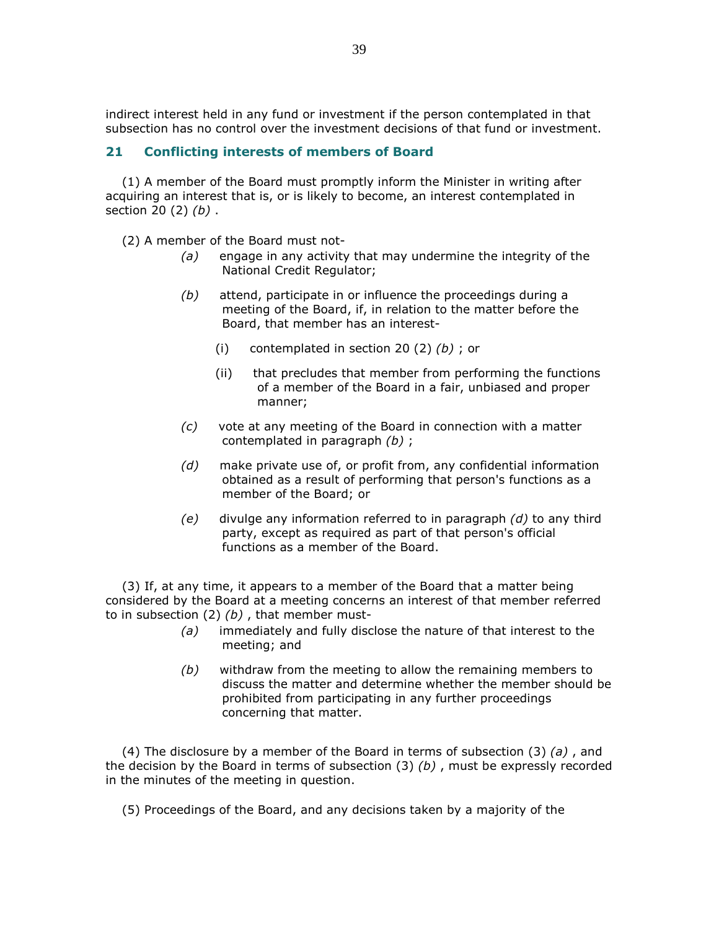indirect interest held in any fund or investment if the person contemplated in that subsection has no control over the investment decisions of that fund or investment.

# 21 Conflicting interests of members of Board

 (1) A member of the Board must promptly inform the Minister in writing after acquiring an interest that is, or is likely to become, an interest contemplated in section 20  $(2)$   $(b)$ .

(2) A member of the Board must not-

- $(a)$  engage in any activity that may undermine the integrity of the National Credit Regulator;
- $(b)$  attend, participate in or influence the proceedings during a meeting of the Board, if, in relation to the matter before the Board, that member has an interest-
	- (i) contemplated in section 20 (2)  $(b)$ ; or
	- (ii) that precludes that member from performing the functions of a member of the Board in a fair, unbiased and proper manner;
- $(c)$  vote at any meeting of the Board in connection with a matter contemplated in paragraph (b) ;
- (d) make private use of, or profit from, any confidential information obtained as a result of performing that person's functions as a member of the Board; or
- $(e)$  divulge any information referred to in paragraph  $(d)$  to any third party, except as required as part of that person's official functions as a member of the Board.

 (3) If, at any time, it appears to a member of the Board that a matter being considered by the Board at a meeting concerns an interest of that member referred to in subsection  $(2)$   $(b)$ , that member must-

- $(a)$  immediately and fully disclose the nature of that interest to the meeting; and
- $(b)$  withdraw from the meeting to allow the remaining members to discuss the matter and determine whether the member should be prohibited from participating in any further proceedings concerning that matter.

(4) The disclosure by a member of the Board in terms of subsection  $(3)$   $(a)$ , and the decision by the Board in terms of subsection  $(3)$  (b), must be expressly recorded in the minutes of the meeting in question.

(5) Proceedings of the Board, and any decisions taken by a majority of the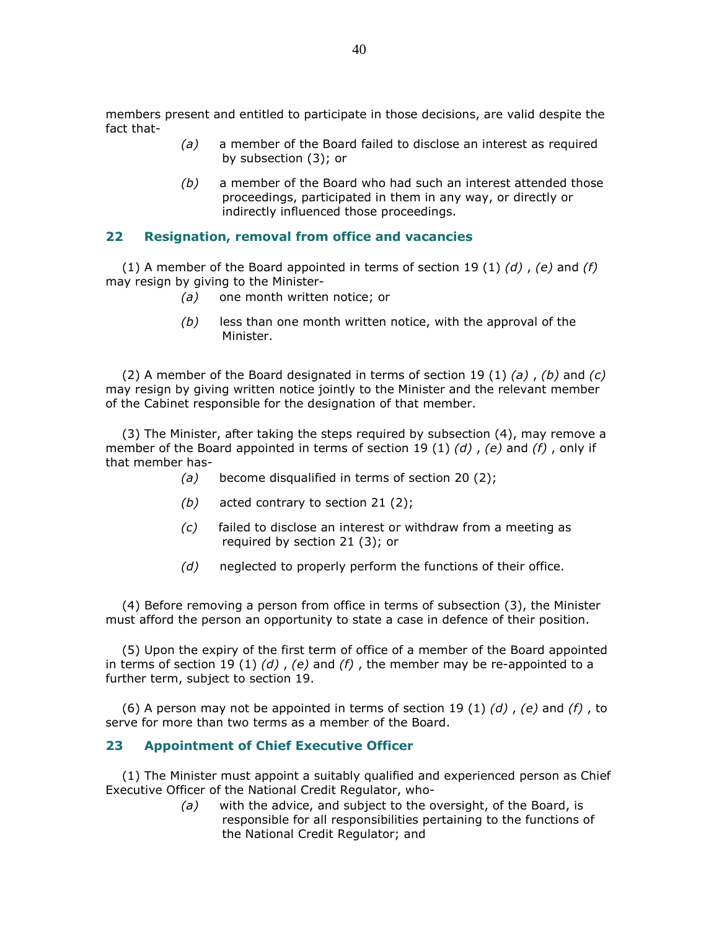members present and entitled to participate in those decisions, are valid despite the fact that-

- (a) a member of the Board failed to disclose an interest as required by subsection (3); or
- $(b)$  a member of the Board who had such an interest attended those proceedings, participated in them in any way, or directly or indirectly influenced those proceedings.

### 22 Resignation, removal from office and vacancies

(1) A member of the Board appointed in terms of section 19 (1)  $(d)$  ,  $(e)$  and  $(f)$ may resign by giving to the Minister-

- (a) one month written notice; or
- $(b)$  less than one month written notice, with the approval of the Minister.

(2) A member of the Board designated in terms of section 19 (1) (a), (b) and (c) may resign by giving written notice jointly to the Minister and the relevant member of the Cabinet responsible for the designation of that member.

 (3) The Minister, after taking the steps required by subsection (4), may remove a member of the Board appointed in terms of section 19 (1) (d), (e) and (f), only if that member has-

- (a) become disqualified in terms of section 20 (2);
- (b) acted contrary to section 21 $(2)$ ;
- (c) failed to disclose an interest or withdraw from a meeting as required by section 21 (3); or
- $(d)$  neglected to properly perform the functions of their office.

 (4) Before removing a person from office in terms of subsection (3), the Minister must afford the person an opportunity to state a case in defence of their position.

 (5) Upon the expiry of the first term of office of a member of the Board appointed in terms of section 19 (1) (d), (e) and (f), the member may be re-appointed to a further term, subject to section 19.

(6) A person may not be appointed in terms of section 19 (1) (d), (e) and (f), to serve for more than two terms as a member of the Board.

## 23 Appointment of Chief Executive Officer

 (1) The Minister must appoint a suitably qualified and experienced person as Chief Executive Officer of the National Credit Regulator, who-

> $(a)$  with the advice, and subject to the oversight, of the Board, is responsible for all responsibilities pertaining to the functions of the National Credit Regulator; and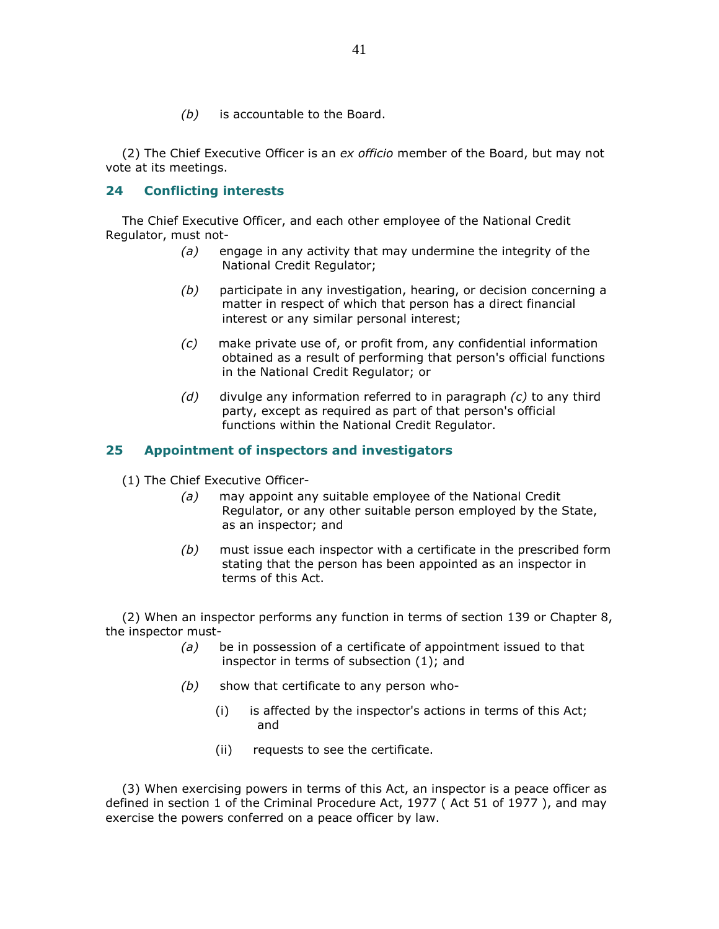$(b)$  is accountable to the Board.

(2) The Chief Executive Officer is an ex officio member of the Board, but may not vote at its meetings.

# 24 Conflicting interests

 The Chief Executive Officer, and each other employee of the National Credit Regulator, must not-

- (a) engage in any activity that may undermine the integrity of the National Credit Regulator;
- (b) participate in any investigation, hearing, or decision concerning a matter in respect of which that person has a direct financial interest or any similar personal interest;
- (c) make private use of, or profit from, any confidential information obtained as a result of performing that person's official functions in the National Credit Regulator; or
- $(d)$  divulge any information referred to in paragraph  $(c)$  to any third party, except as required as part of that person's official functions within the National Credit Regulator.

# 25 Appointment of inspectors and investigators

(1) The Chief Executive Officer-

- (a) may appoint any suitable employee of the National Credit Regulator, or any other suitable person employed by the State, as an inspector; and
- $(b)$  must issue each inspector with a certificate in the prescribed form stating that the person has been appointed as an inspector in terms of this Act.

 (2) When an inspector performs any function in terms of section 139 or Chapter 8, the inspector must-

- $(a)$  be in possession of a certificate of appointment issued to that inspector in terms of subsection (1); and
- $(b)$  show that certificate to any person who-
	- (i) is affected by the inspector's actions in terms of this Act; and
	- (ii) requests to see the certificate.

 (3) When exercising powers in terms of this Act, an inspector is a peace officer as defined in section 1 of the Criminal Procedure Act, 1977 ( Act 51 of 1977 ), and may exercise the powers conferred on a peace officer by law.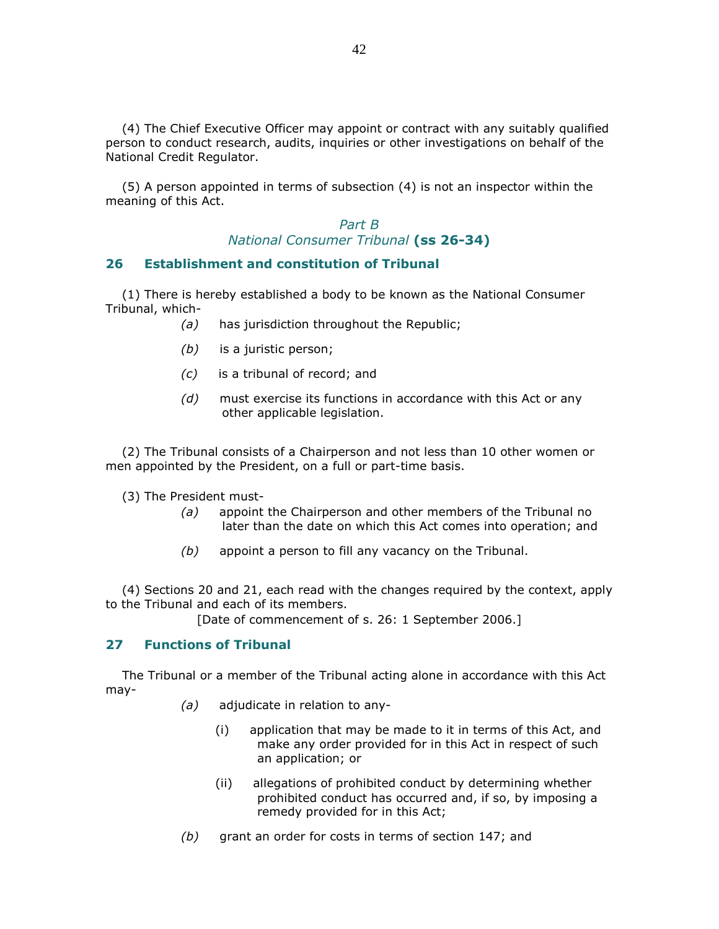(4) The Chief Executive Officer may appoint or contract with any suitably qualified person to conduct research, audits, inquiries or other investigations on behalf of the National Credit Regulator.

 (5) A person appointed in terms of subsection (4) is not an inspector within the meaning of this Act.

> Part B National Consumer Tribunal (ss 26-34)

#### 26 Establishment and constitution of Tribunal

 (1) There is hereby established a body to be known as the National Consumer Tribunal, which-

- (a) has jurisdiction throughout the Republic;
- (b) is a juristic person;
- (c) is a tribunal of record; and
- (d) must exercise its functions in accordance with this Act or any other applicable legislation.

 (2) The Tribunal consists of a Chairperson and not less than 10 other women or men appointed by the President, on a full or part-time basis.

(3) The President must-

- $(a)$  appoint the Chairperson and other members of the Tribunal no later than the date on which this Act comes into operation; and
- $(b)$  appoint a person to fill any vacancy on the Tribunal.

 (4) Sections 20 and 21, each read with the changes required by the context, apply to the Tribunal and each of its members.

[Date of commencement of s. 26: 1 September 2006.]

#### 27 Functions of Tribunal

 The Tribunal or a member of the Tribunal acting alone in accordance with this Act may-

- $(a)$  adjudicate in relation to any-
	- (i) application that may be made to it in terms of this Act, and make any order provided for in this Act in respect of such an application; or
	- (ii) allegations of prohibited conduct by determining whether prohibited conduct has occurred and, if so, by imposing a remedy provided for in this Act;
- (b) grant an order for costs in terms of section 147; and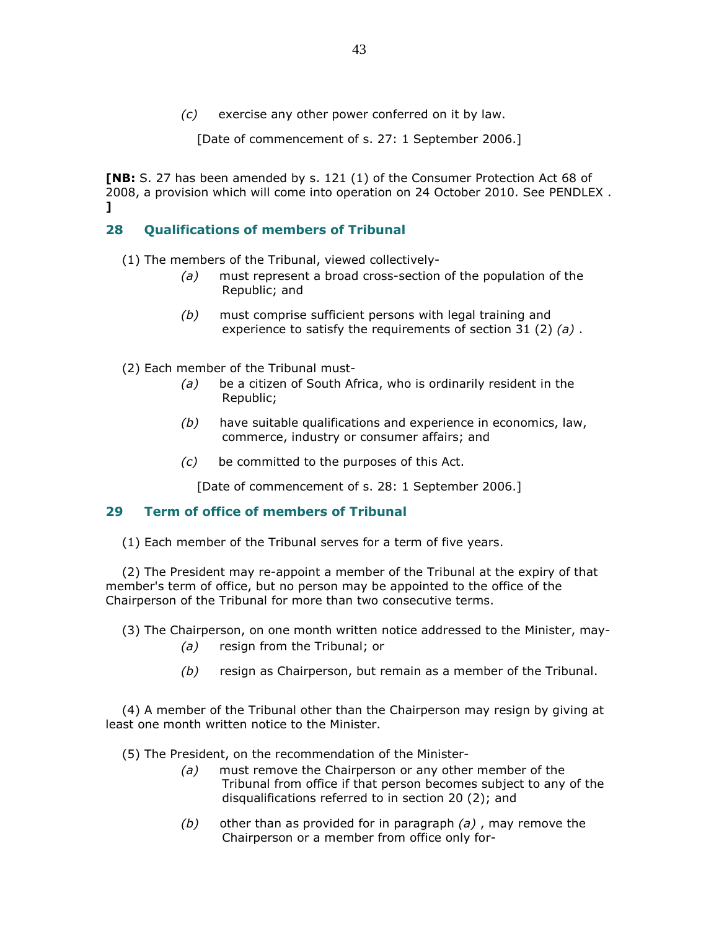(c) exercise any other power conferred on it by law.

[Date of commencement of s. 27: 1 September 2006.]

[NB: S. 27 has been amended by s. 121 (1) of the Consumer Protection Act 68 of 2008, a provision which will come into operation on 24 October 2010. See PENDLEX . ]

# 28 Qualifications of members of Tribunal

(1) The members of the Tribunal, viewed collectively-

- (a) must represent a broad cross-section of the population of the Republic; and
- (b) must comprise sufficient persons with legal training and experience to satisfy the requirements of section 31 (2)  $(a)$ .
- (2) Each member of the Tribunal must-
	- $(a)$  be a citizen of South Africa, who is ordinarily resident in the Republic;
	- $(b)$  have suitable qualifications and experience in economics, law, commerce, industry or consumer affairs; and
	- (c) be committed to the purposes of this Act.

[Date of commencement of s. 28: 1 September 2006.]

# 29 Term of office of members of Tribunal

(1) Each member of the Tribunal serves for a term of five years.

 (2) The President may re-appoint a member of the Tribunal at the expiry of that member's term of office, but no person may be appointed to the office of the Chairperson of the Tribunal for more than two consecutive terms.

(3) The Chairperson, on one month written notice addressed to the Minister, may-

- (a) resign from the Tribunal; or
- $(b)$  resign as Chairperson, but remain as a member of the Tribunal.

 (4) A member of the Tribunal other than the Chairperson may resign by giving at least one month written notice to the Minister.

(5) The President, on the recommendation of the Minister-

- (a) must remove the Chairperson or any other member of the Tribunal from office if that person becomes subject to any of the disqualifications referred to in section 20 (2); and
- $(b)$  other than as provided for in paragraph  $(a)$ , may remove the Chairperson or a member from office only for-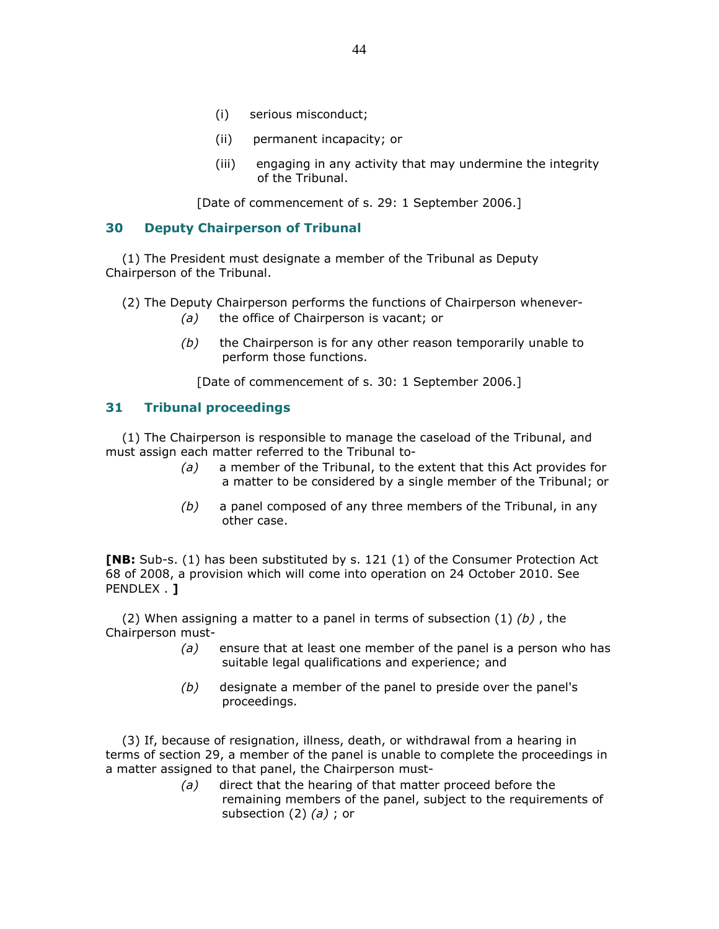- (i) serious misconduct;
- (ii) permanent incapacity; or
- (iii) engaging in any activity that may undermine the integrity of the Tribunal.

[Date of commencement of s. 29: 1 September 2006.]

# 30 Deputy Chairperson of Tribunal

 (1) The President must designate a member of the Tribunal as Deputy Chairperson of the Tribunal.

(2) The Deputy Chairperson performs the functions of Chairperson whenever-

- (a) the office of Chairperson is vacant; or
- $(b)$  the Chairperson is for any other reason temporarily unable to perform those functions.

[Date of commencement of s. 30: 1 September 2006.]

# 31 Tribunal proceedings

 (1) The Chairperson is responsible to manage the caseload of the Tribunal, and must assign each matter referred to the Tribunal to-

- $(a)$  a member of the Tribunal, to the extent that this Act provides for a matter to be considered by a single member of the Tribunal; or
- $(b)$  a panel composed of any three members of the Tribunal, in any other case.

[NB: Sub-s. (1) has been substituted by s. 121 (1) of the Consumer Protection Act 68 of 2008, a provision which will come into operation on 24 October 2010. See PENDLEX . 1

(2) When assigning a matter to a panel in terms of subsection  $(1)$  (b), the Chairperson must-

- $(a)$  ensure that at least one member of the panel is a person who has suitable legal qualifications and experience; and
- (b) designate a member of the panel to preside over the panel's proceedings.

 (3) If, because of resignation, illness, death, or withdrawal from a hearing in terms of section 29, a member of the panel is unable to complete the proceedings in a matter assigned to that panel, the Chairperson must-

> (a) direct that the hearing of that matter proceed before the remaining members of the panel, subject to the requirements of subsection  $(2)$   $(a)$ ; or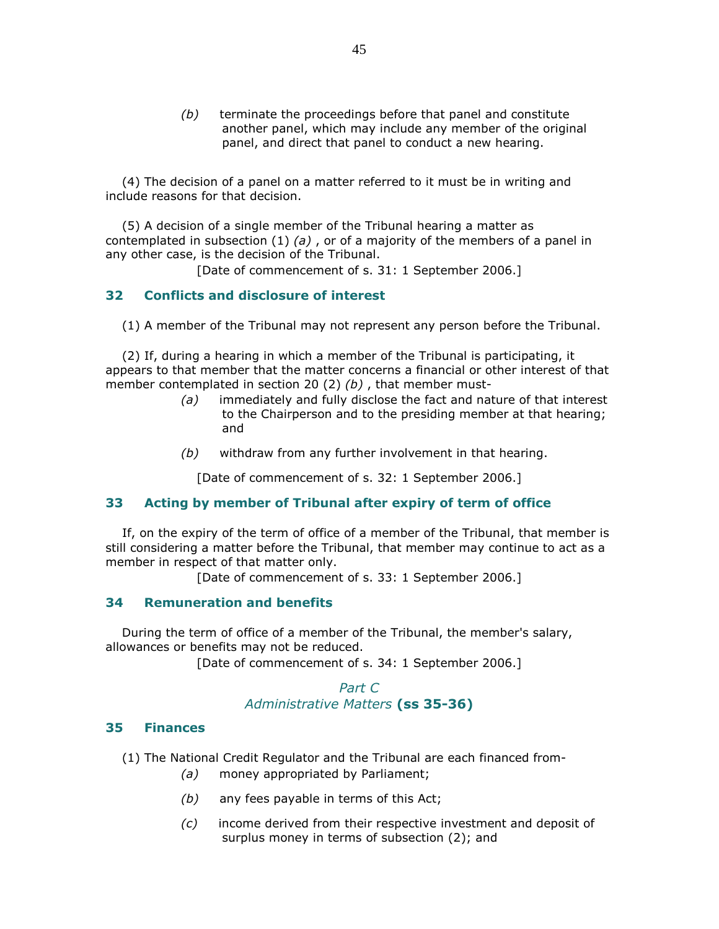$(b)$  terminate the proceedings before that panel and constitute another panel, which may include any member of the original panel, and direct that panel to conduct a new hearing.

 (4) The decision of a panel on a matter referred to it must be in writing and include reasons for that decision.

 (5) A decision of a single member of the Tribunal hearing a matter as contemplated in subsection  $(1)$   $(a)$ , or of a majority of the members of a panel in any other case, is the decision of the Tribunal.

[Date of commencement of s. 31: 1 September 2006.]

## 32 Conflicts and disclosure of interest

(1) A member of the Tribunal may not represent any person before the Tribunal.

 (2) If, during a hearing in which a member of the Tribunal is participating, it appears to that member that the matter concerns a financial or other interest of that member contemplated in section 20 (2)  $(b)$ , that member must-

- (a) immediately and fully disclose the fact and nature of that interest to the Chairperson and to the presiding member at that hearing; and
- $(b)$  withdraw from any further involvement in that hearing.

[Date of commencement of s. 32: 1 September 2006.]

### 33 Acting by member of Tribunal after expiry of term of office

 If, on the expiry of the term of office of a member of the Tribunal, that member is still considering a matter before the Tribunal, that member may continue to act as a member in respect of that matter only.

[Date of commencement of s. 33: 1 September 2006.]

#### 34 Remuneration and benefits

 During the term of office of a member of the Tribunal, the member's salary, allowances or benefits may not be reduced.

[Date of commencement of s. 34: 1 September 2006.]

# Part C Administrative Matters (ss 35-36)

#### 35 Finances

- (1) The National Credit Regulator and the Tribunal are each financed from-
	- (a) money appropriated by Parliament;
	- $(b)$  any fees payable in terms of this Act;
	- (c) income derived from their respective investment and deposit of surplus money in terms of subsection (2); and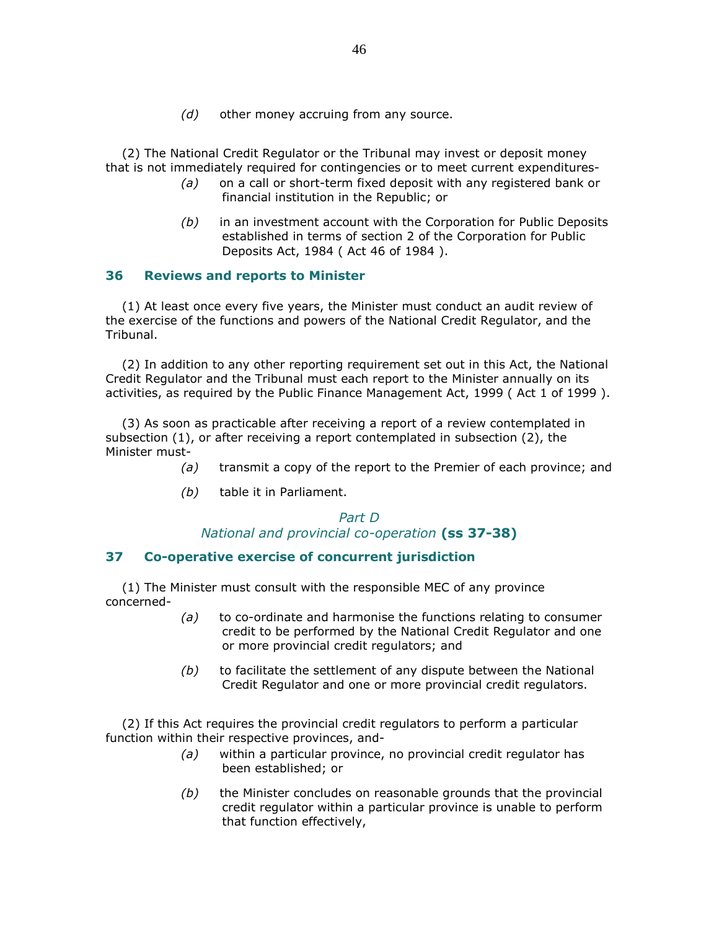$(d)$  other money accruing from any source.

 (2) The National Credit Regulator or the Tribunal may invest or deposit money that is not immediately required for contingencies or to meet current expenditures-

- $(a)$  on a call or short-term fixed deposit with any registered bank or financial institution in the Republic; or
- $(b)$  in an investment account with the Corporation for Public Deposits established in terms of section 2 of the Corporation for Public Deposits Act, 1984 ( Act 46 of 1984 ).

# 36 Reviews and reports to Minister

 (1) At least once every five years, the Minister must conduct an audit review of the exercise of the functions and powers of the National Credit Regulator, and the Tribunal.

 (2) In addition to any other reporting requirement set out in this Act, the National Credit Regulator and the Tribunal must each report to the Minister annually on its activities, as required by the Public Finance Management Act, 1999 ( Act 1 of 1999 ).

 (3) As soon as practicable after receiving a report of a review contemplated in subsection (1), or after receiving a report contemplated in subsection (2), the Minister must-

- $(a)$  transmit a copy of the report to the Premier of each province; and
- (b) table it in Parliament.

# Part D National and provincial co-operation (ss 37-38)

## 37 Co-operative exercise of concurrent jurisdiction

 (1) The Minister must consult with the responsible MEC of any province concerned-

- $(a)$  to co-ordinate and harmonise the functions relating to consumer credit to be performed by the National Credit Regulator and one or more provincial credit regulators; and
- $(b)$  to facilitate the settlement of any dispute between the National Credit Regulator and one or more provincial credit regulators.

 (2) If this Act requires the provincial credit regulators to perform a particular function within their respective provinces, and-

- (a) within a particular province, no provincial credit regulator has been established; or
- $(b)$  the Minister concludes on reasonable grounds that the provincial credit regulator within a particular province is unable to perform that function effectively,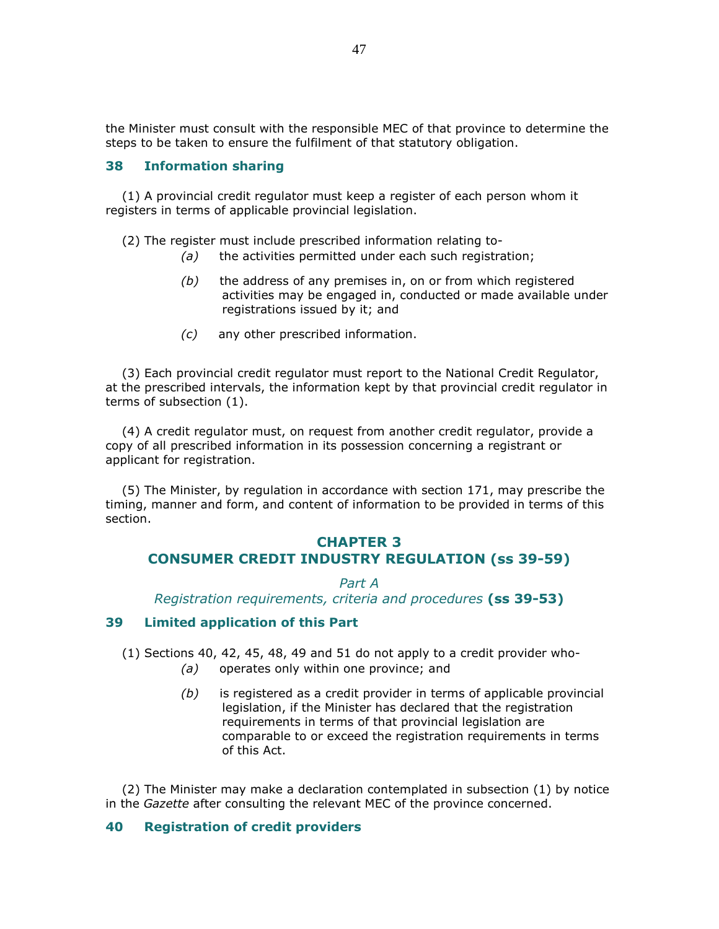the Minister must consult with the responsible MEC of that province to determine the steps to be taken to ensure the fulfilment of that statutory obligation.

### 38 Information sharing

 (1) A provincial credit regulator must keep a register of each person whom it registers in terms of applicable provincial legislation.

(2) The register must include prescribed information relating to-

- (a) the activities permitted under each such registration;
- $(b)$  the address of any premises in, on or from which registered activities may be engaged in, conducted or made available under registrations issued by it; and
- (c) any other prescribed information.

 (3) Each provincial credit regulator must report to the National Credit Regulator, at the prescribed intervals, the information kept by that provincial credit regulator in terms of subsection (1).

 (4) A credit regulator must, on request from another credit regulator, provide a copy of all prescribed information in its possession concerning a registrant or applicant for registration.

 (5) The Minister, by regulation in accordance with section 171, may prescribe the timing, manner and form, and content of information to be provided in terms of this section.

# CHAPTER 3 CONSUMER CREDIT INDUSTRY REGULATION (ss 39-59)

Part A Registration requirements, criteria and procedures (ss 39-53)

#### 39 Limited application of this Part

(1) Sections 40, 42, 45, 48, 49 and 51 do not apply to a credit provider who-

- (a) operates only within one province; and
- (b) is registered as a credit provider in terms of applicable provincial legislation, if the Minister has declared that the registration requirements in terms of that provincial legislation are comparable to or exceed the registration requirements in terms of this Act.

 (2) The Minister may make a declaration contemplated in subsection (1) by notice in the Gazette after consulting the relevant MEC of the province concerned.

### 40 Registration of credit providers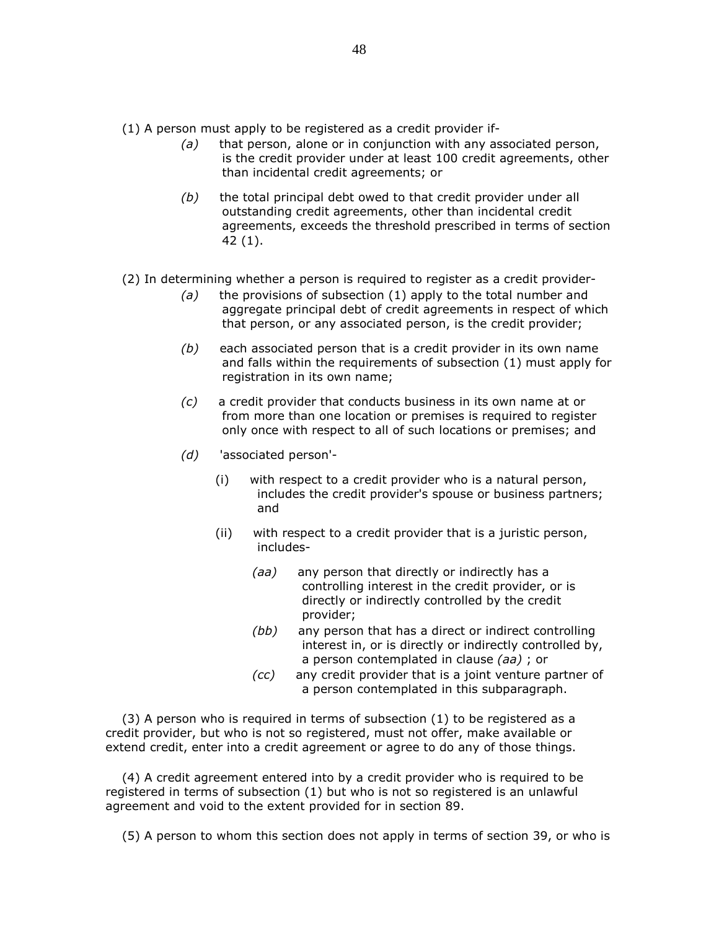- (1) A person must apply to be registered as a credit provider if-
	- $(a)$  that person, alone or in conjunction with any associated person, is the credit provider under at least 100 credit agreements, other than incidental credit agreements; or
	- $(b)$  the total principal debt owed to that credit provider under all outstanding credit agreements, other than incidental credit agreements, exceeds the threshold prescribed in terms of section 42 (1).
- (2) In determining whether a person is required to register as a credit provider-
	- (a) the provisions of subsection  $(1)$  apply to the total number and aggregate principal debt of credit agreements in respect of which that person, or any associated person, is the credit provider;
	- $(b)$  each associated person that is a credit provider in its own name and falls within the requirements of subsection (1) must apply for registration in its own name;
	- (c) a credit provider that conducts business in its own name at or from more than one location or premises is required to register only once with respect to all of such locations or premises; and
	- (d) 'associated person'-
		- (i) with respect to a credit provider who is a natural person, includes the credit provider's spouse or business partners; and
		- (ii) with respect to a credit provider that is a juristic person, includes-
			- (aa) any person that directly or indirectly has a controlling interest in the credit provider, or is directly or indirectly controlled by the credit provider;
			- (bb) any person that has a direct or indirect controlling interest in, or is directly or indirectly controlled by, a person contemplated in clause (aa) ; or
			- (cc) any credit provider that is a joint venture partner of a person contemplated in this subparagraph.

 (3) A person who is required in terms of subsection (1) to be registered as a credit provider, but who is not so registered, must not offer, make available or extend credit, enter into a credit agreement or agree to do any of those things.

 (4) A credit agreement entered into by a credit provider who is required to be registered in terms of subsection (1) but who is not so registered is an unlawful agreement and void to the extent provided for in section 89.

(5) A person to whom this section does not apply in terms of section 39, or who is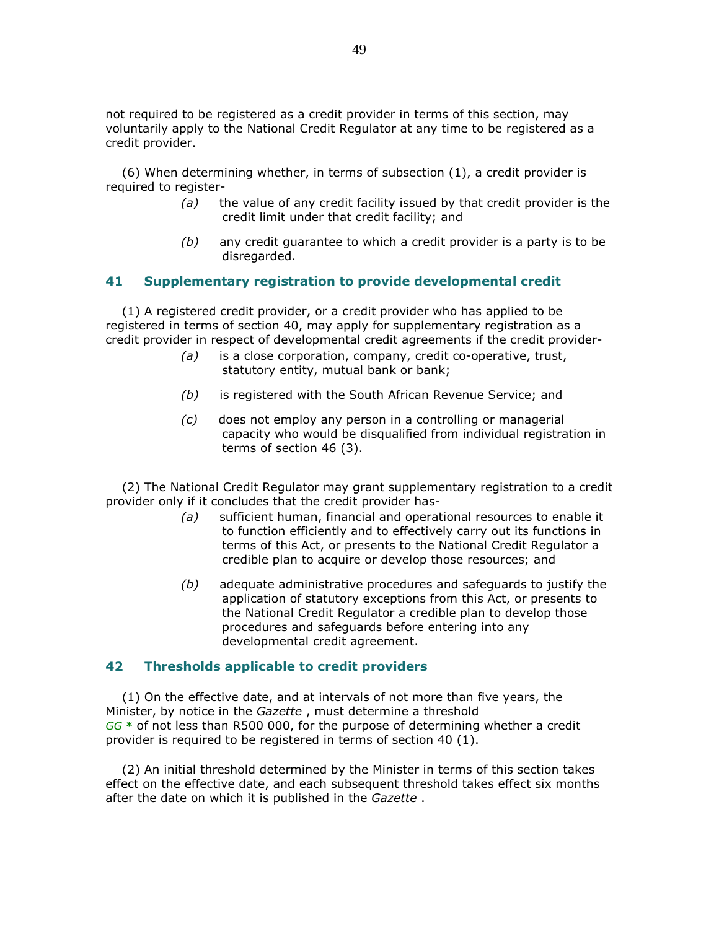not required to be registered as a credit provider in terms of this section, may voluntarily apply to the National Credit Regulator at any time to be registered as a credit provider.

 (6) When determining whether, in terms of subsection (1), a credit provider is required to register-

- $(a)$  the value of any credit facility issued by that credit provider is the credit limit under that credit facility; and
- $(b)$  any credit guarantee to which a credit provider is a party is to be disregarded.

# 41 Supplementary registration to provide developmental credit

 (1) A registered credit provider, or a credit provider who has applied to be registered in terms of section 40, may apply for supplementary registration as a credit provider in respect of developmental credit agreements if the credit provider-

- $(a)$  is a close corporation, company, credit co-operative, trust, statutory entity, mutual bank or bank;
- (b) is registered with the South African Revenue Service; and
- (c) does not employ any person in a controlling or managerial capacity who would be disqualified from individual registration in terms of section 46 (3).

 (2) The National Credit Regulator may grant supplementary registration to a credit provider only if it concludes that the credit provider has-

- (a) sufficient human, financial and operational resources to enable it to function efficiently and to effectively carry out its functions in terms of this Act, or presents to the National Credit Regulator a credible plan to acquire or develop those resources; and
- (b) adequate administrative procedures and safeguards to justify the application of statutory exceptions from this Act, or presents to the National Credit Regulator a credible plan to develop those procedures and safeguards before entering into any developmental credit agreement.

## 42 Thresholds applicable to credit providers

 (1) On the effective date, and at intervals of not more than five years, the Minister, by notice in the Gazette, must determine a threshold  $GG *$  of not less than R500 000, for the purpose of determining whether a credit provider is required to be registered in terms of section 40 (1).

 (2) An initial threshold determined by the Minister in terms of this section takes effect on the effective date, and each subsequent threshold takes effect six months after the date on which it is published in the Gazette.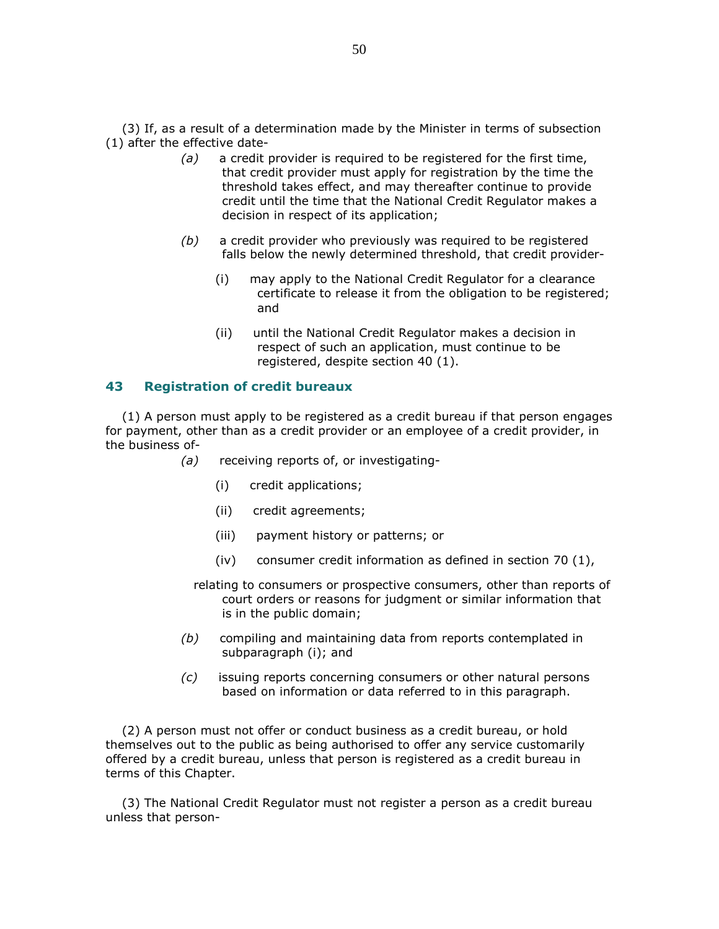(3) If, as a result of a determination made by the Minister in terms of subsection (1) after the effective date-

- $(a)$  a credit provider is required to be registered for the first time, that credit provider must apply for registration by the time the threshold takes effect, and may thereafter continue to provide credit until the time that the National Credit Regulator makes a decision in respect of its application;
- $(b)$  a credit provider who previously was required to be registered falls below the newly determined threshold, that credit provider-
	- (i) may apply to the National Credit Regulator for a clearance certificate to release it from the obligation to be registered; and
	- (ii) until the National Credit Regulator makes a decision in respect of such an application, must continue to be registered, despite section 40 (1).

# 43 Registration of credit bureaux

 (1) A person must apply to be registered as a credit bureau if that person engages for payment, other than as a credit provider or an employee of a credit provider, in the business of-

- (a) receiving reports of, or investigating-
	- (i) credit applications;
	- (ii) credit agreements;
	- (iii) payment history or patterns; or
	- (iv) consumer credit information as defined in section 70 (1),
	- relating to consumers or prospective consumers, other than reports of court orders or reasons for judgment or similar information that is in the public domain;
- (b) compiling and maintaining data from reports contemplated in subparagraph (i); and
- (c) issuing reports concerning consumers or other natural persons based on information or data referred to in this paragraph.

 (2) A person must not offer or conduct business as a credit bureau, or hold themselves out to the public as being authorised to offer any service customarily offered by a credit bureau, unless that person is registered as a credit bureau in terms of this Chapter.

 (3) The National Credit Regulator must not register a person as a credit bureau unless that person-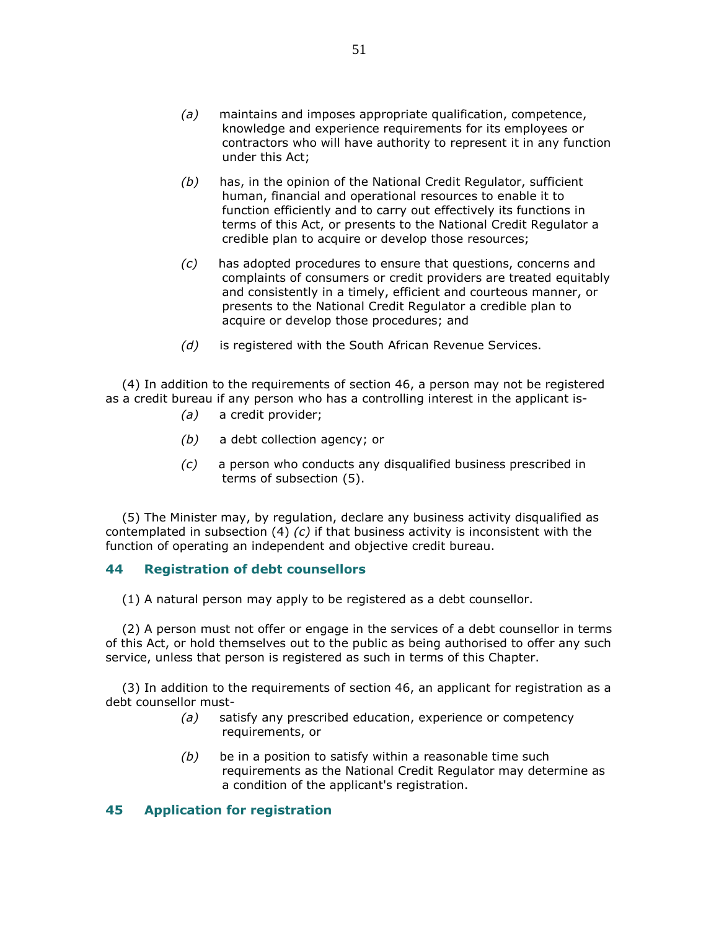- (a) maintains and imposes appropriate qualification, competence, knowledge and experience requirements for its employees or contractors who will have authority to represent it in any function under this Act;
- $(b)$  has, in the opinion of the National Credit Regulator, sufficient human, financial and operational resources to enable it to function efficiently and to carry out effectively its functions in terms of this Act, or presents to the National Credit Regulator a credible plan to acquire or develop those resources;
- (c) has adopted procedures to ensure that questions, concerns and complaints of consumers or credit providers are treated equitably and consistently in a timely, efficient and courteous manner, or presents to the National Credit Regulator a credible plan to acquire or develop those procedures; and
- (d) is registered with the South African Revenue Services.

 (4) In addition to the requirements of section 46, a person may not be registered as a credit bureau if any person who has a controlling interest in the applicant is-

- (a) a credit provider;
- (b) a debt collection agency; or
- (c) a person who conducts any disqualified business prescribed in terms of subsection (5).

 (5) The Minister may, by regulation, declare any business activity disqualified as contemplated in subsection  $(4)$   $(c)$  if that business activity is inconsistent with the function of operating an independent and objective credit bureau.

## 44 Registration of debt counsellors

(1) A natural person may apply to be registered as a debt counsellor.

 (2) A person must not offer or engage in the services of a debt counsellor in terms of this Act, or hold themselves out to the public as being authorised to offer any such service, unless that person is registered as such in terms of this Chapter.

 (3) In addition to the requirements of section 46, an applicant for registration as a debt counsellor must-

- (a) satisfy any prescribed education, experience or competency requirements, or
- $(b)$  be in a position to satisfy within a reasonable time such requirements as the National Credit Regulator may determine as a condition of the applicant's registration.

# 45 Application for registration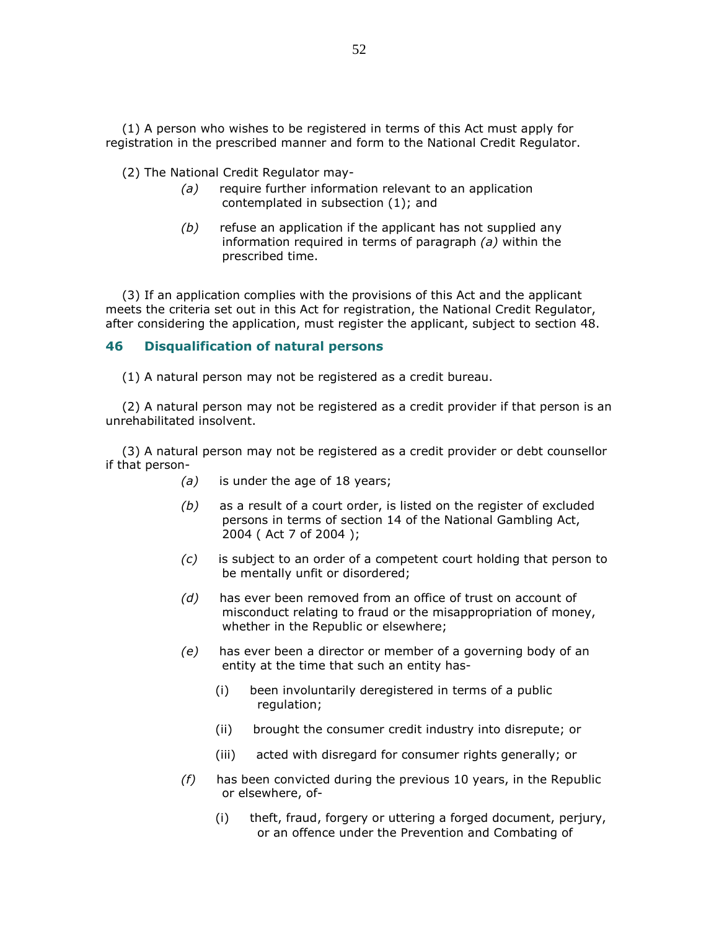(1) A person who wishes to be registered in terms of this Act must apply for registration in the prescribed manner and form to the National Credit Regulator.

(2) The National Credit Regulator may-

- (a) require further information relevant to an application contemplated in subsection (1); and
- $(b)$  refuse an application if the applicant has not supplied any information required in terms of paragraph (a) within the prescribed time.

 (3) If an application complies with the provisions of this Act and the applicant meets the criteria set out in this Act for registration, the National Credit Regulator, after considering the application, must register the applicant, subject to section 48.

#### 46 Disqualification of natural persons

(1) A natural person may not be registered as a credit bureau.

 (2) A natural person may not be registered as a credit provider if that person is an unrehabilitated insolvent.

 (3) A natural person may not be registered as a credit provider or debt counsellor if that person-

- (a) is under the age of 18 years;
- $(b)$  as a result of a court order, is listed on the register of excluded persons in terms of section 14 of the National Gambling Act, 2004 ( Act 7 of 2004 );
- $(c)$  is subject to an order of a competent court holding that person to be mentally unfit or disordered;
- (d) has ever been removed from an office of trust on account of misconduct relating to fraud or the misappropriation of money, whether in the Republic or elsewhere;
- (e) has ever been a director or member of a governing body of an entity at the time that such an entity has-
	- (i) been involuntarily deregistered in terms of a public regulation;
	- (ii) brought the consumer credit industry into disrepute; or
	- (iii) acted with disregard for consumer rights generally; or
- $(f)$  has been convicted during the previous 10 years, in the Republic or elsewhere, of-
	- (i) theft, fraud, forgery or uttering a forged document, perjury, or an offence under the Prevention and Combating of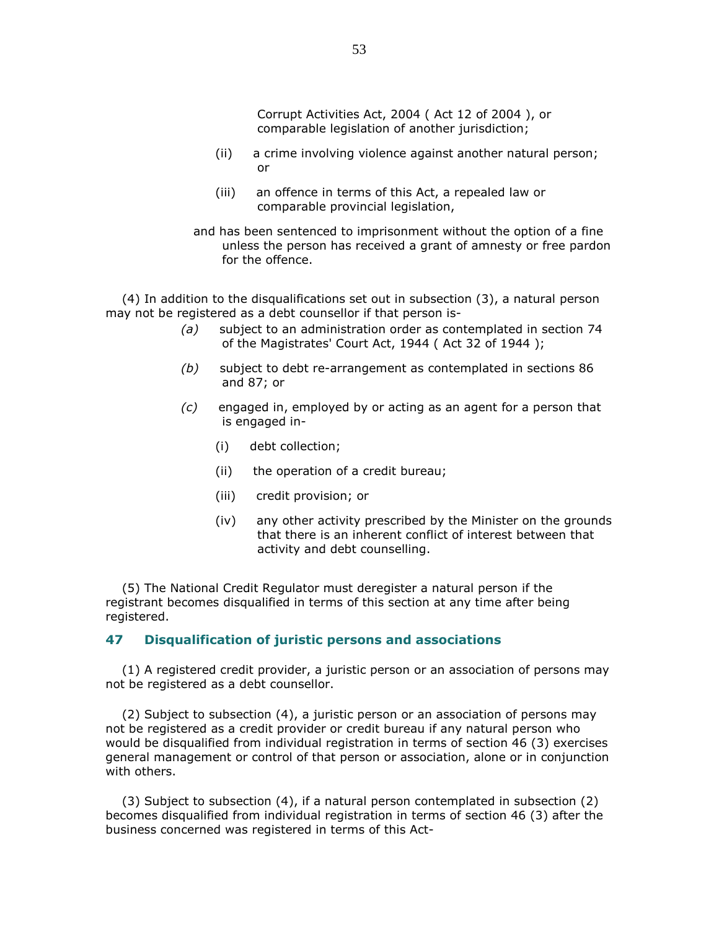Corrupt Activities Act, 2004 ( Act 12 of 2004 ), or comparable legislation of another jurisdiction;

- (ii) a crime involving violence against another natural person; or
- (iii) an offence in terms of this Act, a repealed law or comparable provincial legislation,
- and has been sentenced to imprisonment without the option of a fine unless the person has received a grant of amnesty or free pardon for the offence.

 (4) In addition to the disqualifications set out in subsection (3), a natural person may not be registered as a debt counsellor if that person is-

- (a) subject to an administration order as contemplated in section 74 of the Magistrates' Court Act, 1944 ( Act 32 of 1944 );
- (b) subject to debt re-arrangement as contemplated in sections 86 and 87; or
- $(c)$  engaged in, employed by or acting as an agent for a person that is engaged in-
	- (i) debt collection;
	- (ii) the operation of a credit bureau;
	- (iii) credit provision; or
	- (iv) any other activity prescribed by the Minister on the grounds that there is an inherent conflict of interest between that activity and debt counselling.

 (5) The National Credit Regulator must deregister a natural person if the registrant becomes disqualified in terms of this section at any time after being registered.

### 47 Disqualification of juristic persons and associations

 (1) A registered credit provider, a juristic person or an association of persons may not be registered as a debt counsellor.

 (2) Subject to subsection (4), a juristic person or an association of persons may not be registered as a credit provider or credit bureau if any natural person who would be disqualified from individual registration in terms of section 46 (3) exercises general management or control of that person or association, alone or in conjunction with others.

 (3) Subject to subsection (4), if a natural person contemplated in subsection (2) becomes disqualified from individual registration in terms of section 46 (3) after the business concerned was registered in terms of this Act-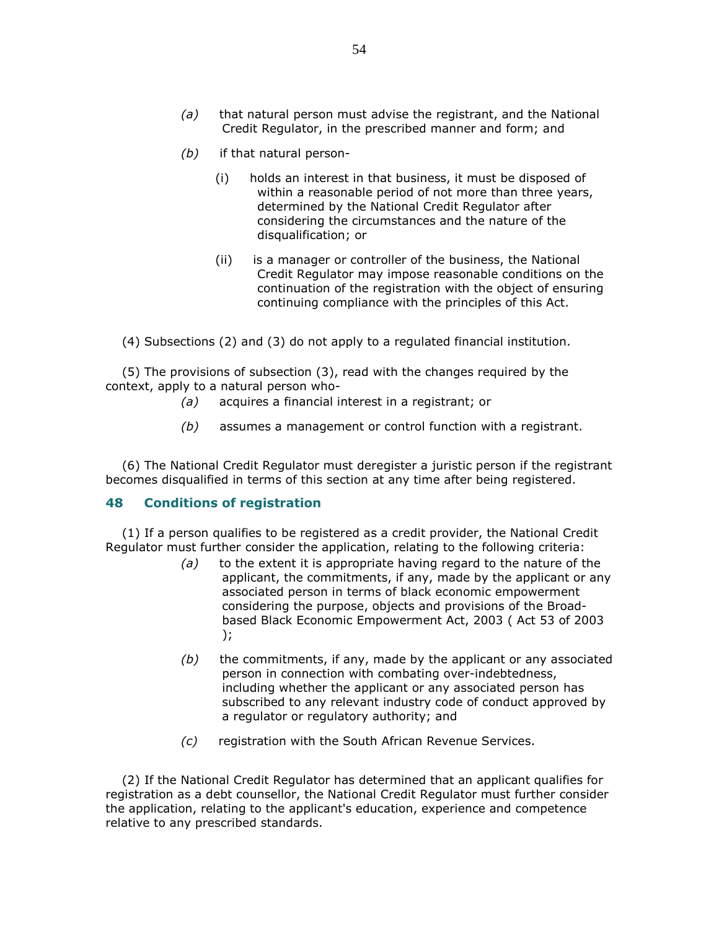- $(a)$  that natural person must advise the registrant, and the National Credit Regulator, in the prescribed manner and form; and
- (b) if that natural person-
	- (i) holds an interest in that business, it must be disposed of within a reasonable period of not more than three years, determined by the National Credit Regulator after considering the circumstances and the nature of the disqualification; or
	- (ii) is a manager or controller of the business, the National Credit Regulator may impose reasonable conditions on the continuation of the registration with the object of ensuring continuing compliance with the principles of this Act.

(4) Subsections (2) and (3) do not apply to a regulated financial institution.

 (5) The provisions of subsection (3), read with the changes required by the context, apply to a natural person who-

- (a) acquires a financial interest in a registrant; or
- $(b)$  assumes a management or control function with a registrant.

 (6) The National Credit Regulator must deregister a juristic person if the registrant becomes disqualified in terms of this section at any time after being registered.

# 48 Conditions of registration

 (1) If a person qualifies to be registered as a credit provider, the National Credit Regulator must further consider the application, relating to the following criteria:

- $(a)$  to the extent it is appropriate having regard to the nature of the applicant, the commitments, if any, made by the applicant or any associated person in terms of black economic empowerment considering the purpose, objects and provisions of the Broadbased Black Economic Empowerment Act, 2003 ( Act 53 of 2003 );
- $(b)$  the commitments, if any, made by the applicant or any associated person in connection with combating over-indebtedness, including whether the applicant or any associated person has subscribed to any relevant industry code of conduct approved by a regulator or regulatory authority; and
- (c) registration with the South African Revenue Services.

 (2) If the National Credit Regulator has determined that an applicant qualifies for registration as a debt counsellor, the National Credit Regulator must further consider the application, relating to the applicant's education, experience and competence relative to any prescribed standards.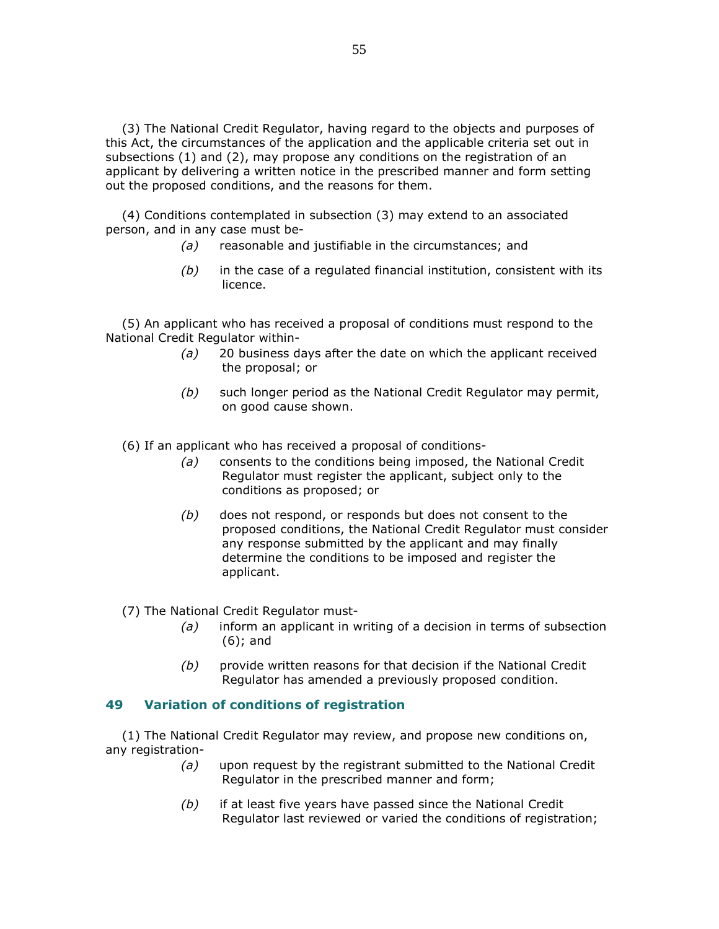(3) The National Credit Regulator, having regard to the objects and purposes of this Act, the circumstances of the application and the applicable criteria set out in subsections (1) and (2), may propose any conditions on the registration of an applicant by delivering a written notice in the prescribed manner and form setting out the proposed conditions, and the reasons for them.

 (4) Conditions contemplated in subsection (3) may extend to an associated person, and in any case must be-

- (a) reasonable and justifiable in the circumstances; and
- $(b)$  in the case of a regulated financial institution, consistent with its licence.

 (5) An applicant who has received a proposal of conditions must respond to the National Credit Regulator within-

- (a) 20 business days after the date on which the applicant received the proposal; or
- $(b)$  such longer period as the National Credit Regulator may permit, on good cause shown.
- (6) If an applicant who has received a proposal of conditions-
	- (a) consents to the conditions being imposed, the National Credit Regulator must register the applicant, subject only to the conditions as proposed; or
	- $(b)$  does not respond, or responds but does not consent to the proposed conditions, the National Credit Regulator must consider any response submitted by the applicant and may finally determine the conditions to be imposed and register the applicant.

(7) The National Credit Regulator must-

- (a) inform an applicant in writing of a decision in terms of subsection (6); and
- $(b)$  provide written reasons for that decision if the National Credit Regulator has amended a previously proposed condition.

# 49 Variation of conditions of registration

 (1) The National Credit Regulator may review, and propose new conditions on, any registration-

- $(a)$  upon request by the registrant submitted to the National Credit Regulator in the prescribed manner and form;
- $(b)$  if at least five years have passed since the National Credit Regulator last reviewed or varied the conditions of registration;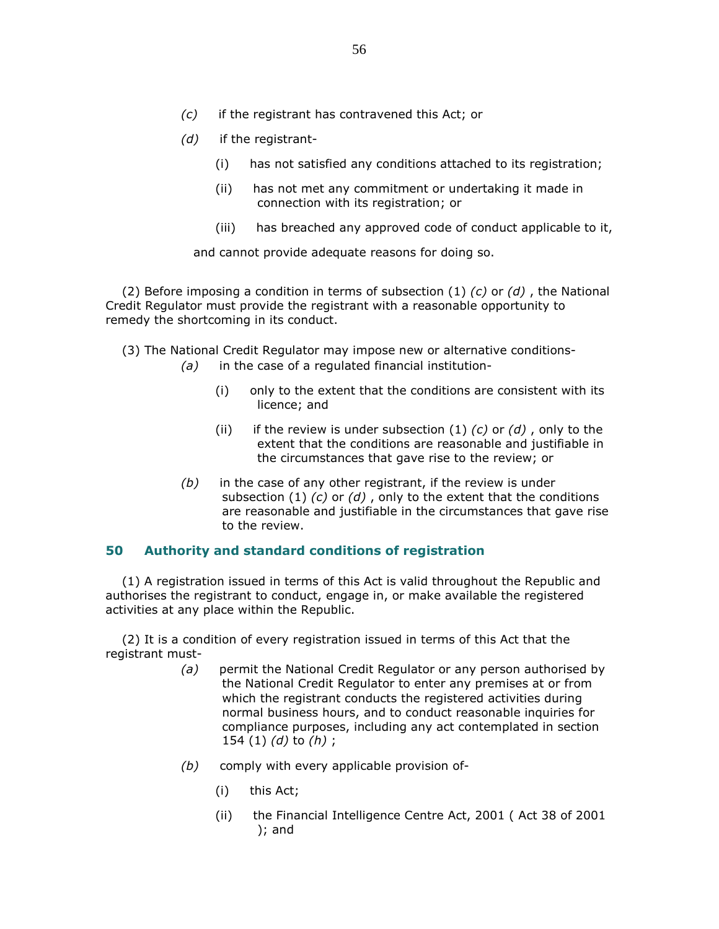- (d) if the registrant-
	- (i) has not satisfied any conditions attached to its registration;
	- (ii) has not met any commitment or undertaking it made in connection with its registration; or
	- (iii) has breached any approved code of conduct applicable to it,

and cannot provide adequate reasons for doing so.

(2) Before imposing a condition in terms of subsection  $(1)$  (c) or (d), the National Credit Regulator must provide the registrant with a reasonable opportunity to remedy the shortcoming in its conduct.

- (3) The National Credit Regulator may impose new or alternative conditions-
	- $(a)$  in the case of a regulated financial institution-
		- (i) only to the extent that the conditions are consistent with its licence; and
		- (ii) if the review is under subsection  $(1)$   $(c)$  or  $(d)$ , only to the extent that the conditions are reasonable and justifiable in the circumstances that gave rise to the review; or
	- $(b)$  in the case of any other registrant, if the review is under subsection (1)  $(c)$  or  $(d)$ , only to the extent that the conditions are reasonable and justifiable in the circumstances that gave rise to the review.

# 50 Authority and standard conditions of registration

 (1) A registration issued in terms of this Act is valid throughout the Republic and authorises the registrant to conduct, engage in, or make available the registered activities at any place within the Republic.

 (2) It is a condition of every registration issued in terms of this Act that the registrant must-

- (a) permit the National Credit Regulator or any person authorised by the National Credit Regulator to enter any premises at or from which the registrant conducts the registered activities during normal business hours, and to conduct reasonable inquiries for compliance purposes, including any act contemplated in section 154 (1)  $(d)$  to  $(h)$ ;
- (b) comply with every applicable provision of-
	- (i) this Act;
	- (ii) the Financial Intelligence Centre Act, 2001 ( Act 38 of 2001 ); and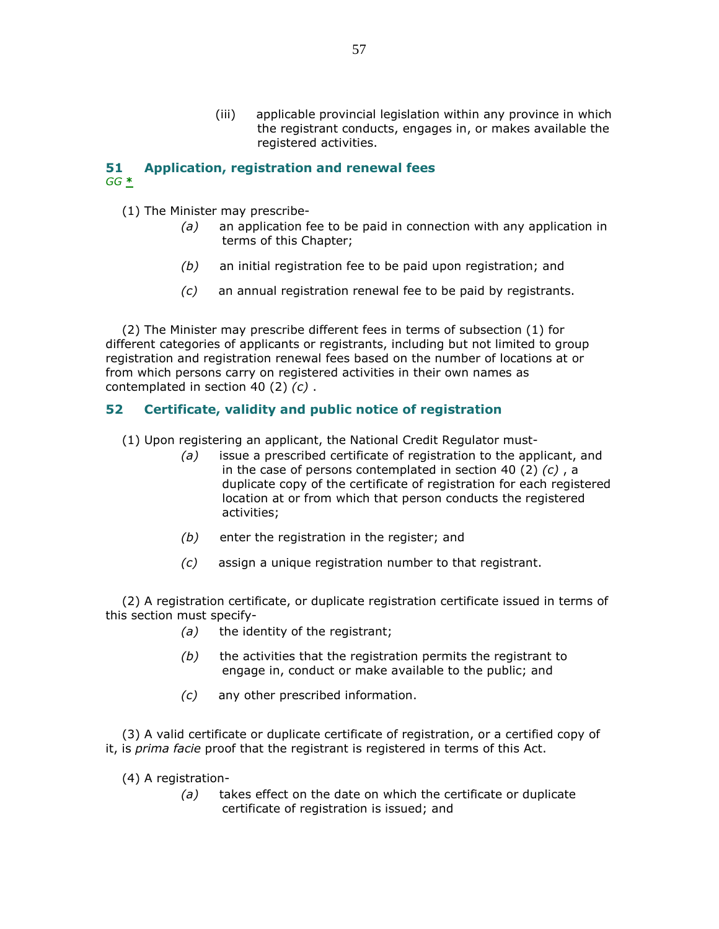(iii) applicable provincial legislation within any province in which the registrant conducts, engages in, or makes available the registered activities.

# 51 Application, registration and renewal fees  $GG \triangleq$

- (1) The Minister may prescribe-
	- $(a)$  an application fee to be paid in connection with any application in terms of this Chapter;
	- $(b)$  an initial registration fee to be paid upon registration; and
	- (c) an annual registration renewal fee to be paid by registrants.

 (2) The Minister may prescribe different fees in terms of subsection (1) for different categories of applicants or registrants, including but not limited to group registration and registration renewal fees based on the number of locations at or from which persons carry on registered activities in their own names as contemplated in section 40 (2) (c) .

# 52 Certificate, validity and public notice of registration

(1) Upon registering an applicant, the National Credit Regulator must-

- $(a)$  issue a prescribed certificate of registration to the applicant, and in the case of persons contemplated in section 40 (2)  $(c)$ , a duplicate copy of the certificate of registration for each registered location at or from which that person conducts the registered activities;
- $(b)$  enter the registration in the register; and
- (c) assign a unique registration number to that registrant.

 (2) A registration certificate, or duplicate registration certificate issued in terms of this section must specify-

- (a) the identity of the registrant;
- $(b)$  the activities that the registration permits the registrant to engage in, conduct or make available to the public; and
- (c) any other prescribed information.

 (3) A valid certificate or duplicate certificate of registration, or a certified copy of it, is prima facie proof that the registrant is registered in terms of this Act.

- (4) A registration-
	- (a) takes effect on the date on which the certificate or duplicate certificate of registration is issued; and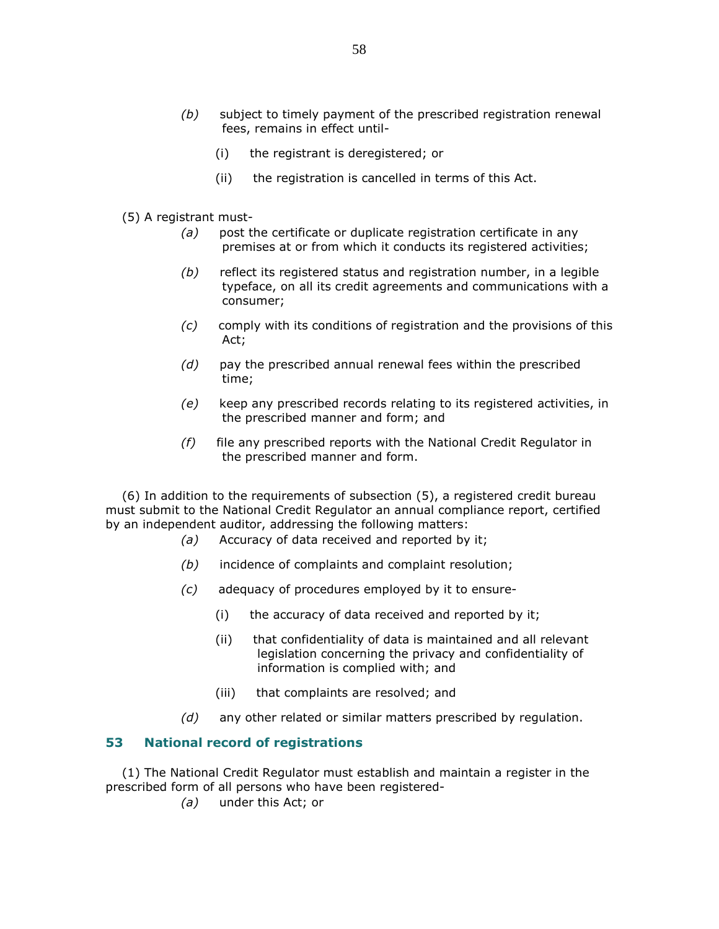- (b) subject to timely payment of the prescribed registration renewal fees, remains in effect until-
	- (i) the registrant is deregistered; or
	- (ii) the registration is cancelled in terms of this Act.
- (5) A registrant must-
	- $(a)$  post the certificate or duplicate registration certificate in any premises at or from which it conducts its registered activities;
	- $(b)$  reflect its registered status and registration number, in a legible typeface, on all its credit agreements and communications with a consumer;
	- (c) comply with its conditions of registration and the provisions of this Act;
	- $(d)$  pay the prescribed annual renewal fees within the prescribed time;
	- (e) keep any prescribed records relating to its registered activities, in the prescribed manner and form; and
	- $(f)$  file any prescribed reports with the National Credit Regulator in the prescribed manner and form.

 (6) In addition to the requirements of subsection (5), a registered credit bureau must submit to the National Credit Regulator an annual compliance report, certified by an independent auditor, addressing the following matters:

- (a) Accuracy of data received and reported by it;
- (b) incidence of complaints and complaint resolution;
- (c) adequacy of procedures employed by it to ensure-
	- (i) the accuracy of data received and reported by it;
	- (ii) that confidentiality of data is maintained and all relevant legislation concerning the privacy and confidentiality of information is complied with; and
	- (iii) that complaints are resolved; and
- $(d)$  any other related or similar matters prescribed by regulation.

## 53 National record of registrations

 (1) The National Credit Regulator must establish and maintain a register in the prescribed form of all persons who have been registered-

(a) under this Act; or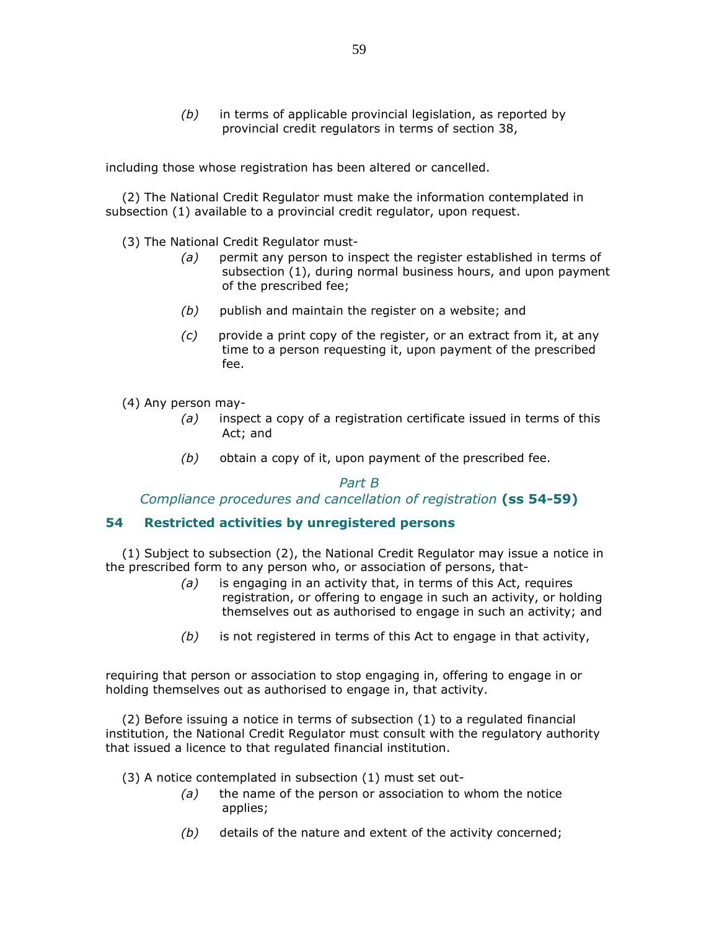$(b)$  in terms of applicable provincial legislation, as reported by provincial credit regulators in terms of section 38,

including those whose registration has been altered or cancelled.

 (2) The National Credit Regulator must make the information contemplated in subsection (1) available to a provincial credit regulator, upon request.

(3) The National Credit Regulator must-

- (a) permit any person to inspect the register established in terms of subsection (1), during normal business hours, and upon payment of the prescribed fee;
- $(b)$  publish and maintain the register on a website; and
- (c) provide a print copy of the register, or an extract from it, at any time to a person requesting it, upon payment of the prescribed fee.

(4) Any person may-

- $(a)$  inspect a copy of a registration certificate issued in terms of this Act; and
- $(b)$  obtain a copy of it, upon payment of the prescribed fee.

#### Part B

Compliance procedures and cancellation of registration (ss 54-59)

# 54 Restricted activities by unregistered persons

 (1) Subject to subsection (2), the National Credit Regulator may issue a notice in the prescribed form to any person who, or association of persons, that-

- $(a)$  is engaging in an activity that, in terms of this Act, requires registration, or offering to engage in such an activity, or holding themselves out as authorised to engage in such an activity; and
- $(b)$  is not registered in terms of this Act to engage in that activity,

requiring that person or association to stop engaging in, offering to engage in or holding themselves out as authorised to engage in, that activity.

 (2) Before issuing a notice in terms of subsection (1) to a regulated financial institution, the National Credit Regulator must consult with the regulatory authority that issued a licence to that regulated financial institution.

(3) A notice contemplated in subsection (1) must set out-

- $(a)$  the name of the person or association to whom the notice applies;
- $(b)$  details of the nature and extent of the activity concerned;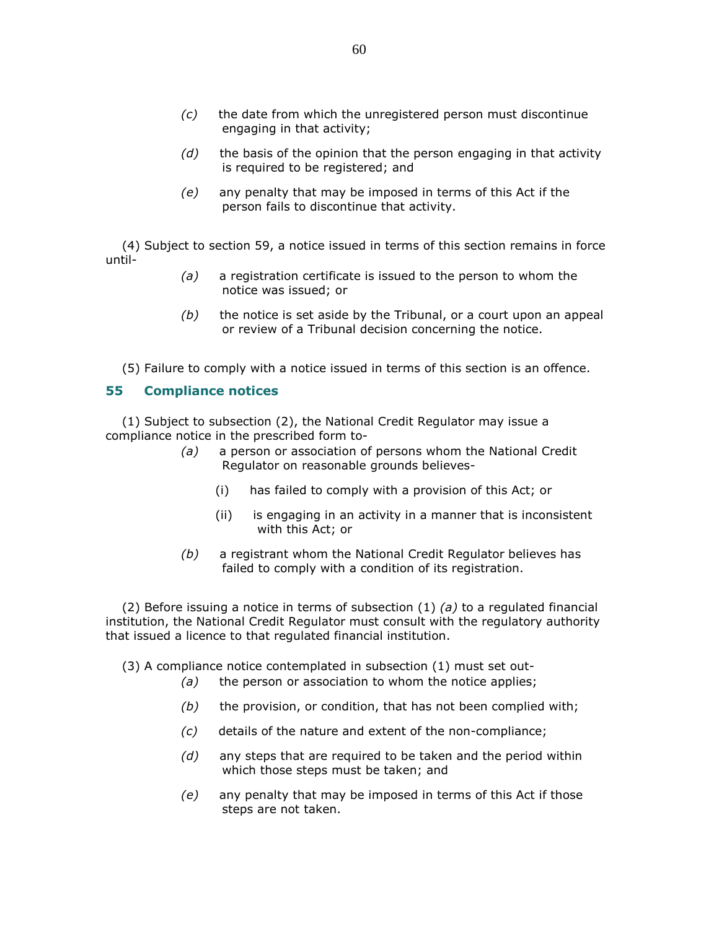- $(c)$  the date from which the unregistered person must discontinue engaging in that activity;
- $(d)$  the basis of the opinion that the person engaging in that activity is required to be registered; and
- (e) any penalty that may be imposed in terms of this Act if the person fails to discontinue that activity.

 (4) Subject to section 59, a notice issued in terms of this section remains in force until-

- $(a)$  a registration certificate is issued to the person to whom the notice was issued; or
- $(b)$  the notice is set aside by the Tribunal, or a court upon an appeal or review of a Tribunal decision concerning the notice.

(5) Failure to comply with a notice issued in terms of this section is an offence.

#### 55 Compliance notices

 (1) Subject to subsection (2), the National Credit Regulator may issue a compliance notice in the prescribed form to-

- (a) a person or association of persons whom the National Credit Regulator on reasonable grounds believes-
	- (i) has failed to comply with a provision of this Act; or
	- (ii) is engaging in an activity in a manner that is inconsistent with this Act; or
- (b) a registrant whom the National Credit Regulator believes has failed to comply with a condition of its registration.

(2) Before issuing a notice in terms of subsection (1) (a) to a regulated financial institution, the National Credit Regulator must consult with the regulatory authority that issued a licence to that regulated financial institution.

(3) A compliance notice contemplated in subsection (1) must set out-

- $(a)$  the person or association to whom the notice applies;
- $(b)$  the provision, or condition, that has not been complied with;
- (c) details of the nature and extent of the non-compliance;
- $(d)$  any steps that are required to be taken and the period within which those steps must be taken; and
- (e) any penalty that may be imposed in terms of this Act if those steps are not taken.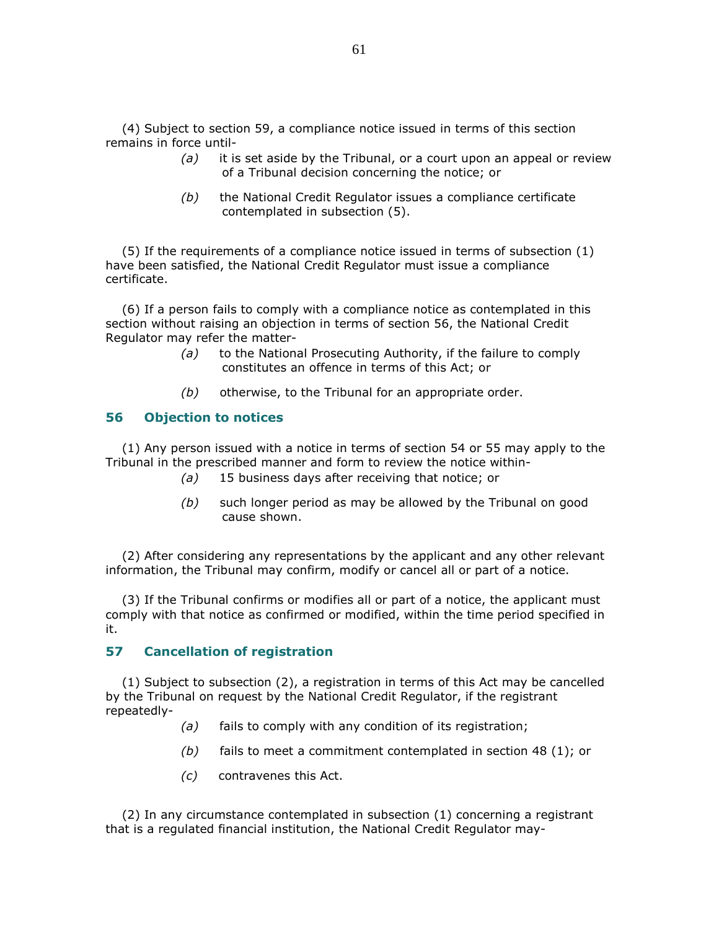(4) Subject to section 59, a compliance notice issued in terms of this section remains in force until-

- $(a)$  it is set aside by the Tribunal, or a court upon an appeal or review of a Tribunal decision concerning the notice; or
- $(b)$  the National Credit Regulator issues a compliance certificate contemplated in subsection (5).

 (5) If the requirements of a compliance notice issued in terms of subsection (1) have been satisfied, the National Credit Regulator must issue a compliance certificate.

 (6) If a person fails to comply with a compliance notice as contemplated in this section without raising an objection in terms of section 56, the National Credit Regulator may refer the matter-

- (a) to the National Prosecuting Authority, if the failure to comply constitutes an offence in terms of this Act; or
- $(b)$  otherwise, to the Tribunal for an appropriate order.

#### 56 Objection to notices

 (1) Any person issued with a notice in terms of section 54 or 55 may apply to the Tribunal in the prescribed manner and form to review the notice within-

- (a) 15 business days after receiving that notice; or
- (b) such longer period as may be allowed by the Tribunal on good cause shown.

 (2) After considering any representations by the applicant and any other relevant information, the Tribunal may confirm, modify or cancel all or part of a notice.

 (3) If the Tribunal confirms or modifies all or part of a notice, the applicant must comply with that notice as confirmed or modified, within the time period specified in it.

### 57 Cancellation of registration

 (1) Subject to subsection (2), a registration in terms of this Act may be cancelled by the Tribunal on request by the National Credit Regulator, if the registrant repeatedly-

- (a) fails to comply with any condition of its registration;
- $(b)$  fails to meet a commitment contemplated in section 48 (1); or
- (c) contravenes this Act.

 (2) In any circumstance contemplated in subsection (1) concerning a registrant that is a regulated financial institution, the National Credit Regulator may-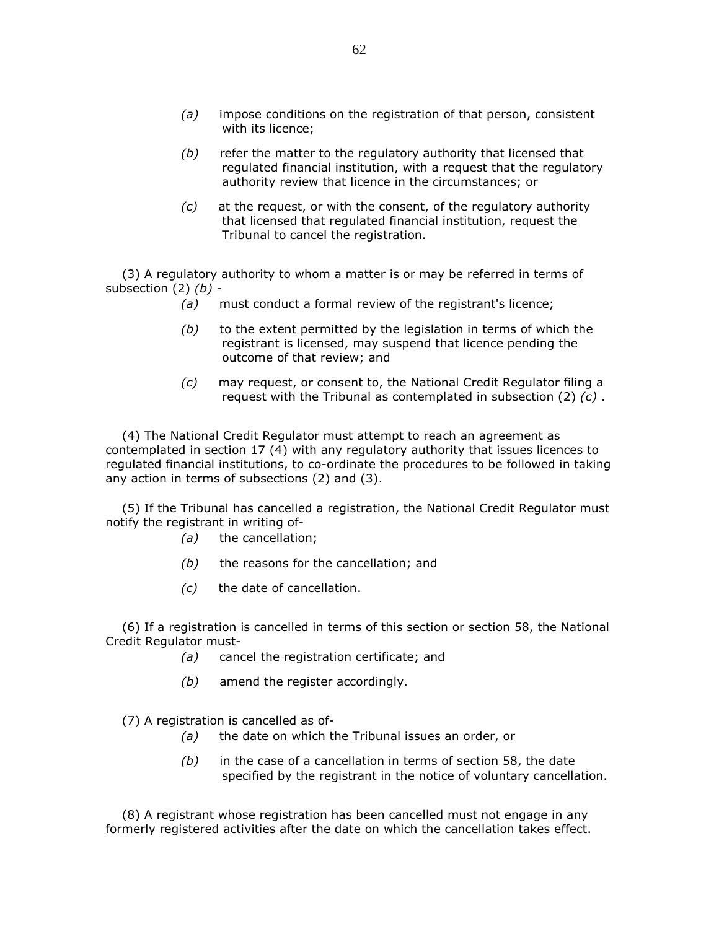- $(a)$  impose conditions on the registration of that person, consistent with its licence;
- $(b)$  refer the matter to the regulatory authority that licensed that regulated financial institution, with a request that the regulatory authority review that licence in the circumstances; or
- $(c)$  at the request, or with the consent, of the regulatory authority that licensed that regulated financial institution, request the Tribunal to cancel the registration.

 (3) A regulatory authority to whom a matter is or may be referred in terms of subsection  $(2)$   $(b)$  -

- (a) must conduct a formal review of the registrant's licence;
- $(b)$  to the extent permitted by the legislation in terms of which the registrant is licensed, may suspend that licence pending the outcome of that review; and
- (c) may request, or consent to, the National Credit Regulator filing a request with the Tribunal as contemplated in subsection  $(2)$   $(c)$ .

 (4) The National Credit Regulator must attempt to reach an agreement as contemplated in section 17 (4) with any regulatory authority that issues licences to regulated financial institutions, to co-ordinate the procedures to be followed in taking any action in terms of subsections (2) and (3).

 (5) If the Tribunal has cancelled a registration, the National Credit Regulator must notify the registrant in writing of-

- (a) the cancellation;
- $(b)$  the reasons for the cancellation; and
- (c) the date of cancellation.

 (6) If a registration is cancelled in terms of this section or section 58, the National Credit Regulator must-

- (a) cancel the registration certificate; and
- $(b)$  amend the register accordingly.

(7) A registration is cancelled as of-

- (a) the date on which the Tribunal issues an order, or
- $(b)$  in the case of a cancellation in terms of section 58, the date specified by the registrant in the notice of voluntary cancellation.

 (8) A registrant whose registration has been cancelled must not engage in any formerly registered activities after the date on which the cancellation takes effect.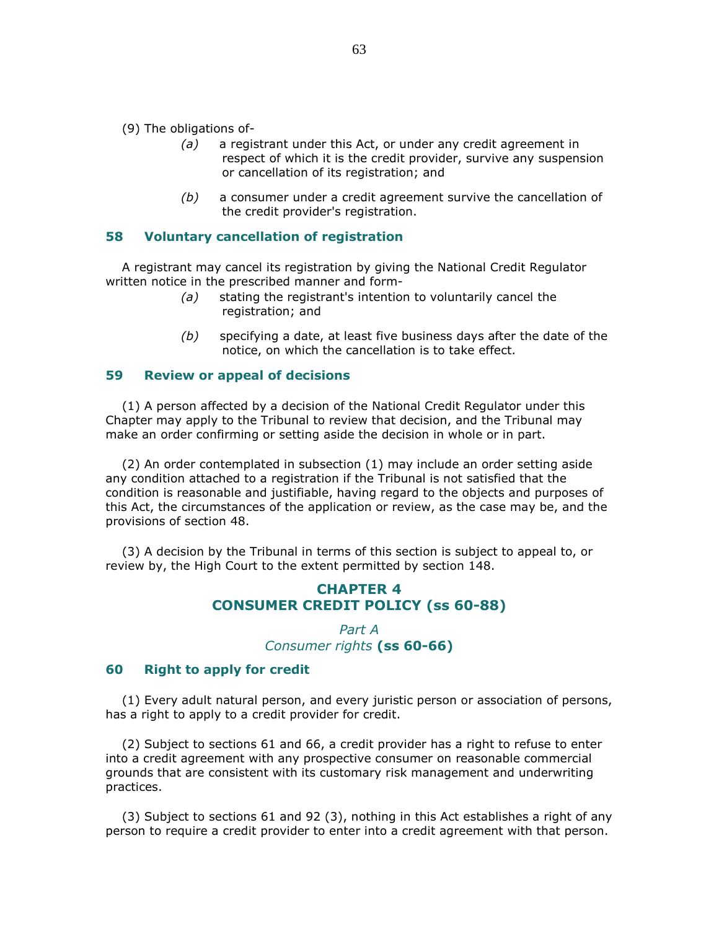(9) The obligations of-

- (a) a registrant under this Act, or under any credit agreement in respect of which it is the credit provider, survive any suspension or cancellation of its registration; and
- $(b)$  a consumer under a credit agreement survive the cancellation of the credit provider's registration.

#### 58 Voluntary cancellation of registration

 A registrant may cancel its registration by giving the National Credit Regulator written notice in the prescribed manner and form-

- (a) stating the registrant's intention to voluntarily cancel the registration; and
- $(b)$  specifying a date, at least five business days after the date of the notice, on which the cancellation is to take effect.

### 59 Review or appeal of decisions

 (1) A person affected by a decision of the National Credit Regulator under this Chapter may apply to the Tribunal to review that decision, and the Tribunal may make an order confirming or setting aside the decision in whole or in part.

 (2) An order contemplated in subsection (1) may include an order setting aside any condition attached to a registration if the Tribunal is not satisfied that the condition is reasonable and justifiable, having regard to the objects and purposes of this Act, the circumstances of the application or review, as the case may be, and the provisions of section 48.

 (3) A decision by the Tribunal in terms of this section is subject to appeal to, or review by, the High Court to the extent permitted by section 148.

# CHAPTER 4 CONSUMER CREDIT POLICY (ss 60-88)

Part A Consumer rights (ss 60-66)

#### 60 Right to apply for credit

 (1) Every adult natural person, and every juristic person or association of persons, has a right to apply to a credit provider for credit.

 (2) Subject to sections 61 and 66, a credit provider has a right to refuse to enter into a credit agreement with any prospective consumer on reasonable commercial grounds that are consistent with its customary risk management and underwriting practices.

 (3) Subject to sections 61 and 92 (3), nothing in this Act establishes a right of any person to require a credit provider to enter into a credit agreement with that person.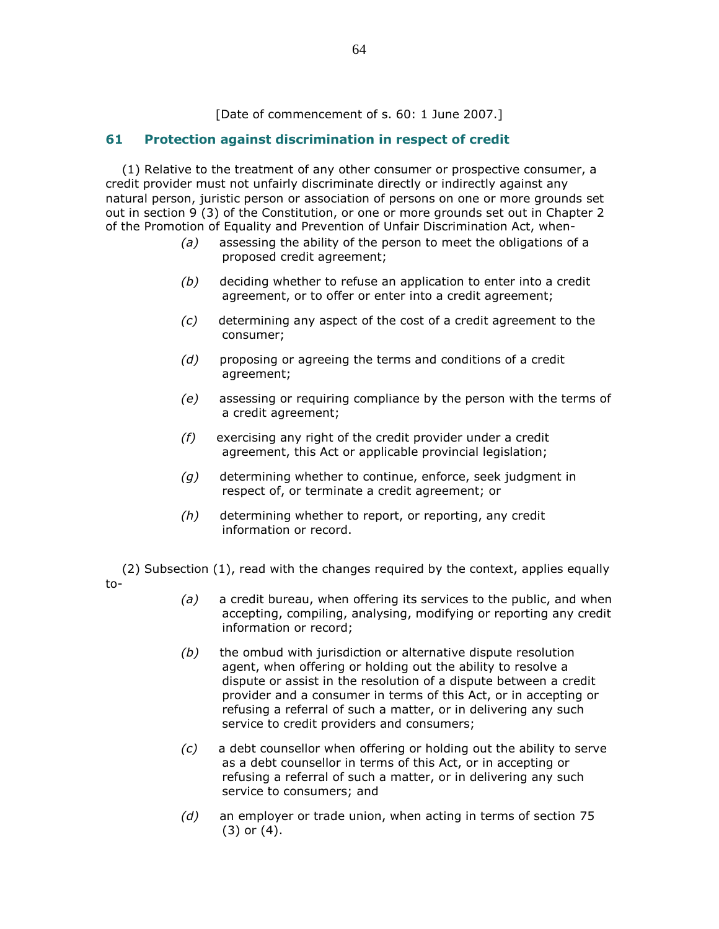[Date of commencement of s. 60: 1 June 2007.]

# 61 Protection against discrimination in respect of credit

 (1) Relative to the treatment of any other consumer or prospective consumer, a credit provider must not unfairly discriminate directly or indirectly against any natural person, juristic person or association of persons on one or more grounds set out in section 9 (3) of the Constitution, or one or more grounds set out in Chapter 2 of the Promotion of Equality and Prevention of Unfair Discrimination Act, when-

- $(a)$  assessing the ability of the person to meet the obligations of a proposed credit agreement;
- $(b)$  deciding whether to refuse an application to enter into a credit agreement, or to offer or enter into a credit agreement;
- (c) determining any aspect of the cost of a credit agreement to the consumer;
- $(d)$  proposing or agreeing the terms and conditions of a credit agreement;
- $(e)$  assessing or requiring compliance by the person with the terms of a credit agreement;
- $(f)$  exercising any right of the credit provider under a credit agreement, this Act or applicable provincial legislation;
- $(g)$  determining whether to continue, enforce, seek judgment in respect of, or terminate a credit agreement; or
- (h) determining whether to report, or reporting, any credit information or record.

 (2) Subsection (1), read with the changes required by the context, applies equally to-

- (a) a credit bureau, when offering its services to the public, and when accepting, compiling, analysing, modifying or reporting any credit information or record;
- $(b)$  the ombud with jurisdiction or alternative dispute resolution agent, when offering or holding out the ability to resolve a dispute or assist in the resolution of a dispute between a credit provider and a consumer in terms of this Act, or in accepting or refusing a referral of such a matter, or in delivering any such service to credit providers and consumers;
- $(c)$  a debt counsellor when offering or holding out the ability to serve as a debt counsellor in terms of this Act, or in accepting or refusing a referral of such a matter, or in delivering any such service to consumers; and
- $(d)$  an employer or trade union, when acting in terms of section 75 (3) or (4).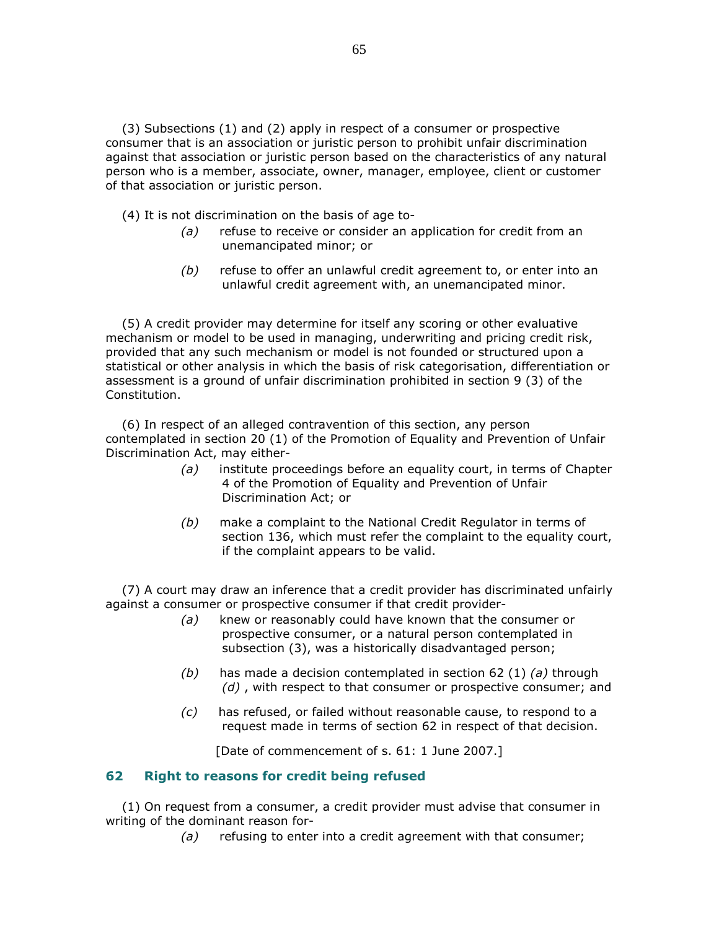(3) Subsections (1) and (2) apply in respect of a consumer or prospective consumer that is an association or juristic person to prohibit unfair discrimination against that association or juristic person based on the characteristics of any natural person who is a member, associate, owner, manager, employee, client or customer of that association or juristic person.

- (4) It is not discrimination on the basis of age to-
	- (a) refuse to receive or consider an application for credit from an unemancipated minor; or
	- (b) refuse to offer an unlawful credit agreement to, or enter into an unlawful credit agreement with, an unemancipated minor.

 (5) A credit provider may determine for itself any scoring or other evaluative mechanism or model to be used in managing, underwriting and pricing credit risk, provided that any such mechanism or model is not founded or structured upon a statistical or other analysis in which the basis of risk categorisation, differentiation or assessment is a ground of unfair discrimination prohibited in section 9 (3) of the Constitution.

 (6) In respect of an alleged contravention of this section, any person contemplated in section 20 (1) of the Promotion of Equality and Prevention of Unfair Discrimination Act, may either-

- (a) institute proceedings before an equality court, in terms of Chapter 4 of the Promotion of Equality and Prevention of Unfair Discrimination Act; or
- (b) make a complaint to the National Credit Regulator in terms of section 136, which must refer the complaint to the equality court, if the complaint appears to be valid.

 (7) A court may draw an inference that a credit provider has discriminated unfairly against a consumer or prospective consumer if that credit provider-

- (a) knew or reasonably could have known that the consumer or prospective consumer, or a natural person contemplated in subsection (3), was a historically disadvantaged person;
- (b) has made a decision contemplated in section 62 (1) (a) through  $(d)$ , with respect to that consumer or prospective consumer; and
- $(c)$  has refused, or failed without reasonable cause, to respond to a request made in terms of section 62 in respect of that decision.

[Date of commencement of s. 61: 1 June 2007.]

## 62 Right to reasons for credit being refused

 (1) On request from a consumer, a credit provider must advise that consumer in writing of the dominant reason for-

 $(a)$  refusing to enter into a credit agreement with that consumer;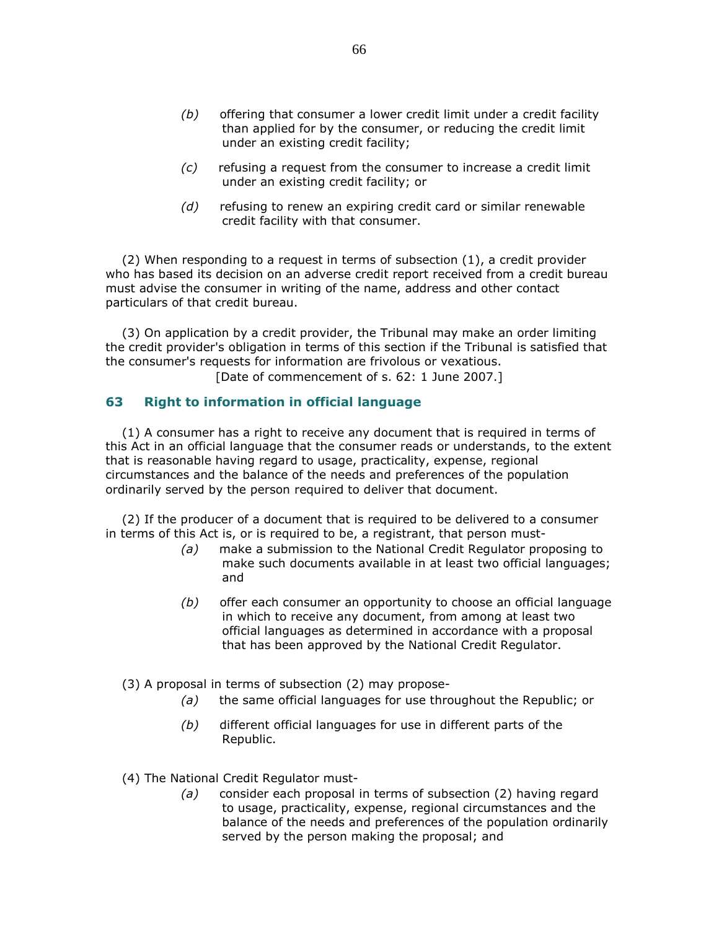- $(b)$  offering that consumer a lower credit limit under a credit facility than applied for by the consumer, or reducing the credit limit under an existing credit facility;
- $(c)$  refusing a request from the consumer to increase a credit limit under an existing credit facility; or
- (d) refusing to renew an expiring credit card or similar renewable credit facility with that consumer.

 (2) When responding to a request in terms of subsection (1), a credit provider who has based its decision on an adverse credit report received from a credit bureau must advise the consumer in writing of the name, address and other contact particulars of that credit bureau.

 (3) On application by a credit provider, the Tribunal may make an order limiting the credit provider's obligation in terms of this section if the Tribunal is satisfied that the consumer's requests for information are frivolous or vexatious.

[Date of commencement of s. 62: 1 June 2007.]

# 63 Right to information in official language

 (1) A consumer has a right to receive any document that is required in terms of this Act in an official language that the consumer reads or understands, to the extent that is reasonable having regard to usage, practicality, expense, regional circumstances and the balance of the needs and preferences of the population ordinarily served by the person required to deliver that document.

 (2) If the producer of a document that is required to be delivered to a consumer in terms of this Act is, or is required to be, a registrant, that person must-

- (a) make a submission to the National Credit Regulator proposing to make such documents available in at least two official languages; and
- (b) offer each consumer an opportunity to choose an official language in which to receive any document, from among at least two official languages as determined in accordance with a proposal that has been approved by the National Credit Regulator.
- (3) A proposal in terms of subsection (2) may propose-
	- $(a)$  the same official languages for use throughout the Republic; or
	- (b) different official languages for use in different parts of the Republic.
- (4) The National Credit Regulator must-
	- (a) consider each proposal in terms of subsection (2) having regard to usage, practicality, expense, regional circumstances and the balance of the needs and preferences of the population ordinarily served by the person making the proposal; and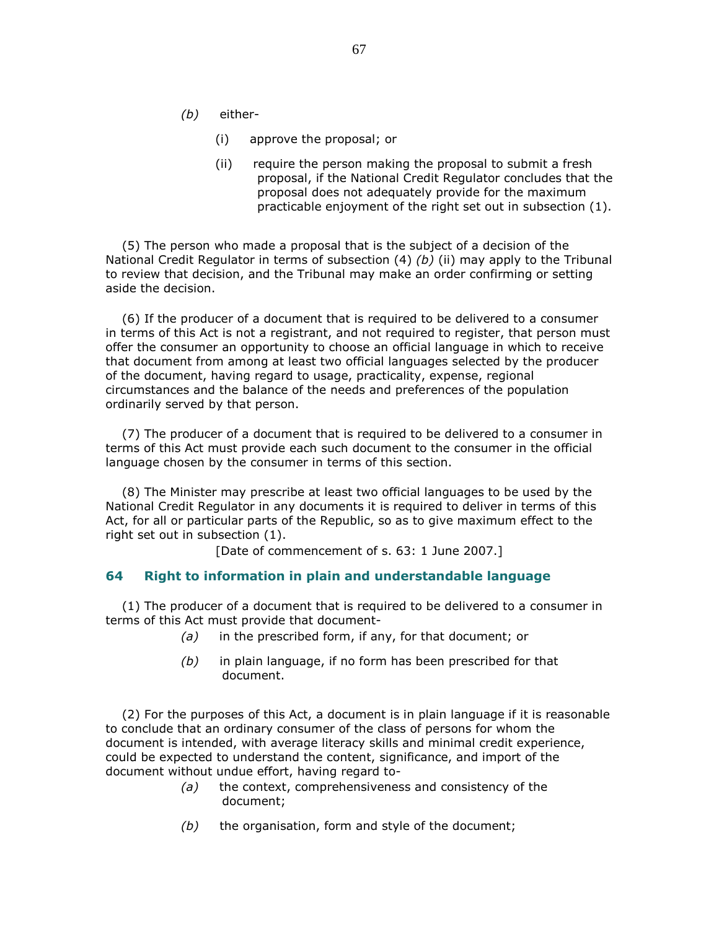- (b) either-
	- (i) approve the proposal; or
	- (ii) require the person making the proposal to submit a fresh proposal, if the National Credit Regulator concludes that the proposal does not adequately provide for the maximum practicable enjoyment of the right set out in subsection (1).

 (5) The person who made a proposal that is the subject of a decision of the National Credit Regulator in terms of subsection  $(4)$   $(b)$  (ii) may apply to the Tribunal to review that decision, and the Tribunal may make an order confirming or setting aside the decision.

 (6) If the producer of a document that is required to be delivered to a consumer in terms of this Act is not a registrant, and not required to register, that person must offer the consumer an opportunity to choose an official language in which to receive that document from among at least two official languages selected by the producer of the document, having regard to usage, practicality, expense, regional circumstances and the balance of the needs and preferences of the population ordinarily served by that person.

 (7) The producer of a document that is required to be delivered to a consumer in terms of this Act must provide each such document to the consumer in the official language chosen by the consumer in terms of this section.

 (8) The Minister may prescribe at least two official languages to be used by the National Credit Regulator in any documents it is required to deliver in terms of this Act, for all or particular parts of the Republic, so as to give maximum effect to the right set out in subsection (1).

[Date of commencement of s. 63: 1 June 2007.]

## 64 Right to information in plain and understandable language

 (1) The producer of a document that is required to be delivered to a consumer in terms of this Act must provide that document-

- $(a)$  in the prescribed form, if any, for that document; or
- $(b)$  in plain language, if no form has been prescribed for that document.

 (2) For the purposes of this Act, a document is in plain language if it is reasonable to conclude that an ordinary consumer of the class of persons for whom the document is intended, with average literacy skills and minimal credit experience, could be expected to understand the content, significance, and import of the document without undue effort, having regard to-

- $(a)$  the context, comprehensiveness and consistency of the document;
- $(b)$  the organisation, form and style of the document;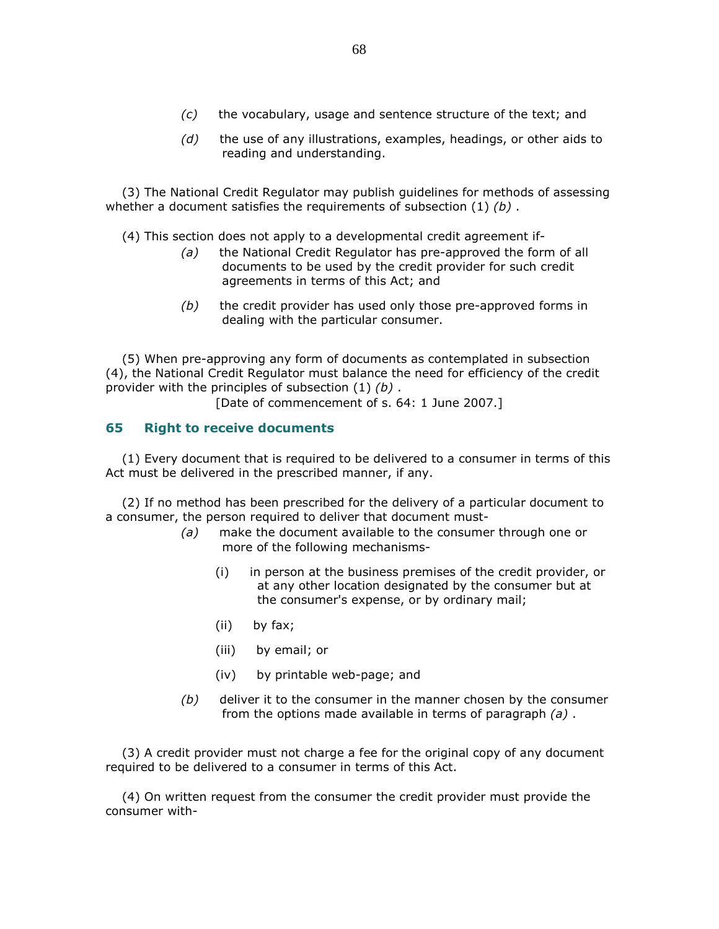- $(c)$  the vocabulary, usage and sentence structure of the text; and
- $(d)$  the use of any illustrations, examples, headings, or other aids to reading and understanding.

 (3) The National Credit Regulator may publish guidelines for methods of assessing whether a document satisfies the requirements of subsection  $(1)$   $(b)$ .

(4) This section does not apply to a developmental credit agreement if-

- (a) the National Credit Regulator has pre-approved the form of all documents to be used by the credit provider for such credit agreements in terms of this Act; and
- $(b)$  the credit provider has used only those pre-approved forms in dealing with the particular consumer.

 (5) When pre-approving any form of documents as contemplated in subsection (4), the National Credit Regulator must balance the need for efficiency of the credit provider with the principles of subsection  $(1)$   $(b)$ .

[Date of commencement of s. 64: 1 June 2007.]

### 65 Right to receive documents

 (1) Every document that is required to be delivered to a consumer in terms of this Act must be delivered in the prescribed manner, if any.

 (2) If no method has been prescribed for the delivery of a particular document to a consumer, the person required to deliver that document must-

- (a) make the document available to the consumer through one or more of the following mechanisms-
	- (i) in person at the business premises of the credit provider, or at any other location designated by the consumer but at the consumer's expense, or by ordinary mail;
	- (ii) by fax;
	- (iii) by email; or
	- (iv) by printable web-page; and
- $(b)$  deliver it to the consumer in the manner chosen by the consumer from the options made available in terms of paragraph  $(a)$ .

 (3) A credit provider must not charge a fee for the original copy of any document required to be delivered to a consumer in terms of this Act.

 (4) On written request from the consumer the credit provider must provide the consumer with-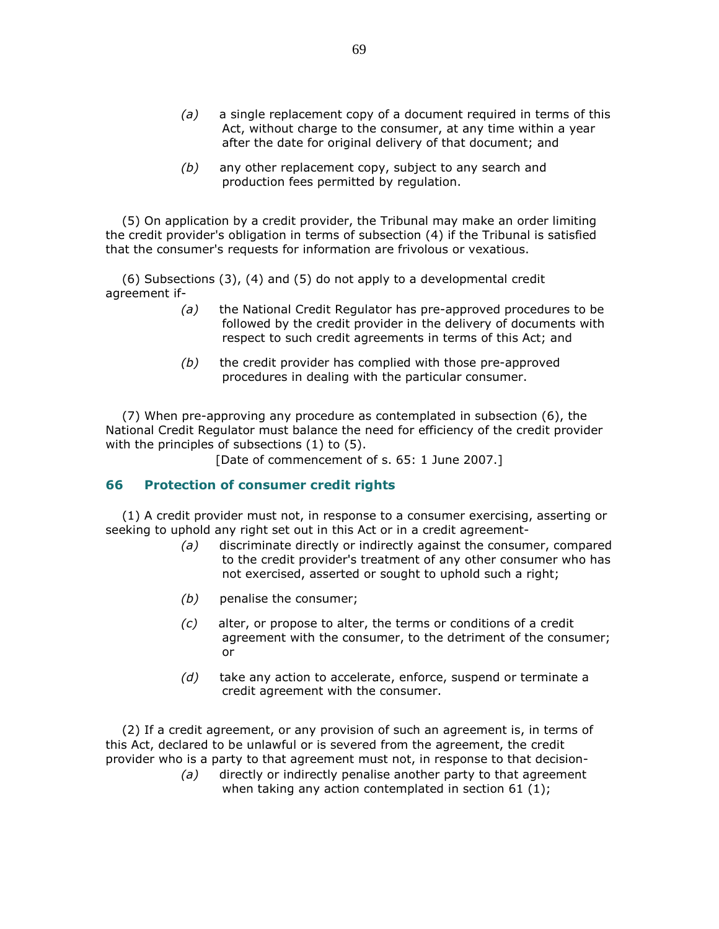- $(a)$  a single replacement copy of a document required in terms of this Act, without charge to the consumer, at any time within a year after the date for original delivery of that document; and
- (b) any other replacement copy, subject to any search and production fees permitted by regulation.

 (5) On application by a credit provider, the Tribunal may make an order limiting the credit provider's obligation in terms of subsection (4) if the Tribunal is satisfied that the consumer's requests for information are frivolous or vexatious.

 (6) Subsections (3), (4) and (5) do not apply to a developmental credit agreement if-

- (a) the National Credit Regulator has pre-approved procedures to be followed by the credit provider in the delivery of documents with respect to such credit agreements in terms of this Act; and
- $(b)$  the credit provider has complied with those pre-approved procedures in dealing with the particular consumer.

 (7) When pre-approving any procedure as contemplated in subsection (6), the National Credit Regulator must balance the need for efficiency of the credit provider with the principles of subsections (1) to (5).

[Date of commencement of s. 65: 1 June 2007.]

#### 66 Protection of consumer credit rights

 (1) A credit provider must not, in response to a consumer exercising, asserting or seeking to uphold any right set out in this Act or in a credit agreement-

- (a) discriminate directly or indirectly against the consumer, compared to the credit provider's treatment of any other consumer who has not exercised, asserted or sought to uphold such a right;
- (b) penalise the consumer;
- (c) alter, or propose to alter, the terms or conditions of a credit agreement with the consumer, to the detriment of the consumer; or
- $(d)$  take any action to accelerate, enforce, suspend or terminate a credit agreement with the consumer.

 (2) If a credit agreement, or any provision of such an agreement is, in terms of this Act, declared to be unlawful or is severed from the agreement, the credit provider who is a party to that agreement must not, in response to that decision-

> (a) directly or indirectly penalise another party to that agreement when taking any action contemplated in section 61 (1);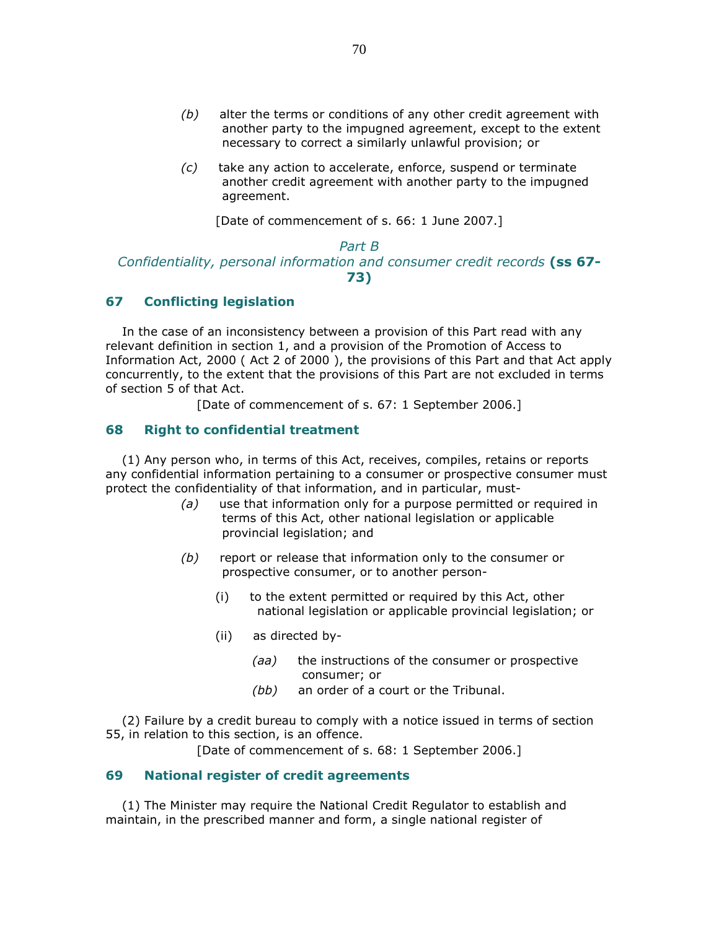- $(b)$  alter the terms or conditions of any other credit agreement with another party to the impugned agreement, except to the extent necessary to correct a similarly unlawful provision; or
- (c) take any action to accelerate, enforce, suspend or terminate another credit agreement with another party to the impugned agreement.

[Date of commencement of s. 66: 1 June 2007.]

# Part B Confidentiality, personal information and consumer credit records (ss 67-73)

#### 67 Conflicting legislation

 In the case of an inconsistency between a provision of this Part read with any relevant definition in section 1, and a provision of the Promotion of Access to Information Act, 2000 ( Act 2 of 2000 ), the provisions of this Part and that Act apply concurrently, to the extent that the provisions of this Part are not excluded in terms of section 5 of that Act.

[Date of commencement of s. 67: 1 September 2006.]

## 68 Right to confidential treatment

 (1) Any person who, in terms of this Act, receives, compiles, retains or reports any confidential information pertaining to a consumer or prospective consumer must protect the confidentiality of that information, and in particular, must-

- (a) use that information only for a purpose permitted or required in terms of this Act, other national legislation or applicable provincial legislation; and
- (b) report or release that information only to the consumer or prospective consumer, or to another person-
	- (i) to the extent permitted or required by this Act, other national legislation or applicable provincial legislation; or
	- (ii) as directed by-
		- (aa) the instructions of the consumer or prospective consumer; or
		- (bb) an order of a court or the Tribunal.

 (2) Failure by a credit bureau to comply with a notice issued in terms of section 55, in relation to this section, is an offence.

[Date of commencement of s. 68: 1 September 2006.]

## 69 National register of credit agreements

 (1) The Minister may require the National Credit Regulator to establish and maintain, in the prescribed manner and form, a single national register of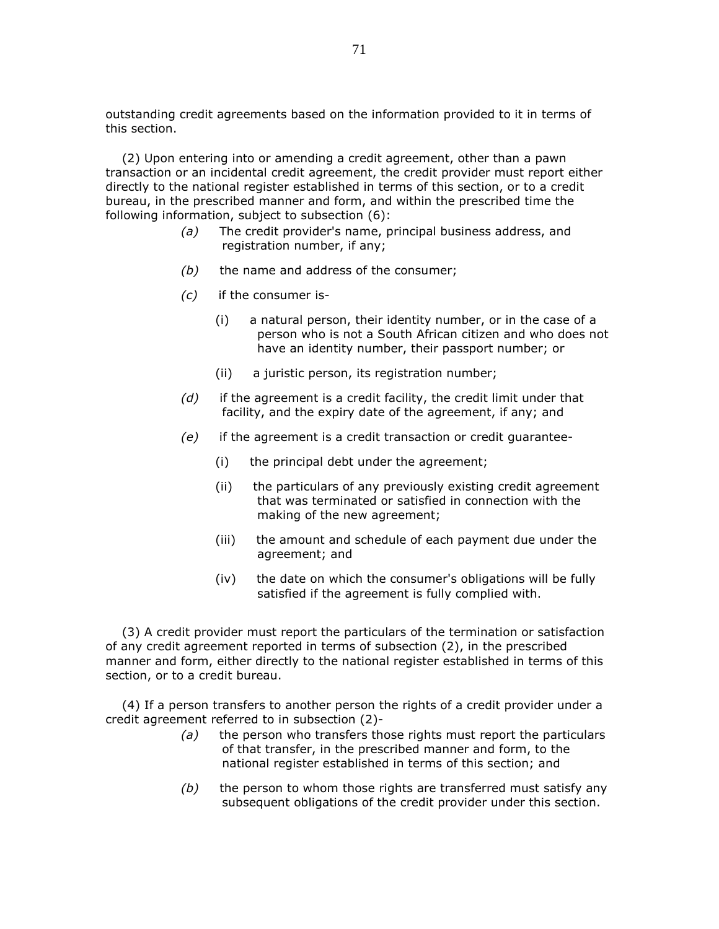outstanding credit agreements based on the information provided to it in terms of this section.

 (2) Upon entering into or amending a credit agreement, other than a pawn transaction or an incidental credit agreement, the credit provider must report either directly to the national register established in terms of this section, or to a credit bureau, in the prescribed manner and form, and within the prescribed time the following information, subject to subsection (6):

- (a) The credit provider's name, principal business address, and registration number, if any;
- $(b)$  the name and address of the consumer;
- (c) if the consumer is-
	- (i) a natural person, their identity number, or in the case of a person who is not a South African citizen and who does not have an identity number, their passport number; or
	- (ii) a juristic person, its registration number;
- $(d)$  if the agreement is a credit facility, the credit limit under that facility, and the expiry date of the agreement, if any; and
- $(e)$  if the agreement is a credit transaction or credit guarantee-
	- (i) the principal debt under the agreement;
	- (ii) the particulars of any previously existing credit agreement that was terminated or satisfied in connection with the making of the new agreement;
	- (iii) the amount and schedule of each payment due under the agreement; and
	- (iv) the date on which the consumer's obligations will be fully satisfied if the agreement is fully complied with.

 (3) A credit provider must report the particulars of the termination or satisfaction of any credit agreement reported in terms of subsection (2), in the prescribed manner and form, either directly to the national register established in terms of this section, or to a credit bureau.

 (4) If a person transfers to another person the rights of a credit provider under a credit agreement referred to in subsection (2)-

- $(a)$  the person who transfers those rights must report the particulars of that transfer, in the prescribed manner and form, to the national register established in terms of this section; and
- $(b)$  the person to whom those rights are transferred must satisfy any subsequent obligations of the credit provider under this section.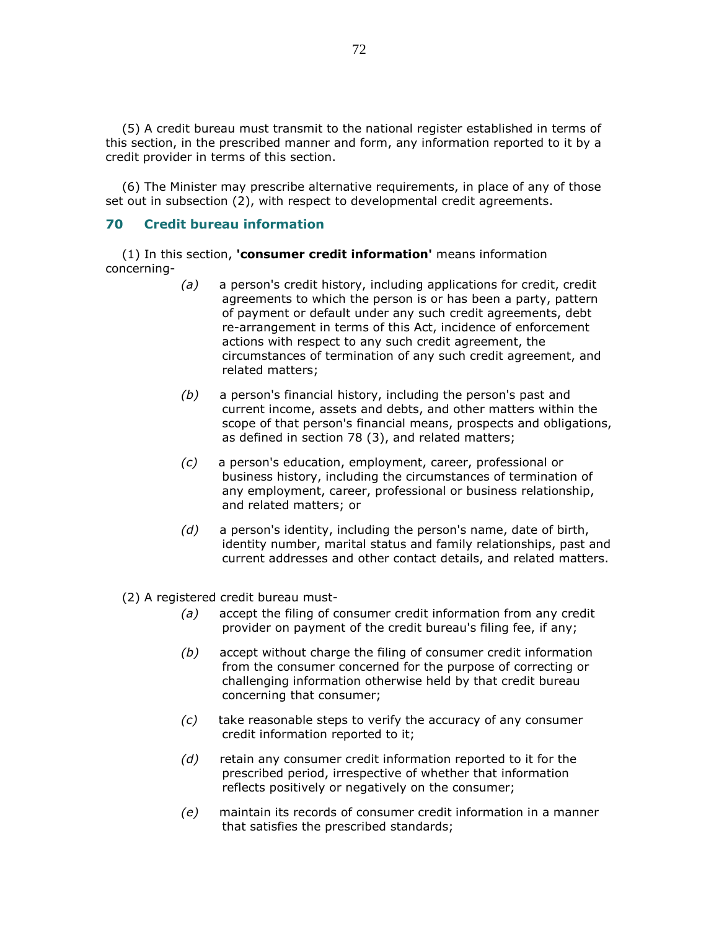(5) A credit bureau must transmit to the national register established in terms of this section, in the prescribed manner and form, any information reported to it by a credit provider in terms of this section.

 (6) The Minister may prescribe alternative requirements, in place of any of those set out in subsection (2), with respect to developmental credit agreements.

# 70 Credit bureau information

(1) In this section, 'consumer credit information' means information concerning-

- (a) a person's credit history, including applications for credit, credit agreements to which the person is or has been a party, pattern of payment or default under any such credit agreements, debt re-arrangement in terms of this Act, incidence of enforcement actions with respect to any such credit agreement, the circumstances of termination of any such credit agreement, and related matters;
- $(b)$  a person's financial history, including the person's past and current income, assets and debts, and other matters within the scope of that person's financial means, prospects and obligations, as defined in section 78 (3), and related matters;
- (c) a person's education, employment, career, professional or business history, including the circumstances of termination of any employment, career, professional or business relationship, and related matters; or
- $(d)$  a person's identity, including the person's name, date of birth, identity number, marital status and family relationships, past and current addresses and other contact details, and related matters.
- (2) A registered credit bureau must-
	- (a) accept the filing of consumer credit information from any credit provider on payment of the credit bureau's filing fee, if any;
	- (b) accept without charge the filing of consumer credit information from the consumer concerned for the purpose of correcting or challenging information otherwise held by that credit bureau concerning that consumer;
	- (c) take reasonable steps to verify the accuracy of any consumer credit information reported to it;
	- $(d)$  retain any consumer credit information reported to it for the prescribed period, irrespective of whether that information reflects positively or negatively on the consumer;
	- (e) maintain its records of consumer credit information in a manner that satisfies the prescribed standards;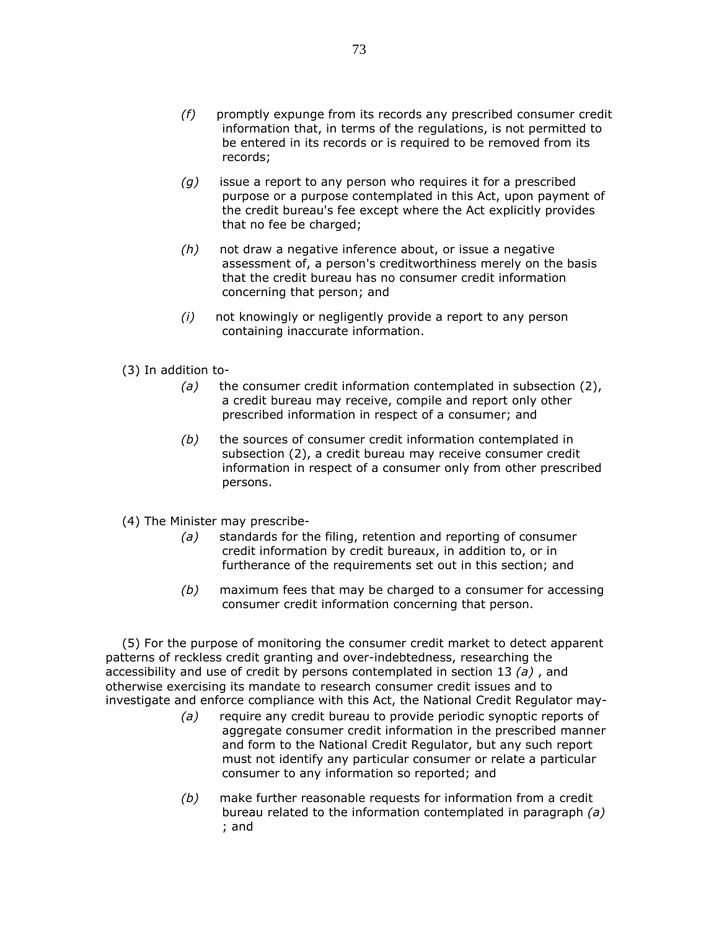- (f) promptly expunge from its records any prescribed consumer credit information that, in terms of the regulations, is not permitted to be entered in its records or is required to be removed from its records;
- $(g)$  issue a report to any person who requires it for a prescribed purpose or a purpose contemplated in this Act, upon payment of the credit bureau's fee except where the Act explicitly provides that no fee be charged;
- $(h)$  not draw a negative inference about, or issue a negative assessment of, a person's creditworthiness merely on the basis that the credit bureau has no consumer credit information concerning that person; and
- (i) not knowingly or negligently provide a report to any person containing inaccurate information.
- (3) In addition to-
	- (a) the consumer credit information contemplated in subsection  $(2)$ , a credit bureau may receive, compile and report only other prescribed information in respect of a consumer; and
	- $(b)$  the sources of consumer credit information contemplated in subsection (2), a credit bureau may receive consumer credit information in respect of a consumer only from other prescribed persons.
- (4) The Minister may prescribe-
	- (a) standards for the filing, retention and reporting of consumer credit information by credit bureaux, in addition to, or in furtherance of the requirements set out in this section; and
	- $(b)$  maximum fees that may be charged to a consumer for accessing consumer credit information concerning that person.

 (5) For the purpose of monitoring the consumer credit market to detect apparent patterns of reckless credit granting and over-indebtedness, researching the accessibility and use of credit by persons contemplated in section 13  $(a)$ , and otherwise exercising its mandate to research consumer credit issues and to investigate and enforce compliance with this Act, the National Credit Regulator may-

- (a) require any credit bureau to provide periodic synoptic reports of aggregate consumer credit information in the prescribed manner and form to the National Credit Regulator, but any such report must not identify any particular consumer or relate a particular consumer to any information so reported; and
- (b) make further reasonable requests for information from a credit bureau related to the information contemplated in paragraph (a) ; and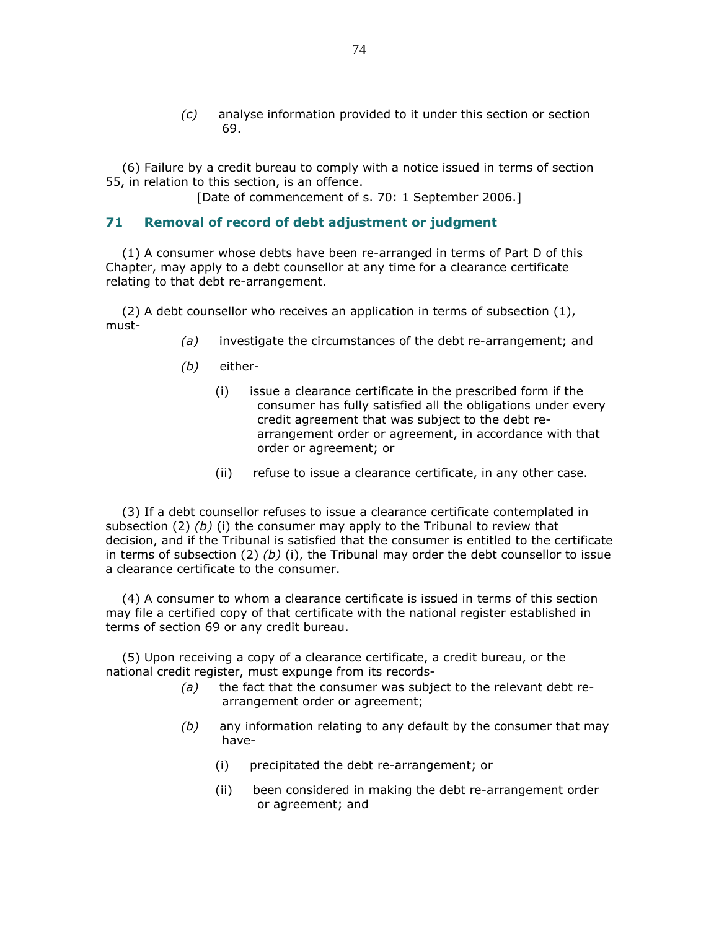(c) analyse information provided to it under this section or section 69.

 (6) Failure by a credit bureau to comply with a notice issued in terms of section 55, in relation to this section, is an offence.

[Date of commencement of s. 70: 1 September 2006.]

### 71 Removal of record of debt adjustment or judgment

 (1) A consumer whose debts have been re-arranged in terms of Part D of this Chapter, may apply to a debt counsellor at any time for a clearance certificate relating to that debt re-arrangement.

 (2) A debt counsellor who receives an application in terms of subsection (1), must-

- (a) investigate the circumstances of the debt re-arrangement; and
- (b) either-
	- (i) issue a clearance certificate in the prescribed form if the consumer has fully satisfied all the obligations under every credit agreement that was subject to the debt rearrangement order or agreement, in accordance with that order or agreement; or
	- (ii) refuse to issue a clearance certificate, in any other case.

 (3) If a debt counsellor refuses to issue a clearance certificate contemplated in subsection (2) (b) (i) the consumer may apply to the Tribunal to review that decision, and if the Tribunal is satisfied that the consumer is entitled to the certificate in terms of subsection (2) (b) (i), the Tribunal may order the debt counsellor to issue a clearance certificate to the consumer.

 (4) A consumer to whom a clearance certificate is issued in terms of this section may file a certified copy of that certificate with the national register established in terms of section 69 or any credit bureau.

 (5) Upon receiving a copy of a clearance certificate, a credit bureau, or the national credit register, must expunge from its records-

- $(a)$  the fact that the consumer was subject to the relevant debt rearrangement order or agreement;
- $(b)$  any information relating to any default by the consumer that may have-
	- (i) precipitated the debt re-arrangement; or
	- (ii) been considered in making the debt re-arrangement order or agreement; and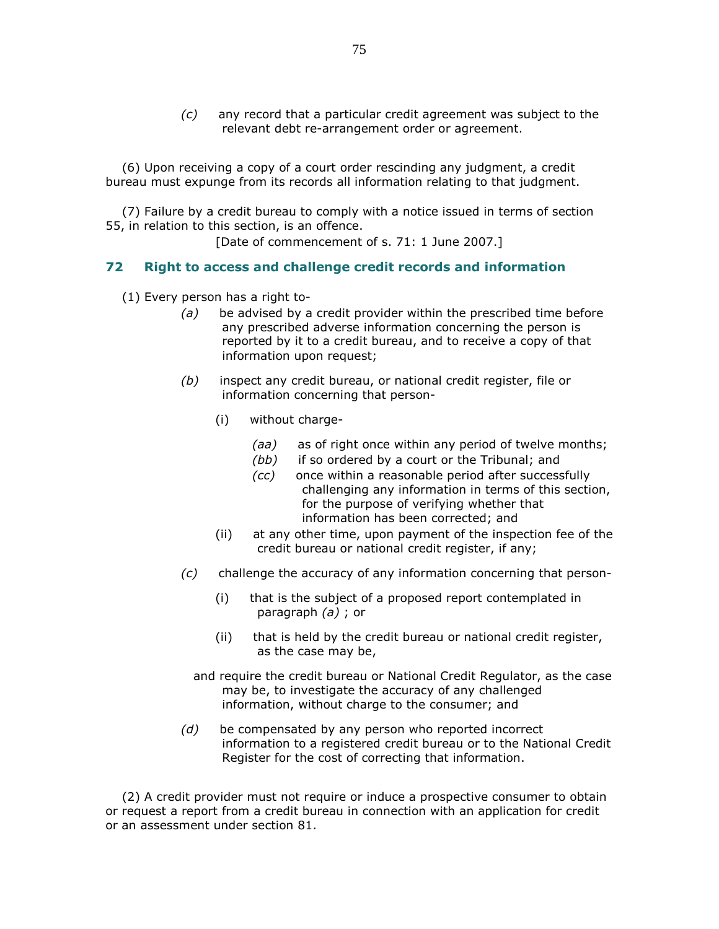(c) any record that a particular credit agreement was subject to the relevant debt re-arrangement order or agreement.

 (6) Upon receiving a copy of a court order rescinding any judgment, a credit bureau must expunge from its records all information relating to that judgment.

 (7) Failure by a credit bureau to comply with a notice issued in terms of section 55, in relation to this section, is an offence.

[Date of commencement of s. 71: 1 June 2007.]

## 72 Right to access and challenge credit records and information

(1) Every person has a right to-

- $(a)$  be advised by a credit provider within the prescribed time before any prescribed adverse information concerning the person is reported by it to a credit bureau, and to receive a copy of that information upon request;
- (b) inspect any credit bureau, or national credit register, file or information concerning that person-
	- (i) without charge-
		- (aa) as of right once within any period of twelve months;
		- (bb) if so ordered by a court or the Tribunal; and
		- (cc) once within a reasonable period after successfully challenging any information in terms of this section, for the purpose of verifying whether that information has been corrected; and
	- (ii) at any other time, upon payment of the inspection fee of the credit bureau or national credit register, if any;
- $(c)$  challenge the accuracy of any information concerning that person-
	- (i) that is the subject of a proposed report contemplated in paragraph  $(a)$ ; or
	- (ii) that is held by the credit bureau or national credit register, as the case may be,
	- and require the credit bureau or National Credit Regulator, as the case may be, to investigate the accuracy of any challenged information, without charge to the consumer; and
- $(d)$  be compensated by any person who reported incorrect information to a registered credit bureau or to the National Credit Register for the cost of correcting that information.

 (2) A credit provider must not require or induce a prospective consumer to obtain or request a report from a credit bureau in connection with an application for credit or an assessment under section 81.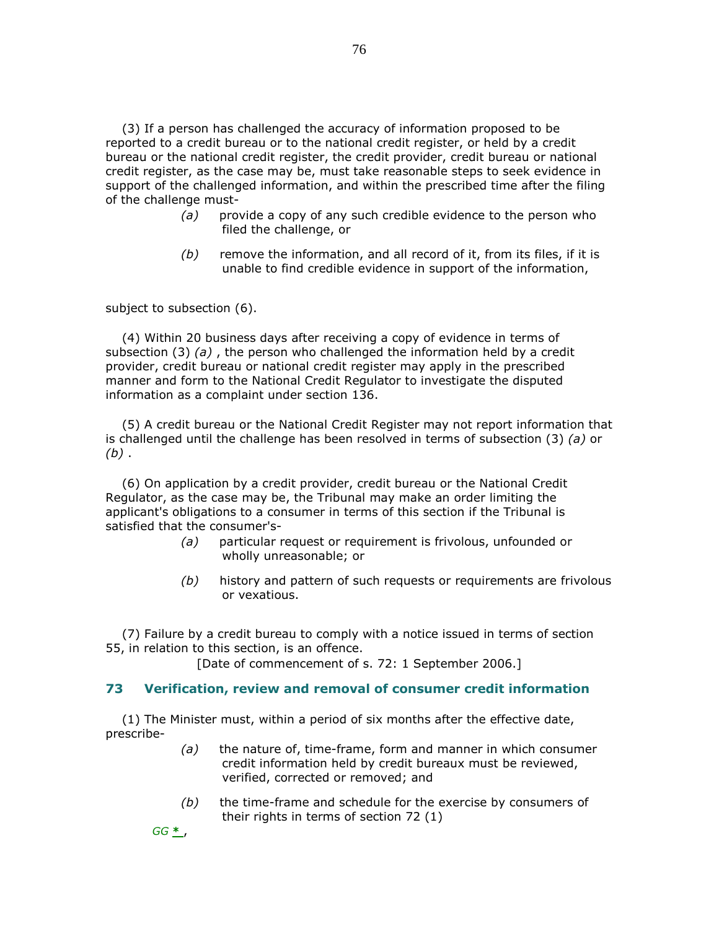(3) If a person has challenged the accuracy of information proposed to be reported to a credit bureau or to the national credit register, or held by a credit bureau or the national credit register, the credit provider, credit bureau or national credit register, as the case may be, must take reasonable steps to seek evidence in support of the challenged information, and within the prescribed time after the filing of the challenge must-

- $(a)$  provide a copy of any such credible evidence to the person who filed the challenge, or
- $(b)$  remove the information, and all record of it, from its files, if it is unable to find credible evidence in support of the information,

subject to subsection (6).

 (4) Within 20 business days after receiving a copy of evidence in terms of subsection  $(3)$   $(a)$ , the person who challenged the information held by a credit provider, credit bureau or national credit register may apply in the prescribed manner and form to the National Credit Regulator to investigate the disputed information as a complaint under section 136.

 (5) A credit bureau or the National Credit Register may not report information that is challenged until the challenge has been resolved in terms of subsection (3) (a) or  $(b)$ .

 (6) On application by a credit provider, credit bureau or the National Credit Regulator, as the case may be, the Tribunal may make an order limiting the applicant's obligations to a consumer in terms of this section if the Tribunal is satisfied that the consumer's-

- (a) particular request or requirement is frivolous, unfounded or wholly unreasonable; or
- $(b)$  history and pattern of such requests or requirements are frivolous or vexatious.

 (7) Failure by a credit bureau to comply with a notice issued in terms of section 55, in relation to this section, is an offence.

[Date of commencement of s. 72: 1 September 2006.]

### 73 Verification, review and removal of consumer credit information

 (1) The Minister must, within a period of six months after the effective date, prescribe-

- $(a)$  the nature of, time-frame, form and manner in which consumer credit information held by credit bureaux must be reviewed, verified, corrected or removed; and
- $(b)$  the time-frame and schedule for the exercise by consumers of their rights in terms of section 72 (1)

 $GG \overset{*}{\underline{\smile}}$ ,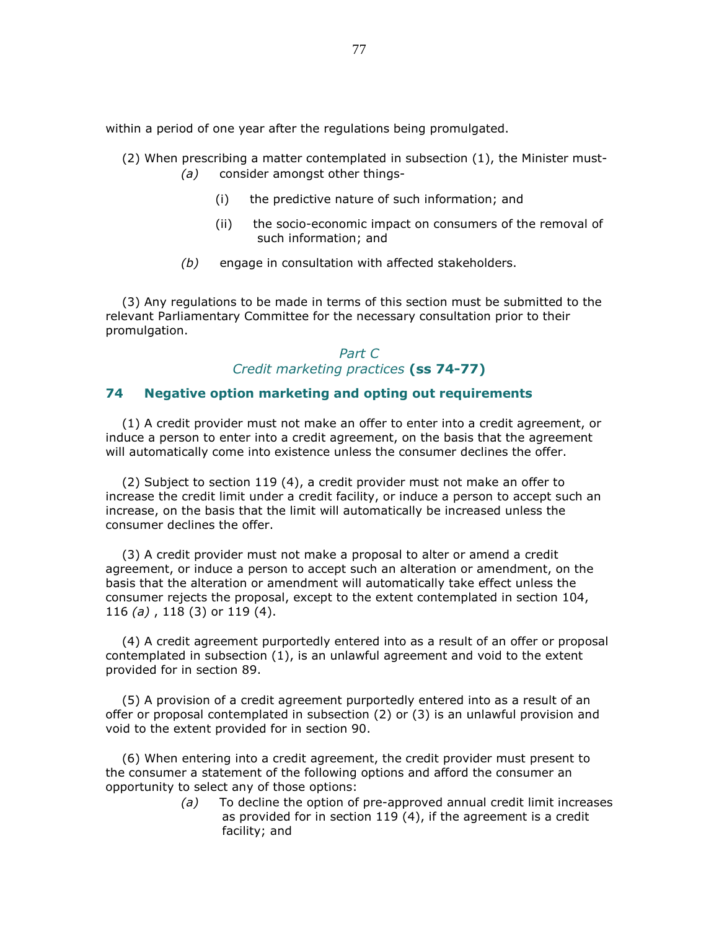within a period of one year after the regulations being promulgated.

- (2) When prescribing a matter contemplated in subsection (1), the Minister must-
	- (a) consider amongst other things-
		- (i) the predictive nature of such information; and
		- (ii) the socio-economic impact on consumers of the removal of such information; and
	- (b) engage in consultation with affected stakeholders.

 (3) Any regulations to be made in terms of this section must be submitted to the relevant Parliamentary Committee for the necessary consultation prior to their promulgation.

# Part C Credit marketing practices (ss 74-77)

# 74 Negative option marketing and opting out requirements

 (1) A credit provider must not make an offer to enter into a credit agreement, or induce a person to enter into a credit agreement, on the basis that the agreement will automatically come into existence unless the consumer declines the offer.

 (2) Subject to section 119 (4), a credit provider must not make an offer to increase the credit limit under a credit facility, or induce a person to accept such an increase, on the basis that the limit will automatically be increased unless the consumer declines the offer.

 (3) A credit provider must not make a proposal to alter or amend a credit agreement, or induce a person to accept such an alteration or amendment, on the basis that the alteration or amendment will automatically take effect unless the consumer rejects the proposal, except to the extent contemplated in section 104, 116 (a) , 118 (3) or 119 (4).

 (4) A credit agreement purportedly entered into as a result of an offer or proposal contemplated in subsection (1), is an unlawful agreement and void to the extent provided for in section 89.

 (5) A provision of a credit agreement purportedly entered into as a result of an offer or proposal contemplated in subsection (2) or (3) is an unlawful provision and void to the extent provided for in section 90.

 (6) When entering into a credit agreement, the credit provider must present to the consumer a statement of the following options and afford the consumer an opportunity to select any of those options:

> $(a)$  To decline the option of pre-approved annual credit limit increases as provided for in section 119 (4), if the agreement is a credit facility; and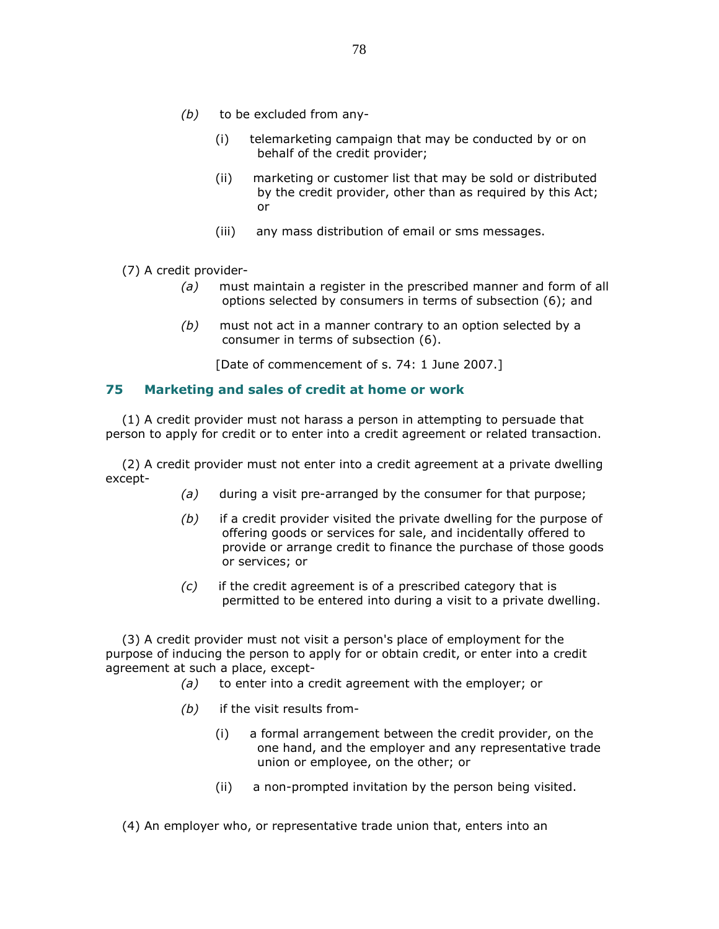- $(b)$  to be excluded from any-
	- (i) telemarketing campaign that may be conducted by or on behalf of the credit provider;
	- (ii) marketing or customer list that may be sold or distributed by the credit provider, other than as required by this Act; or
	- (iii) any mass distribution of email or sms messages.
- (7) A credit provider-
	- $(a)$  must maintain a register in the prescribed manner and form of all options selected by consumers in terms of subsection (6); and
	- $(b)$  must not act in a manner contrary to an option selected by a consumer in terms of subsection (6).

[Date of commencement of s. 74: 1 June 2007.]

#### 75 Marketing and sales of credit at home or work

 (1) A credit provider must not harass a person in attempting to persuade that person to apply for credit or to enter into a credit agreement or related transaction.

 (2) A credit provider must not enter into a credit agreement at a private dwelling except-

- (a) during a visit pre-arranged by the consumer for that purpose;
- $(b)$  if a credit provider visited the private dwelling for the purpose of offering goods or services for sale, and incidentally offered to provide or arrange credit to finance the purchase of those goods or services; or
- (c) if the credit agreement is of a prescribed category that is permitted to be entered into during a visit to a private dwelling.

 (3) A credit provider must not visit a person's place of employment for the purpose of inducing the person to apply for or obtain credit, or enter into a credit agreement at such a place, except-

- (a) to enter into a credit agreement with the employer; or
- $(b)$  if the visit results from-
	- (i) a formal arrangement between the credit provider, on the one hand, and the employer and any representative trade union or employee, on the other; or
	- (ii) a non-prompted invitation by the person being visited.

(4) An employer who, or representative trade union that, enters into an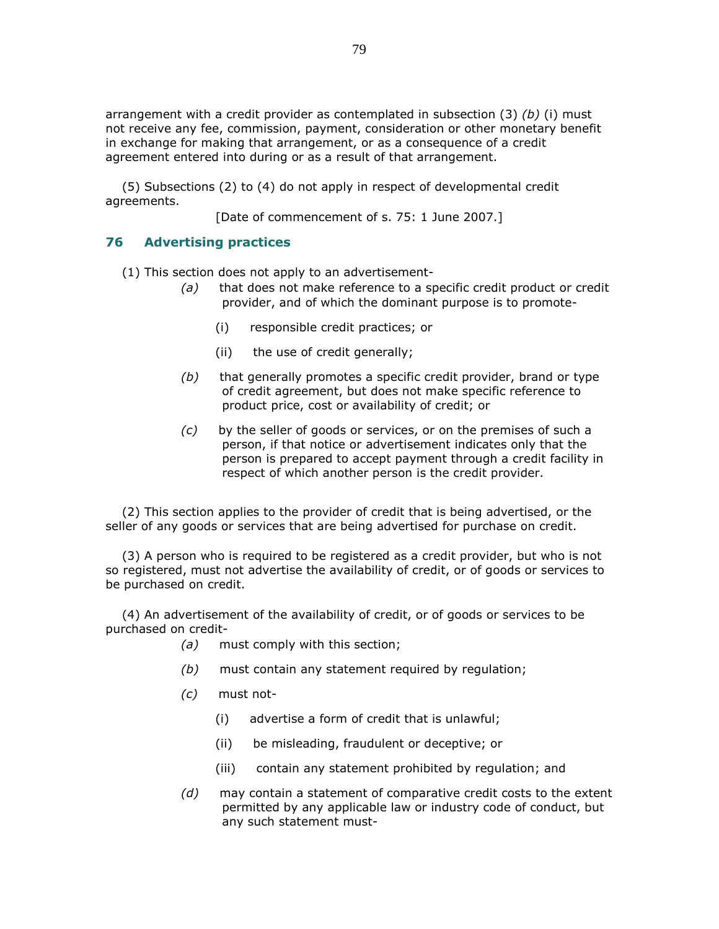arrangement with a credit provider as contemplated in subsection (3) (b) (i) must not receive any fee, commission, payment, consideration or other monetary benefit in exchange for making that arrangement, or as a consequence of a credit agreement entered into during or as a result of that arrangement.

 (5) Subsections (2) to (4) do not apply in respect of developmental credit agreements.

[Date of commencement of s. 75: 1 June 2007.]

# 76 Advertising practices

(1) This section does not apply to an advertisement-

- (a) that does not make reference to a specific credit product or credit provider, and of which the dominant purpose is to promote-
	- (i) responsible credit practices; or
	- (ii) the use of credit generally;
- $(b)$  that generally promotes a specific credit provider, brand or type of credit agreement, but does not make specific reference to product price, cost or availability of credit; or
- $(c)$  by the seller of goods or services, or on the premises of such a person, if that notice or advertisement indicates only that the person is prepared to accept payment through a credit facility in respect of which another person is the credit provider.

 (2) This section applies to the provider of credit that is being advertised, or the seller of any goods or services that are being advertised for purchase on credit.

 (3) A person who is required to be registered as a credit provider, but who is not so registered, must not advertise the availability of credit, or of goods or services to be purchased on credit.

 (4) An advertisement of the availability of credit, or of goods or services to be purchased on credit-

- (a) must comply with this section;
- $(b)$  must contain any statement required by regulation;
- (c) must not-
	- (i) advertise a form of credit that is unlawful;
	- (ii) be misleading, fraudulent or deceptive; or
	- (iii) contain any statement prohibited by regulation; and
- $(d)$  may contain a statement of comparative credit costs to the extent permitted by any applicable law or industry code of conduct, but any such statement must-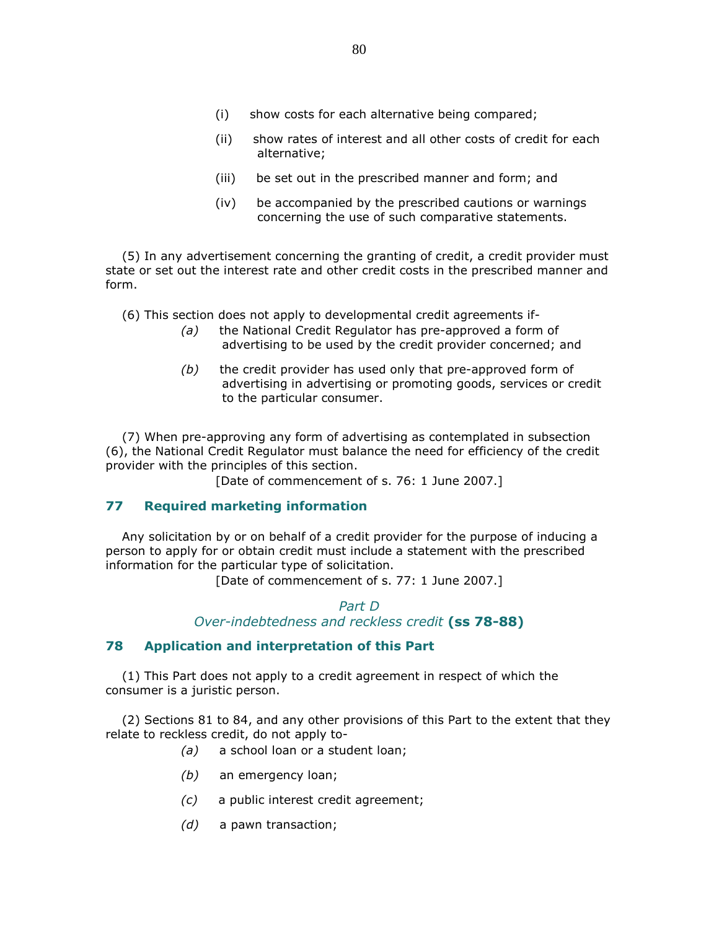- (i) show costs for each alternative being compared;
- (ii) show rates of interest and all other costs of credit for each alternative;
- (iii) be set out in the prescribed manner and form; and
- (iv) be accompanied by the prescribed cautions or warnings concerning the use of such comparative statements.

 (5) In any advertisement concerning the granting of credit, a credit provider must state or set out the interest rate and other credit costs in the prescribed manner and form.

(6) This section does not apply to developmental credit agreements if-

- (a) the National Credit Regulator has pre-approved a form of advertising to be used by the credit provider concerned; and
- $(b)$  the credit provider has used only that pre-approved form of advertising in advertising or promoting goods, services or credit to the particular consumer.

 (7) When pre-approving any form of advertising as contemplated in subsection (6), the National Credit Regulator must balance the need for efficiency of the credit provider with the principles of this section.

[Date of commencement of s. 76: 1 June 2007.]

### 77 Required marketing information

 Any solicitation by or on behalf of a credit provider for the purpose of inducing a person to apply for or obtain credit must include a statement with the prescribed information for the particular type of solicitation.

[Date of commencement of s. 77: 1 June 2007.]

Part D Over-indebtedness and reckless credit (ss 78-88)

### 78 Application and interpretation of this Part

 (1) This Part does not apply to a credit agreement in respect of which the consumer is a juristic person.

 (2) Sections 81 to 84, and any other provisions of this Part to the extent that they relate to reckless credit, do not apply to-

- (a) a school loan or a student loan;
- (b) an emergency loan;
- (c) a public interest credit agreement;
- (d) a pawn transaction;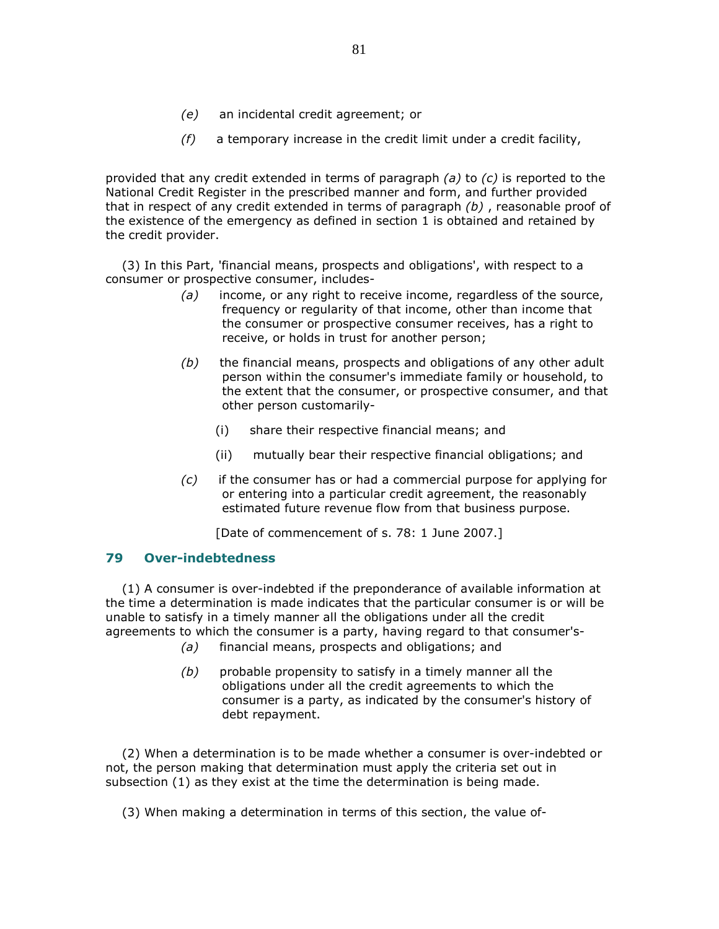- (e) an incidental credit agreement; or
- $(f)$  a temporary increase in the credit limit under a credit facility,

provided that any credit extended in terms of paragraph  $(a)$  to  $(c)$  is reported to the National Credit Register in the prescribed manner and form, and further provided that in respect of any credit extended in terms of paragraph  $(b)$ , reasonable proof of the existence of the emergency as defined in section 1 is obtained and retained by the credit provider.

 (3) In this Part, 'financial means, prospects and obligations', with respect to a consumer or prospective consumer, includes-

- $(a)$  income, or any right to receive income, regardless of the source, frequency or regularity of that income, other than income that the consumer or prospective consumer receives, has a right to receive, or holds in trust for another person;
- $(b)$  the financial means, prospects and obligations of any other adult person within the consumer's immediate family or household, to the extent that the consumer, or prospective consumer, and that other person customarily-
	- (i) share their respective financial means; and
	- (ii) mutually bear their respective financial obligations; and
- (c) if the consumer has or had a commercial purpose for applying for or entering into a particular credit agreement, the reasonably estimated future revenue flow from that business purpose.

[Date of commencement of s. 78: 1 June 2007.]

### 79 Over-indebtedness

 (1) A consumer is over-indebted if the preponderance of available information at the time a determination is made indicates that the particular consumer is or will be unable to satisfy in a timely manner all the obligations under all the credit agreements to which the consumer is a party, having regard to that consumer's-

- (a) financial means, prospects and obligations; and
- $(b)$  probable propensity to satisfy in a timely manner all the obligations under all the credit agreements to which the consumer is a party, as indicated by the consumer's history of debt repayment.

 (2) When a determination is to be made whether a consumer is over-indebted or not, the person making that determination must apply the criteria set out in subsection (1) as they exist at the time the determination is being made.

(3) When making a determination in terms of this section, the value of-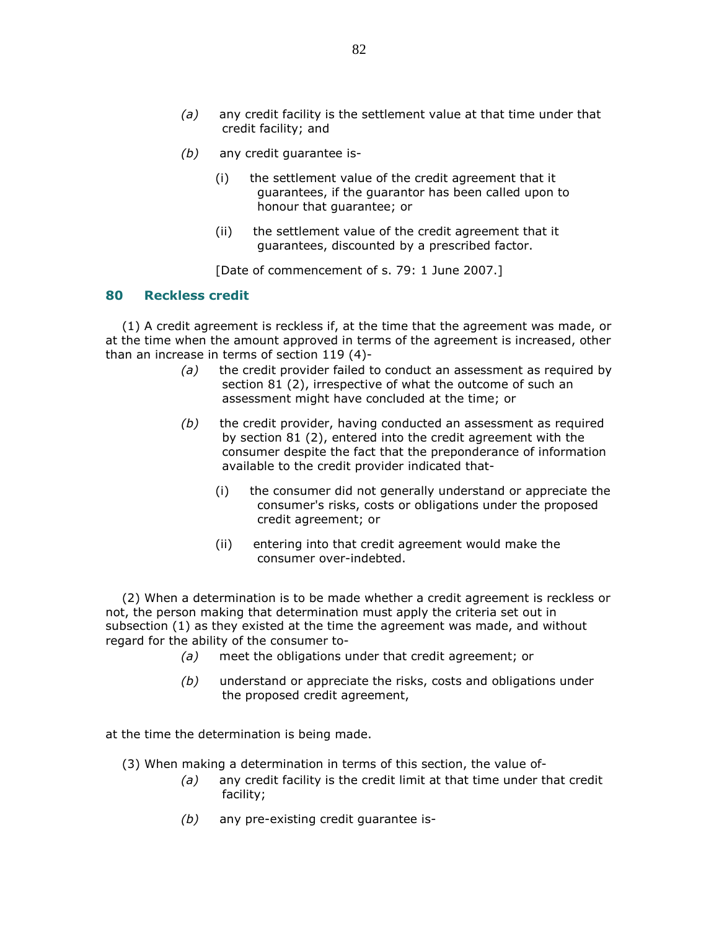- $(a)$  any credit facility is the settlement value at that time under that credit facility; and
- (b) any credit guarantee is-
	- (i) the settlement value of the credit agreement that it guarantees, if the guarantor has been called upon to honour that guarantee; or
	- (ii) the settlement value of the credit agreement that it guarantees, discounted by a prescribed factor.

[Date of commencement of s. 79: 1 June 2007.]

#### 80 Reckless credit

 (1) A credit agreement is reckless if, at the time that the agreement was made, or at the time when the amount approved in terms of the agreement is increased, other than an increase in terms of section 119 (4)-

- (a) the credit provider failed to conduct an assessment as required by section 81 (2), irrespective of what the outcome of such an assessment might have concluded at the time; or
- $(b)$  the credit provider, having conducted an assessment as required by section 81 (2), entered into the credit agreement with the consumer despite the fact that the preponderance of information available to the credit provider indicated that-
	- (i) the consumer did not generally understand or appreciate the consumer's risks, costs or obligations under the proposed credit agreement; or
	- (ii) entering into that credit agreement would make the consumer over-indebted.

 (2) When a determination is to be made whether a credit agreement is reckless or not, the person making that determination must apply the criteria set out in subsection (1) as they existed at the time the agreement was made, and without regard for the ability of the consumer to-

- (a) meet the obligations under that credit agreement; or
- (b) understand or appreciate the risks, costs and obligations under the proposed credit agreement,

at the time the determination is being made.

- (3) When making a determination in terms of this section, the value of-
	- $(a)$  any credit facility is the credit limit at that time under that credit facility;
	- $(b)$  any pre-existing credit guarantee is-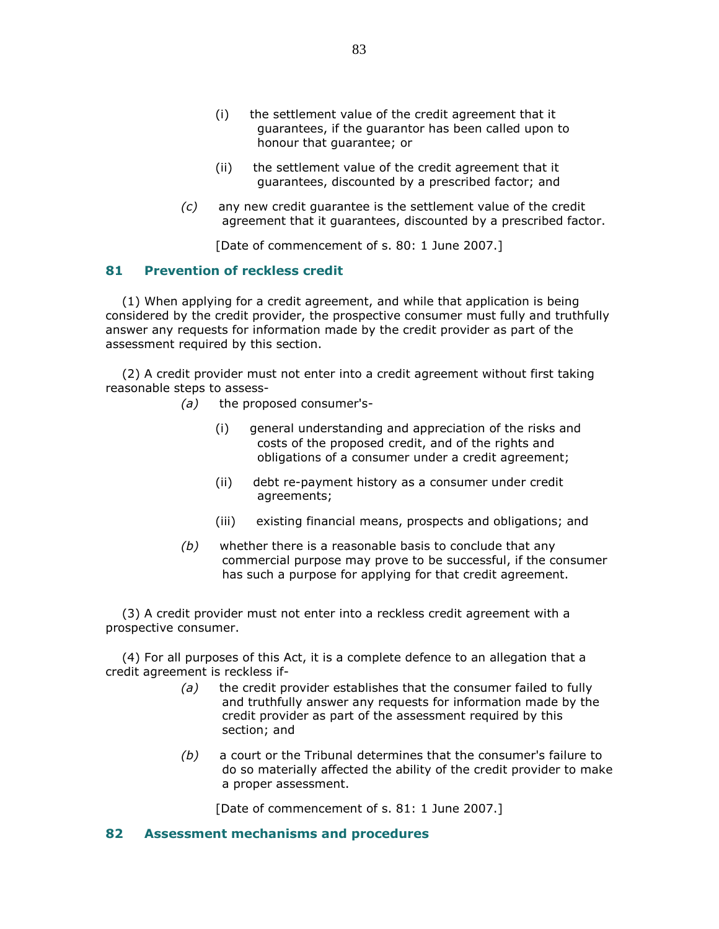- (i) the settlement value of the credit agreement that it guarantees, if the guarantor has been called upon to honour that guarantee; or
- (ii) the settlement value of the credit agreement that it guarantees, discounted by a prescribed factor; and
- (c) any new credit guarantee is the settlement value of the credit agreement that it guarantees, discounted by a prescribed factor.

[Date of commencement of s. 80: 1 June 2007.]

## 81 Prevention of reckless credit

 (1) When applying for a credit agreement, and while that application is being considered by the credit provider, the prospective consumer must fully and truthfully answer any requests for information made by the credit provider as part of the assessment required by this section.

 (2) A credit provider must not enter into a credit agreement without first taking reasonable steps to assess-

- (a) the proposed consumer's-
	- (i) general understanding and appreciation of the risks and costs of the proposed credit, and of the rights and obligations of a consumer under a credit agreement;
	- (ii) debt re-payment history as a consumer under credit agreements;
	- (iii) existing financial means, prospects and obligations; and
- $(b)$  whether there is a reasonable basis to conclude that any commercial purpose may prove to be successful, if the consumer has such a purpose for applying for that credit agreement.

 (3) A credit provider must not enter into a reckless credit agreement with a prospective consumer.

 (4) For all purposes of this Act, it is a complete defence to an allegation that a credit agreement is reckless if-

- $(a)$  the credit provider establishes that the consumer failed to fully and truthfully answer any requests for information made by the credit provider as part of the assessment required by this section; and
- (b) a court or the Tribunal determines that the consumer's failure to do so materially affected the ability of the credit provider to make a proper assessment.

[Date of commencement of s. 81: 1 June 2007.]

# 82 Assessment mechanisms and procedures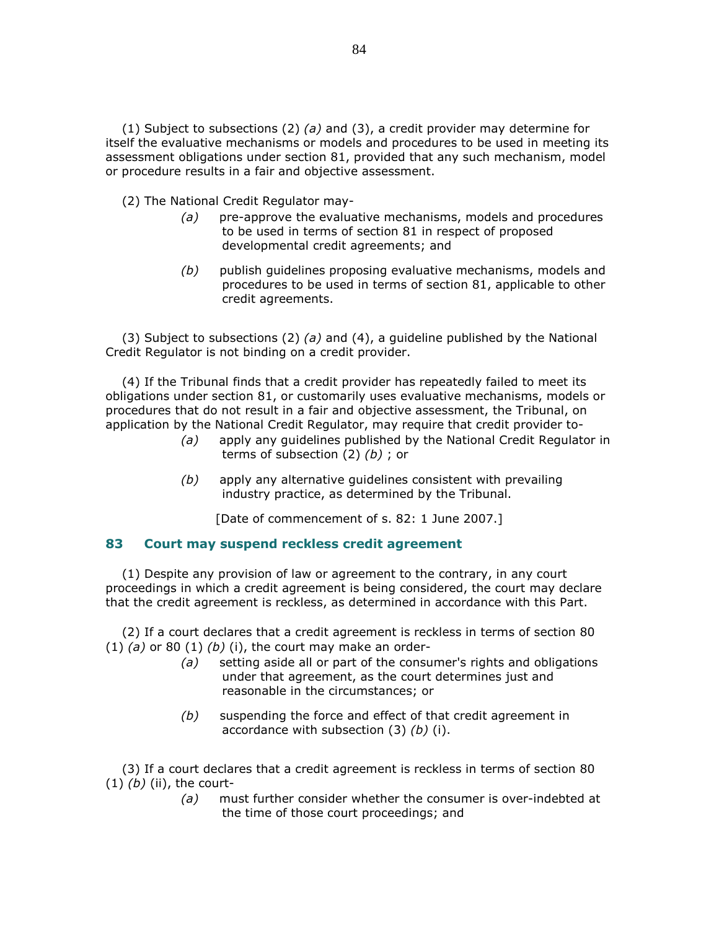(1) Subject to subsections (2) (a) and (3), a credit provider may determine for itself the evaluative mechanisms or models and procedures to be used in meeting its assessment obligations under section 81, provided that any such mechanism, model or procedure results in a fair and objective assessment.

(2) The National Credit Regulator may-

- $(a)$  pre-approve the evaluative mechanisms, models and procedures to be used in terms of section 81 in respect of proposed developmental credit agreements; and
- (b) publish guidelines proposing evaluative mechanisms, models and procedures to be used in terms of section 81, applicable to other credit agreements.

(3) Subject to subsections (2) (a) and (4), a guideline published by the National Credit Regulator is not binding on a credit provider.

 (4) If the Tribunal finds that a credit provider has repeatedly failed to meet its obligations under section 81, or customarily uses evaluative mechanisms, models or procedures that do not result in a fair and objective assessment, the Tribunal, on application by the National Credit Regulator, may require that credit provider to-

- (a) apply any guidelines published by the National Credit Regulator in terms of subsection  $(2)$   $(b)$ ; or
- $(b)$  apply any alternative quidelines consistent with prevailing industry practice, as determined by the Tribunal.

[Date of commencement of s. 82: 1 June 2007.]

### 83 Court may suspend reckless credit agreement

 (1) Despite any provision of law or agreement to the contrary, in any court proceedings in which a credit agreement is being considered, the court may declare that the credit agreement is reckless, as determined in accordance with this Part.

 (2) If a court declares that a credit agreement is reckless in terms of section 80 (1) (a) or 80 (1) (b) (i), the court may make an order-

- (a) setting aside all or part of the consumer's rights and obligations under that agreement, as the court determines just and reasonable in the circumstances; or
- (b) suspending the force and effect of that credit agreement in accordance with subsection  $(3)$   $(b)$   $(i)$ .

 (3) If a court declares that a credit agreement is reckless in terms of section 80  $(1)$   $(b)$  (ii), the court-

> (a) must further consider whether the consumer is over-indebted at the time of those court proceedings; and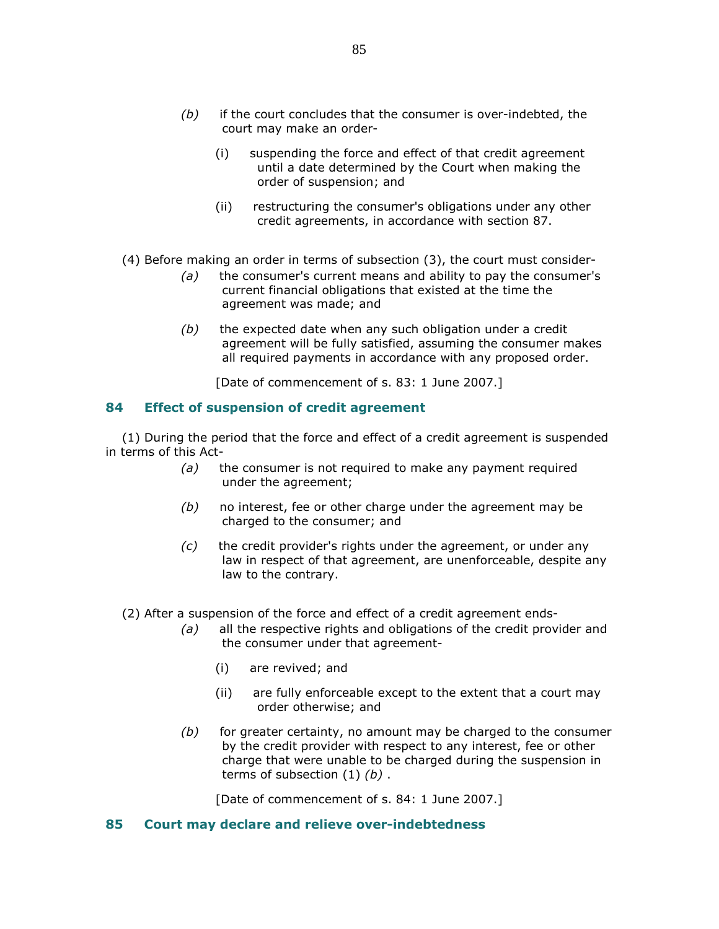- $(b)$  if the court concludes that the consumer is over-indebted, the court may make an order-
	- (i) suspending the force and effect of that credit agreement until a date determined by the Court when making the order of suspension; and
	- (ii) restructuring the consumer's obligations under any other credit agreements, in accordance with section 87.
- (4) Before making an order in terms of subsection (3), the court must consider-
	- $(a)$  the consumer's current means and ability to pay the consumer's current financial obligations that existed at the time the agreement was made; and
	- $(b)$  the expected date when any such obligation under a credit agreement will be fully satisfied, assuming the consumer makes all required payments in accordance with any proposed order.

[Date of commencement of s. 83: 1 June 2007.]

## 84 Effect of suspension of credit agreement

 (1) During the period that the force and effect of a credit agreement is suspended in terms of this Act-

- $(a)$  the consumer is not required to make any payment required under the agreement;
- $(b)$  no interest, fee or other charge under the agreement may be charged to the consumer; and
- $(c)$  the credit provider's rights under the agreement, or under any law in respect of that agreement, are unenforceable, despite any law to the contrary.
- (2) After a suspension of the force and effect of a credit agreement ends-
	- (a) all the respective rights and obligations of the credit provider and the consumer under that agreement-
		- (i) are revived; and
		- (ii) are fully enforceable except to the extent that a court may order otherwise; and
	- $(b)$  for greater certainty, no amount may be charged to the consumer by the credit provider with respect to any interest, fee or other charge that were unable to be charged during the suspension in terms of subsection  $(1)$   $(b)$ .

[Date of commencement of s. 84: 1 June 2007.]

### 85 Court may declare and relieve over-indebtedness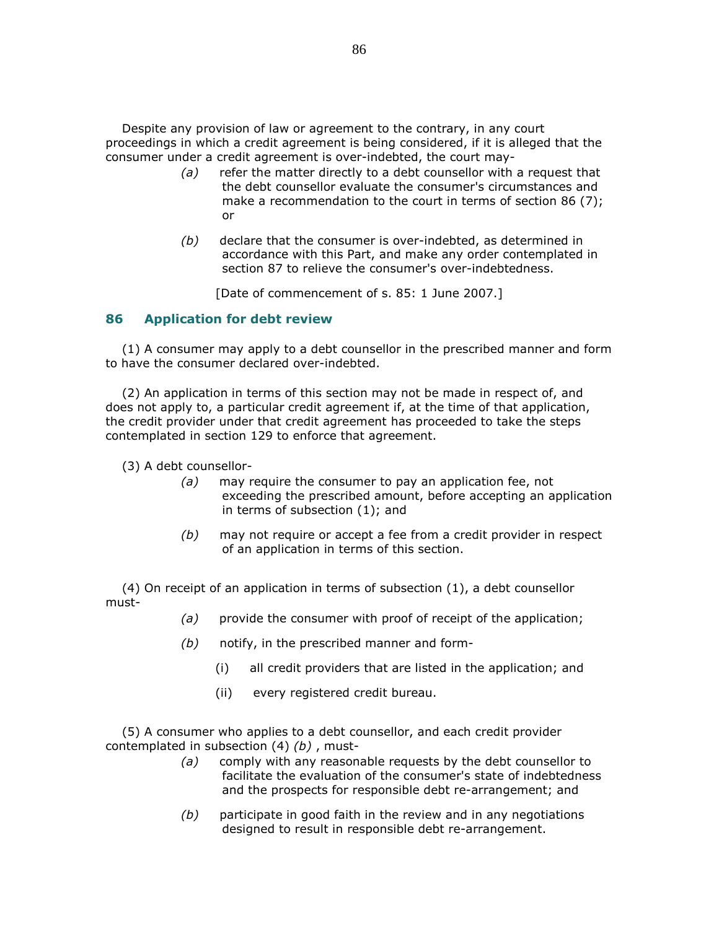Despite any provision of law or agreement to the contrary, in any court proceedings in which a credit agreement is being considered, if it is alleged that the consumer under a credit agreement is over-indebted, the court may-

- $(a)$  refer the matter directly to a debt counsellor with a request that the debt counsellor evaluate the consumer's circumstances and make a recommendation to the court in terms of section 86 (7); or
- $(b)$  declare that the consumer is over-indebted, as determined in accordance with this Part, and make any order contemplated in section 87 to relieve the consumer's over-indebtedness.

[Date of commencement of s. 85: 1 June 2007.]

## 86 Application for debt review

 (1) A consumer may apply to a debt counsellor in the prescribed manner and form to have the consumer declared over-indebted.

 (2) An application in terms of this section may not be made in respect of, and does not apply to, a particular credit agreement if, at the time of that application, the credit provider under that credit agreement has proceeded to take the steps contemplated in section 129 to enforce that agreement.

(3) A debt counsellor-

- (a) may require the consumer to pay an application fee, not exceeding the prescribed amount, before accepting an application in terms of subsection (1); and
- $(b)$  may not require or accept a fee from a credit provider in respect of an application in terms of this section.

 (4) On receipt of an application in terms of subsection (1), a debt counsellor must-

- (a) provide the consumer with proof of receipt of the application;
- $(b)$  notify, in the prescribed manner and form-
	- (i) all credit providers that are listed in the application; and
	- (ii) every registered credit bureau.

 (5) A consumer who applies to a debt counsellor, and each credit provider contemplated in subsection  $(4)$   $(b)$ , must-

- (a) comply with any reasonable requests by the debt counsellor to facilitate the evaluation of the consumer's state of indebtedness and the prospects for responsible debt re-arrangement; and
- $(b)$  participate in good faith in the review and in any negotiations designed to result in responsible debt re-arrangement.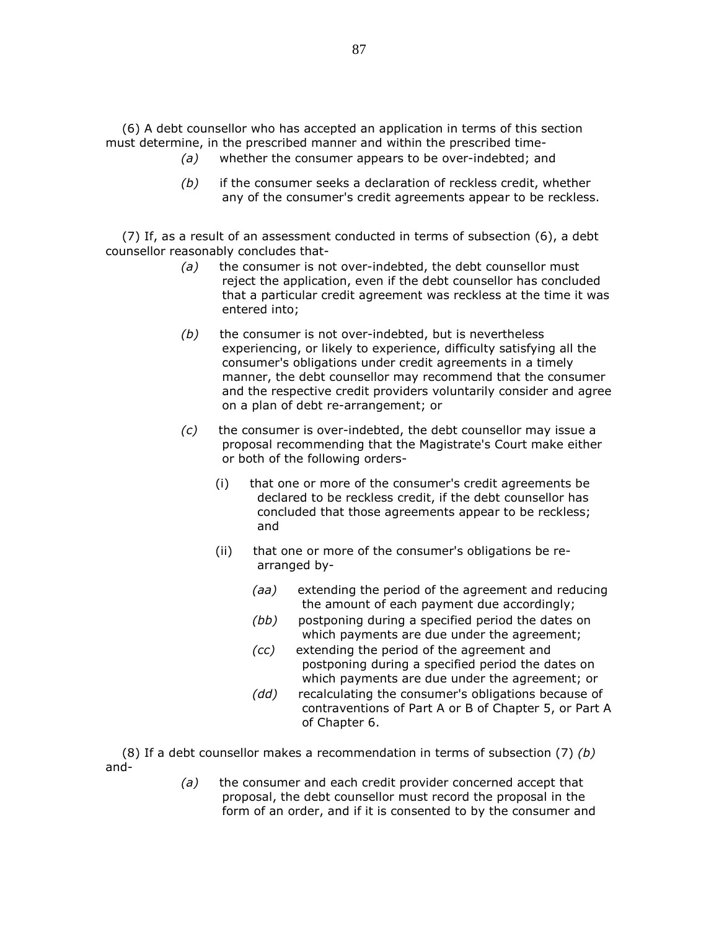(6) A debt counsellor who has accepted an application in terms of this section must determine, in the prescribed manner and within the prescribed time-

- (a) whether the consumer appears to be over-indebted; and
- $(b)$  if the consumer seeks a declaration of reckless credit, whether any of the consumer's credit agreements appear to be reckless.

 (7) If, as a result of an assessment conducted in terms of subsection (6), a debt counsellor reasonably concludes that-

- $(a)$  the consumer is not over-indebted, the debt counsellor must reject the application, even if the debt counsellor has concluded that a particular credit agreement was reckless at the time it was entered into;
- $(b)$  the consumer is not over-indebted, but is nevertheless experiencing, or likely to experience, difficulty satisfying all the consumer's obligations under credit agreements in a timely manner, the debt counsellor may recommend that the consumer and the respective credit providers voluntarily consider and agree on a plan of debt re-arrangement; or
- $(c)$  the consumer is over-indebted, the debt counsellor may issue a proposal recommending that the Magistrate's Court make either or both of the following orders-
	- (i) that one or more of the consumer's credit agreements be declared to be reckless credit, if the debt counsellor has concluded that those agreements appear to be reckless; and
	- (ii) that one or more of the consumer's obligations be rearranged by-
		- (aa) extending the period of the agreement and reducing the amount of each payment due accordingly;
		- (bb) postponing during a specified period the dates on which payments are due under the agreement;
		- (cc) extending the period of the agreement and postponing during a specified period the dates on which payments are due under the agreement; or
		- (dd) recalculating the consumer's obligations because of contraventions of Part A or B of Chapter 5, or Part A of Chapter 6.

(8) If a debt counsellor makes a recommendation in terms of subsection (7) (b) and-

> $(a)$  the consumer and each credit provider concerned accept that proposal, the debt counsellor must record the proposal in the form of an order, and if it is consented to by the consumer and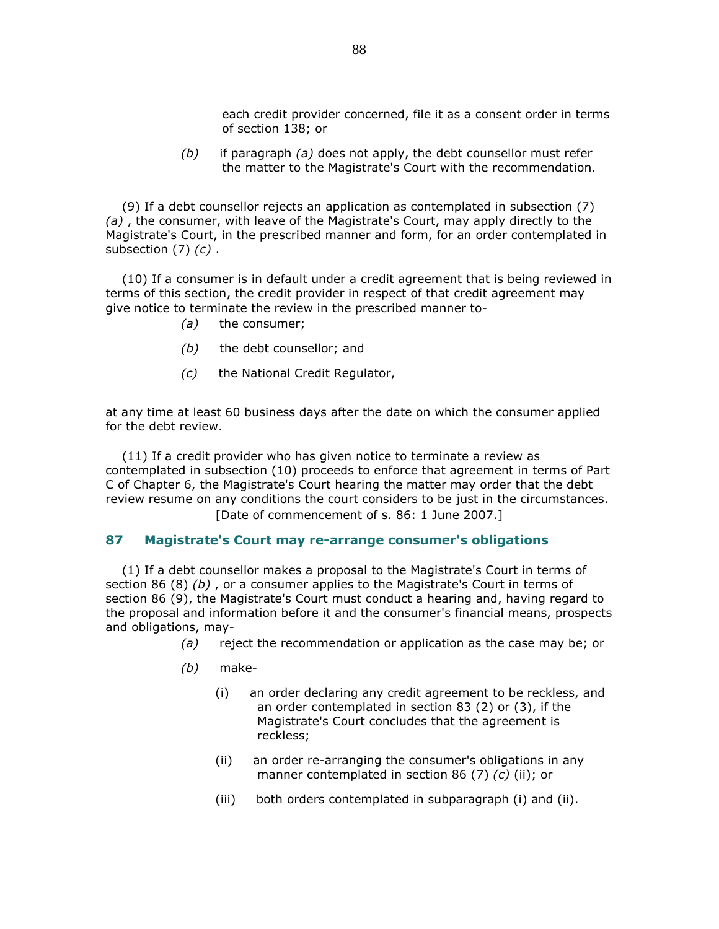each credit provider concerned, file it as a consent order in terms of section 138; or

 $(b)$  if paragraph (a) does not apply, the debt counsellor must refer the matter to the Magistrate's Court with the recommendation.

 (9) If a debt counsellor rejects an application as contemplated in subsection (7)  $(a)$ , the consumer, with leave of the Magistrate's Court, may apply directly to the Magistrate's Court, in the prescribed manner and form, for an order contemplated in subsection  $(7)$   $(c)$ .

 (10) If a consumer is in default under a credit agreement that is being reviewed in terms of this section, the credit provider in respect of that credit agreement may give notice to terminate the review in the prescribed manner to-

- (a) the consumer;
- (b) the debt counsellor; and
- (c) the National Credit Regulator,

at any time at least 60 business days after the date on which the consumer applied for the debt review.

 (11) If a credit provider who has given notice to terminate a review as contemplated in subsection (10) proceeds to enforce that agreement in terms of Part C of Chapter 6, the Magistrate's Court hearing the matter may order that the debt review resume on any conditions the court considers to be just in the circumstances. [Date of commencement of s. 86: 1 June 2007.]

#### 87 Magistrate's Court may re-arrange consumer's obligations

 (1) If a debt counsellor makes a proposal to the Magistrate's Court in terms of section 86 (8)  $(b)$ , or a consumer applies to the Magistrate's Court in terms of section 86 (9), the Magistrate's Court must conduct a hearing and, having regard to the proposal and information before it and the consumer's financial means, prospects and obligations, may-

- $(a)$  reject the recommendation or application as the case may be; or
- (b) make-
	- (i) an order declaring any credit agreement to be reckless, and an order contemplated in section 83 (2) or (3), if the Magistrate's Court concludes that the agreement is reckless;
	- (ii) an order re-arranging the consumer's obligations in any manner contemplated in section 86 (7) (c) (ii); or
	- (iii) both orders contemplated in subparagraph (i) and (ii).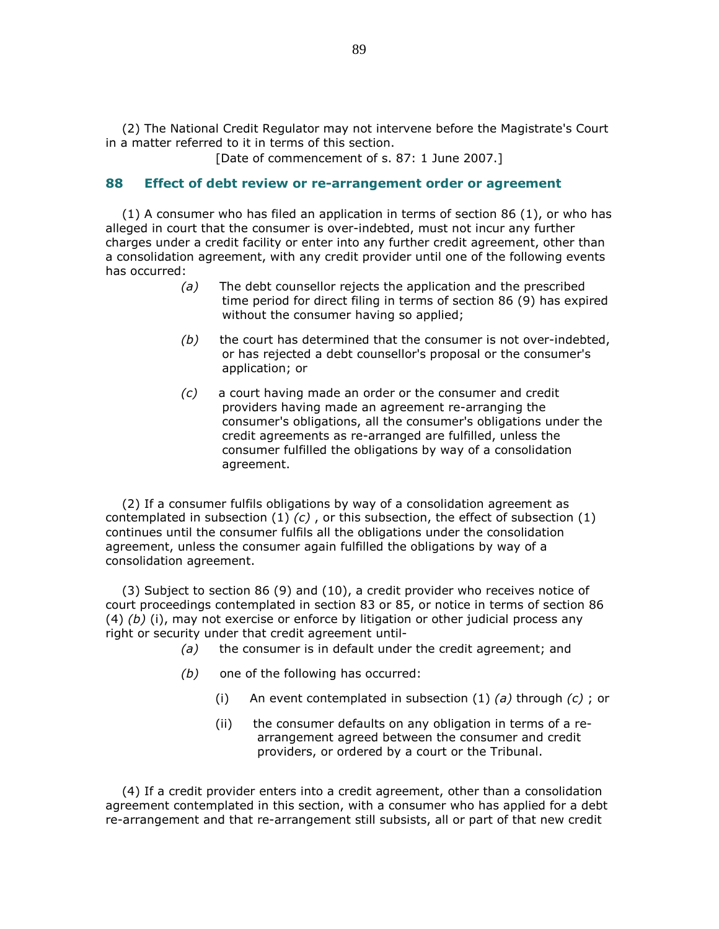(2) The National Credit Regulator may not intervene before the Magistrate's Court in a matter referred to it in terms of this section.

[Date of commencement of s. 87: 1 June 2007.]

#### 88 Effect of debt review or re-arrangement order or agreement

 (1) A consumer who has filed an application in terms of section 86 (1), or who has alleged in court that the consumer is over-indebted, must not incur any further charges under a credit facility or enter into any further credit agreement, other than a consolidation agreement, with any credit provider until one of the following events has occurred:

- (a) The debt counsellor rejects the application and the prescribed time period for direct filing in terms of section 86 (9) has expired without the consumer having so applied;
- $(b)$  the court has determined that the consumer is not over-indebted, or has rejected a debt counsellor's proposal or the consumer's application; or
- (c) a court having made an order or the consumer and credit providers having made an agreement re-arranging the consumer's obligations, all the consumer's obligations under the credit agreements as re-arranged are fulfilled, unless the consumer fulfilled the obligations by way of a consolidation agreement.

 (2) If a consumer fulfils obligations by way of a consolidation agreement as contemplated in subsection (1)  $(c)$ , or this subsection, the effect of subsection (1) continues until the consumer fulfils all the obligations under the consolidation agreement, unless the consumer again fulfilled the obligations by way of a consolidation agreement.

 (3) Subject to section 86 (9) and (10), a credit provider who receives notice of court proceedings contemplated in section 83 or 85, or notice in terms of section 86 (4)  $(b)$  (i), may not exercise or enforce by litigation or other judicial process any right or security under that credit agreement until-

- (a) the consumer is in default under the credit agreement; and
- $(b)$  one of the following has occurred:
	- (i) An event contemplated in subsection  $(1)$   $(a)$  through  $(c)$ ; or
	- (ii) the consumer defaults on any obligation in terms of a rearrangement agreed between the consumer and credit providers, or ordered by a court or the Tribunal.

 (4) If a credit provider enters into a credit agreement, other than a consolidation agreement contemplated in this section, with a consumer who has applied for a debt re-arrangement and that re-arrangement still subsists, all or part of that new credit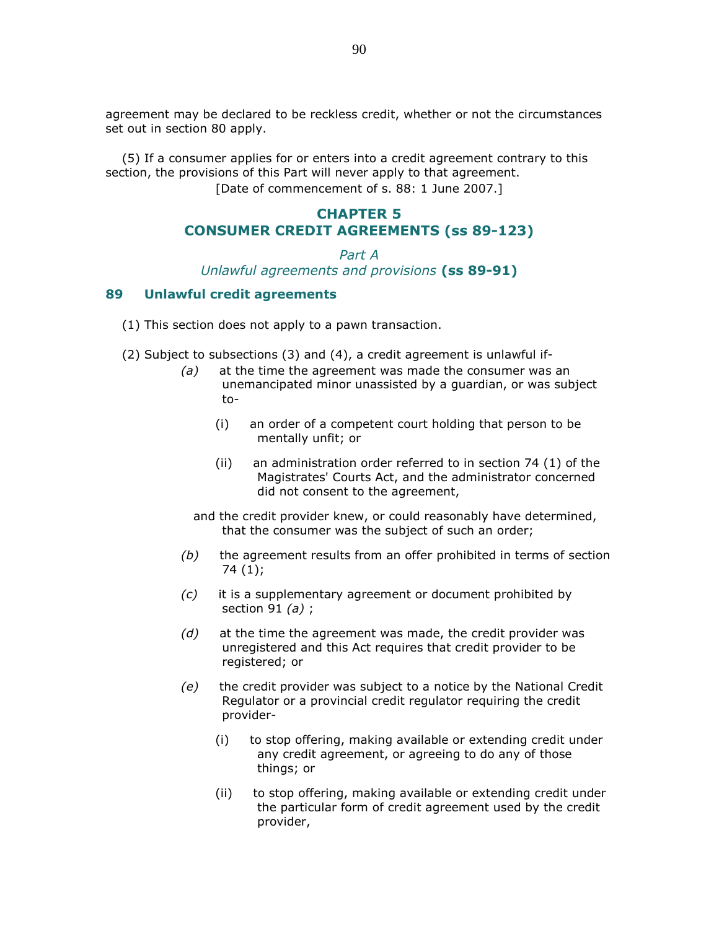agreement may be declared to be reckless credit, whether or not the circumstances set out in section 80 apply.

 (5) If a consumer applies for or enters into a credit agreement contrary to this section, the provisions of this Part will never apply to that agreement. [Date of commencement of s. 88: 1 June 2007.]

# CHAPTER 5 CONSUMER CREDIT AGREEMENTS (ss 89-123)

#### Part A Unlawful agreements and provisions (ss 89-91)

#### 89 Unlawful credit agreements

- (1) This section does not apply to a pawn transaction.
- (2) Subject to subsections (3) and (4), a credit agreement is unlawful if-
	- (a) at the time the agreement was made the consumer was an unemancipated minor unassisted by a guardian, or was subject to-
		- (i) an order of a competent court holding that person to be mentally unfit; or
		- (ii) an administration order referred to in section 74 (1) of the Magistrates' Courts Act, and the administrator concerned did not consent to the agreement,
		- and the credit provider knew, or could reasonably have determined, that the consumer was the subject of such an order;
	- $(b)$  the agreement results from an offer prohibited in terms of section 74 (1);
	- (c) it is a supplementary agreement or document prohibited by section 91  $(a)$ ;
	- $(d)$  at the time the agreement was made, the credit provider was unregistered and this Act requires that credit provider to be registered; or
	- (e) the credit provider was subject to a notice by the National Credit Regulator or a provincial credit regulator requiring the credit provider-
		- (i) to stop offering, making available or extending credit under any credit agreement, or agreeing to do any of those things; or
		- (ii) to stop offering, making available or extending credit under the particular form of credit agreement used by the credit provider,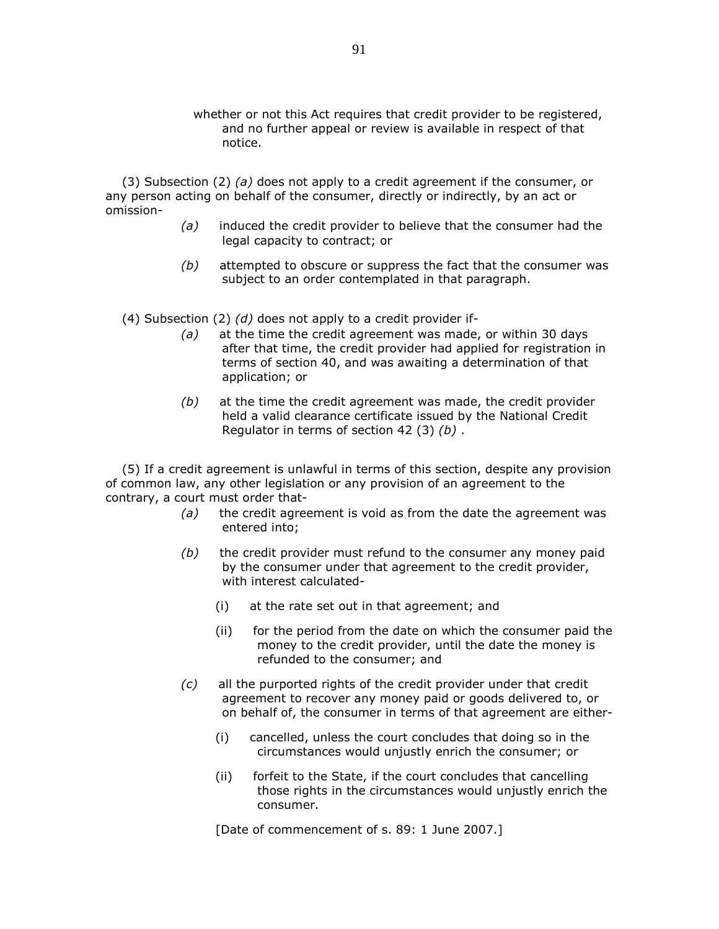whether or not this Act requires that credit provider to be registered, and no further appeal or review is available in respect of that notice.

(3) Subsection (2) (a) does not apply to a credit agreement if the consumer, or any person acting on behalf of the consumer, directly or indirectly, by an act or omission-

- (a) induced the credit provider to believe that the consumer had the legal capacity to contract; or
- $(b)$  attempted to obscure or suppress the fact that the consumer was subject to an order contemplated in that paragraph.

(4) Subsection (2)  $(d)$  does not apply to a credit provider if-

- $(a)$  at the time the credit agreement was made, or within 30 days after that time, the credit provider had applied for registration in terms of section 40, and was awaiting a determination of that application; or
- $(b)$  at the time the credit agreement was made, the credit provider held a valid clearance certificate issued by the National Credit Regulator in terms of section 42  $(3)$   $(b)$ .

 (5) If a credit agreement is unlawful in terms of this section, despite any provision of common law, any other legislation or any provision of an agreement to the contrary, a court must order that-

- $(a)$  the credit agreement is void as from the date the agreement was entered into;
- $(b)$  the credit provider must refund to the consumer any money paid by the consumer under that agreement to the credit provider, with interest calculated-
	- (i) at the rate set out in that agreement; and
	- (ii) for the period from the date on which the consumer paid the money to the credit provider, until the date the money is refunded to the consumer; and
- (c) all the purported rights of the credit provider under that credit agreement to recover any money paid or goods delivered to, or on behalf of, the consumer in terms of that agreement are either-
	- (i) cancelled, unless the court concludes that doing so in the circumstances would unjustly enrich the consumer; or
	- (ii) forfeit to the State, if the court concludes that cancelling those rights in the circumstances would unjustly enrich the consumer.

[Date of commencement of s. 89: 1 June 2007.]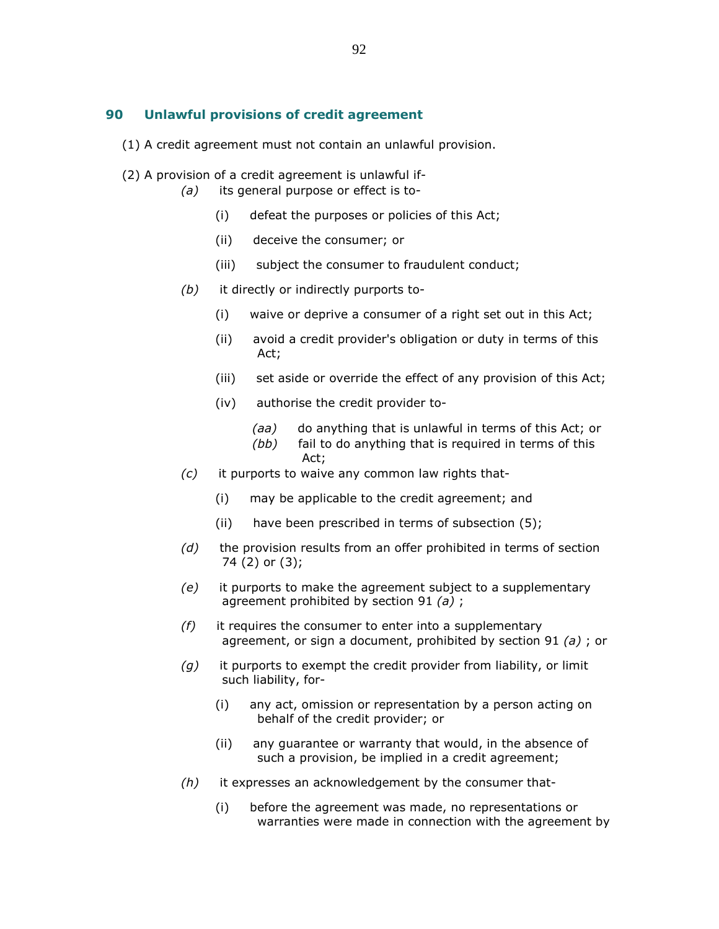#### 90 Unlawful provisions of credit agreement

- (1) A credit agreement must not contain an unlawful provision.
- (2) A provision of a credit agreement is unlawful if-
	- (a) its general purpose or effect is to-
		- (i) defeat the purposes or policies of this Act;
		- (ii) deceive the consumer; or
		- (iii) subject the consumer to fraudulent conduct;
	- (b) it directly or indirectly purports to-
		- (i) waive or deprive a consumer of a right set out in this Act;
		- (ii) avoid a credit provider's obligation or duty in terms of this Act;
		- (iii) set aside or override the effect of any provision of this Act;
		- (iv) authorise the credit provider to-
			- (aa) do anything that is unlawful in terms of this Act; or
			- (bb) fail to do anything that is required in terms of this Act;
	- (c) it purports to waive any common law rights that-
		- (i) may be applicable to the credit agreement; and
		- (ii) have been prescribed in terms of subsection (5);
	- $(d)$  the provision results from an offer prohibited in terms of section 74 (2) or (3);
	- (e) it purports to make the agreement subject to a supplementary agreement prohibited by section 91  $(a)$ ;
	- $(f)$  it requires the consumer to enter into a supplementary agreement, or sign a document, prohibited by section 91 (a) ; or
	- $(q)$  it purports to exempt the credit provider from liability, or limit such liability, for-
		- (i) any act, omission or representation by a person acting on behalf of the credit provider; or
		- (ii) any guarantee or warranty that would, in the absence of such a provision, be implied in a credit agreement;
	- $(h)$  it expresses an acknowledgement by the consumer that-
		- (i) before the agreement was made, no representations or warranties were made in connection with the agreement by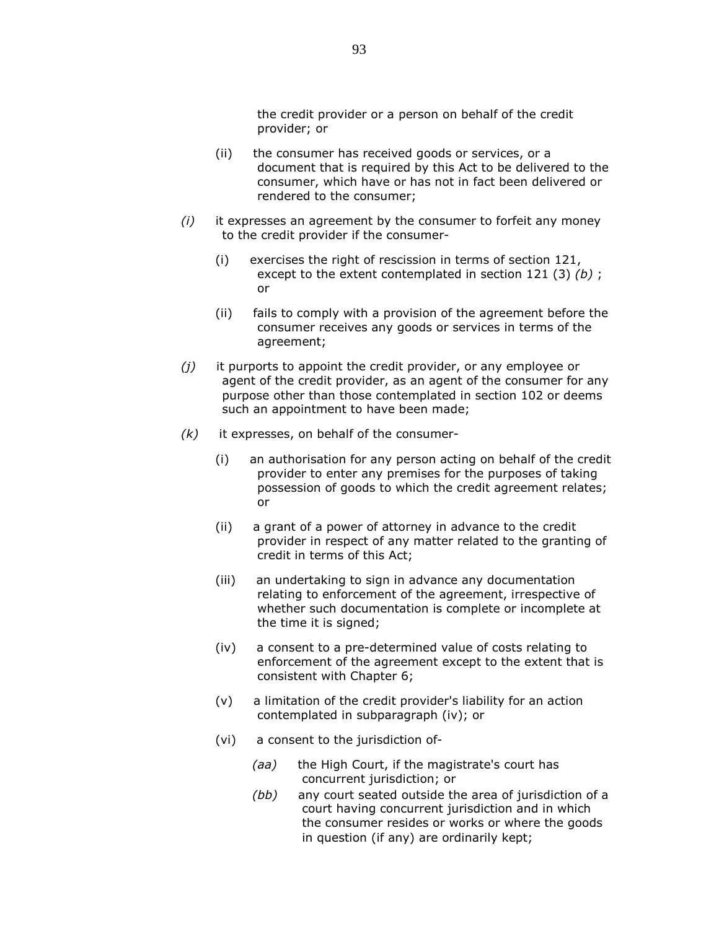the credit provider or a person on behalf of the credit provider; or

- (ii) the consumer has received goods or services, or a document that is required by this Act to be delivered to the consumer, which have or has not in fact been delivered or rendered to the consumer;
- $(i)$  it expresses an agreement by the consumer to forfeit any money to the credit provider if the consumer-
	- (i) exercises the right of rescission in terms of section 121, except to the extent contemplated in section 121 (3)  $(b)$ ; or
	- (ii) fails to comply with a provision of the agreement before the consumer receives any goods or services in terms of the agreement;
- $(j)$  it purports to appoint the credit provider, or any employee or agent of the credit provider, as an agent of the consumer for any purpose other than those contemplated in section 102 or deems such an appointment to have been made;
- $(k)$  it expresses, on behalf of the consumer-
	- (i) an authorisation for any person acting on behalf of the credit provider to enter any premises for the purposes of taking possession of goods to which the credit agreement relates; or
	- (ii) a grant of a power of attorney in advance to the credit provider in respect of any matter related to the granting of credit in terms of this Act;
	- (iii) an undertaking to sign in advance any documentation relating to enforcement of the agreement, irrespective of whether such documentation is complete or incomplete at the time it is signed;
	- (iv) a consent to a pre-determined value of costs relating to enforcement of the agreement except to the extent that is consistent with Chapter 6;
	- (v) a limitation of the credit provider's liability for an action contemplated in subparagraph (iv); or
	- (vi) a consent to the jurisdiction of-
		- (aa) the High Court, if the magistrate's court has concurrent jurisdiction; or
		- (bb) any court seated outside the area of jurisdiction of a court having concurrent jurisdiction and in which the consumer resides or works or where the goods in question (if any) are ordinarily kept;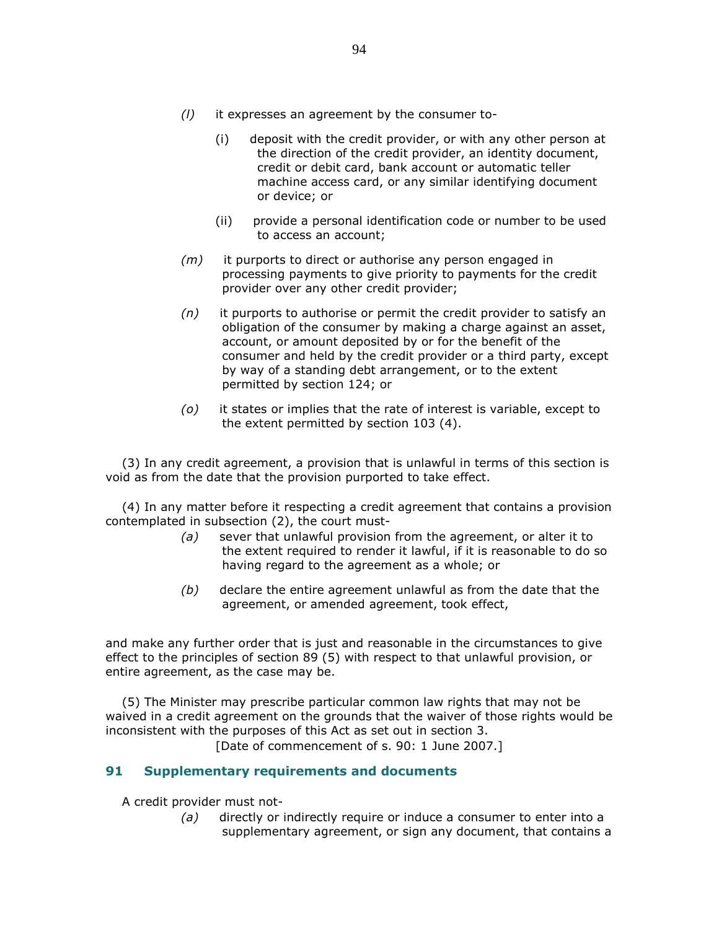- (l) it expresses an agreement by the consumer to-
	- (i) deposit with the credit provider, or with any other person at the direction of the credit provider, an identity document, credit or debit card, bank account or automatic teller machine access card, or any similar identifying document or device; or
	- (ii) provide a personal identification code or number to be used to access an account;
- $(m)$  it purports to direct or authorise any person engaged in processing payments to give priority to payments for the credit provider over any other credit provider;
- $(n)$  it purports to authorise or permit the credit provider to satisfy an obligation of the consumer by making a charge against an asset, account, or amount deposited by or for the benefit of the consumer and held by the credit provider or a third party, except by way of a standing debt arrangement, or to the extent permitted by section 124; or
- (o) it states or implies that the rate of interest is variable, except to the extent permitted by section 103 (4).

 (3) In any credit agreement, a provision that is unlawful in terms of this section is void as from the date that the provision purported to take effect.

 (4) In any matter before it respecting a credit agreement that contains a provision contemplated in subsection (2), the court must-

- (a) sever that unlawful provision from the agreement, or alter it to the extent required to render it lawful, if it is reasonable to do so having regard to the agreement as a whole; or
- $(b)$  declare the entire agreement unlawful as from the date that the agreement, or amended agreement, took effect,

and make any further order that is just and reasonable in the circumstances to give effect to the principles of section 89 (5) with respect to that unlawful provision, or entire agreement, as the case may be.

 (5) The Minister may prescribe particular common law rights that may not be waived in a credit agreement on the grounds that the waiver of those rights would be inconsistent with the purposes of this Act as set out in section 3.

[Date of commencement of s. 90: 1 June 2007.]

# 91 Supplementary requirements and documents

A credit provider must not-

 $(a)$  directly or indirectly require or induce a consumer to enter into a supplementary agreement, or sign any document, that contains a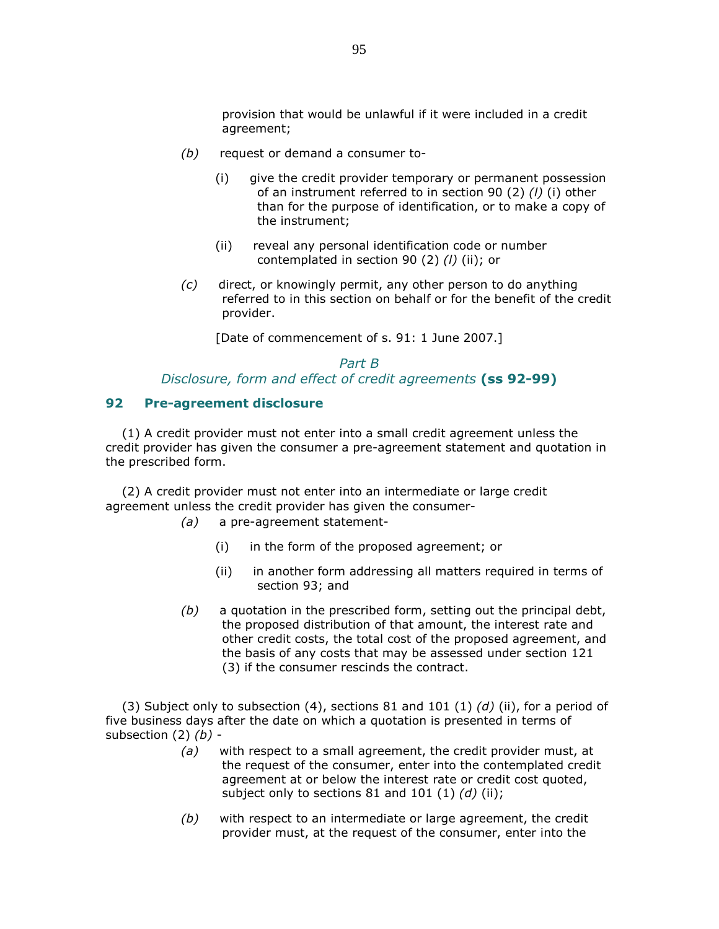provision that would be unlawful if it were included in a credit agreement;

- $(b)$  request or demand a consumer to-
	- (i) give the credit provider temporary or permanent possession of an instrument referred to in section 90 (2) (l) (i) other than for the purpose of identification, or to make a copy of the instrument;
	- (ii) reveal any personal identification code or number contemplated in section 90 (2) (*l*) (ii); or
- $(c)$  direct, or knowingly permit, any other person to do anything referred to in this section on behalf or for the benefit of the credit provider.

[Date of commencement of s. 91: 1 June 2007.]

# Part B Disclosure, form and effect of credit agreements (ss 92-99)

#### 92 Pre-agreement disclosure

 (1) A credit provider must not enter into a small credit agreement unless the credit provider has given the consumer a pre-agreement statement and quotation in the prescribed form.

 (2) A credit provider must not enter into an intermediate or large credit agreement unless the credit provider has given the consumer-

- (a) a pre-agreement statement-
	- (i) in the form of the proposed agreement; or
	- (ii) in another form addressing all matters required in terms of section 93; and
- $(b)$  a quotation in the prescribed form, setting out the principal debt, the proposed distribution of that amount, the interest rate and other credit costs, the total cost of the proposed agreement, and the basis of any costs that may be assessed under section 121 (3) if the consumer rescinds the contract.

(3) Subject only to subsection (4), sections 81 and 101 (1) (d) (ii), for a period of five business days after the date on which a quotation is presented in terms of subsection  $(2)$   $(b)$  -

- $(a)$  with respect to a small agreement, the credit provider must, at the request of the consumer, enter into the contemplated credit agreement at or below the interest rate or credit cost quoted, subject only to sections 81 and 101 (1)  $(d)$  (ii);
- $(b)$  with respect to an intermediate or large agreement, the credit provider must, at the request of the consumer, enter into the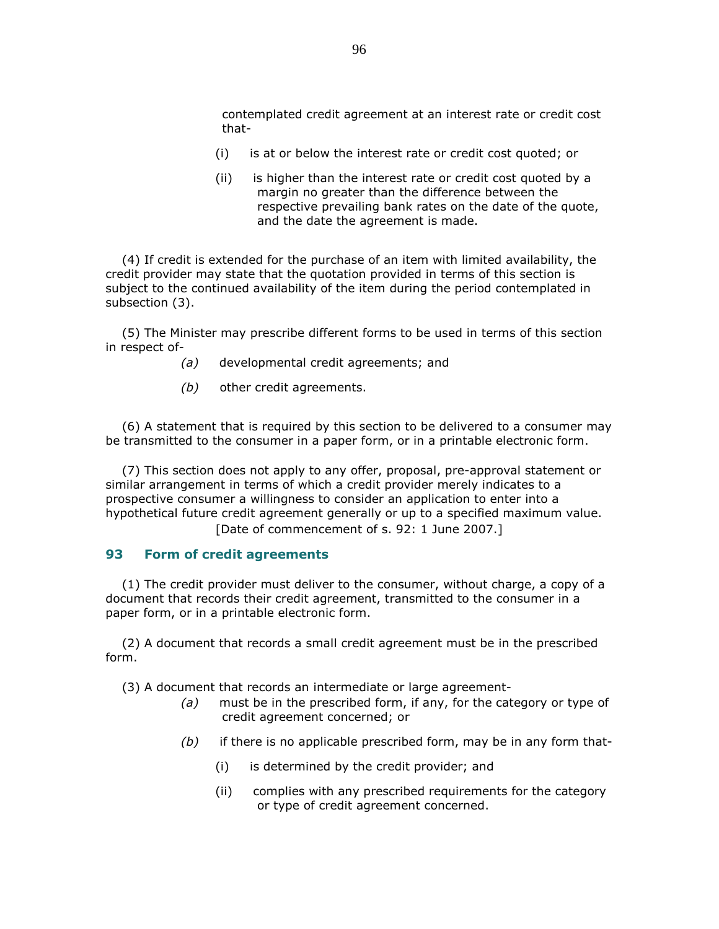contemplated credit agreement at an interest rate or credit cost that-

- (i) is at or below the interest rate or credit cost quoted; or
- (ii) is higher than the interest rate or credit cost quoted by a margin no greater than the difference between the respective prevailing bank rates on the date of the quote, and the date the agreement is made.

 (4) If credit is extended for the purchase of an item with limited availability, the credit provider may state that the quotation provided in terms of this section is subject to the continued availability of the item during the period contemplated in subsection (3).

 (5) The Minister may prescribe different forms to be used in terms of this section in respect of-

- (a) developmental credit agreements; and
- (b) other credit agreements.

 (6) A statement that is required by this section to be delivered to a consumer may be transmitted to the consumer in a paper form, or in a printable electronic form.

 (7) This section does not apply to any offer, proposal, pre-approval statement or similar arrangement in terms of which a credit provider merely indicates to a prospective consumer a willingness to consider an application to enter into a hypothetical future credit agreement generally or up to a specified maximum value. [Date of commencement of s. 92: 1 June 2007.]

### 93 Form of credit agreements

 (1) The credit provider must deliver to the consumer, without charge, a copy of a document that records their credit agreement, transmitted to the consumer in a paper form, or in a printable electronic form.

 (2) A document that records a small credit agreement must be in the prescribed form.

(3) A document that records an intermediate or large agreement-

- (a) must be in the prescribed form, if any, for the category or type of credit agreement concerned; or
- $(b)$  if there is no applicable prescribed form, may be in any form that-
	- (i) is determined by the credit provider; and
	- (ii) complies with any prescribed requirements for the category or type of credit agreement concerned.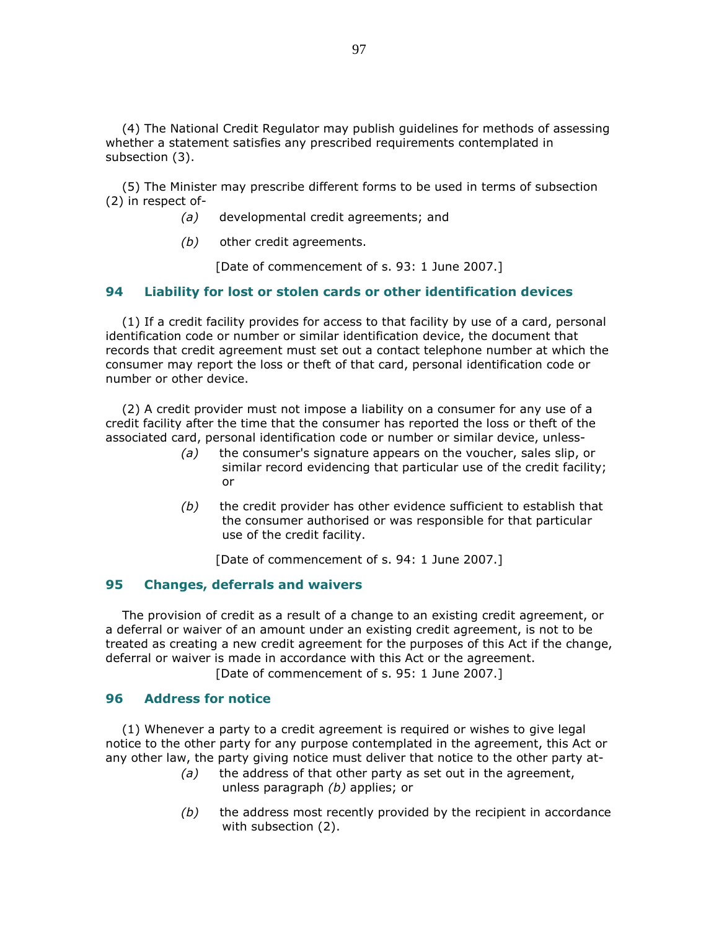(4) The National Credit Regulator may publish guidelines for methods of assessing whether a statement satisfies any prescribed requirements contemplated in subsection (3).

 (5) The Minister may prescribe different forms to be used in terms of subsection (2) in respect of-

- (a) developmental credit agreements; and
- (b) other credit agreements.

[Date of commencement of s. 93: 1 June 2007.]

#### 94 Liability for lost or stolen cards or other identification devices

 (1) If a credit facility provides for access to that facility by use of a card, personal identification code or number or similar identification device, the document that records that credit agreement must set out a contact telephone number at which the consumer may report the loss or theft of that card, personal identification code or number or other device.

 (2) A credit provider must not impose a liability on a consumer for any use of a credit facility after the time that the consumer has reported the loss or theft of the associated card, personal identification code or number or similar device, unless-

- $(a)$  the consumer's signature appears on the voucher, sales slip, or similar record evidencing that particular use of the credit facility; or
- $(b)$  the credit provider has other evidence sufficient to establish that the consumer authorised or was responsible for that particular use of the credit facility.

[Date of commencement of s. 94: 1 June 2007.]

### 95 Changes, deferrals and waivers

 The provision of credit as a result of a change to an existing credit agreement, or a deferral or waiver of an amount under an existing credit agreement, is not to be treated as creating a new credit agreement for the purposes of this Act if the change, deferral or waiver is made in accordance with this Act or the agreement. [Date of commencement of s. 95: 1 June 2007.]

#### 96 Address for notice

 (1) Whenever a party to a credit agreement is required or wishes to give legal notice to the other party for any purpose contemplated in the agreement, this Act or any other law, the party giving notice must deliver that notice to the other party at-

- $(a)$  the address of that other party as set out in the agreement, unless paragraph (b) applies; or
- $(b)$  the address most recently provided by the recipient in accordance with subsection (2).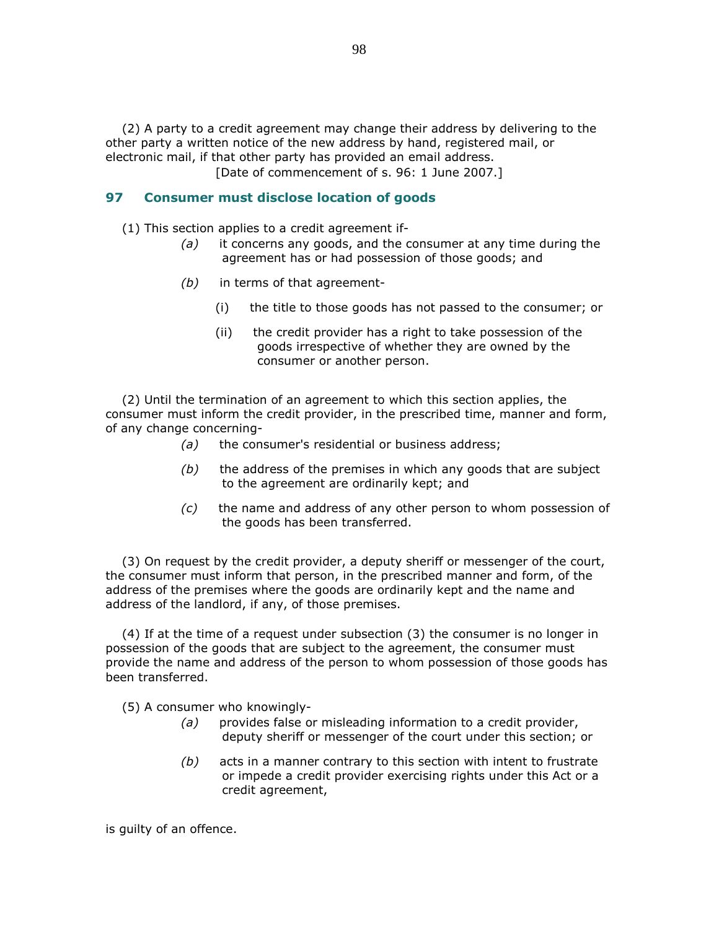(2) A party to a credit agreement may change their address by delivering to the other party a written notice of the new address by hand, registered mail, or electronic mail, if that other party has provided an email address.

[Date of commencement of s. 96: 1 June 2007.]

## 97 Consumer must disclose location of goods

(1) This section applies to a credit agreement if-

- $(a)$  it concerns any goods, and the consumer at any time during the agreement has or had possession of those goods; and
- (b) in terms of that agreement-
	- (i) the title to those goods has not passed to the consumer; or
	- (ii) the credit provider has a right to take possession of the goods irrespective of whether they are owned by the consumer or another person.

 (2) Until the termination of an agreement to which this section applies, the consumer must inform the credit provider, in the prescribed time, manner and form, of any change concerning-

- $(a)$  the consumer's residential or business address;
- $(b)$  the address of the premises in which any goods that are subject to the agreement are ordinarily kept; and
- (c) the name and address of any other person to whom possession of the goods has been transferred.

 (3) On request by the credit provider, a deputy sheriff or messenger of the court, the consumer must inform that person, in the prescribed manner and form, of the address of the premises where the goods are ordinarily kept and the name and address of the landlord, if any, of those premises.

 (4) If at the time of a request under subsection (3) the consumer is no longer in possession of the goods that are subject to the agreement, the consumer must provide the name and address of the person to whom possession of those goods has been transferred.

(5) A consumer who knowingly-

- (a) provides false or misleading information to a credit provider, deputy sheriff or messenger of the court under this section; or
- $(b)$  acts in a manner contrary to this section with intent to frustrate or impede a credit provider exercising rights under this Act or a credit agreement,

is guilty of an offence.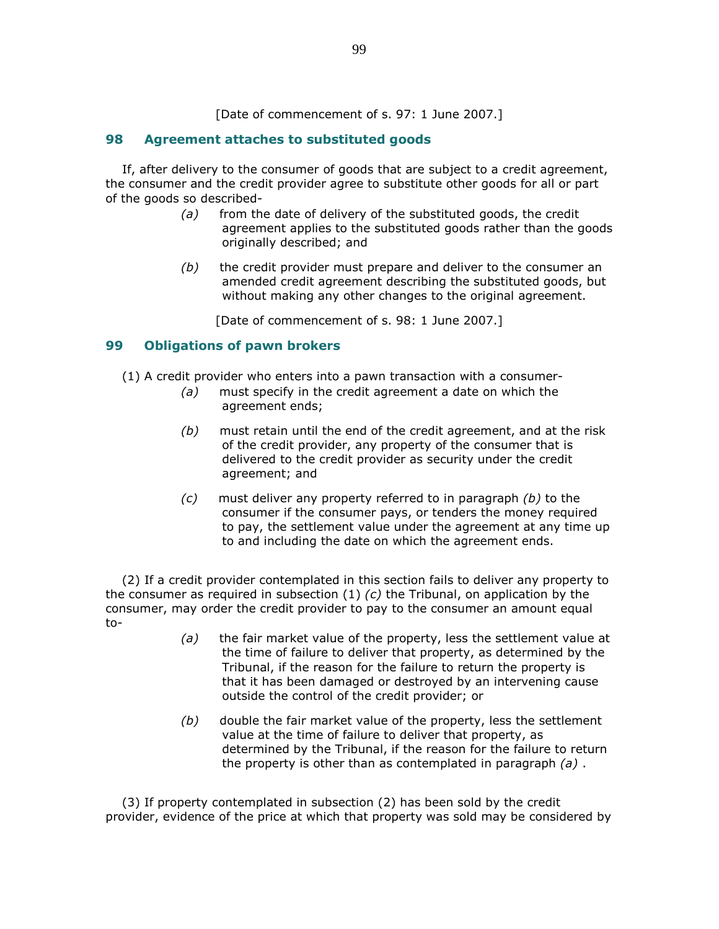[Date of commencement of s. 97: 1 June 2007.]

## 98 Agreement attaches to substituted goods

 If, after delivery to the consumer of goods that are subject to a credit agreement, the consumer and the credit provider agree to substitute other goods for all or part of the goods so described-

- $(a)$  from the date of delivery of the substituted goods, the credit agreement applies to the substituted goods rather than the goods originally described; and
- $(b)$  the credit provider must prepare and deliver to the consumer an amended credit agreement describing the substituted goods, but without making any other changes to the original agreement.

[Date of commencement of s. 98: 1 June 2007.]

### 99 Obligations of pawn brokers

(1) A credit provider who enters into a pawn transaction with a consumer-

- (a) must specify in the credit agreement a date on which the agreement ends;
- $(b)$  must retain until the end of the credit agreement, and at the risk of the credit provider, any property of the consumer that is delivered to the credit provider as security under the credit agreement; and
- $(c)$  must deliver any property referred to in paragraph  $(b)$  to the consumer if the consumer pays, or tenders the money required to pay, the settlement value under the agreement at any time up to and including the date on which the agreement ends.

 (2) If a credit provider contemplated in this section fails to deliver any property to the consumer as required in subsection  $(1)$  (c) the Tribunal, on application by the consumer, may order the credit provider to pay to the consumer an amount equal to-

- $(a)$  the fair market value of the property, less the settlement value at the time of failure to deliver that property, as determined by the Tribunal, if the reason for the failure to return the property is that it has been damaged or destroyed by an intervening cause outside the control of the credit provider; or
- $(b)$  double the fair market value of the property, less the settlement value at the time of failure to deliver that property, as determined by the Tribunal, if the reason for the failure to return the property is other than as contemplated in paragraph  $(a)$ .

 (3) If property contemplated in subsection (2) has been sold by the credit provider, evidence of the price at which that property was sold may be considered by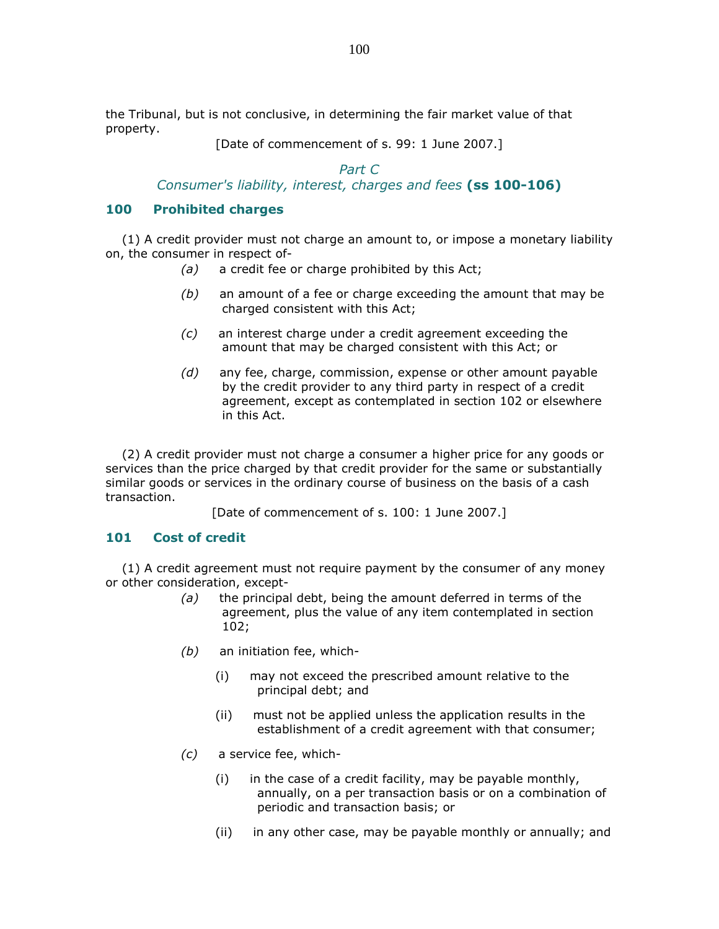the Tribunal, but is not conclusive, in determining the fair market value of that property.

[Date of commencement of s. 99: 1 June 2007.]

## Part C

# Consumer's liability, interest, charges and fees (ss 100-106)

### 100 Prohibited charges

 (1) A credit provider must not charge an amount to, or impose a monetary liability on, the consumer in respect of-

- (a) a credit fee or charge prohibited by this Act;
- $(b)$  an amount of a fee or charge exceeding the amount that may be charged consistent with this Act;
- (c) an interest charge under a credit agreement exceeding the amount that may be charged consistent with this Act; or
- $(d)$  any fee, charge, commission, expense or other amount payable by the credit provider to any third party in respect of a credit agreement, except as contemplated in section 102 or elsewhere in this Act.

 (2) A credit provider must not charge a consumer a higher price for any goods or services than the price charged by that credit provider for the same or substantially similar goods or services in the ordinary course of business on the basis of a cash transaction.

[Date of commencement of s. 100: 1 June 2007.]

### 101 Cost of credit

 (1) A credit agreement must not require payment by the consumer of any money or other consideration, except-

- $(a)$  the principal debt, being the amount deferred in terms of the agreement, plus the value of any item contemplated in section 102;
- $(b)$  an initiation fee, which-
	- (i) may not exceed the prescribed amount relative to the principal debt; and
	- (ii) must not be applied unless the application results in the establishment of a credit agreement with that consumer;
- (c) a service fee, which-
	- (i) in the case of a credit facility, may be payable monthly, annually, on a per transaction basis or on a combination of periodic and transaction basis; or
	- (ii) in any other case, may be payable monthly or annually; and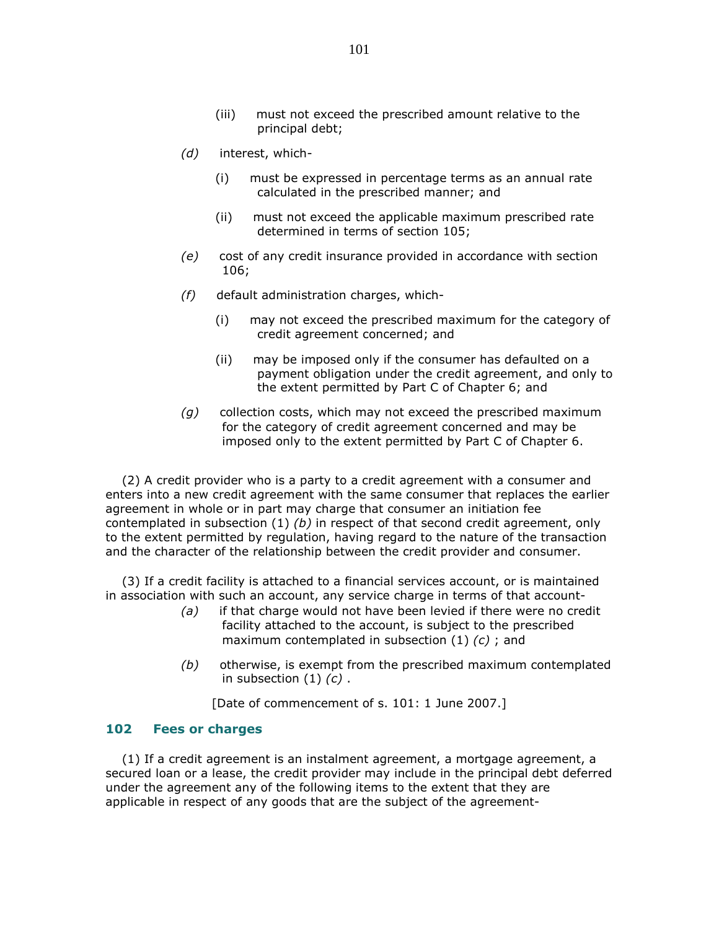- (iii) must not exceed the prescribed amount relative to the principal debt;
- (d) interest, which-
	- (i) must be expressed in percentage terms as an annual rate calculated in the prescribed manner; and
	- (ii) must not exceed the applicable maximum prescribed rate determined in terms of section 105;
- (e) cost of any credit insurance provided in accordance with section 106;
- (f) default administration charges, which-
	- (i) may not exceed the prescribed maximum for the category of credit agreement concerned; and
	- (ii) may be imposed only if the consumer has defaulted on a payment obligation under the credit agreement, and only to the extent permitted by Part C of Chapter 6; and
- $(g)$  collection costs, which may not exceed the prescribed maximum for the category of credit agreement concerned and may be imposed only to the extent permitted by Part C of Chapter 6.

 (2) A credit provider who is a party to a credit agreement with a consumer and enters into a new credit agreement with the same consumer that replaces the earlier agreement in whole or in part may charge that consumer an initiation fee contemplated in subsection  $(1)$  (b) in respect of that second credit agreement, only to the extent permitted by regulation, having regard to the nature of the transaction and the character of the relationship between the credit provider and consumer.

 (3) If a credit facility is attached to a financial services account, or is maintained in association with such an account, any service charge in terms of that account-

- $(a)$  if that charge would not have been levied if there were no credit facility attached to the account, is subject to the prescribed maximum contemplated in subsection  $(1)$   $(c)$ ; and
- (b) otherwise, is exempt from the prescribed maximum contemplated in subsection  $(1)$   $(c)$ .

[Date of commencement of s. 101: 1 June 2007.]

#### 102 Fees or charges

 (1) If a credit agreement is an instalment agreement, a mortgage agreement, a secured loan or a lease, the credit provider may include in the principal debt deferred under the agreement any of the following items to the extent that they are applicable in respect of any goods that are the subject of the agreement-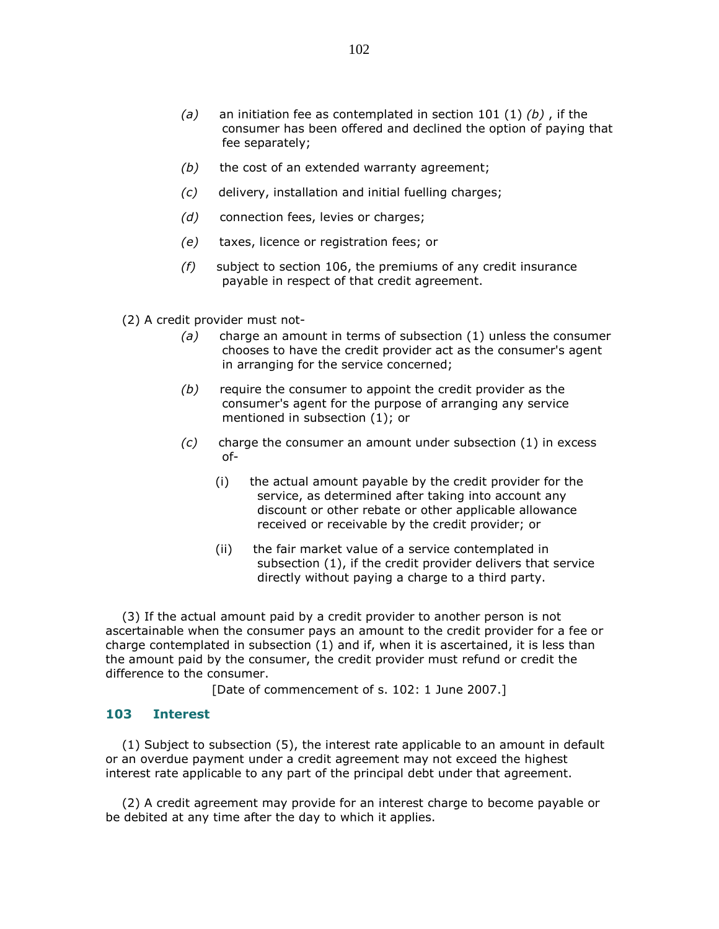- (a) an initiation fee as contemplated in section 101 (1)  $(b)$ , if the consumer has been offered and declined the option of paying that fee separately;
- $(b)$  the cost of an extended warranty agreement;
- (c) delivery, installation and initial fuelling charges;
- (d) connection fees, levies or charges;
- (e) taxes, licence or registration fees; or
- $(f)$  subject to section 106, the premiums of any credit insurance payable in respect of that credit agreement.

(2) A credit provider must not-

- (a) charge an amount in terms of subsection  $(1)$  unless the consumer chooses to have the credit provider act as the consumer's agent in arranging for the service concerned;
- $(b)$  require the consumer to appoint the credit provider as the consumer's agent for the purpose of arranging any service mentioned in subsection (1); or
- $(c)$  charge the consumer an amount under subsection  $(1)$  in excess of-
	- (i) the actual amount payable by the credit provider for the service, as determined after taking into account any discount or other rebate or other applicable allowance received or receivable by the credit provider; or
	- (ii) the fair market value of a service contemplated in subsection (1), if the credit provider delivers that service directly without paying a charge to a third party.

 (3) If the actual amount paid by a credit provider to another person is not ascertainable when the consumer pays an amount to the credit provider for a fee or charge contemplated in subsection (1) and if, when it is ascertained, it is less than the amount paid by the consumer, the credit provider must refund or credit the difference to the consumer.

[Date of commencement of s. 102: 1 June 2007.]

#### 103 Interest

 (1) Subject to subsection (5), the interest rate applicable to an amount in default or an overdue payment under a credit agreement may not exceed the highest interest rate applicable to any part of the principal debt under that agreement.

 (2) A credit agreement may provide for an interest charge to become payable or be debited at any time after the day to which it applies.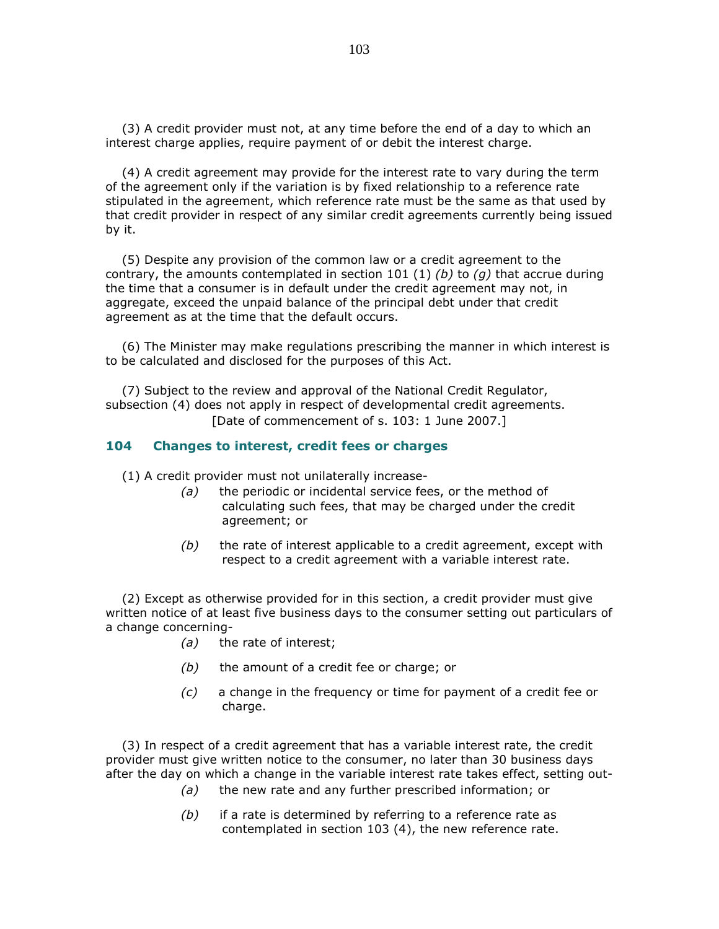(3) A credit provider must not, at any time before the end of a day to which an interest charge applies, require payment of or debit the interest charge.

 (4) A credit agreement may provide for the interest rate to vary during the term of the agreement only if the variation is by fixed relationship to a reference rate stipulated in the agreement, which reference rate must be the same as that used by that credit provider in respect of any similar credit agreements currently being issued by it.

 (5) Despite any provision of the common law or a credit agreement to the contrary, the amounts contemplated in section 101 (1) (b) to (q) that accrue during the time that a consumer is in default under the credit agreement may not, in aggregate, exceed the unpaid balance of the principal debt under that credit agreement as at the time that the default occurs.

 (6) The Minister may make regulations prescribing the manner in which interest is to be calculated and disclosed for the purposes of this Act.

 (7) Subject to the review and approval of the National Credit Regulator, subsection (4) does not apply in respect of developmental credit agreements. [Date of commencement of s. 103: 1 June 2007.]

#### 104 Changes to interest, credit fees or charges

(1) A credit provider must not unilaterally increase-

- $(a)$  the periodic or incidental service fees, or the method of calculating such fees, that may be charged under the credit agreement; or
- $(b)$  the rate of interest applicable to a credit agreement, except with respect to a credit agreement with a variable interest rate.

 (2) Except as otherwise provided for in this section, a credit provider must give written notice of at least five business days to the consumer setting out particulars of a change concerning-

- (a) the rate of interest;
- $(b)$  the amount of a credit fee or charge; or
- $(c)$  a change in the frequency or time for payment of a credit fee or charge.

 (3) In respect of a credit agreement that has a variable interest rate, the credit provider must give written notice to the consumer, no later than 30 business days after the day on which a change in the variable interest rate takes effect, setting out-

- (a) the new rate and any further prescribed information; or
- $(b)$  if a rate is determined by referring to a reference rate as contemplated in section 103 (4), the new reference rate.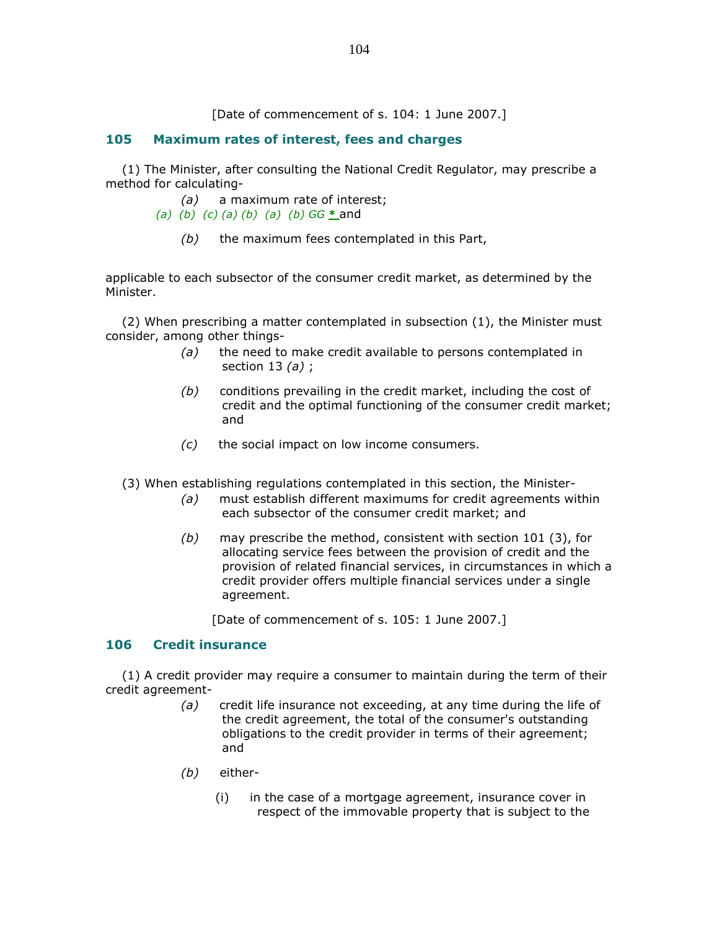[Date of commencement of s. 104: 1 June 2007.]

## 105 Maximum rates of interest, fees and charges

 (1) The Minister, after consulting the National Credit Regulator, may prescribe a method for calculating-

(a) a maximum rate of interest;

- (a) (b) (c) (a) (b) (a) (b)  $GG * and$ 
	- $(b)$  the maximum fees contemplated in this Part,

applicable to each subsector of the consumer credit market, as determined by the Minister.

 (2) When prescribing a matter contemplated in subsection (1), the Minister must consider, among other things-

- $(a)$  the need to make credit available to persons contemplated in section 13  $(a)$ ;
- $(b)$  conditions prevailing in the credit market, including the cost of credit and the optimal functioning of the consumer credit market; and
- (c) the social impact on low income consumers.

(3) When establishing regulations contemplated in this section, the Minister-

- (a) must establish different maximums for credit agreements within each subsector of the consumer credit market; and
- $(b)$  may prescribe the method, consistent with section 101 (3), for allocating service fees between the provision of credit and the provision of related financial services, in circumstances in which a credit provider offers multiple financial services under a single agreement.

[Date of commencement of s. 105: 1 June 2007.]

### 106 Credit insurance

 (1) A credit provider may require a consumer to maintain during the term of their credit agreement-

- $(a)$  credit life insurance not exceeding, at any time during the life of the credit agreement, the total of the consumer's outstanding obligations to the credit provider in terms of their agreement; and
- (b) either-
	- (i) in the case of a mortgage agreement, insurance cover in respect of the immovable property that is subject to the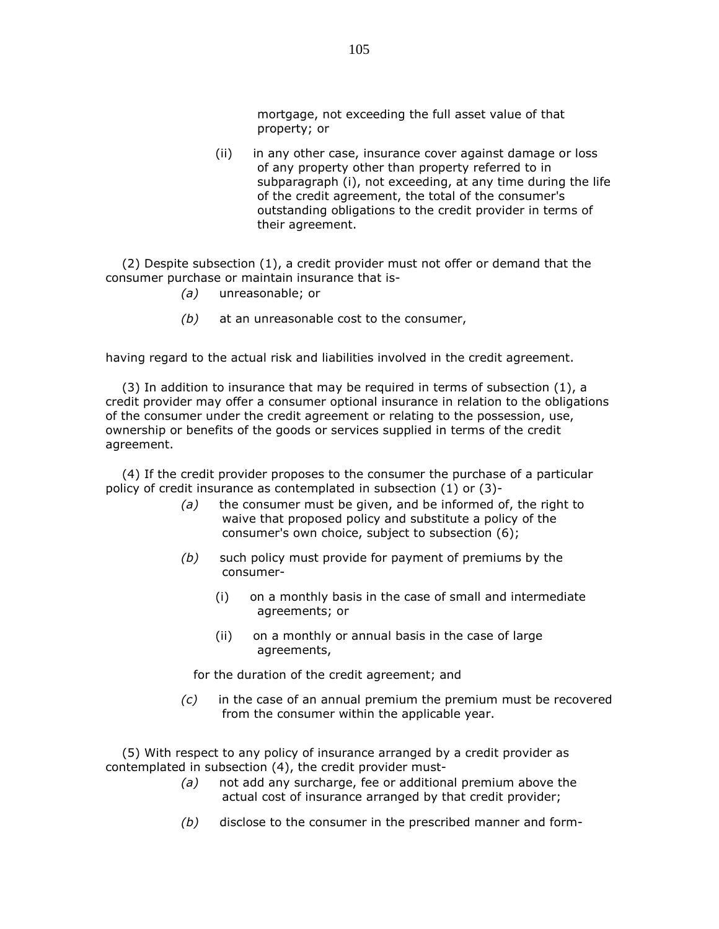mortgage, not exceeding the full asset value of that property; or

 (ii) in any other case, insurance cover against damage or loss of any property other than property referred to in subparagraph (i), not exceeding, at any time during the life of the credit agreement, the total of the consumer's outstanding obligations to the credit provider in terms of their agreement.

 (2) Despite subsection (1), a credit provider must not offer or demand that the consumer purchase or maintain insurance that is-

- (a) unreasonable; or
- $(b)$  at an unreasonable cost to the consumer,

having regard to the actual risk and liabilities involved in the credit agreement.

 (3) In addition to insurance that may be required in terms of subsection (1), a credit provider may offer a consumer optional insurance in relation to the obligations of the consumer under the credit agreement or relating to the possession, use, ownership or benefits of the goods or services supplied in terms of the credit agreement.

 (4) If the credit provider proposes to the consumer the purchase of a particular policy of credit insurance as contemplated in subsection (1) or (3)-

- $(a)$  the consumer must be given, and be informed of, the right to waive that proposed policy and substitute a policy of the consumer's own choice, subject to subsection (6);
- $(b)$  such policy must provide for payment of premiums by the consumer-
	- (i) on a monthly basis in the case of small and intermediate agreements; or
	- (ii) on a monthly or annual basis in the case of large agreements,

for the duration of the credit agreement; and

 $(c)$  in the case of an annual premium the premium must be recovered from the consumer within the applicable year.

 (5) With respect to any policy of insurance arranged by a credit provider as contemplated in subsection (4), the credit provider must-

- $(a)$  not add any surcharge, fee or additional premium above the actual cost of insurance arranged by that credit provider;
- $(b)$  disclose to the consumer in the prescribed manner and form-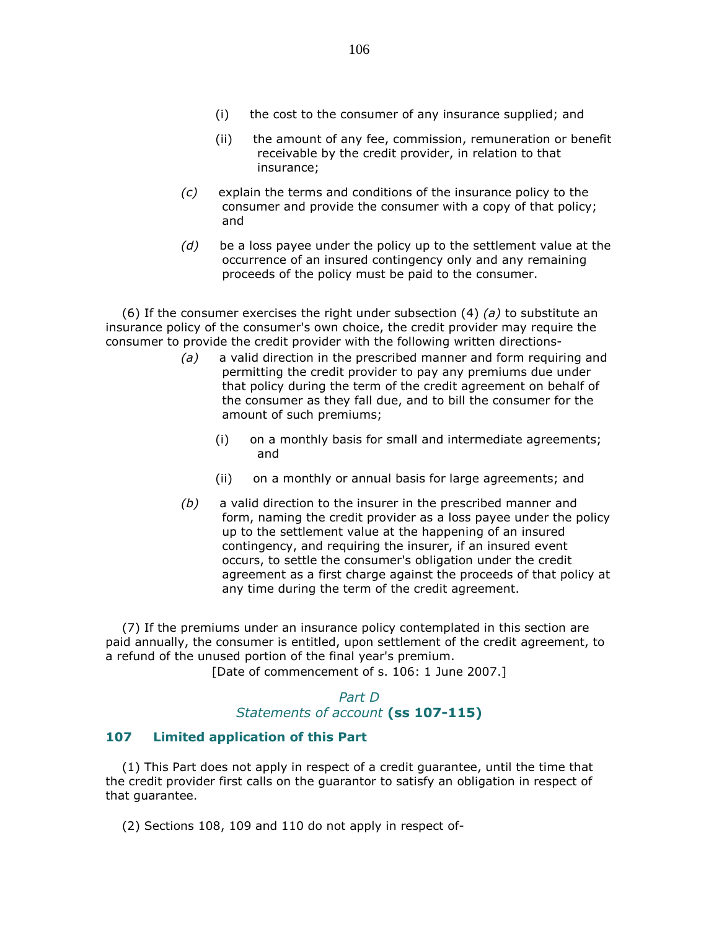- (ii) the amount of any fee, commission, remuneration or benefit receivable by the credit provider, in relation to that insurance;
- (c) explain the terms and conditions of the insurance policy to the consumer and provide the consumer with a copy of that policy; and
- $(d)$  be a loss payee under the policy up to the settlement value at the occurrence of an insured contingency only and any remaining proceeds of the policy must be paid to the consumer.

(6) If the consumer exercises the right under subsection (4) (a) to substitute an insurance policy of the consumer's own choice, the credit provider may require the consumer to provide the credit provider with the following written directions-

- $(a)$  a valid direction in the prescribed manner and form requiring and permitting the credit provider to pay any premiums due under that policy during the term of the credit agreement on behalf of the consumer as they fall due, and to bill the consumer for the amount of such premiums;
	- (i) on a monthly basis for small and intermediate agreements; and
	- (ii) on a monthly or annual basis for large agreements; and
- $(b)$  a valid direction to the insurer in the prescribed manner and form, naming the credit provider as a loss payee under the policy up to the settlement value at the happening of an insured contingency, and requiring the insurer, if an insured event occurs, to settle the consumer's obligation under the credit agreement as a first charge against the proceeds of that policy at any time during the term of the credit agreement.

 (7) If the premiums under an insurance policy contemplated in this section are paid annually, the consumer is entitled, upon settlement of the credit agreement, to a refund of the unused portion of the final year's premium.

[Date of commencement of s. 106: 1 June 2007.]

# Part D Statements of account (ss 107-115)

### 107 Limited application of this Part

 (1) This Part does not apply in respect of a credit guarantee, until the time that the credit provider first calls on the guarantor to satisfy an obligation in respect of that guarantee.

(2) Sections 108, 109 and 110 do not apply in respect of-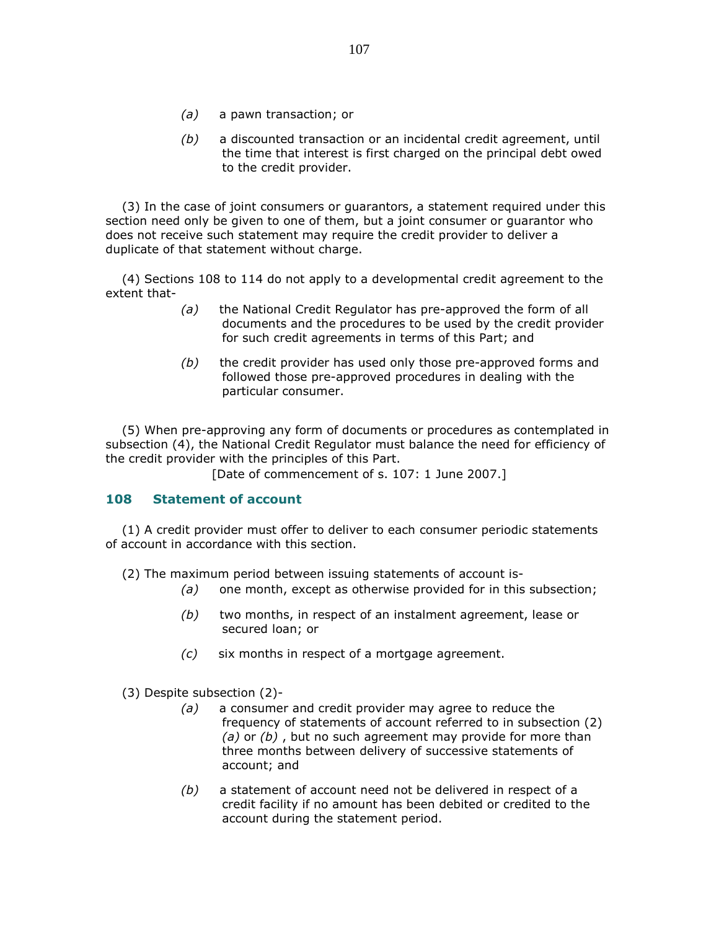- (a) a pawn transaction; or
- (b) a discounted transaction or an incidental credit agreement, until the time that interest is first charged on the principal debt owed to the credit provider.

 (3) In the case of joint consumers or guarantors, a statement required under this section need only be given to one of them, but a joint consumer or guarantor who does not receive such statement may require the credit provider to deliver a duplicate of that statement without charge.

 (4) Sections 108 to 114 do not apply to a developmental credit agreement to the extent that-

- (a) the National Credit Regulator has pre-approved the form of all documents and the procedures to be used by the credit provider for such credit agreements in terms of this Part; and
- $(b)$  the credit provider has used only those pre-approved forms and followed those pre-approved procedures in dealing with the particular consumer.

 (5) When pre-approving any form of documents or procedures as contemplated in subsection (4), the National Credit Regulator must balance the need for efficiency of the credit provider with the principles of this Part.

[Date of commencement of s. 107: 1 June 2007.]

#### 108 Statement of account

 (1) A credit provider must offer to deliver to each consumer periodic statements of account in accordance with this section.

(2) The maximum period between issuing statements of account is-

- $(a)$  one month, except as otherwise provided for in this subsection;
- $(b)$  two months, in respect of an instalment agreement, lease or secured loan; or
- (c) six months in respect of a mortgage agreement.

(3) Despite subsection (2)-

- (a) a consumer and credit provider may agree to reduce the frequency of statements of account referred to in subsection (2) (a) or  $(b)$ , but no such agreement may provide for more than three months between delivery of successive statements of account; and
- (b) a statement of account need not be delivered in respect of a credit facility if no amount has been debited or credited to the account during the statement period.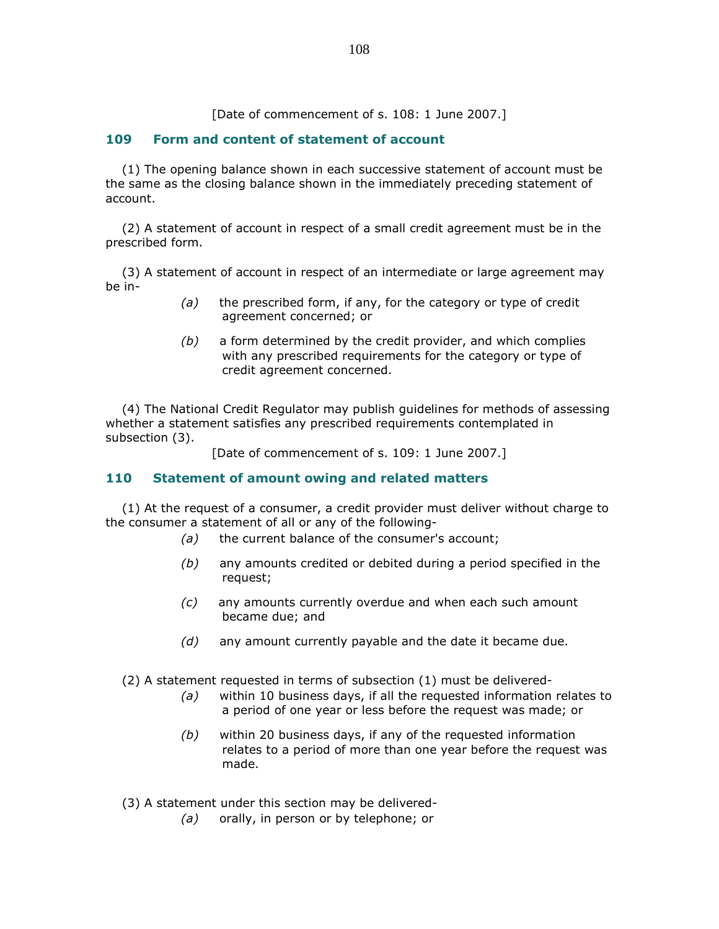[Date of commencement of s. 108: 1 June 2007.]

## 109 Form and content of statement of account

 (1) The opening balance shown in each successive statement of account must be the same as the closing balance shown in the immediately preceding statement of account.

 (2) A statement of account in respect of a small credit agreement must be in the prescribed form.

 (3) A statement of account in respect of an intermediate or large agreement may be in-

- $(a)$  the prescribed form, if any, for the category or type of credit agreement concerned; or
- $(b)$  a form determined by the credit provider, and which complies with any prescribed requirements for the category or type of credit agreement concerned.

 (4) The National Credit Regulator may publish guidelines for methods of assessing whether a statement satisfies any prescribed requirements contemplated in subsection (3).

[Date of commencement of s. 109: 1 June 2007.]

### 110 Statement of amount owing and related matters

 (1) At the request of a consumer, a credit provider must deliver without charge to the consumer a statement of all or any of the following-

- (a) the current balance of the consumer's account:
- $(b)$  any amounts credited or debited during a period specified in the request;
- (c) any amounts currently overdue and when each such amount became due; and
- $(d)$  any amount currently payable and the date it became due.

(2) A statement requested in terms of subsection (1) must be delivered-

- (a) within 10 business days, if all the requested information relates to a period of one year or less before the request was made; or
- (b) within 20 business days, if any of the requested information relates to a period of more than one year before the request was made.
- (3) A statement under this section may be delivered-
	- (a) orally, in person or by telephone; or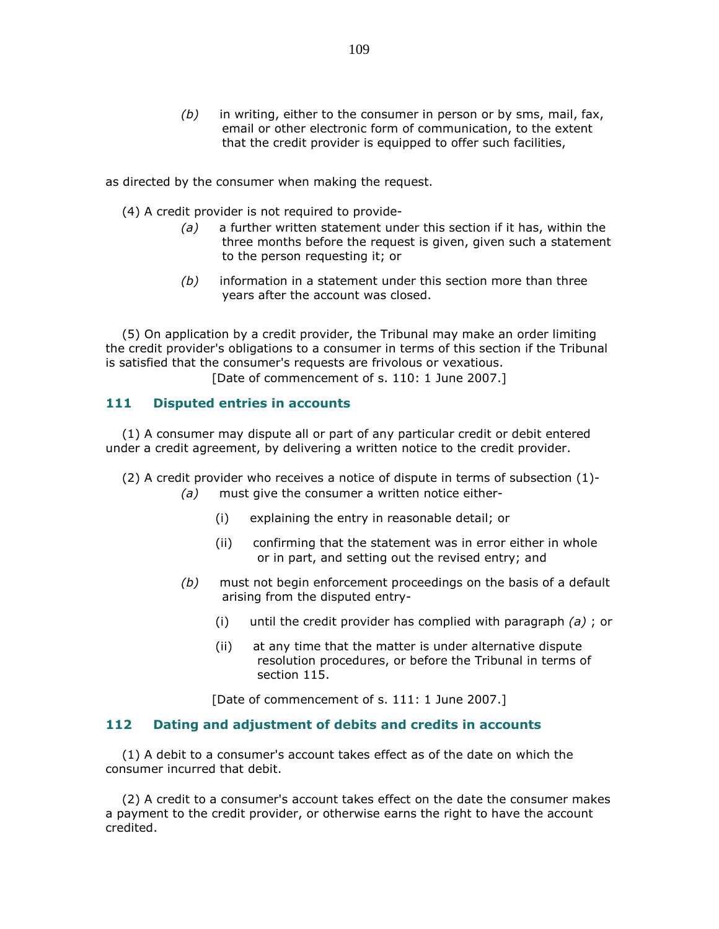$(b)$  in writing, either to the consumer in person or by sms, mail, fax, email or other electronic form of communication, to the extent that the credit provider is equipped to offer such facilities,

as directed by the consumer when making the request.

- (4) A credit provider is not required to provide-
	- $(a)$  a further written statement under this section if it has, within the three months before the request is given, given such a statement to the person requesting it; or
	- $(b)$  information in a statement under this section more than three years after the account was closed.

 (5) On application by a credit provider, the Tribunal may make an order limiting the credit provider's obligations to a consumer in terms of this section if the Tribunal is satisfied that the consumer's requests are frivolous or vexatious.

[Date of commencement of s. 110: 1 June 2007.]

### 111 Disputed entries in accounts

 (1) A consumer may dispute all or part of any particular credit or debit entered under a credit agreement, by delivering a written notice to the credit provider.

(2) A credit provider who receives a notice of dispute in terms of subsection (1)-

- (a) must give the consumer a written notice either-
	- (i) explaining the entry in reasonable detail; or
	- (ii) confirming that the statement was in error either in whole or in part, and setting out the revised entry; and
- $(b)$  must not begin enforcement proceedings on the basis of a default arising from the disputed entry-
	- (i) until the credit provider has complied with paragraph  $(a)$ ; or
	- (ii) at any time that the matter is under alternative dispute resolution procedures, or before the Tribunal in terms of section 115.

[Date of commencement of s. 111: 1 June 2007.]

#### 112 Dating and adjustment of debits and credits in accounts

 (1) A debit to a consumer's account takes effect as of the date on which the consumer incurred that debit.

 (2) A credit to a consumer's account takes effect on the date the consumer makes a payment to the credit provider, or otherwise earns the right to have the account credited.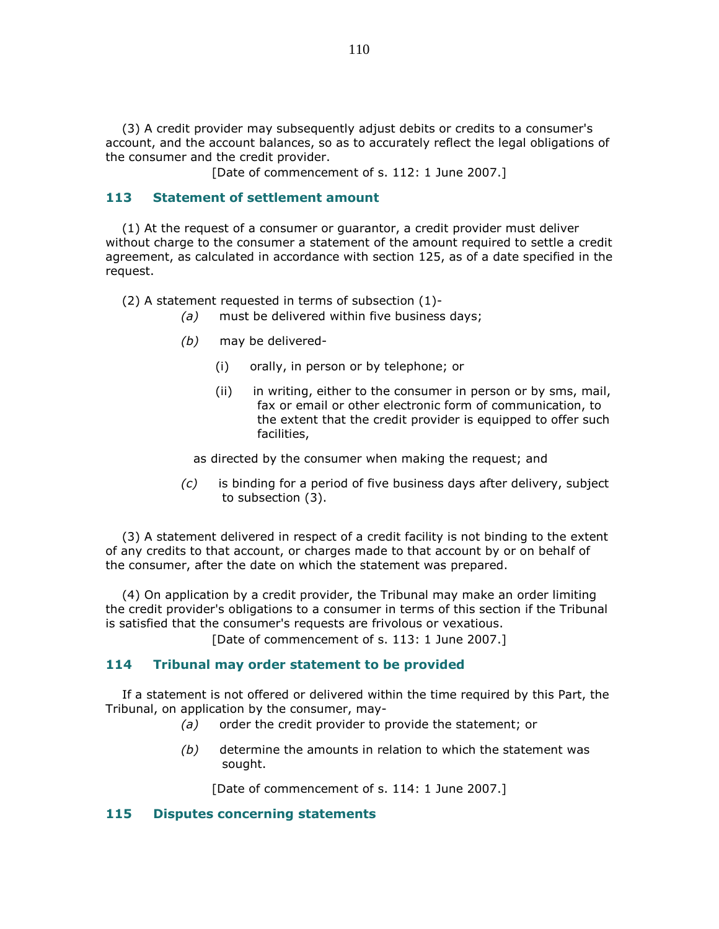(3) A credit provider may subsequently adjust debits or credits to a consumer's account, and the account balances, so as to accurately reflect the legal obligations of the consumer and the credit provider.

[Date of commencement of s. 112: 1 June 2007.]

#### 113 Statement of settlement amount

 (1) At the request of a consumer or guarantor, a credit provider must deliver without charge to the consumer a statement of the amount required to settle a credit agreement, as calculated in accordance with section 125, as of a date specified in the request.

(2) A statement requested in terms of subsection (1)-

- $(a)$  must be delivered within five business days;
- (b) may be delivered-
	- (i) orally, in person or by telephone; or
	- (ii) in writing, either to the consumer in person or by sms, mail, fax or email or other electronic form of communication, to the extent that the credit provider is equipped to offer such facilities,

as directed by the consumer when making the request; and

 (c) is binding for a period of five business days after delivery, subject to subsection (3).

 (3) A statement delivered in respect of a credit facility is not binding to the extent of any credits to that account, or charges made to that account by or on behalf of the consumer, after the date on which the statement was prepared.

 (4) On application by a credit provider, the Tribunal may make an order limiting the credit provider's obligations to a consumer in terms of this section if the Tribunal is satisfied that the consumer's requests are frivolous or vexatious.

[Date of commencement of s. 113: 1 June 2007.]

#### 114 Tribunal may order statement to be provided

 If a statement is not offered or delivered within the time required by this Part, the Tribunal, on application by the consumer, may-

- (a) order the credit provider to provide the statement; or
- $(b)$  determine the amounts in relation to which the statement was sought.

[Date of commencement of s. 114: 1 June 2007.]

#### 115 Disputes concerning statements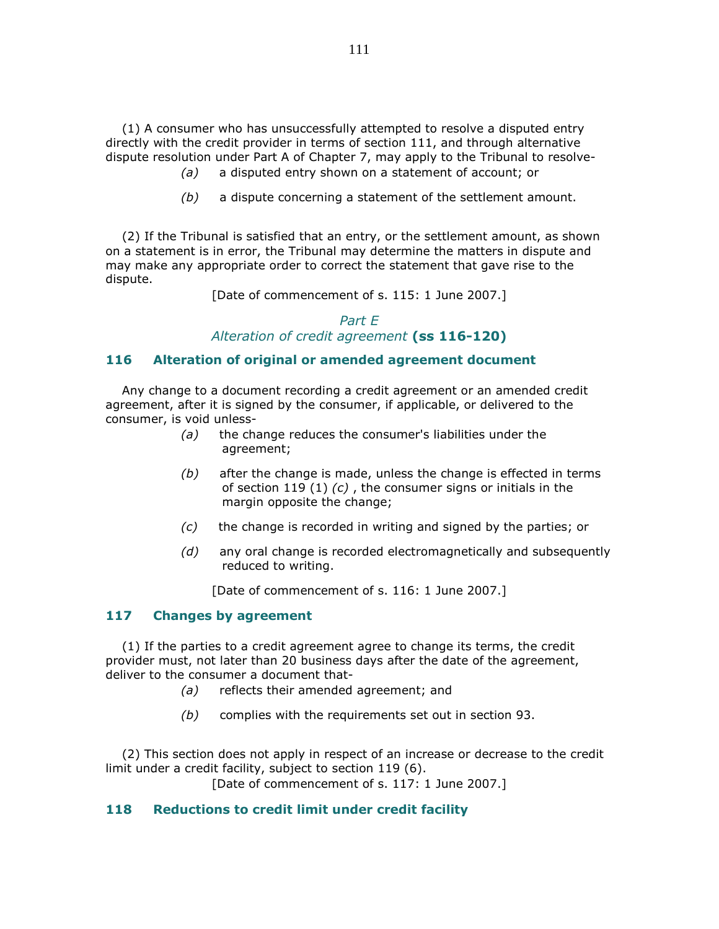(1) A consumer who has unsuccessfully attempted to resolve a disputed entry directly with the credit provider in terms of section 111, and through alternative dispute resolution under Part A of Chapter 7, may apply to the Tribunal to resolve-

- (a) a disputed entry shown on a statement of account; or
- $(b)$  a dispute concerning a statement of the settlement amount.

 (2) If the Tribunal is satisfied that an entry, or the settlement amount, as shown on a statement is in error, the Tribunal may determine the matters in dispute and may make any appropriate order to correct the statement that gave rise to the dispute.

[Date of commencement of s. 115: 1 June 2007.]

## Part E Alteration of credit agreement (ss 116-120)

#### 116 Alteration of original or amended agreement document

 Any change to a document recording a credit agreement or an amended credit agreement, after it is signed by the consumer, if applicable, or delivered to the consumer, is void unless-

- (a) the change reduces the consumer's liabilities under the agreement;
- $(b)$  after the change is made, unless the change is effected in terms of section 119 (1)  $(c)$ , the consumer signs or initials in the margin opposite the change;
- $(c)$  the change is recorded in writing and signed by the parties; or
- (d) any oral change is recorded electromagnetically and subsequently reduced to writing.

[Date of commencement of s. 116: 1 June 2007.]

### 117 Changes by agreement

 (1) If the parties to a credit agreement agree to change its terms, the credit provider must, not later than 20 business days after the date of the agreement, deliver to the consumer a document that-

- (a) reflects their amended agreement; and
- (b) complies with the requirements set out in section 93.

 (2) This section does not apply in respect of an increase or decrease to the credit limit under a credit facility, subject to section 119 (6).

[Date of commencement of s. 117: 1 June 2007.]

#### 118 Reductions to credit limit under credit facility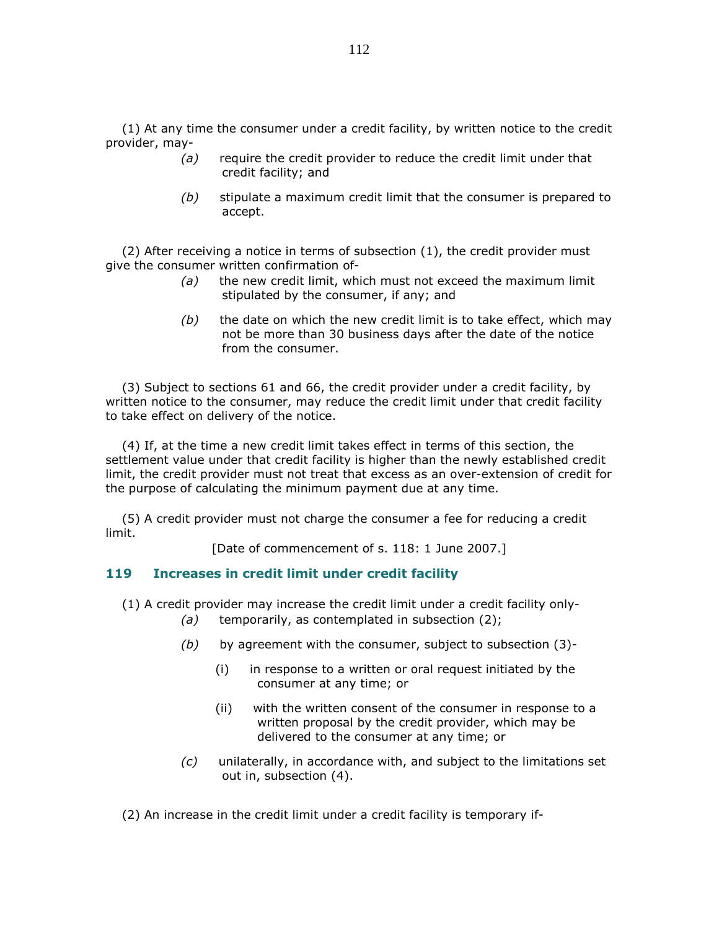(1) At any time the consumer under a credit facility, by written notice to the credit provider, may-

- $(a)$  require the credit provider to reduce the credit limit under that credit facility; and
- $(b)$  stipulate a maximum credit limit that the consumer is prepared to accept.

 (2) After receiving a notice in terms of subsection (1), the credit provider must give the consumer written confirmation of-

- $(a)$  the new credit limit, which must not exceed the maximum limit stipulated by the consumer, if any; and
- $(b)$  the date on which the new credit limit is to take effect, which may not be more than 30 business days after the date of the notice from the consumer.

 (3) Subject to sections 61 and 66, the credit provider under a credit facility, by written notice to the consumer, may reduce the credit limit under that credit facility to take effect on delivery of the notice.

 (4) If, at the time a new credit limit takes effect in terms of this section, the settlement value under that credit facility is higher than the newly established credit limit, the credit provider must not treat that excess as an over-extension of credit for the purpose of calculating the minimum payment due at any time.

 (5) A credit provider must not charge the consumer a fee for reducing a credit limit.

[Date of commencement of s. 118: 1 June 2007.]

#### 119 Increases in credit limit under credit facility

- (1) A credit provider may increase the credit limit under a credit facility only-
	- (a) temporarily, as contemplated in subsection  $(2)$ ;
	- $(b)$  by agreement with the consumer, subject to subsection  $(3)$ -
		- (i) in response to a written or oral request initiated by the consumer at any time; or
		- (ii) with the written consent of the consumer in response to a written proposal by the credit provider, which may be delivered to the consumer at any time; or
	- (c) unilaterally, in accordance with, and subject to the limitations set out in, subsection (4).

(2) An increase in the credit limit under a credit facility is temporary if-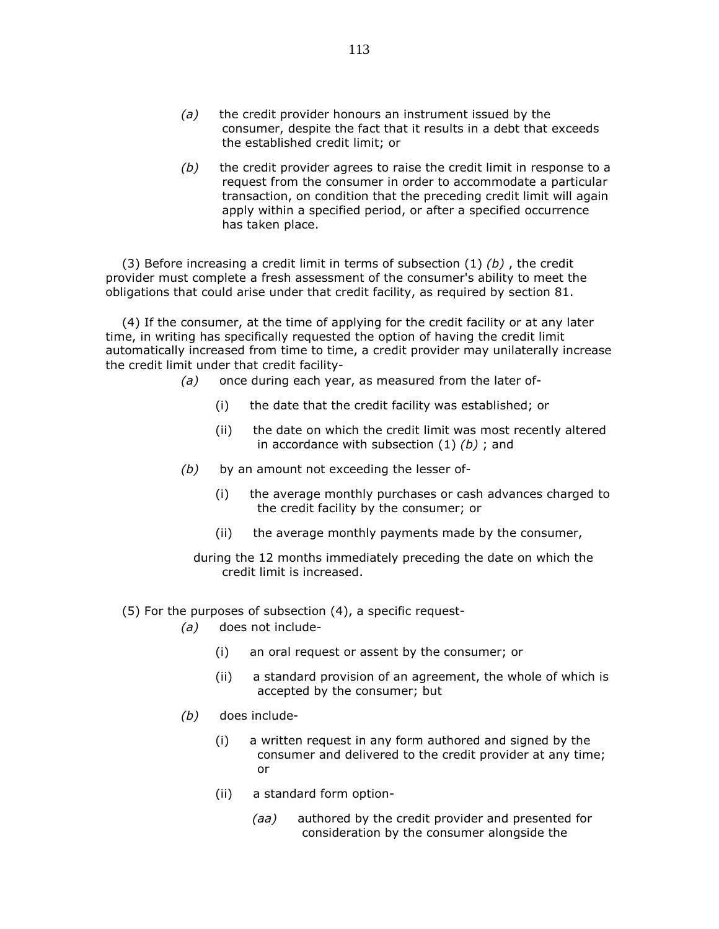- $(a)$  the credit provider honours an instrument issued by the consumer, despite the fact that it results in a debt that exceeds the established credit limit; or
- $(b)$  the credit provider agrees to raise the credit limit in response to a request from the consumer in order to accommodate a particular transaction, on condition that the preceding credit limit will again apply within a specified period, or after a specified occurrence has taken place.

(3) Before increasing a credit limit in terms of subsection (1)  $(b)$ , the credit provider must complete a fresh assessment of the consumer's ability to meet the obligations that could arise under that credit facility, as required by section 81.

 (4) If the consumer, at the time of applying for the credit facility or at any later time, in writing has specifically requested the option of having the credit limit automatically increased from time to time, a credit provider may unilaterally increase the credit limit under that credit facility-

- (a) once during each year, as measured from the later of-
	- (i) the date that the credit facility was established; or
	- (ii) the date on which the credit limit was most recently altered in accordance with subsection  $(1)$   $(b)$ ; and
- $(b)$  by an amount not exceeding the lesser of-
	- (i) the average monthly purchases or cash advances charged to the credit facility by the consumer; or
	- (ii) the average monthly payments made by the consumer,

 during the 12 months immediately preceding the date on which the credit limit is increased.

- (5) For the purposes of subsection (4), a specific request-
	- (a) does not include-
		- (i) an oral request or assent by the consumer; or
		- (ii) a standard provision of an agreement, the whole of which is accepted by the consumer; but
	- (b) does include-
		- (i) a written request in any form authored and signed by the consumer and delivered to the credit provider at any time; or
		- (ii) a standard form option-
			- (aa) authored by the credit provider and presented for consideration by the consumer alongside the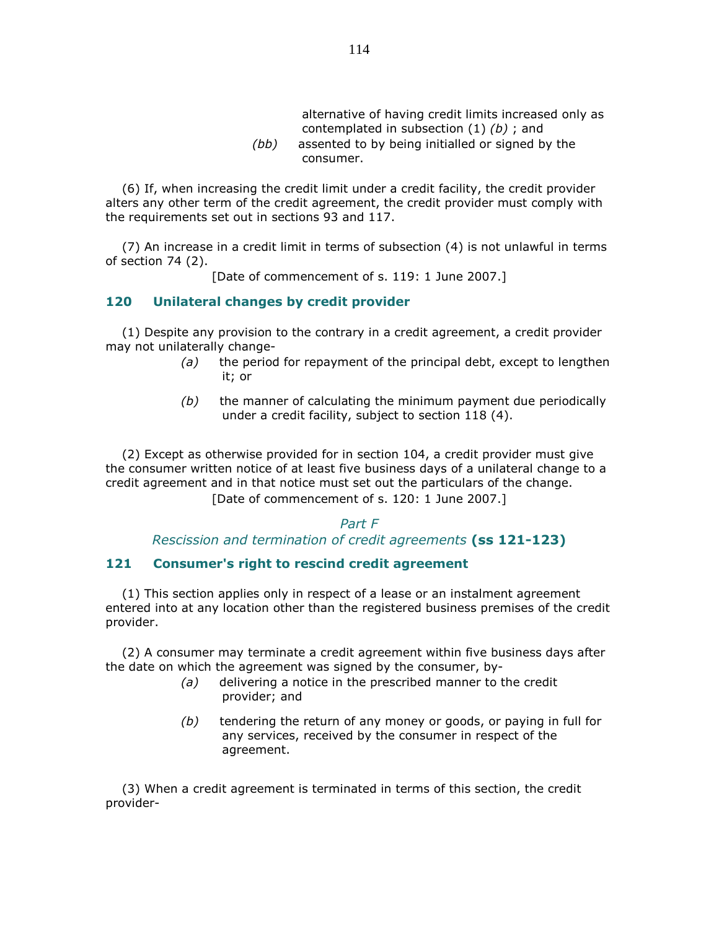| alternative of having credit limits increased only as |
|-------------------------------------------------------|
| contemplated in subsection $(1)$ $(b)$ ; and          |
| assented to by being initialled or signed by the      |

(bb) assented to by being initialled or signed by the consumer.

 (6) If, when increasing the credit limit under a credit facility, the credit provider alters any other term of the credit agreement, the credit provider must comply with the requirements set out in sections 93 and 117.

 (7) An increase in a credit limit in terms of subsection (4) is not unlawful in terms of section 74 (2).

[Date of commencement of s. 119: 1 June 2007.]

#### 120 Unilateral changes by credit provider

 (1) Despite any provision to the contrary in a credit agreement, a credit provider may not unilaterally change-

- $(a)$  the period for repayment of the principal debt, except to lengthen it; or
- $(b)$  the manner of calculating the minimum payment due periodically under a credit facility, subject to section 118 (4).

 (2) Except as otherwise provided for in section 104, a credit provider must give the consumer written notice of at least five business days of a unilateral change to a credit agreement and in that notice must set out the particulars of the change. [Date of commencement of s. 120: 1 June 2007.]

### Part F Rescission and termination of credit agreements (ss 121-123)

### 121 Consumer's right to rescind credit agreement

 (1) This section applies only in respect of a lease or an instalment agreement entered into at any location other than the registered business premises of the credit provider.

 (2) A consumer may terminate a credit agreement within five business days after the date on which the agreement was signed by the consumer, by-

- (a) delivering a notice in the prescribed manner to the credit provider; and
- $(b)$  tendering the return of any money or goods, or paying in full for any services, received by the consumer in respect of the agreement.

 (3) When a credit agreement is terminated in terms of this section, the credit provider-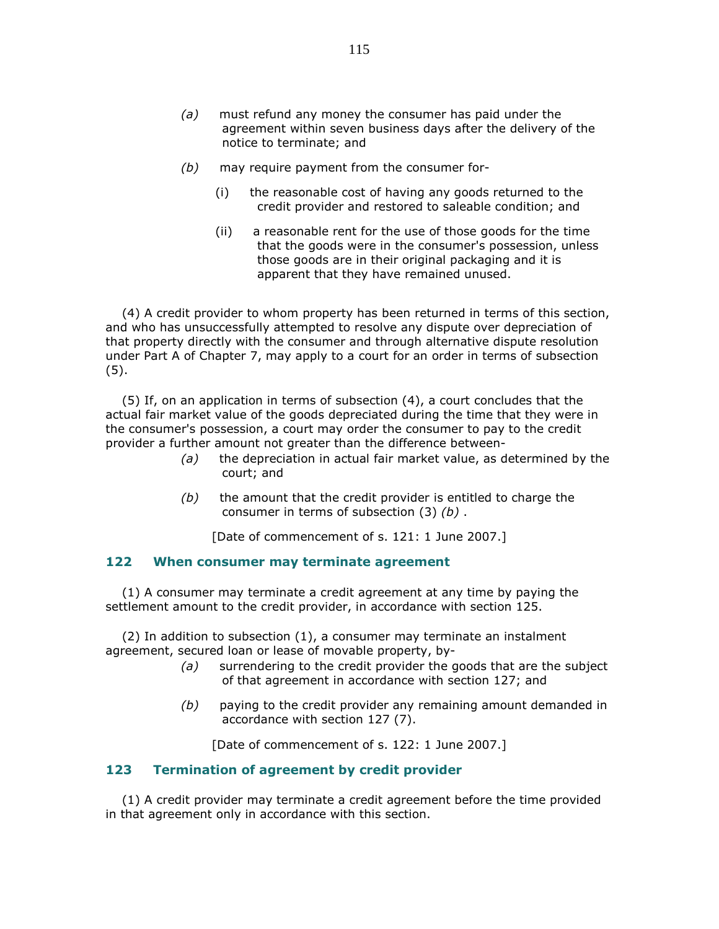- (a) must refund any money the consumer has paid under the agreement within seven business days after the delivery of the notice to terminate; and
- (b) may require payment from the consumer for-
	- (i) the reasonable cost of having any goods returned to the credit provider and restored to saleable condition; and
	- (ii) a reasonable rent for the use of those goods for the time that the goods were in the consumer's possession, unless those goods are in their original packaging and it is apparent that they have remained unused.

 (4) A credit provider to whom property has been returned in terms of this section, and who has unsuccessfully attempted to resolve any dispute over depreciation of that property directly with the consumer and through alternative dispute resolution under Part A of Chapter 7, may apply to a court for an order in terms of subsection (5).

 (5) If, on an application in terms of subsection (4), a court concludes that the actual fair market value of the goods depreciated during the time that they were in the consumer's possession, a court may order the consumer to pay to the credit provider a further amount not greater than the difference between-

- $(a)$  the depreciation in actual fair market value, as determined by the court; and
- $(b)$  the amount that the credit provider is entitled to charge the consumer in terms of subsection (3) (b) .

[Date of commencement of s. 121: 1 June 2007.]

#### 122 When consumer may terminate agreement

 (1) A consumer may terminate a credit agreement at any time by paying the settlement amount to the credit provider, in accordance with section 125.

 (2) In addition to subsection (1), a consumer may terminate an instalment agreement, secured loan or lease of movable property, by-

- $(a)$  surrendering to the credit provider the goods that are the subject of that agreement in accordance with section 127; and
- (b) paying to the credit provider any remaining amount demanded in accordance with section 127 (7).

[Date of commencement of s. 122: 1 June 2007.]

### 123 Termination of agreement by credit provider

 (1) A credit provider may terminate a credit agreement before the time provided in that agreement only in accordance with this section.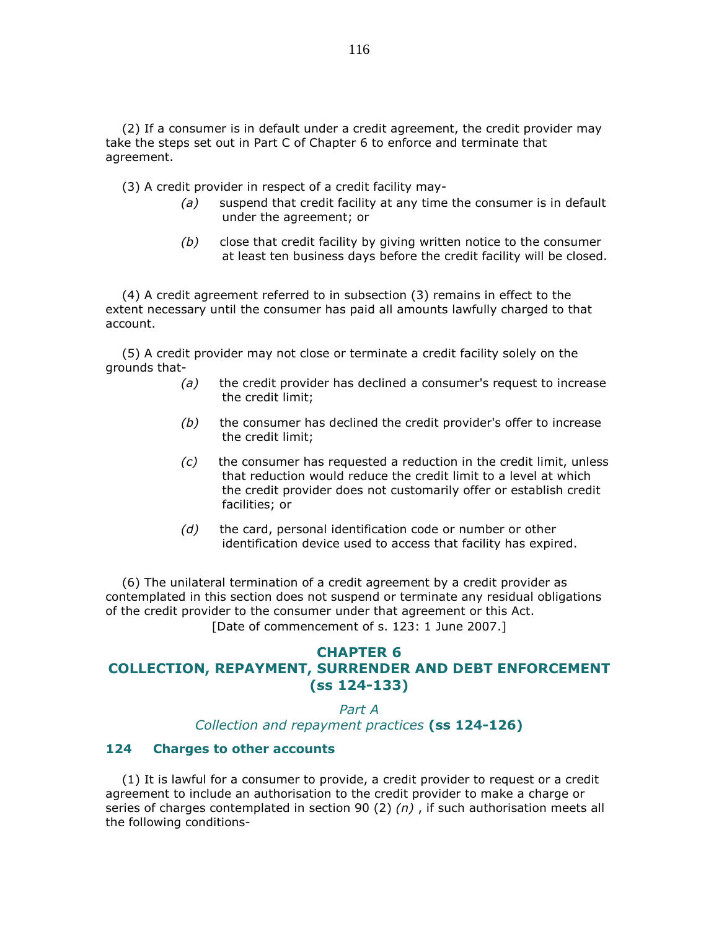(2) If a consumer is in default under a credit agreement, the credit provider may take the steps set out in Part C of Chapter 6 to enforce and terminate that agreement.

(3) A credit provider in respect of a credit facility may-

- $(a)$  suspend that credit facility at any time the consumer is in default under the agreement; or
- (b) close that credit facility by giving written notice to the consumer at least ten business days before the credit facility will be closed.

 (4) A credit agreement referred to in subsection (3) remains in effect to the extent necessary until the consumer has paid all amounts lawfully charged to that account.

 (5) A credit provider may not close or terminate a credit facility solely on the grounds that-

- $(a)$  the credit provider has declined a consumer's request to increase the credit limit;
- $(b)$  the consumer has declined the credit provider's offer to increase the credit limit;
- $(c)$  the consumer has requested a reduction in the credit limit, unless that reduction would reduce the credit limit to a level at which the credit provider does not customarily offer or establish credit facilities; or
- $(d)$  the card, personal identification code or number or other identification device used to access that facility has expired.

 (6) The unilateral termination of a credit agreement by a credit provider as contemplated in this section does not suspend or terminate any residual obligations of the credit provider to the consumer under that agreement or this Act. [Date of commencement of s. 123: 1 June 2007.]

### CHAPTER 6 COLLECTION, REPAYMENT, SURRENDER AND DEBT ENFORCEMENT (ss 124-133)

Part A

Collection and repayment practices (ss 124-126)

#### 124 Charges to other accounts

 (1) It is lawful for a consumer to provide, a credit provider to request or a credit agreement to include an authorisation to the credit provider to make a charge or series of charges contemplated in section 90 (2)  $(n)$ , if such authorisation meets all the following conditions-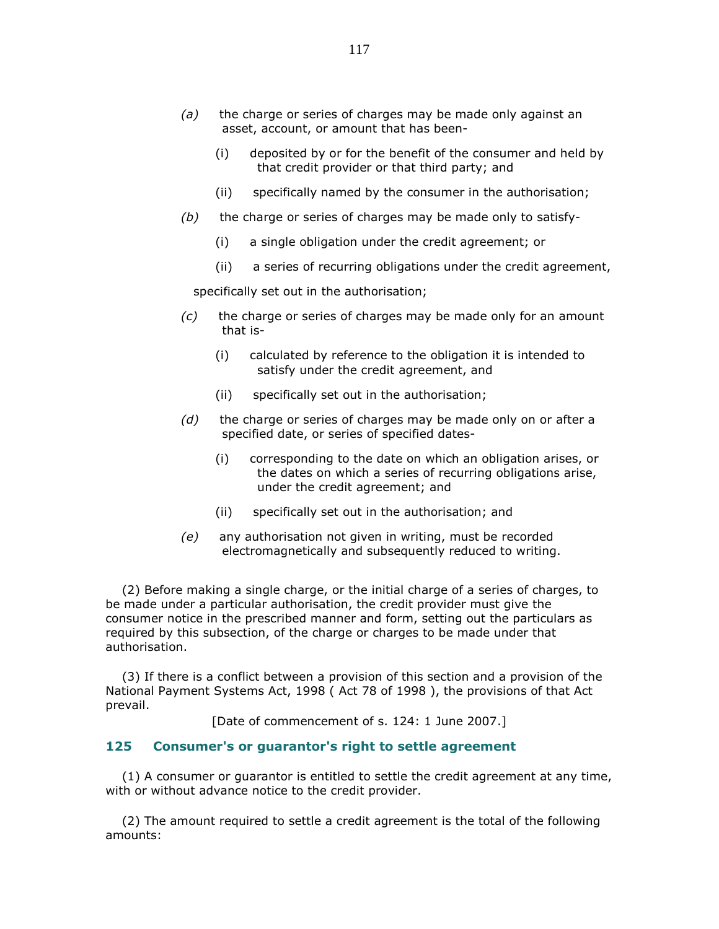- (a) the charge or series of charges may be made only against an asset, account, or amount that has been-
	- (i) deposited by or for the benefit of the consumer and held by that credit provider or that third party; and
	- (ii) specifically named by the consumer in the authorisation;
- $(b)$  the charge or series of charges may be made only to satisfy-
	- (i) a single obligation under the credit agreement; or
	- (ii) a series of recurring obligations under the credit agreement,

specifically set out in the authorisation;

- $(c)$  the charge or series of charges may be made only for an amount that is-
	- (i) calculated by reference to the obligation it is intended to satisfy under the credit agreement, and
	- (ii) specifically set out in the authorisation;
- $(d)$  the charge or series of charges may be made only on or after a specified date, or series of specified dates-
	- (i) corresponding to the date on which an obligation arises, or the dates on which a series of recurring obligations arise, under the credit agreement; and
	- (ii) specifically set out in the authorisation; and
- (e) any authorisation not given in writing, must be recorded electromagnetically and subsequently reduced to writing.

 (2) Before making a single charge, or the initial charge of a series of charges, to be made under a particular authorisation, the credit provider must give the consumer notice in the prescribed manner and form, setting out the particulars as required by this subsection, of the charge or charges to be made under that authorisation.

 (3) If there is a conflict between a provision of this section and a provision of the National Payment Systems Act, 1998 ( Act 78 of 1998 ), the provisions of that Act prevail.

[Date of commencement of s. 124: 1 June 2007.]

#### 125 Consumer's or guarantor's right to settle agreement

 (1) A consumer or guarantor is entitled to settle the credit agreement at any time, with or without advance notice to the credit provider.

 (2) The amount required to settle a credit agreement is the total of the following amounts: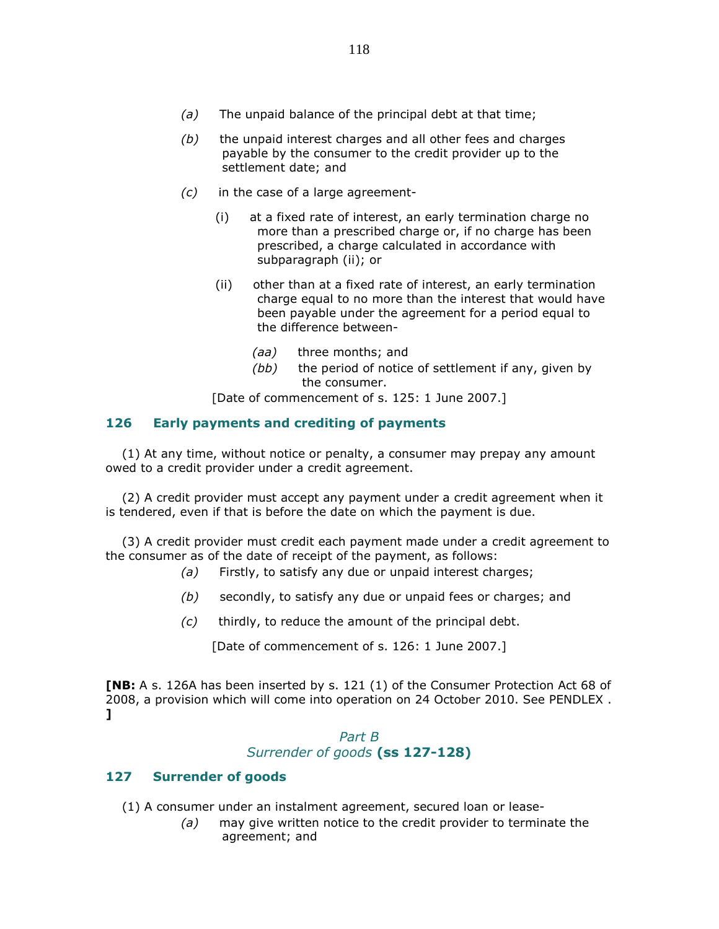- $(a)$  The unpaid balance of the principal debt at that time;
- $(b)$  the unpaid interest charges and all other fees and charges payable by the consumer to the credit provider up to the settlement date; and
- $(c)$  in the case of a large agreement-
	- (i) at a fixed rate of interest, an early termination charge no more than a prescribed charge or, if no charge has been prescribed, a charge calculated in accordance with subparagraph (ii); or
	- (ii) other than at a fixed rate of interest, an early termination charge equal to no more than the interest that would have been payable under the agreement for a period equal to the difference between-
		- (aa) three months; and
		- (bb) the period of notice of settlement if any, given by the consumer.

[Date of commencement of s. 125: 1 June 2007.]

### 126 Early payments and crediting of payments

 (1) At any time, without notice or penalty, a consumer may prepay any amount owed to a credit provider under a credit agreement.

 (2) A credit provider must accept any payment under a credit agreement when it is tendered, even if that is before the date on which the payment is due.

 (3) A credit provider must credit each payment made under a credit agreement to the consumer as of the date of receipt of the payment, as follows:

- (a) Firstly, to satisfy any due or unpaid interest charges;
- $(b)$  secondly, to satisfy any due or unpaid fees or charges; and
- (c) thirdly, to reduce the amount of the principal debt.

[Date of commencement of s. 126: 1 June 2007.]

[NB: A s. 126A has been inserted by s. 121 (1) of the Consumer Protection Act 68 of 2008, a provision which will come into operation on 24 October 2010. See PENDLEX . ]

## Part B Surrender of goods (ss 127-128)

### 127 Surrender of goods

(1) A consumer under an instalment agreement, secured loan or lease-

 $(a)$  may give written notice to the credit provider to terminate the agreement; and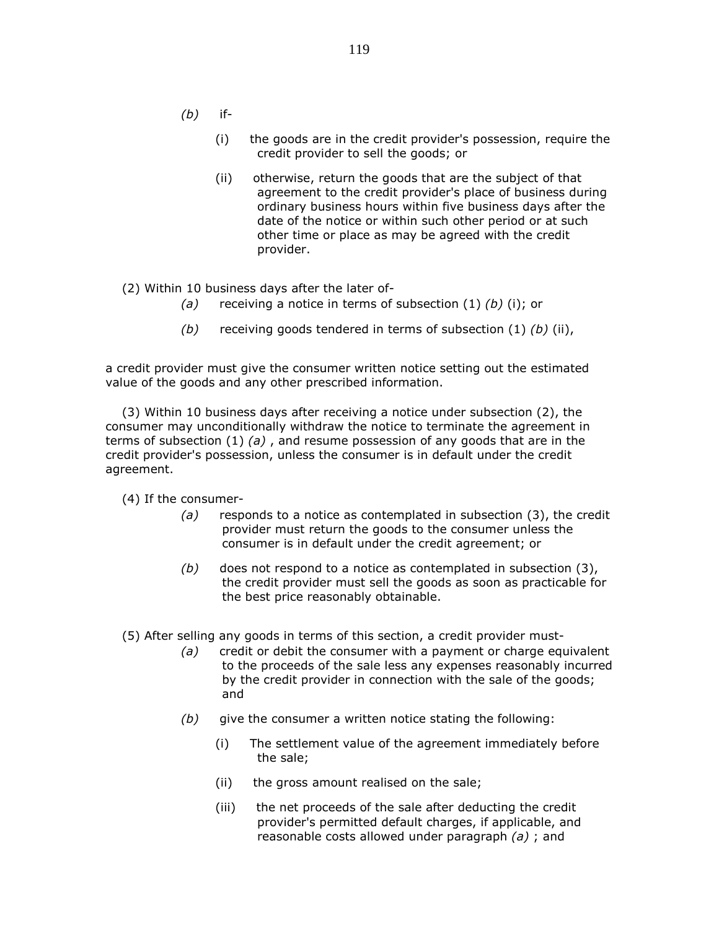- $(b)$  if-
	- (i) the goods are in the credit provider's possession, require the credit provider to sell the goods; or
	- (ii) otherwise, return the goods that are the subject of that agreement to the credit provider's place of business during ordinary business hours within five business days after the date of the notice or within such other period or at such other time or place as may be agreed with the credit provider.

(2) Within 10 business days after the later of-

- (a) receiving a notice in terms of subsection  $(1)$   $(b)$   $(i)$ ; or
- (b) receiving goods tendered in terms of subsection  $(1)$   $(b)$   $(ii)$ ,

a credit provider must give the consumer written notice setting out the estimated value of the goods and any other prescribed information.

 (3) Within 10 business days after receiving a notice under subsection (2), the consumer may unconditionally withdraw the notice to terminate the agreement in terms of subsection (1) (a), and resume possession of any goods that are in the credit provider's possession, unless the consumer is in default under the credit agreement.

(4) If the consumer-

- $(a)$  responds to a notice as contemplated in subsection (3), the credit provider must return the goods to the consumer unless the consumer is in default under the credit agreement; or
- $(b)$  does not respond to a notice as contemplated in subsection (3), the credit provider must sell the goods as soon as practicable for the best price reasonably obtainable.

(5) After selling any goods in terms of this section, a credit provider must-

- $(a)$  credit or debit the consumer with a payment or charge equivalent to the proceeds of the sale less any expenses reasonably incurred by the credit provider in connection with the sale of the goods; and
- $(b)$  give the consumer a written notice stating the following:
	- (i) The settlement value of the agreement immediately before the sale;
	- (ii) the gross amount realised on the sale;
	- (iii) the net proceeds of the sale after deducting the credit provider's permitted default charges, if applicable, and reasonable costs allowed under paragraph (a) ; and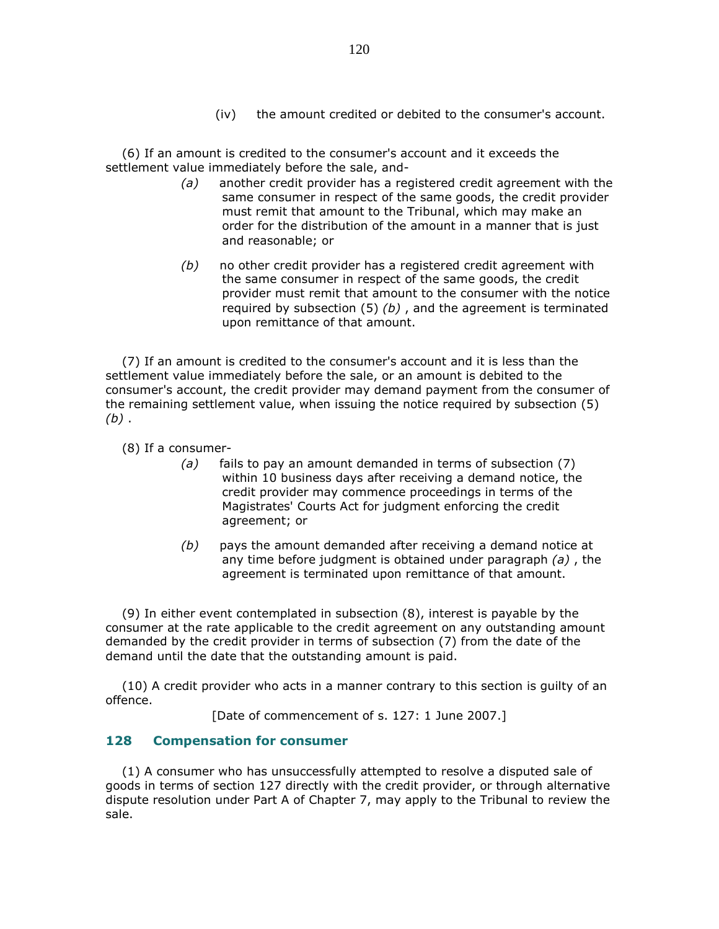(iv) the amount credited or debited to the consumer's account.

 (6) If an amount is credited to the consumer's account and it exceeds the settlement value immediately before the sale, and-

- $(a)$  another credit provider has a registered credit agreement with the same consumer in respect of the same goods, the credit provider must remit that amount to the Tribunal, which may make an order for the distribution of the amount in a manner that is just and reasonable; or
- $(b)$  no other credit provider has a registered credit agreement with the same consumer in respect of the same goods, the credit provider must remit that amount to the consumer with the notice required by subsection  $(5)$  (b), and the agreement is terminated upon remittance of that amount.

 (7) If an amount is credited to the consumer's account and it is less than the settlement value immediately before the sale, or an amount is debited to the consumer's account, the credit provider may demand payment from the consumer of the remaining settlement value, when issuing the notice required by subsection (5)  $(b)$ .

(8) If a consumer-

- (a) fails to pay an amount demanded in terms of subsection (7) within 10 business days after receiving a demand notice, the credit provider may commence proceedings in terms of the Magistrates' Courts Act for judgment enforcing the credit agreement; or
- $(b)$  pays the amount demanded after receiving a demand notice at any time before judgment is obtained under paragraph  $(a)$ , the agreement is terminated upon remittance of that amount.

 (9) In either event contemplated in subsection (8), interest is payable by the consumer at the rate applicable to the credit agreement on any outstanding amount demanded by the credit provider in terms of subsection (7) from the date of the demand until the date that the outstanding amount is paid.

 (10) A credit provider who acts in a manner contrary to this section is guilty of an offence.

[Date of commencement of s. 127: 1 June 2007.]

#### 128 Compensation for consumer

 (1) A consumer who has unsuccessfully attempted to resolve a disputed sale of goods in terms of section 127 directly with the credit provider, or through alternative dispute resolution under Part A of Chapter 7, may apply to the Tribunal to review the sale.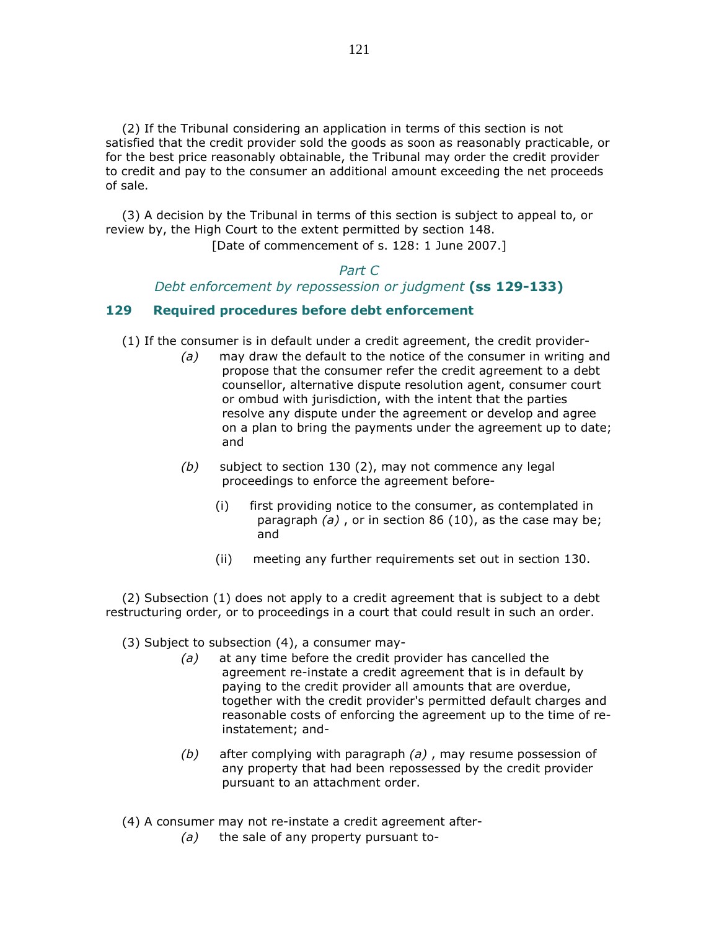(2) If the Tribunal considering an application in terms of this section is not satisfied that the credit provider sold the goods as soon as reasonably practicable, or for the best price reasonably obtainable, the Tribunal may order the credit provider to credit and pay to the consumer an additional amount exceeding the net proceeds of sale.

 (3) A decision by the Tribunal in terms of this section is subject to appeal to, or review by, the High Court to the extent permitted by section 148.

[Date of commencement of s. 128: 1 June 2007.]

# Part C Debt enforcement by repossession or judgment (ss 129-133)

#### 129 Required procedures before debt enforcement

- (1) If the consumer is in default under a credit agreement, the credit provider-
	- $(a)$  may draw the default to the notice of the consumer in writing and propose that the consumer refer the credit agreement to a debt counsellor, alternative dispute resolution agent, consumer court or ombud with jurisdiction, with the intent that the parties resolve any dispute under the agreement or develop and agree on a plan to bring the payments under the agreement up to date; and
	- $(b)$  subject to section 130 (2), may not commence any legal proceedings to enforce the agreement before-
		- (i) first providing notice to the consumer, as contemplated in paragraph  $(a)$ , or in section 86 (10), as the case may be; and
		- (ii) meeting any further requirements set out in section 130.

 (2) Subsection (1) does not apply to a credit agreement that is subject to a debt restructuring order, or to proceedings in a court that could result in such an order.

- (3) Subject to subsection (4), a consumer may-
	- (a) at any time before the credit provider has cancelled the agreement re-instate a credit agreement that is in default by paying to the credit provider all amounts that are overdue, together with the credit provider's permitted default charges and reasonable costs of enforcing the agreement up to the time of reinstatement; and-
	- (b) after complying with paragraph  $(a)$ , may resume possession of any property that had been repossessed by the credit provider pursuant to an attachment order.
- (4) A consumer may not re-instate a credit agreement after-
	- $(a)$  the sale of any property pursuant to-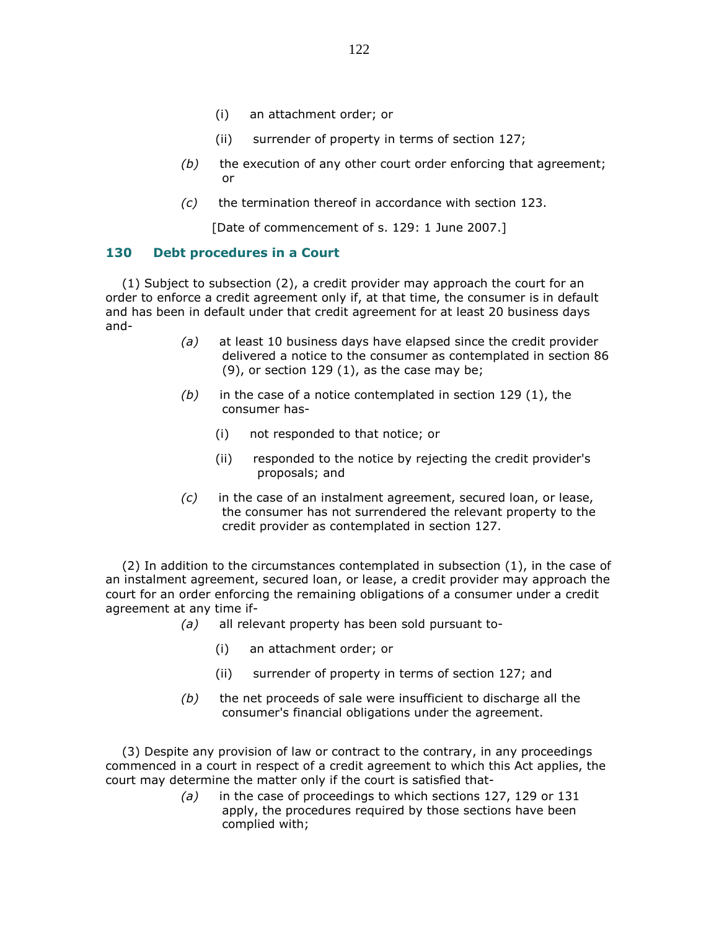- (i) an attachment order; or
- (ii) surrender of property in terms of section 127;
- $(b)$  the execution of any other court order enforcing that agreement; or
- (c) the termination thereof in accordance with section 123.

[Date of commencement of s. 129: 1 June 2007.]

#### 130 Debt procedures in a Court

 (1) Subject to subsection (2), a credit provider may approach the court for an order to enforce a credit agreement only if, at that time, the consumer is in default and has been in default under that credit agreement for at least 20 business days and-

- (a) at least 10 business days have elapsed since the credit provider delivered a notice to the consumer as contemplated in section 86 (9), or section 129 (1), as the case may be;
- $(b)$  in the case of a notice contemplated in section 129 (1), the consumer has-
	- (i) not responded to that notice; or
	- (ii) responded to the notice by rejecting the credit provider's proposals; and
- $(c)$  in the case of an instalment agreement, secured loan, or lease, the consumer has not surrendered the relevant property to the credit provider as contemplated in section 127.

 (2) In addition to the circumstances contemplated in subsection (1), in the case of an instalment agreement, secured loan, or lease, a credit provider may approach the court for an order enforcing the remaining obligations of a consumer under a credit agreement at any time if-

- (a) all relevant property has been sold pursuant to-
	- (i) an attachment order; or
	- (ii) surrender of property in terms of section 127; and
- $(b)$  the net proceeds of sale were insufficient to discharge all the consumer's financial obligations under the agreement.

 (3) Despite any provision of law or contract to the contrary, in any proceedings commenced in a court in respect of a credit agreement to which this Act applies, the court may determine the matter only if the court is satisfied that-

> (a) in the case of proceedings to which sections 127, 129 or 131 apply, the procedures required by those sections have been complied with;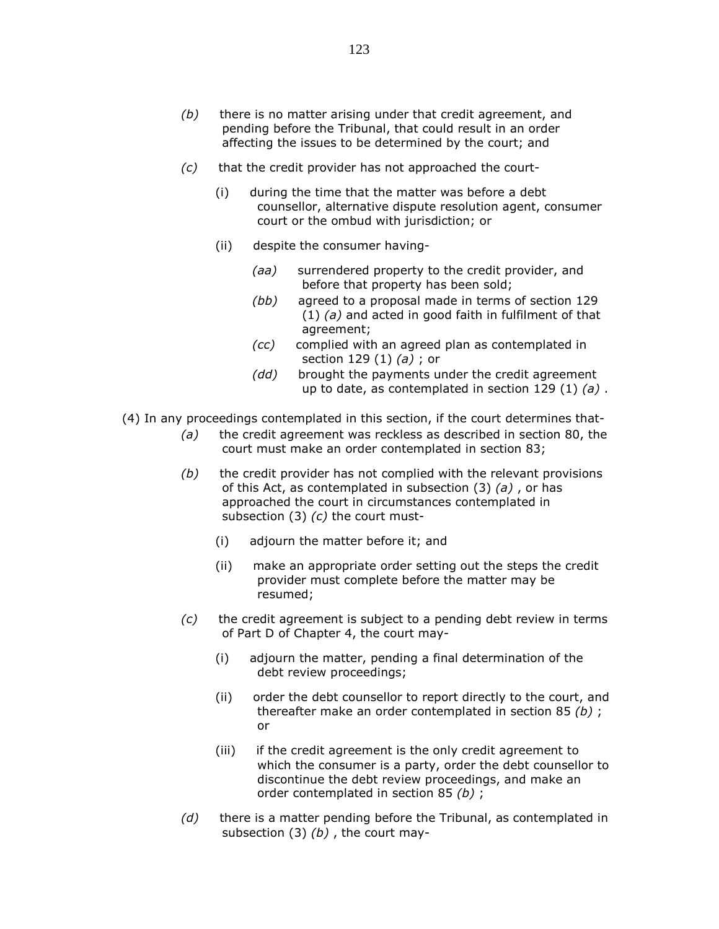- $(b)$  there is no matter arising under that credit agreement, and pending before the Tribunal, that could result in an order affecting the issues to be determined by the court; and
- (c) that the credit provider has not approached the court-
	- (i) during the time that the matter was before a debt counsellor, alternative dispute resolution agent, consumer court or the ombud with jurisdiction; or
	- (ii) despite the consumer having-
		- (aa) surrendered property to the credit provider, and before that property has been sold;
		- (bb) agreed to a proposal made in terms of section 129  $(1)$  (a) and acted in good faith in fulfilment of that agreement;
		- (cc) complied with an agreed plan as contemplated in section 129  $(1)$   $(a)$ ; or
		- (dd) brought the payments under the credit agreement up to date, as contemplated in section 129 (1)  $(a)$ .
- (4) In any proceedings contemplated in this section, if the court determines that-
	- $(a)$  the credit agreement was reckless as described in section 80, the court must make an order contemplated in section 83;
	- $(b)$  the credit provider has not complied with the relevant provisions of this Act, as contemplated in subsection  $(3)$   $(a)$ , or has approached the court in circumstances contemplated in subsection  $(3)$   $(c)$  the court must-
		- (i) adjourn the matter before it; and
		- (ii) make an appropriate order setting out the steps the credit provider must complete before the matter may be resumed;
	- $(c)$  the credit agreement is subject to a pending debt review in terms of Part D of Chapter 4, the court may-
		- (i) adjourn the matter, pending a final determination of the debt review proceedings;
		- (ii) order the debt counsellor to report directly to the court, and thereafter make an order contemplated in section 85 (b) ; or
		- (iii) if the credit agreement is the only credit agreement to which the consumer is a party, order the debt counsellor to discontinue the debt review proceedings, and make an order contemplated in section 85 (b) ;
	- $(d)$  there is a matter pending before the Tribunal, as contemplated in subsection  $(3)$   $(b)$ , the court may-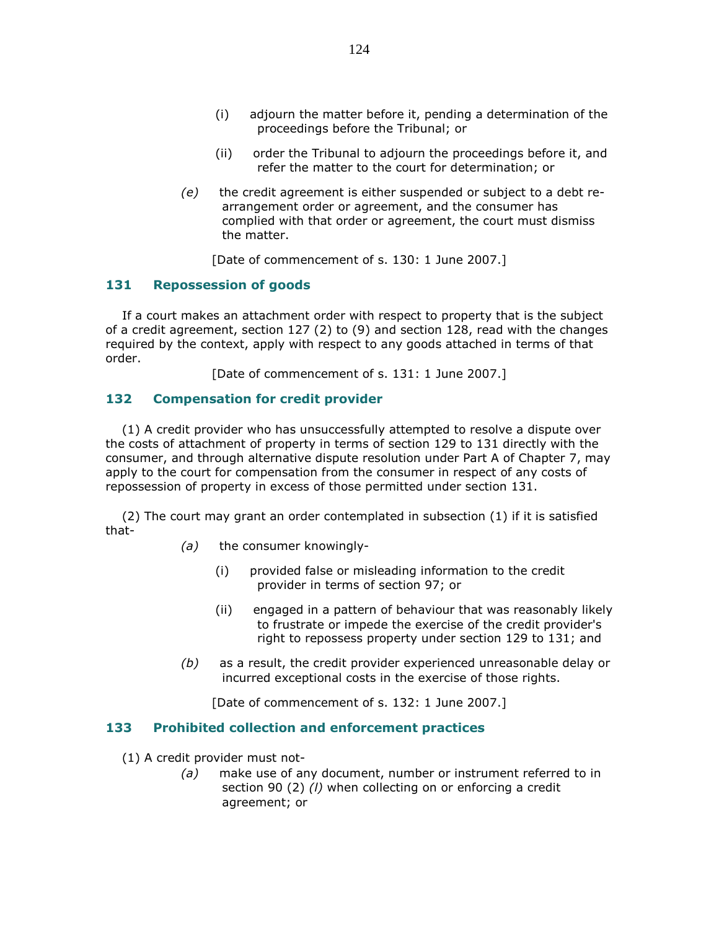- (i) adjourn the matter before it, pending a determination of the proceedings before the Tribunal; or
- (ii) order the Tribunal to adjourn the proceedings before it, and refer the matter to the court for determination; or
- (e) the credit agreement is either suspended or subject to a debt rearrangement order or agreement, and the consumer has complied with that order or agreement, the court must dismiss the matter.

[Date of commencement of s. 130: 1 June 2007.]

### 131 Repossession of goods

 If a court makes an attachment order with respect to property that is the subject of a credit agreement, section 127 (2) to (9) and section 128, read with the changes required by the context, apply with respect to any goods attached in terms of that order.

[Date of commencement of s. 131: 1 June 2007.]

### 132 Compensation for credit provider

 (1) A credit provider who has unsuccessfully attempted to resolve a dispute over the costs of attachment of property in terms of section 129 to 131 directly with the consumer, and through alternative dispute resolution under Part A of Chapter 7, may apply to the court for compensation from the consumer in respect of any costs of repossession of property in excess of those permitted under section 131.

 (2) The court may grant an order contemplated in subsection (1) if it is satisfied that-

- (a) the consumer knowingly-
	- (i) provided false or misleading information to the credit provider in terms of section 97; or
	- (ii) engaged in a pattern of behaviour that was reasonably likely to frustrate or impede the exercise of the credit provider's right to repossess property under section 129 to 131; and
- $(b)$  as a result, the credit provider experienced unreasonable delay or incurred exceptional costs in the exercise of those rights.

[Date of commencement of s. 132: 1 June 2007.]

#### 133 Prohibited collection and enforcement practices

(1) A credit provider must not-

 (a) make use of any document, number or instrument referred to in section 90 (2) (*l*) when collecting on or enforcing a credit agreement; or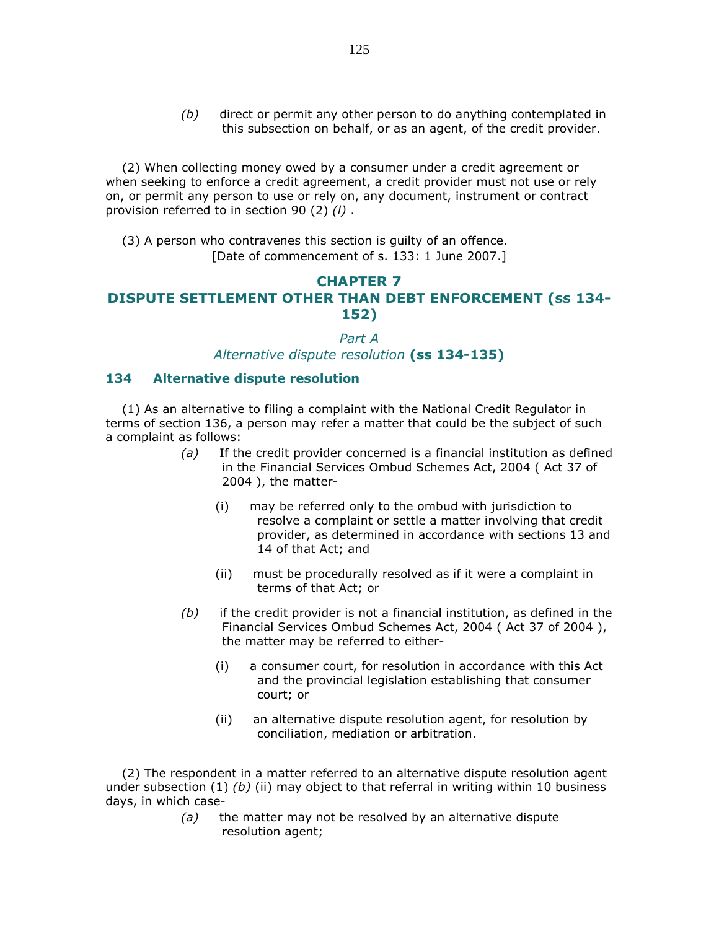(b) direct or permit any other person to do anything contemplated in this subsection on behalf, or as an agent, of the credit provider.

 (2) When collecting money owed by a consumer under a credit agreement or when seeking to enforce a credit agreement, a credit provider must not use or rely on, or permit any person to use or rely on, any document, instrument or contract provision referred to in section 90 (2) (l) .

 (3) A person who contravenes this section is guilty of an offence. [Date of commencement of s. 133: 1 June 2007.]

## CHAPTER 7 DISPUTE SETTLEMENT OTHER THAN DEBT ENFORCEMENT (ss 134- 152)

#### Part A

Alternative dispute resolution (ss 134-135)

#### 134 Alternative dispute resolution

 (1) As an alternative to filing a complaint with the National Credit Regulator in terms of section 136, a person may refer a matter that could be the subject of such a complaint as follows:

- (a) If the credit provider concerned is a financial institution as defined in the Financial Services Ombud Schemes Act, 2004 ( Act 37 of 2004 ), the matter-
	- (i) may be referred only to the ombud with jurisdiction to resolve a complaint or settle a matter involving that credit provider, as determined in accordance with sections 13 and 14 of that Act; and
	- (ii) must be procedurally resolved as if it were a complaint in terms of that Act; or
- $(b)$  if the credit provider is not a financial institution, as defined in the Financial Services Ombud Schemes Act, 2004 ( Act 37 of 2004 ), the matter may be referred to either-
	- (i) a consumer court, for resolution in accordance with this Act and the provincial legislation establishing that consumer court; or
	- (ii) an alternative dispute resolution agent, for resolution by conciliation, mediation or arbitration.

 (2) The respondent in a matter referred to an alternative dispute resolution agent under subsection  $(1)$   $(b)$  (ii) may object to that referral in writing within 10 business days, in which case-

> $(a)$  the matter may not be resolved by an alternative dispute resolution agent;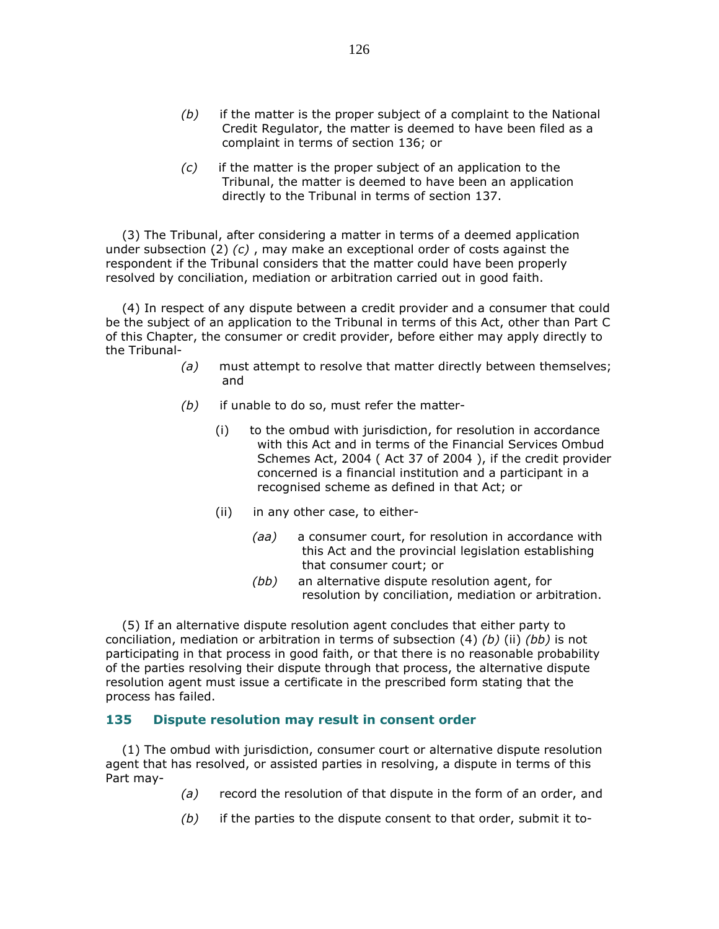- $(b)$  if the matter is the proper subject of a complaint to the National Credit Regulator, the matter is deemed to have been filed as a complaint in terms of section 136; or
- $(c)$  if the matter is the proper subject of an application to the Tribunal, the matter is deemed to have been an application directly to the Tribunal in terms of section 137.

 (3) The Tribunal, after considering a matter in terms of a deemed application under subsection  $(2)$   $(c)$ , may make an exceptional order of costs against the respondent if the Tribunal considers that the matter could have been properly resolved by conciliation, mediation or arbitration carried out in good faith.

 (4) In respect of any dispute between a credit provider and a consumer that could be the subject of an application to the Tribunal in terms of this Act, other than Part C of this Chapter, the consumer or credit provider, before either may apply directly to the Tribunal-

- (a) must attempt to resolve that matter directly between themselves; and
- $(b)$  if unable to do so, must refer the matter-
	- (i) to the ombud with jurisdiction, for resolution in accordance with this Act and in terms of the Financial Services Ombud Schemes Act, 2004 ( Act 37 of 2004 ), if the credit provider concerned is a financial institution and a participant in a recognised scheme as defined in that Act; or
	- (ii) in any other case, to either-
		- (aa) a consumer court, for resolution in accordance with this Act and the provincial legislation establishing that consumer court; or
		- (bb) an alternative dispute resolution agent, for resolution by conciliation, mediation or arbitration.

 (5) If an alternative dispute resolution agent concludes that either party to conciliation, mediation or arbitration in terms of subsection (4) (b) (ii) (bb) is not participating in that process in good faith, or that there is no reasonable probability of the parties resolving their dispute through that process, the alternative dispute resolution agent must issue a certificate in the prescribed form stating that the process has failed.

#### 135 Dispute resolution may result in consent order

 (1) The ombud with jurisdiction, consumer court or alternative dispute resolution agent that has resolved, or assisted parties in resolving, a dispute in terms of this Part may-

- (a) record the resolution of that dispute in the form of an order, and
- $(b)$  if the parties to the dispute consent to that order, submit it to-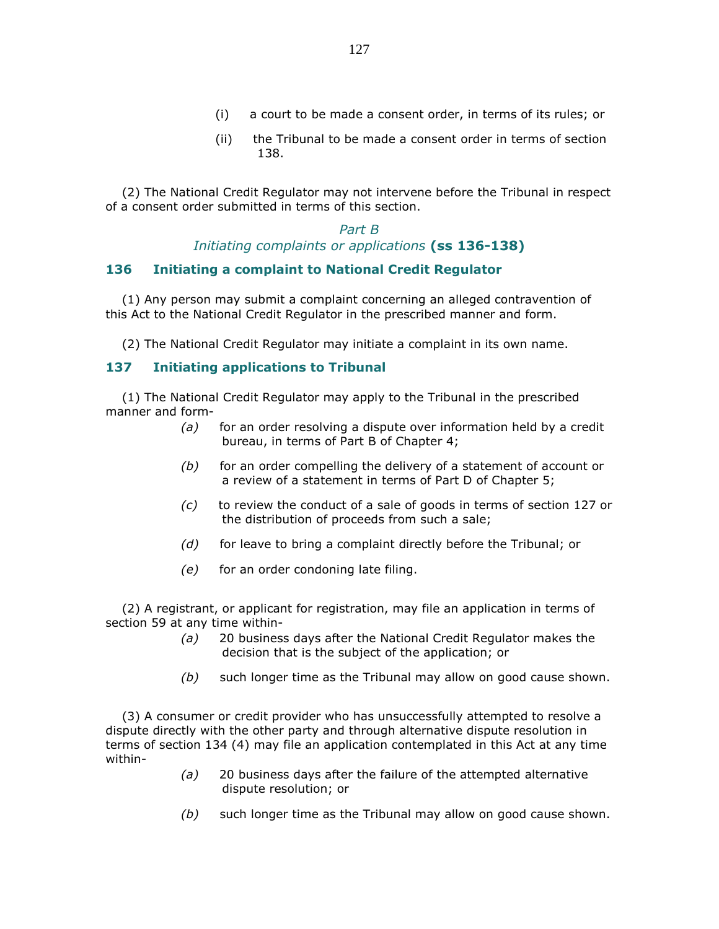- (i) a court to be made a consent order, in terms of its rules; or
- (ii) the Tribunal to be made a consent order in terms of section 138.

 (2) The National Credit Regulator may not intervene before the Tribunal in respect of a consent order submitted in terms of this section.

> Part B Initiating complaints or applications (ss 136-138)

#### 136 Initiating a complaint to National Credit Regulator

 (1) Any person may submit a complaint concerning an alleged contravention of this Act to the National Credit Regulator in the prescribed manner and form.

(2) The National Credit Regulator may initiate a complaint in its own name.

### 137 Initiating applications to Tribunal

 (1) The National Credit Regulator may apply to the Tribunal in the prescribed manner and form-

- $(a)$  for an order resolving a dispute over information held by a credit bureau, in terms of Part B of Chapter 4;
- (b) for an order compelling the delivery of a statement of account or a review of a statement in terms of Part D of Chapter 5;
- $(c)$  to review the conduct of a sale of goods in terms of section 127 or the distribution of proceeds from such a sale;
- $(d)$  for leave to bring a complaint directly before the Tribunal; or
- $(e)$  for an order condoning late filing.

 (2) A registrant, or applicant for registration, may file an application in terms of section 59 at any time within-

- (a) 20 business days after the National Credit Regulator makes the decision that is the subject of the application; or
- $(b)$  such longer time as the Tribunal may allow on good cause shown.

 (3) A consumer or credit provider who has unsuccessfully attempted to resolve a dispute directly with the other party and through alternative dispute resolution in terms of section 134 (4) may file an application contemplated in this Act at any time within-

- $(a)$  20 business days after the failure of the attempted alternative dispute resolution; or
- (b) such longer time as the Tribunal may allow on good cause shown.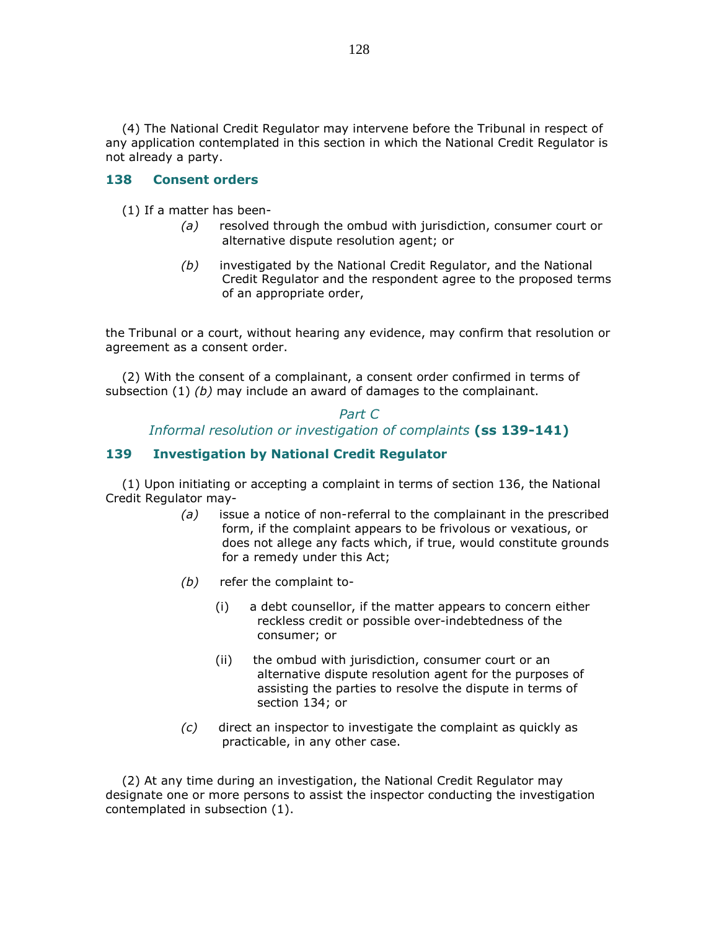(4) The National Credit Regulator may intervene before the Tribunal in respect of any application contemplated in this section in which the National Credit Regulator is not already a party.

### 138 Consent orders

(1) If a matter has been-

- (a) resolved through the ombud with jurisdiction, consumer court or alternative dispute resolution agent; or
- (b) investigated by the National Credit Regulator, and the National Credit Regulator and the respondent agree to the proposed terms of an appropriate order,

the Tribunal or a court, without hearing any evidence, may confirm that resolution or agreement as a consent order.

 (2) With the consent of a complainant, a consent order confirmed in terms of subsection  $(1)$  (b) may include an award of damages to the complainant.

### Part C Informal resolution or investigation of complaints (ss 139-141)

### 139 Investigation by National Credit Regulator

 (1) Upon initiating or accepting a complaint in terms of section 136, the National Credit Regulator may-

- $(a)$  issue a notice of non-referral to the complainant in the prescribed form, if the complaint appears to be frivolous or vexatious, or does not allege any facts which, if true, would constitute grounds for a remedy under this Act;
- (b) refer the complaint to-
	- (i) a debt counsellor, if the matter appears to concern either reckless credit or possible over-indebtedness of the consumer; or
	- (ii) the ombud with jurisdiction, consumer court or an alternative dispute resolution agent for the purposes of assisting the parties to resolve the dispute in terms of section 134; or
- (c) direct an inspector to investigate the complaint as quickly as practicable, in any other case.

 (2) At any time during an investigation, the National Credit Regulator may designate one or more persons to assist the inspector conducting the investigation contemplated in subsection (1).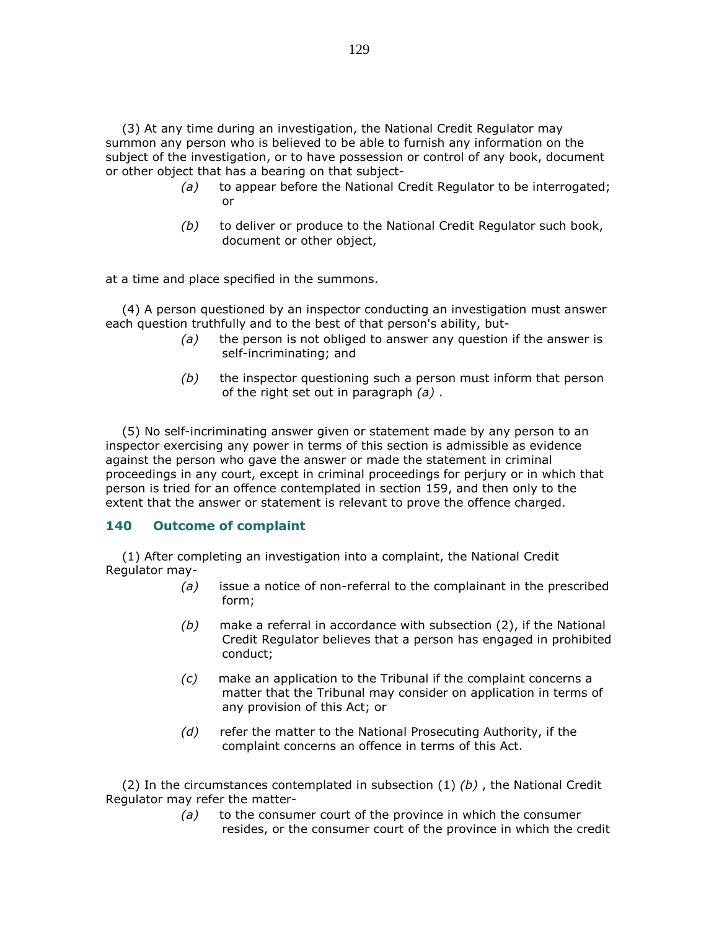(3) At any time during an investigation, the National Credit Regulator may summon any person who is believed to be able to furnish any information on the subject of the investigation, or to have possession or control of any book, document or other object that has a bearing on that subject-

- (a) to appear before the National Credit Regulator to be interrogated; or
- $(b)$  to deliver or produce to the National Credit Regulator such book, document or other object,

at a time and place specified in the summons.

 (4) A person questioned by an inspector conducting an investigation must answer each question truthfully and to the best of that person's ability, but-

- $(a)$  the person is not obliged to answer any question if the answer is self-incriminating; and
- $(b)$  the inspector questioning such a person must inform that person of the right set out in paragraph  $(a)$ .

 (5) No self-incriminating answer given or statement made by any person to an inspector exercising any power in terms of this section is admissible as evidence against the person who gave the answer or made the statement in criminal proceedings in any court, except in criminal proceedings for perjury or in which that person is tried for an offence contemplated in section 159, and then only to the extent that the answer or statement is relevant to prove the offence charged.

#### 140 Outcome of complaint

 (1) After completing an investigation into a complaint, the National Credit Regulator may-

- (a) issue a notice of non-referral to the complainant in the prescribed form;
- $(b)$  make a referral in accordance with subsection (2), if the National Credit Regulator believes that a person has engaged in prohibited conduct;
- (c) make an application to the Tribunal if the complaint concerns a matter that the Tribunal may consider on application in terms of any provision of this Act; or
- (d) refer the matter to the National Prosecuting Authority, if the complaint concerns an offence in terms of this Act.

(2) In the circumstances contemplated in subsection  $(1)$  (b), the National Credit Regulator may refer the matter-

> $(a)$  to the consumer court of the province in which the consumer resides, or the consumer court of the province in which the credit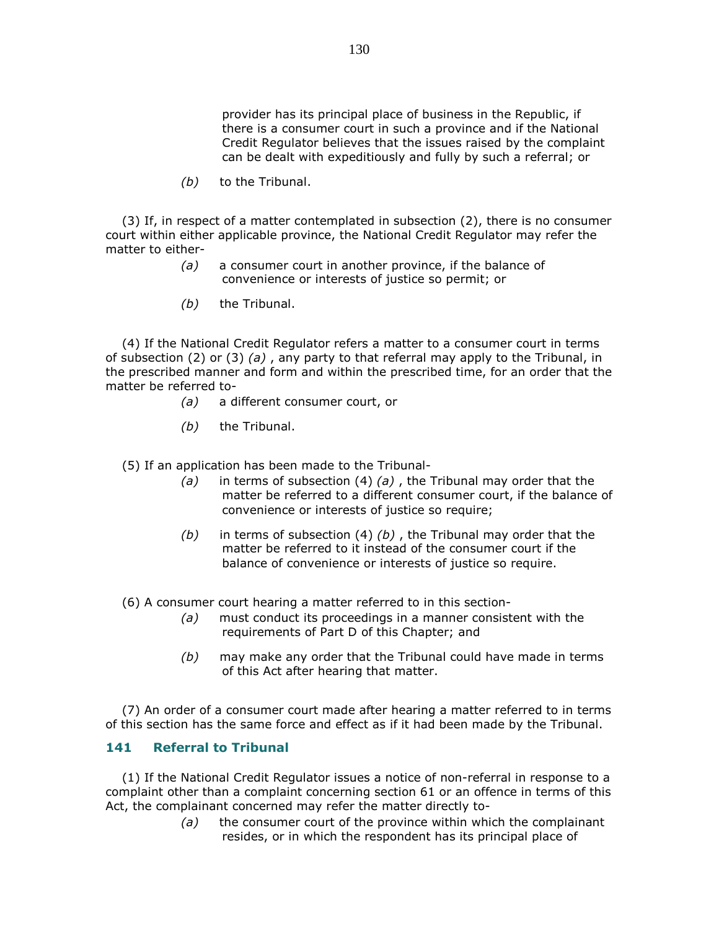provider has its principal place of business in the Republic, if there is a consumer court in such a province and if the National Credit Regulator believes that the issues raised by the complaint can be dealt with expeditiously and fully by such a referral; or

(b) to the Tribunal.

 (3) If, in respect of a matter contemplated in subsection (2), there is no consumer court within either applicable province, the National Credit Regulator may refer the matter to either-

- (a) a consumer court in another province, if the balance of convenience or interests of justice so permit; or
- $(b)$  the Tribunal.

 (4) If the National Credit Regulator refers a matter to a consumer court in terms of subsection (2) or (3) (a), any party to that referral may apply to the Tribunal, in the prescribed manner and form and within the prescribed time, for an order that the matter be referred to-

- (a) a different consumer court, or
- $(b)$  the Tribunal.

(5) If an application has been made to the Tribunal-

- (a) in terms of subsection (4) (a), the Tribunal may order that the matter be referred to a different consumer court, if the balance of convenience or interests of justice so require;
- (b) in terms of subsection (4) (b), the Tribunal may order that the matter be referred to it instead of the consumer court if the balance of convenience or interests of justice so require.

(6) A consumer court hearing a matter referred to in this section-

- (a) must conduct its proceedings in a manner consistent with the requirements of Part D of this Chapter; and
- $(b)$  may make any order that the Tribunal could have made in terms of this Act after hearing that matter.

 (7) An order of a consumer court made after hearing a matter referred to in terms of this section has the same force and effect as if it had been made by the Tribunal.

### 141 Referral to Tribunal

 (1) If the National Credit Regulator issues a notice of non-referral in response to a complaint other than a complaint concerning section 61 or an offence in terms of this Act, the complainant concerned may refer the matter directly to-

> $(a)$  the consumer court of the province within which the complainant resides, or in which the respondent has its principal place of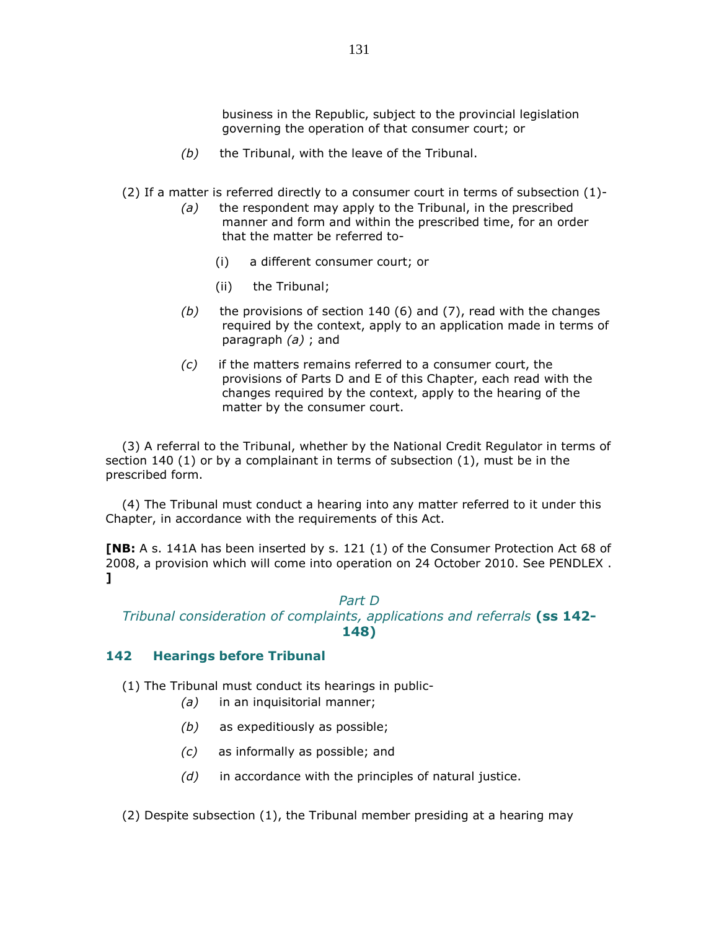business in the Republic, subject to the provincial legislation governing the operation of that consumer court; or

- $(b)$  the Tribunal, with the leave of the Tribunal.
- (2) If a matter is referred directly to a consumer court in terms of subsection (1)-
	- $(a)$  the respondent may apply to the Tribunal, in the prescribed manner and form and within the prescribed time, for an order that the matter be referred to-
		- (i) a different consumer court; or
		- (ii) the Tribunal;
	- (b) the provisions of section 140 (6) and (7), read with the changes required by the context, apply to an application made in terms of paragraph  $(a)$ ; and
	- $(c)$  if the matters remains referred to a consumer court, the provisions of Parts D and E of this Chapter, each read with the changes required by the context, apply to the hearing of the matter by the consumer court.

 (3) A referral to the Tribunal, whether by the National Credit Regulator in terms of section 140 (1) or by a complainant in terms of subsection (1), must be in the prescribed form.

 (4) The Tribunal must conduct a hearing into any matter referred to it under this Chapter, in accordance with the requirements of this Act.

[NB: A s. 141A has been inserted by s. 121 (1) of the Consumer Protection Act 68 of 2008, a provision which will come into operation on 24 October 2010. See PENDLEX . ]

### Part D

## Tribunal consideration of complaints, applications and referrals (ss 142-148)

#### 142 Hearings before Tribunal

- (1) The Tribunal must conduct its hearings in public-
	- (a) in an inquisitorial manner;
	- (b) as expeditiously as possible;
	- (c) as informally as possible; and
	- $(d)$  in accordance with the principles of natural justice.

(2) Despite subsection (1), the Tribunal member presiding at a hearing may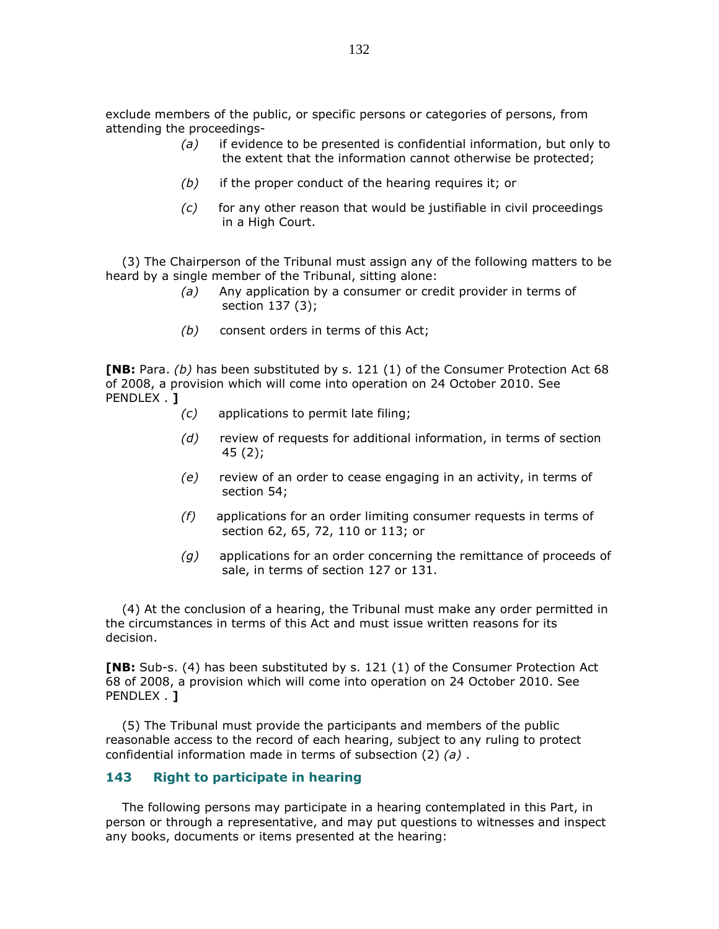exclude members of the public, or specific persons or categories of persons, from attending the proceedings-

- $(a)$  if evidence to be presented is confidential information, but only to the extent that the information cannot otherwise be protected;
- $(b)$  if the proper conduct of the hearing requires it; or
- $(c)$  for any other reason that would be justifiable in civil proceedings in a High Court.

 (3) The Chairperson of the Tribunal must assign any of the following matters to be heard by a single member of the Tribunal, sitting alone:

- (a) Any application by a consumer or credit provider in terms of section 137 (3);
- (b) consent orders in terms of this Act;

**[NB:** Para. (b) has been substituted by s. 121 (1) of the Consumer Protection Act 68 of 2008, a provision which will come into operation on 24 October 2010. See PENDLEX . 1

- (c) applications to permit late filing;
- (d) review of requests for additional information, in terms of section 45 (2);
- (e) review of an order to cease engaging in an activity, in terms of section 54;
- (f) applications for an order limiting consumer requests in terms of section 62, 65, 72, 110 or 113; or
- $(q)$  applications for an order concerning the remittance of proceeds of sale, in terms of section 127 or 131.

 (4) At the conclusion of a hearing, the Tribunal must make any order permitted in the circumstances in terms of this Act and must issue written reasons for its decision.

[NB: Sub-s. (4) has been substituted by s. 121 (1) of the Consumer Protection Act 68 of 2008, a provision which will come into operation on 24 October 2010. See PENDLEX . **]** 

 (5) The Tribunal must provide the participants and members of the public reasonable access to the record of each hearing, subject to any ruling to protect confidential information made in terms of subsection  $(2)$   $(a)$ .

#### 143 Right to participate in hearing

 The following persons may participate in a hearing contemplated in this Part, in person or through a representative, and may put questions to witnesses and inspect any books, documents or items presented at the hearing: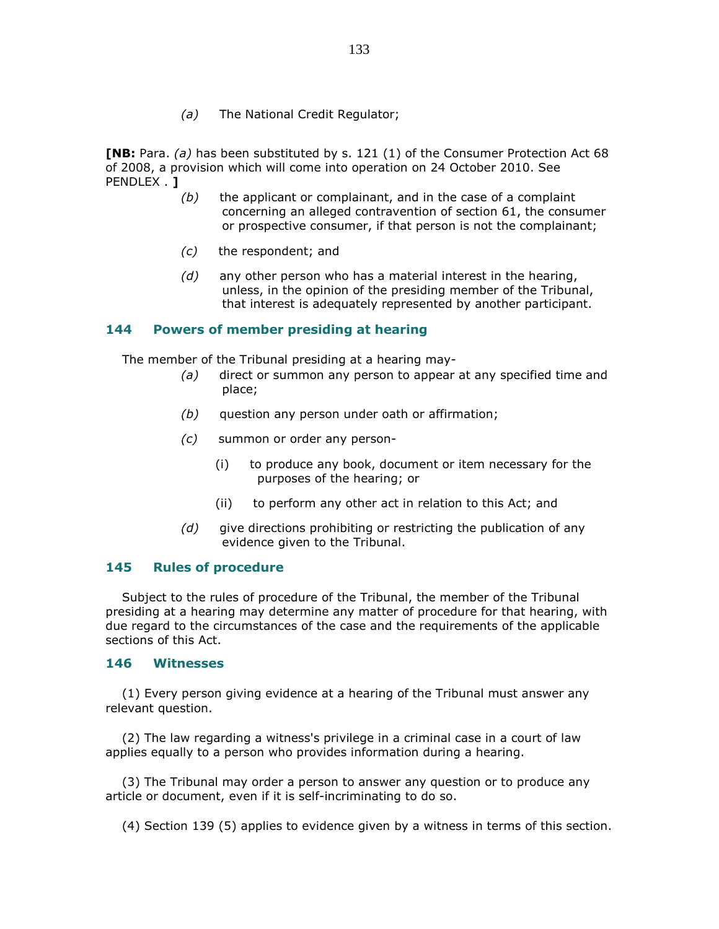(a) The National Credit Regulator;

**[NB:** Para. (a) has been substituted by s. 121 (1) of the Consumer Protection Act 68 of 2008, a provision which will come into operation on 24 October 2010. See PENDLEX . 1

- $(b)$  the applicant or complainant, and in the case of a complaint concerning an alleged contravention of section 61, the consumer or prospective consumer, if that person is not the complainant;
- (c) the respondent; and
- $(d)$  any other person who has a material interest in the hearing, unless, in the opinion of the presiding member of the Tribunal, that interest is adequately represented by another participant.

#### 144 Powers of member presiding at hearing

The member of the Tribunal presiding at a hearing may-

- (a) direct or summon any person to appear at any specified time and place;
- $(b)$  question any person under oath or affirmation;
- (c) summon or order any person-
	- (i) to produce any book, document or item necessary for the purposes of the hearing; or
	- (ii) to perform any other act in relation to this Act; and
- $(d)$  give directions prohibiting or restricting the publication of any evidence given to the Tribunal.

#### 145 Rules of procedure

 Subject to the rules of procedure of the Tribunal, the member of the Tribunal presiding at a hearing may determine any matter of procedure for that hearing, with due regard to the circumstances of the case and the requirements of the applicable sections of this Act.

#### 146 Witnesses

 (1) Every person giving evidence at a hearing of the Tribunal must answer any relevant question.

 (2) The law regarding a witness's privilege in a criminal case in a court of law applies equally to a person who provides information during a hearing.

 (3) The Tribunal may order a person to answer any question or to produce any article or document, even if it is self-incriminating to do so.

(4) Section 139 (5) applies to evidence given by a witness in terms of this section.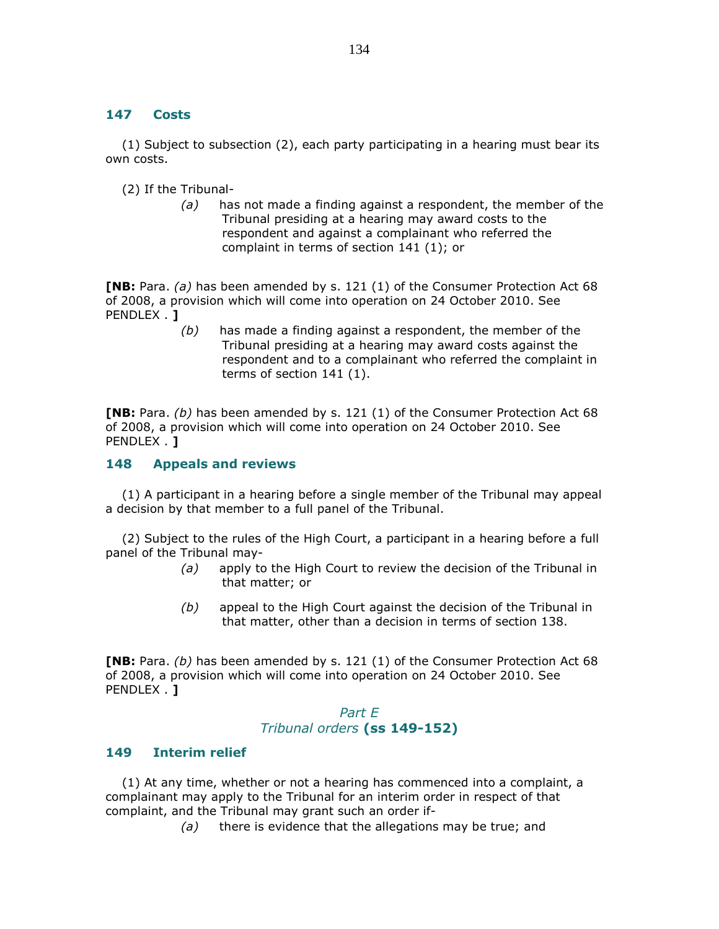### 147 Costs

 (1) Subject to subsection (2), each party participating in a hearing must bear its own costs.

(2) If the Tribunal-

 $(a)$  has not made a finding against a respondent, the member of the Tribunal presiding at a hearing may award costs to the respondent and against a complainant who referred the complaint in terms of section 141 (1); or

**[NB:** Para. (a) has been amended by s. 121 (1) of the Consumer Protection Act 68 of 2008, a provision which will come into operation on 24 October 2010. See PENDLEX . **]** 

> $(b)$  has made a finding against a respondent, the member of the Tribunal presiding at a hearing may award costs against the respondent and to a complainant who referred the complaint in terms of section 141 (1).

**[NB:** Para. (b) has been amended by s. 121 (1) of the Consumer Protection Act 68 of 2008, a provision which will come into operation on 24 October 2010. See PENDLEX . **]** 

### 148 Appeals and reviews

 (1) A participant in a hearing before a single member of the Tribunal may appeal a decision by that member to a full panel of the Tribunal.

 (2) Subject to the rules of the High Court, a participant in a hearing before a full panel of the Tribunal may-

- (a) apply to the High Court to review the decision of the Tribunal in that matter; or
- $(b)$  appeal to the High Court against the decision of the Tribunal in that matter, other than a decision in terms of section 138.

**[NB:** Para. (b) has been amended by s. 121 (1) of the Consumer Protection Act 68 of 2008, a provision which will come into operation on 24 October 2010. See PENDLEX . 1

## Part E Tribunal orders (ss 149-152)

#### 149 Interim relief

 (1) At any time, whether or not a hearing has commenced into a complaint, a complainant may apply to the Tribunal for an interim order in respect of that complaint, and the Tribunal may grant such an order if-

 $(a)$  there is evidence that the allegations may be true; and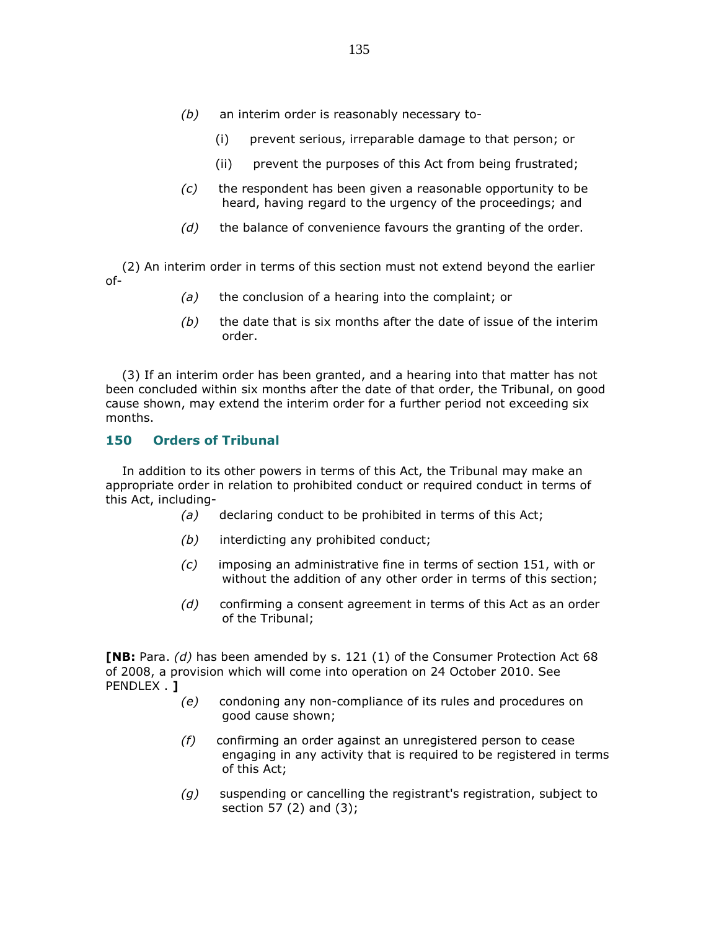- (b) an interim order is reasonably necessary to-
	- (i) prevent serious, irreparable damage to that person; or
	- (ii) prevent the purposes of this Act from being frustrated;
- $(c)$  the respondent has been given a reasonable opportunity to be heard, having regard to the urgency of the proceedings; and
- $(d)$  the balance of convenience favours the granting of the order.

 (2) An interim order in terms of this section must not extend beyond the earlier of-

- $(a)$  the conclusion of a hearing into the complaint; or
- $(b)$  the date that is six months after the date of issue of the interim order.

 (3) If an interim order has been granted, and a hearing into that matter has not been concluded within six months after the date of that order, the Tribunal, on good cause shown, may extend the interim order for a further period not exceeding six months.

#### 150 Orders of Tribunal

 In addition to its other powers in terms of this Act, the Tribunal may make an appropriate order in relation to prohibited conduct or required conduct in terms of this Act, including-

(a) declaring conduct to be prohibited in terms of this Act;

- (b) interdicting any prohibited conduct;
- (c) imposing an administrative fine in terms of section 151, with or without the addition of any other order in terms of this section;
- (d) confirming a consent agreement in terms of this Act as an order of the Tribunal;

**[NB:** Para.  $(d)$  has been amended by s. 121 (1) of the Consumer Protection Act 68 of 2008, a provision which will come into operation on 24 October 2010. See PENDLEX . 1

- (e) condoning any non-compliance of its rules and procedures on good cause shown;
- (f) confirming an order against an unregistered person to cease engaging in any activity that is required to be registered in terms of this Act;
- $(g)$  suspending or cancelling the registrant's registration, subject to section 57 (2) and (3);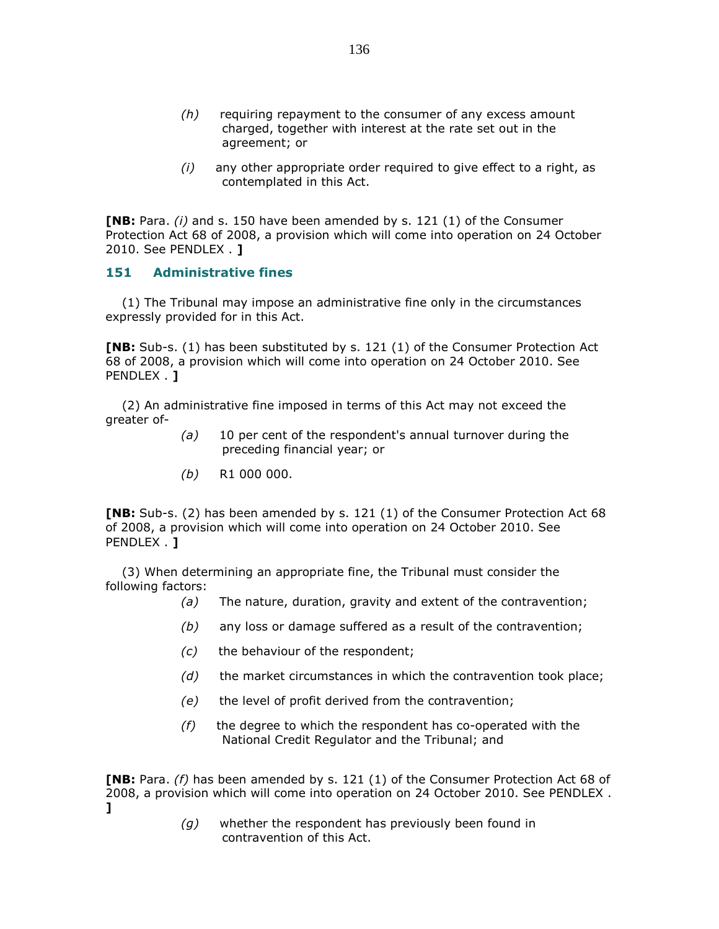- (h) requiring repayment to the consumer of any excess amount charged, together with interest at the rate set out in the agreement; or
- $(i)$  any other appropriate order required to give effect to a right, as contemplated in this Act.

**[NB:** Para.  $(i)$  and s. 150 have been amended by s. 121  $(1)$  of the Consumer Protection Act 68 of 2008, a provision which will come into operation on 24 October 2010. See PENDLEX . ]

#### 151 Administrative fines

 (1) The Tribunal may impose an administrative fine only in the circumstances expressly provided for in this Act.

[NB: Sub-s. (1) has been substituted by s. 121 (1) of the Consumer Protection Act 68 of 2008, a provision which will come into operation on 24 October 2010. See PENDLEX . **J** 

 (2) An administrative fine imposed in terms of this Act may not exceed the greater of-

- $(a)$  10 per cent of the respondent's annual turnover during the preceding financial year; or
- $(b)$  R1 000 000.

**[NB:** Sub-s. (2) has been amended by s. 121 (1) of the Consumer Protection Act 68 of 2008, a provision which will come into operation on 24 October 2010. See PENDLEX . **]** 

 (3) When determining an appropriate fine, the Tribunal must consider the following factors:

- $(a)$  The nature, duration, gravity and extent of the contravention;
- $(b)$  any loss or damage suffered as a result of the contravention;
- (c) the behaviour of the respondent;
- $(d)$  the market circumstances in which the contravention took place;
- (e) the level of profit derived from the contravention;
- $(f)$  the degree to which the respondent has co-operated with the National Credit Regulator and the Tribunal; and

**[NB:** Para. (f) has been amended by s. 121 (1) of the Consumer Protection Act 68 of 2008, a provision which will come into operation on 24 October 2010. See PENDLEX . ]

> $(q)$  whether the respondent has previously been found in contravention of this Act.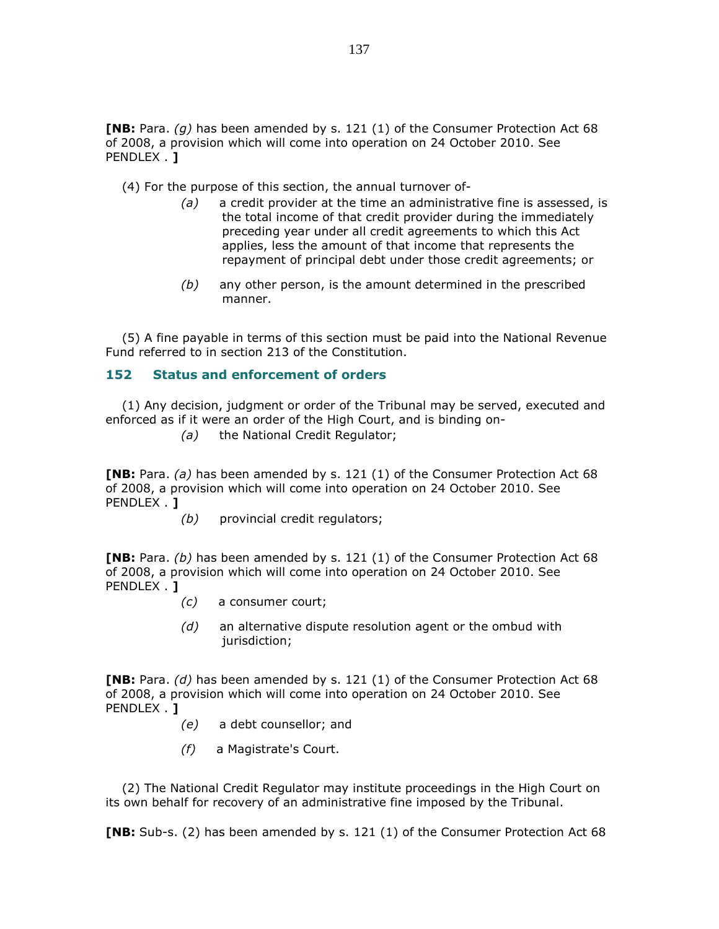**[NB:** Para. (g) has been amended by s. 121 (1) of the Consumer Protection Act 68 of 2008, a provision which will come into operation on 24 October 2010. See PENDLEX . 1

(4) For the purpose of this section, the annual turnover of-

- $(a)$  a credit provider at the time an administrative fine is assessed, is the total income of that credit provider during the immediately preceding year under all credit agreements to which this Act applies, less the amount of that income that represents the repayment of principal debt under those credit agreements; or
- $(b)$  any other person, is the amount determined in the prescribed manner.

 (5) A fine payable in terms of this section must be paid into the National Revenue Fund referred to in section 213 of the Constitution.

### 152 Status and enforcement of orders

 (1) Any decision, judgment or order of the Tribunal may be served, executed and enforced as if it were an order of the High Court, and is binding on-

(a) the National Credit Regulator;

**[NB:** Para. (a) has been amended by s. 121 (1) of the Consumer Protection Act 68 of 2008, a provision which will come into operation on 24 October 2010. See PENDLEX . 1

(b) provincial credit regulators;

**[NB:** Para. (b) has been amended by s. 121 (1) of the Consumer Protection Act 68 of 2008, a provision which will come into operation on 24 October 2010. See PENDLEX . **]** 

- (c) a consumer court;
- $(d)$  an alternative dispute resolution agent or the ombud with iurisdiction:

**[NB:** Para. (d) has been amended by s. 121 (1) of the Consumer Protection Act 68 of 2008, a provision which will come into operation on 24 October 2010. See PENDLEX . **]** 

- (e) a debt counsellor; and
- (f) a Magistrate's Court.

 (2) The National Credit Regulator may institute proceedings in the High Court on its own behalf for recovery of an administrative fine imposed by the Tribunal.

**[NB:** Sub-s. (2) has been amended by s. 121 (1) of the Consumer Protection Act 68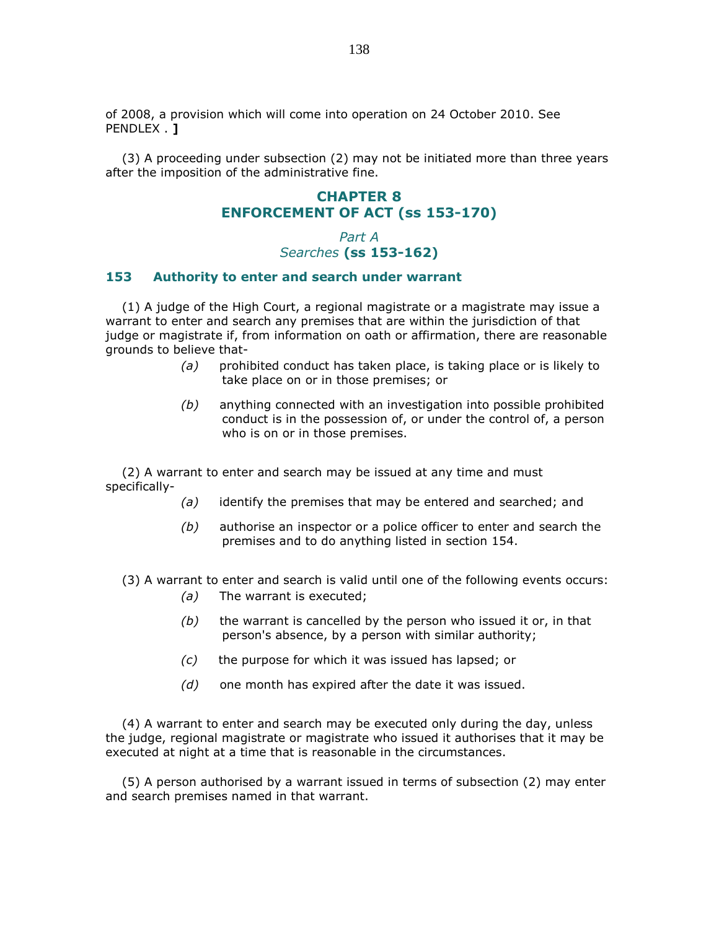of 2008, a provision which will come into operation on 24 October 2010. See PENDLEX . **]** 

 (3) A proceeding under subsection (2) may not be initiated more than three years after the imposition of the administrative fine.

## CHAPTER 8 ENFORCEMENT OF ACT (ss 153-170)

## Part A Searches (ss 153-162)

#### 153 Authority to enter and search under warrant

 (1) A judge of the High Court, a regional magistrate or a magistrate may issue a warrant to enter and search any premises that are within the jurisdiction of that judge or magistrate if, from information on oath or affirmation, there are reasonable grounds to believe that-

- $(a)$  prohibited conduct has taken place, is taking place or is likely to take place on or in those premises; or
- (b) anything connected with an investigation into possible prohibited conduct is in the possession of, or under the control of, a person who is on or in those premises.

 (2) A warrant to enter and search may be issued at any time and must specifically-

- $(a)$  identify the premises that may be entered and searched; and
- $(b)$  authorise an inspector or a police officer to enter and search the premises and to do anything listed in section 154.

(3) A warrant to enter and search is valid until one of the following events occurs:

- (a) The warrant is executed;
- $(b)$  the warrant is cancelled by the person who issued it or, in that person's absence, by a person with similar authority;
- $(c)$  the purpose for which it was issued has lapsed; or
- $(d)$  one month has expired after the date it was issued.

 (4) A warrant to enter and search may be executed only during the day, unless the judge, regional magistrate or magistrate who issued it authorises that it may be executed at night at a time that is reasonable in the circumstances.

 (5) A person authorised by a warrant issued in terms of subsection (2) may enter and search premises named in that warrant.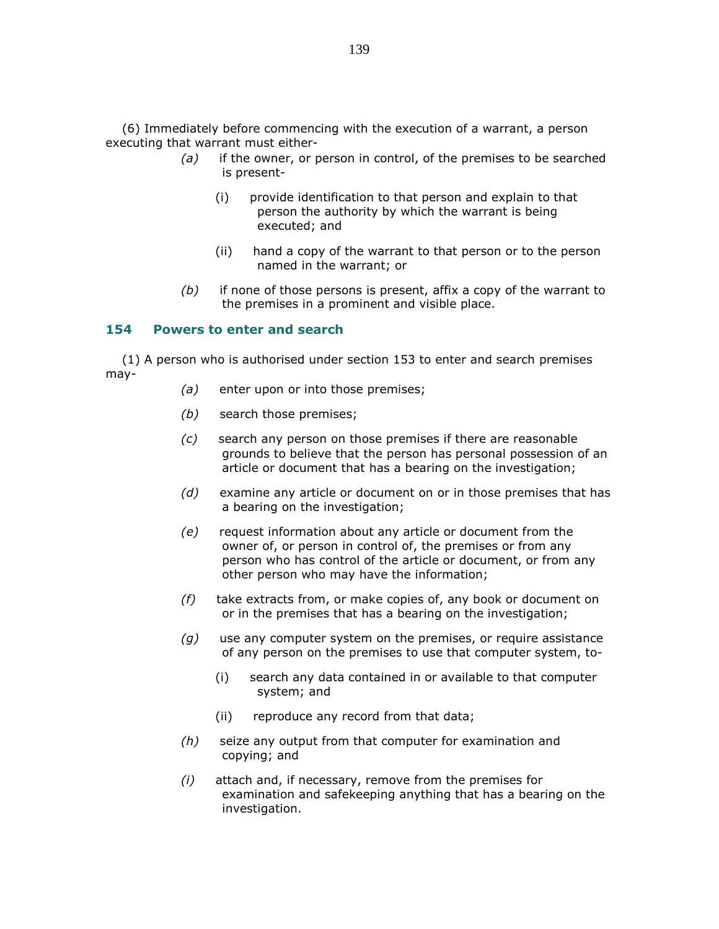(6) Immediately before commencing with the execution of a warrant, a person executing that warrant must either-

- $(a)$  if the owner, or person in control, of the premises to be searched is present-
	- (i) provide identification to that person and explain to that person the authority by which the warrant is being executed; and
	- (ii) hand a copy of the warrant to that person or to the person named in the warrant; or
- $(b)$  if none of those persons is present, affix a copy of the warrant to the premises in a prominent and visible place.

#### 154 Powers to enter and search

 (1) A person who is authorised under section 153 to enter and search premises may-

- $(a)$  enter upon or into those premises;
- (b) search those premises;
- (c) search any person on those premises if there are reasonable grounds to believe that the person has personal possession of an article or document that has a bearing on the investigation;
- $(d)$  examine any article or document on or in those premises that has a bearing on the investigation;
- (e) request information about any article or document from the owner of, or person in control of, the premises or from any person who has control of the article or document, or from any other person who may have the information;
- $(f)$  take extracts from, or make copies of, any book or document on or in the premises that has a bearing on the investigation;
- $(g)$  use any computer system on the premises, or require assistance of any person on the premises to use that computer system, to-
	- (i) search any data contained in or available to that computer system; and
	- (ii) reproduce any record from that data;
- (h) seize any output from that computer for examination and copying; and
- $(i)$  attach and, if necessary, remove from the premises for examination and safekeeping anything that has a bearing on the investigation.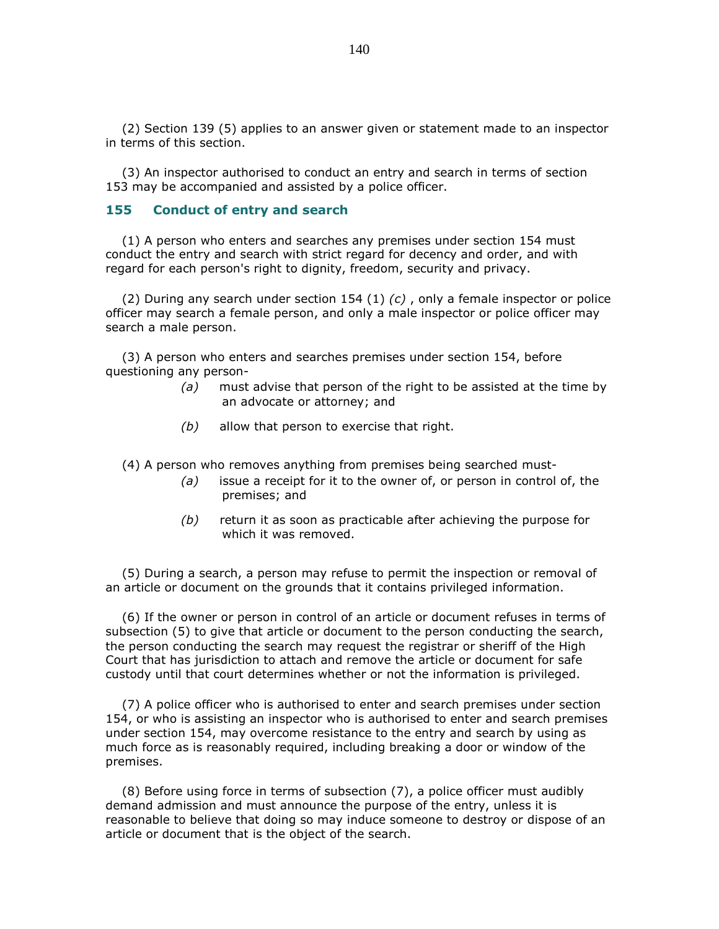(2) Section 139 (5) applies to an answer given or statement made to an inspector in terms of this section.

 (3) An inspector authorised to conduct an entry and search in terms of section 153 may be accompanied and assisted by a police officer.

#### 155 Conduct of entry and search

 (1) A person who enters and searches any premises under section 154 must conduct the entry and search with strict regard for decency and order, and with regard for each person's right to dignity, freedom, security and privacy.

(2) During any search under section 154 (1)  $(c)$ , only a female inspector or police officer may search a female person, and only a male inspector or police officer may search a male person.

 (3) A person who enters and searches premises under section 154, before questioning any person-

- $(a)$  must advise that person of the right to be assisted at the time by an advocate or attorney; and
- $(b)$  allow that person to exercise that right.

(4) A person who removes anything from premises being searched must-

- $(a)$  issue a receipt for it to the owner of, or person in control of, the premises; and
- $(b)$  return it as soon as practicable after achieving the purpose for which it was removed.

 (5) During a search, a person may refuse to permit the inspection or removal of an article or document on the grounds that it contains privileged information.

 (6) If the owner or person in control of an article or document refuses in terms of subsection (5) to give that article or document to the person conducting the search, the person conducting the search may request the registrar or sheriff of the High Court that has jurisdiction to attach and remove the article or document for safe custody until that court determines whether or not the information is privileged.

 (7) A police officer who is authorised to enter and search premises under section 154, or who is assisting an inspector who is authorised to enter and search premises under section 154, may overcome resistance to the entry and search by using as much force as is reasonably required, including breaking a door or window of the premises.

 (8) Before using force in terms of subsection (7), a police officer must audibly demand admission and must announce the purpose of the entry, unless it is reasonable to believe that doing so may induce someone to destroy or dispose of an article or document that is the object of the search.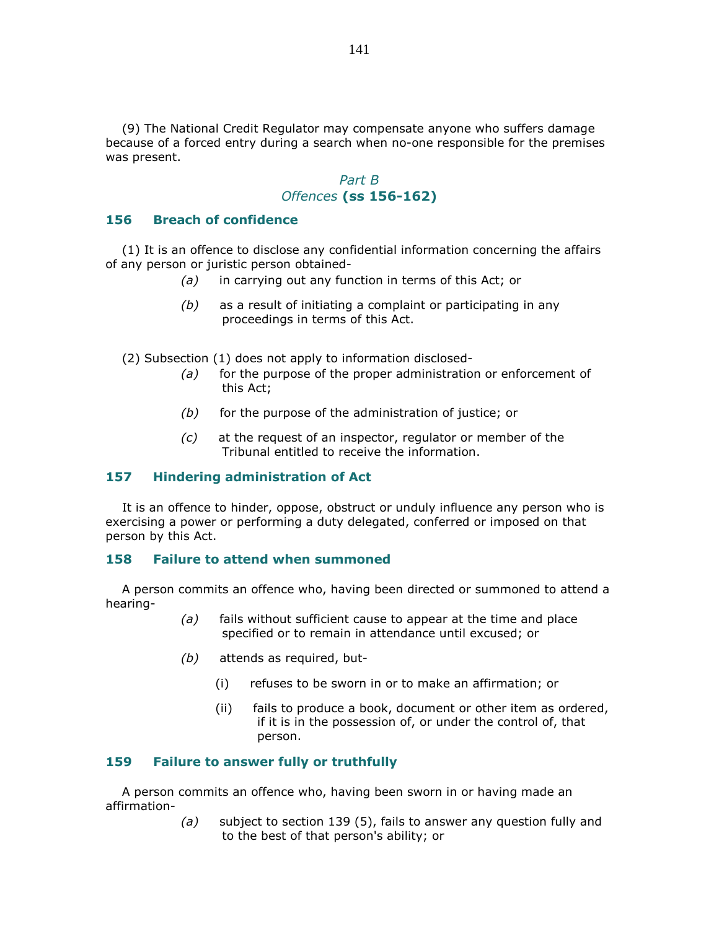(9) The National Credit Regulator may compensate anyone who suffers damage because of a forced entry during a search when no-one responsible for the premises was present.

### Part B Offences (ss 156-162)

### 156 Breach of confidence

 (1) It is an offence to disclose any confidential information concerning the affairs of any person or juristic person obtained-

- (a) in carrying out any function in terms of this Act; or
- $(b)$  as a result of initiating a complaint or participating in any proceedings in terms of this Act.

(2) Subsection (1) does not apply to information disclosed-

- $(a)$  for the purpose of the proper administration or enforcement of this Act;
- $(b)$  for the purpose of the administration of justice; or
- (c) at the request of an inspector, regulator or member of the Tribunal entitled to receive the information.

#### 157 Hindering administration of Act

 It is an offence to hinder, oppose, obstruct or unduly influence any person who is exercising a power or performing a duty delegated, conferred or imposed on that person by this Act.

#### 158 Failure to attend when summoned

 A person commits an offence who, having been directed or summoned to attend a hearing-

- (a) fails without sufficient cause to appear at the time and place specified or to remain in attendance until excused; or
- (b) attends as required, but-
	- (i) refuses to be sworn in or to make an affirmation; or
	- (ii) fails to produce a book, document or other item as ordered, if it is in the possession of, or under the control of, that person.

#### 159 Failure to answer fully or truthfully

 A person commits an offence who, having been sworn in or having made an affirmation-

> (a) subject to section 139 (5), fails to answer any question fully and to the best of that person's ability; or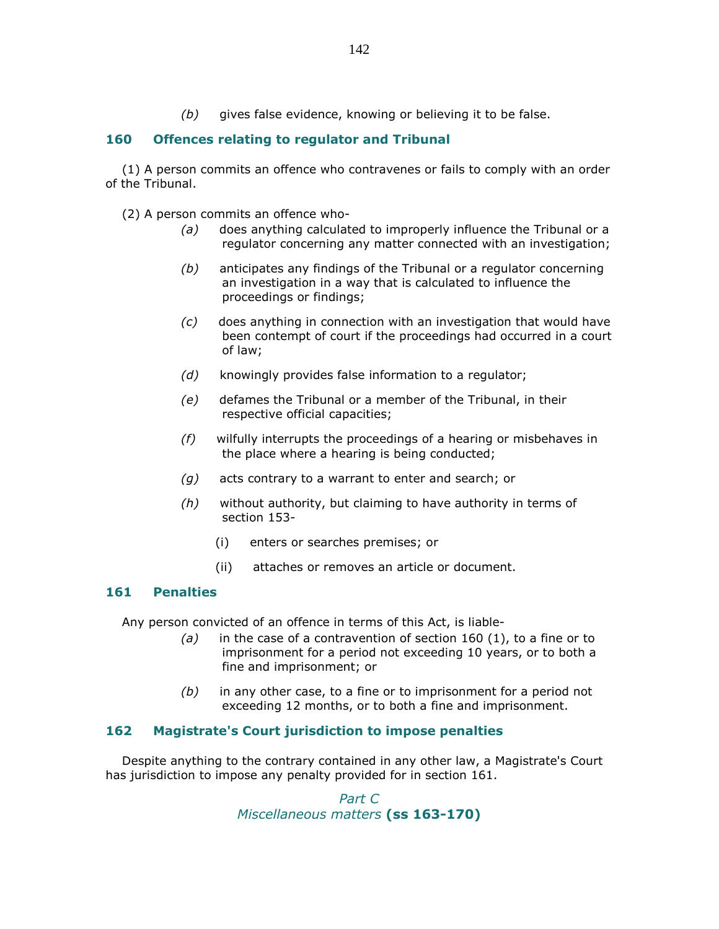$(b)$  gives false evidence, knowing or believing it to be false.

## 160 Offences relating to regulator and Tribunal

 (1) A person commits an offence who contravenes or fails to comply with an order of the Tribunal.

(2) A person commits an offence who-

- (a) does anything calculated to improperly influence the Tribunal or a regulator concerning any matter connected with an investigation;
- $(b)$  anticipates any findings of the Tribunal or a regulator concerning an investigation in a way that is calculated to influence the proceedings or findings;
- $(c)$  does anything in connection with an investigation that would have been contempt of court if the proceedings had occurred in a court of law;
- (d) knowingly provides false information to a regulator;
- (e) defames the Tribunal or a member of the Tribunal, in their respective official capacities;
- (f) wilfully interrupts the proceedings of a hearing or misbehaves in the place where a hearing is being conducted;
- $(g)$  acts contrary to a warrant to enter and search; or
- $(h)$  without authority, but claiming to have authority in terms of section 153-
	- (i) enters or searches premises; or
	- (ii) attaches or removes an article or document.

#### 161 Penalties

Any person convicted of an offence in terms of this Act, is liable-

- $(a)$  in the case of a contravention of section 160 (1), to a fine or to imprisonment for a period not exceeding 10 years, or to both a fine and imprisonment; or
- $(b)$  in any other case, to a fine or to imprisonment for a period not exceeding 12 months, or to both a fine and imprisonment.

### 162 Magistrate's Court jurisdiction to impose penalties

 Despite anything to the contrary contained in any other law, a Magistrate's Court has jurisdiction to impose any penalty provided for in section 161.

> Part C Miscellaneous matters (ss 163-170)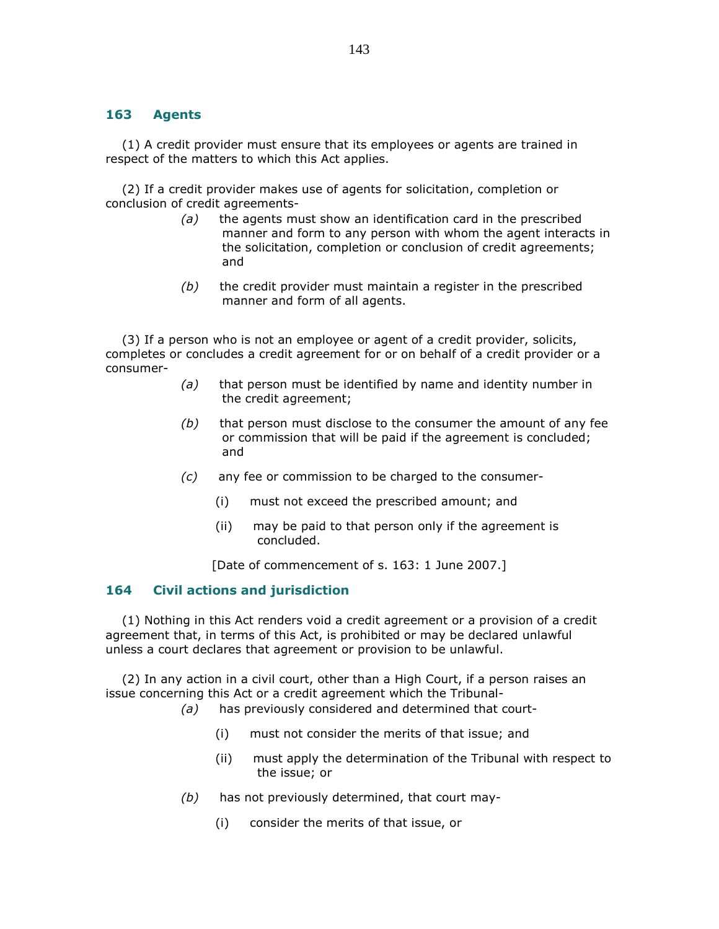#### 163 Agents

 (1) A credit provider must ensure that its employees or agents are trained in respect of the matters to which this Act applies.

 (2) If a credit provider makes use of agents for solicitation, completion or conclusion of credit agreements-

- (a) the agents must show an identification card in the prescribed manner and form to any person with whom the agent interacts in the solicitation, completion or conclusion of credit agreements; and
- $(b)$  the credit provider must maintain a register in the prescribed manner and form of all agents.

 (3) If a person who is not an employee or agent of a credit provider, solicits, completes or concludes a credit agreement for or on behalf of a credit provider or a consumer-

- $(a)$  that person must be identified by name and identity number in the credit agreement;
- $(b)$  that person must disclose to the consumer the amount of any fee or commission that will be paid if the agreement is concluded; and
- (c) any fee or commission to be charged to the consumer-
	- (i) must not exceed the prescribed amount; and
	- (ii) may be paid to that person only if the agreement is concluded.

[Date of commencement of s. 163: 1 June 2007.]

### 164 Civil actions and jurisdiction

 (1) Nothing in this Act renders void a credit agreement or a provision of a credit agreement that, in terms of this Act, is prohibited or may be declared unlawful unless a court declares that agreement or provision to be unlawful.

 (2) In any action in a civil court, other than a High Court, if a person raises an issue concerning this Act or a credit agreement which the Tribunal-

(a) has previously considered and determined that court-

- (i) must not consider the merits of that issue; and
- (ii) must apply the determination of the Tribunal with respect to the issue; or
- $(b)$  has not previously determined, that court may-
	- (i) consider the merits of that issue, or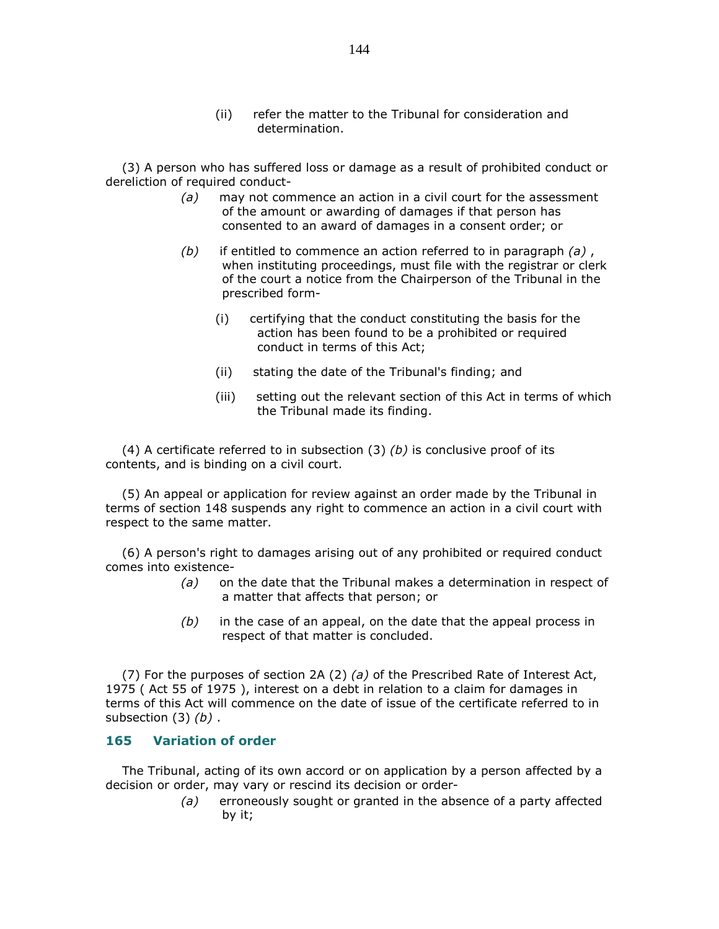(ii) refer the matter to the Tribunal for consideration and determination.

 (3) A person who has suffered loss or damage as a result of prohibited conduct or dereliction of required conduct-

- $(a)$  may not commence an action in a civil court for the assessment of the amount or awarding of damages if that person has consented to an award of damages in a consent order; or
- (b) if entitled to commence an action referred to in paragraph  $(a)$ , when instituting proceedings, must file with the registrar or clerk of the court a notice from the Chairperson of the Tribunal in the prescribed form-
	- (i) certifying that the conduct constituting the basis for the action has been found to be a prohibited or required conduct in terms of this Act;
	- (ii) stating the date of the Tribunal's finding; and
	- (iii) setting out the relevant section of this Act in terms of which the Tribunal made its finding.

(4) A certificate referred to in subsection (3)  $(b)$  is conclusive proof of its contents, and is binding on a civil court.

 (5) An appeal or application for review against an order made by the Tribunal in terms of section 148 suspends any right to commence an action in a civil court with respect to the same matter.

 (6) A person's right to damages arising out of any prohibited or required conduct comes into existence-

- (a) on the date that the Tribunal makes a determination in respect of a matter that affects that person; or
- $(b)$  in the case of an appeal, on the date that the appeal process in respect of that matter is concluded.

(7) For the purposes of section 2A (2) (a) of the Prescribed Rate of Interest Act, 1975 ( Act 55 of 1975 ), interest on a debt in relation to a claim for damages in terms of this Act will commence on the date of issue of the certificate referred to in subsection  $(3)$   $(b)$ .

#### 165 Variation of order

 The Tribunal, acting of its own accord or on application by a person affected by a decision or order, may vary or rescind its decision or order-

> (a) erroneously sought or granted in the absence of a party affected by it;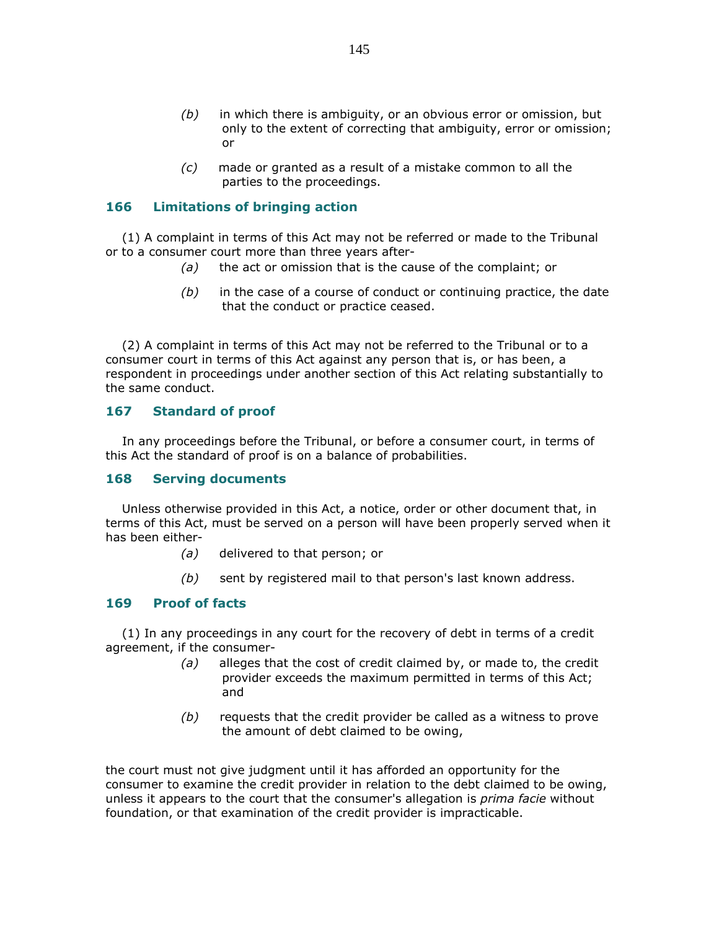- $(b)$  in which there is ambiguity, or an obvious error or omission, but only to the extent of correcting that ambiguity, error or omission; or
- (c) made or granted as a result of a mistake common to all the parties to the proceedings.

# 166 Limitations of bringing action

 (1) A complaint in terms of this Act may not be referred or made to the Tribunal or to a consumer court more than three years after-

- $(a)$  the act or omission that is the cause of the complaint; or
- $(b)$  in the case of a course of conduct or continuing practice, the date that the conduct or practice ceased.

 (2) A complaint in terms of this Act may not be referred to the Tribunal or to a consumer court in terms of this Act against any person that is, or has been, a respondent in proceedings under another section of this Act relating substantially to the same conduct.

## 167 Standard of proof

 In any proceedings before the Tribunal, or before a consumer court, in terms of this Act the standard of proof is on a balance of probabilities.

## 168 Serving documents

 Unless otherwise provided in this Act, a notice, order or other document that, in terms of this Act, must be served on a person will have been properly served when it has been either-

- (a) delivered to that person; or
- $(b)$  sent by registered mail to that person's last known address.

# 169 Proof of facts

 (1) In any proceedings in any court for the recovery of debt in terms of a credit agreement, if the consumer-

- $(a)$  alleges that the cost of credit claimed by, or made to, the credit provider exceeds the maximum permitted in terms of this Act; and
- $(b)$  requests that the credit provider be called as a witness to prove the amount of debt claimed to be owing,

the court must not give judgment until it has afforded an opportunity for the consumer to examine the credit provider in relation to the debt claimed to be owing, unless it appears to the court that the consumer's allegation is *prima facie* without foundation, or that examination of the credit provider is impracticable.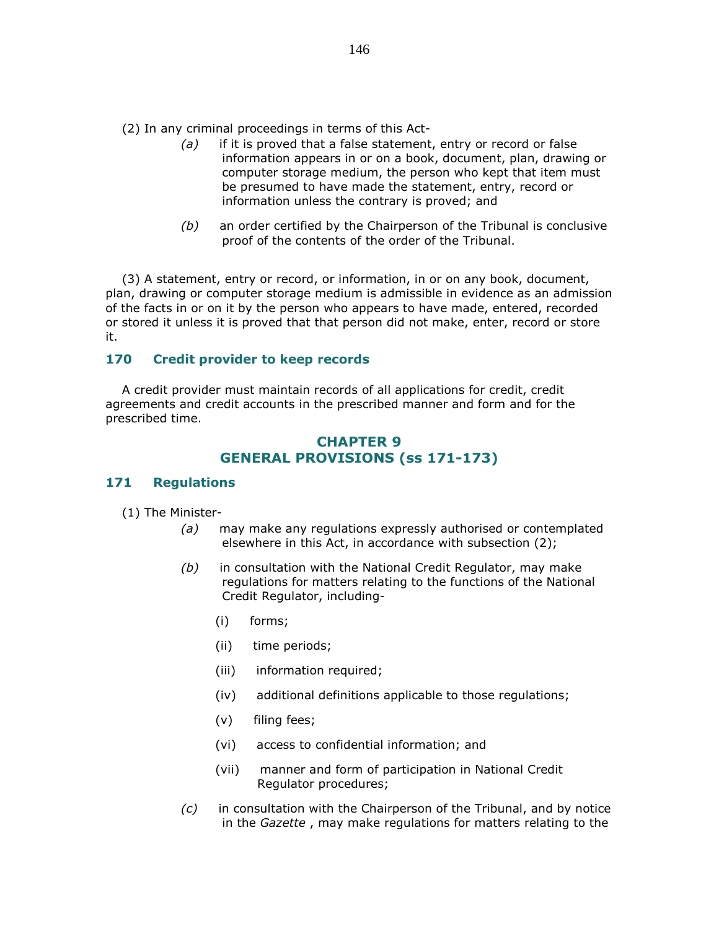(2) In any criminal proceedings in terms of this Act-

- $(a)$  if it is proved that a false statement, entry or record or false information appears in or on a book, document, plan, drawing or computer storage medium, the person who kept that item must be presumed to have made the statement, entry, record or information unless the contrary is proved; and
- (b) an order certified by the Chairperson of the Tribunal is conclusive proof of the contents of the order of the Tribunal.

 (3) A statement, entry or record, or information, in or on any book, document, plan, drawing or computer storage medium is admissible in evidence as an admission of the facts in or on it by the person who appears to have made, entered, recorded or stored it unless it is proved that that person did not make, enter, record or store it.

## 170 Credit provider to keep records

 A credit provider must maintain records of all applications for credit, credit agreements and credit accounts in the prescribed manner and form and for the prescribed time.

# CHAPTER 9 GENERAL PROVISIONS (ss 171-173)

## 171 Regulations

(1) The Minister-

- (a) may make any regulations expressly authorised or contemplated elsewhere in this Act, in accordance with subsection (2);
- $(b)$  in consultation with the National Credit Regulator, may make regulations for matters relating to the functions of the National Credit Regulator, including-
	- (i) forms;
	- (ii) time periods;
	- (iii) information required;
	- (iv) additional definitions applicable to those regulations;
	- (v) filing fees;
	- (vi) access to confidential information; and
	- (vii) manner and form of participation in National Credit Regulator procedures;
- $(c)$  in consultation with the Chairperson of the Tribunal, and by notice in the Gazette , may make regulations for matters relating to the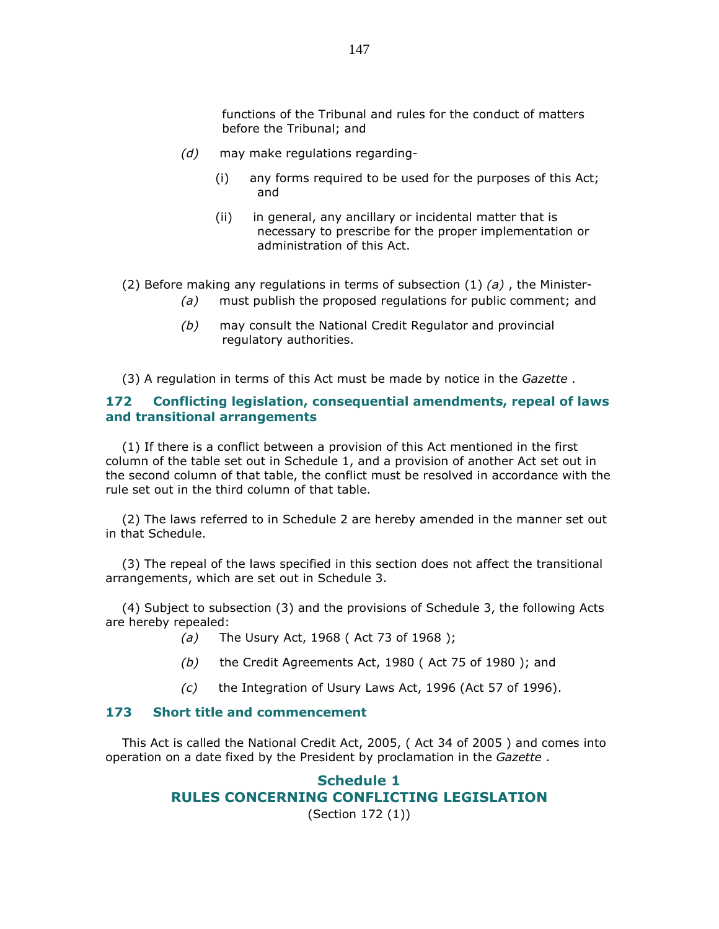functions of the Tribunal and rules for the conduct of matters before the Tribunal; and

- (d) may make regulations regarding-
	- (i) any forms required to be used for the purposes of this Act; and
	- (ii) in general, any ancillary or incidental matter that is necessary to prescribe for the proper implementation or administration of this Act.
- (2) Before making any regulations in terms of subsection  $(1)$  (a), the Minister-
	- (a) must publish the proposed regulations for public comment; and
	- (b) may consult the National Credit Regulator and provincial regulatory authorities.

(3) A regulation in terms of this Act must be made by notice in the Gazette.

## 172 Conflicting legislation, consequential amendments, repeal of laws and transitional arrangements

 (1) If there is a conflict between a provision of this Act mentioned in the first column of the table set out in Schedule 1, and a provision of another Act set out in the second column of that table, the conflict must be resolved in accordance with the rule set out in the third column of that table.

 (2) The laws referred to in Schedule 2 are hereby amended in the manner set out in that Schedule.

 (3) The repeal of the laws specified in this section does not affect the transitional arrangements, which are set out in Schedule 3.

 (4) Subject to subsection (3) and the provisions of Schedule 3, the following Acts are hereby repealed:

- (a) The Usury Act, 1968 (Act 73 of 1968);
- $(b)$  the Credit Agreements Act, 1980 (Act 75 of 1980); and
- (c) the Integration of Usury Laws Act, 1996 (Act 57 of 1996).

## 173 Short title and commencement

 This Act is called the National Credit Act, 2005, ( Act 34 of 2005 ) and comes into operation on a date fixed by the President by proclamation in the Gazette.

# Schedule 1 RULES CONCERNING CONFLICTING LEGISLATION

(Section 172 (1))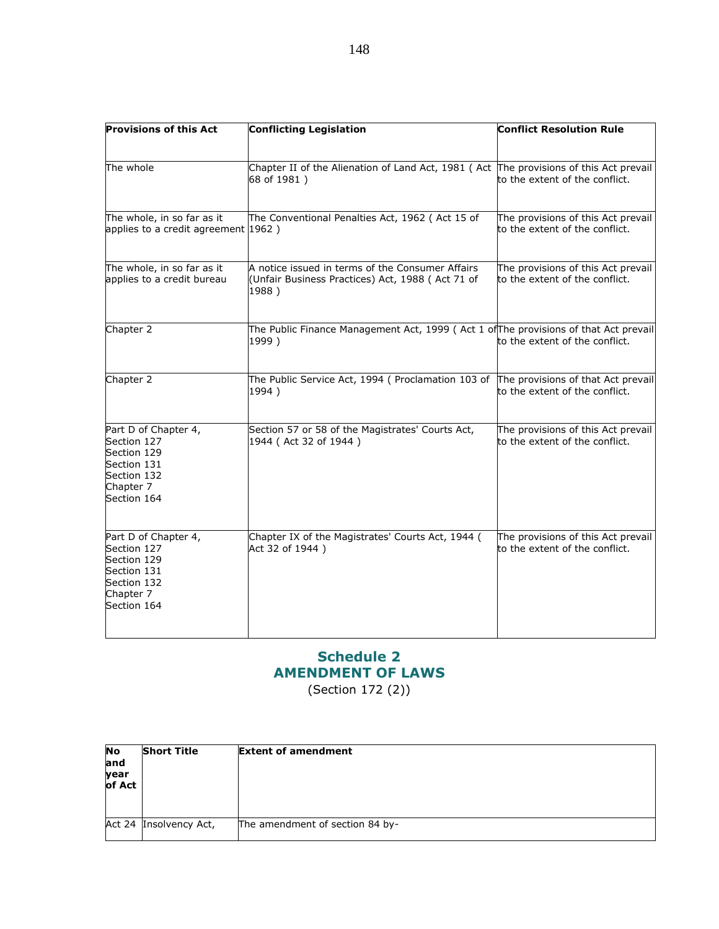| <b>Provisions of this Act</b>                                                                                | <b>Conflicting Legislation</b>                                                                                | <b>Conflict Resolution Rule</b>                                      |
|--------------------------------------------------------------------------------------------------------------|---------------------------------------------------------------------------------------------------------------|----------------------------------------------------------------------|
|                                                                                                              |                                                                                                               |                                                                      |
| The whole                                                                                                    | Chapter II of the Alienation of Land Act, 1981 (Act The provisions of this Act prevail<br>68 of 1981)         | to the extent of the conflict.                                       |
| The whole, in so far as it<br>applies to a credit agreement 1962)                                            | The Conventional Penalties Act, 1962 (Act 15 of                                                               | The provisions of this Act prevail<br>to the extent of the conflict. |
| The whole, in so far as it<br>applies to a credit bureau                                                     | A notice issued in terms of the Consumer Affairs<br>(Unfair Business Practices) Act, 1988 (Act 71 of<br>1988) | The provisions of this Act prevail<br>to the extent of the conflict. |
| Chapter 2                                                                                                    | The Public Finance Management Act, 1999 (Act 1 of The provisions of that Act prevail<br>1999)                 | to the extent of the conflict.                                       |
| Chapter 2                                                                                                    | The Public Service Act, 1994 (Proclamation 103 of<br>1994)                                                    | The provisions of that Act prevail<br>to the extent of the conflict. |
| Part D of Chapter 4,<br>Section 127<br>Section 129<br>Section 131<br>Section 132<br>Chapter 7<br>Section 164 | Section 57 or 58 of the Magistrates' Courts Act,<br>1944 (Act 32 of 1944)                                     | The provisions of this Act prevail<br>to the extent of the conflict. |
| Part D of Chapter 4,<br>Section 127<br>Section 129<br>Section 131<br>Section 132<br>Chapter 7<br>Section 164 | Chapter IX of the Magistrates' Courts Act, 1944 (<br>Act 32 of 1944)                                          | The provisions of this Act prevail<br>to the extent of the conflict. |

# Schedule 2 AMENDMENT OF LAWS

(Section 172 (2))

| <b>No</b><br>and<br>year<br>of Act | <b>Short Title</b>     | <b>Extent of amendment</b>      |
|------------------------------------|------------------------|---------------------------------|
|                                    | Act 24 Insolvency Act, | The amendment of section 84 by- |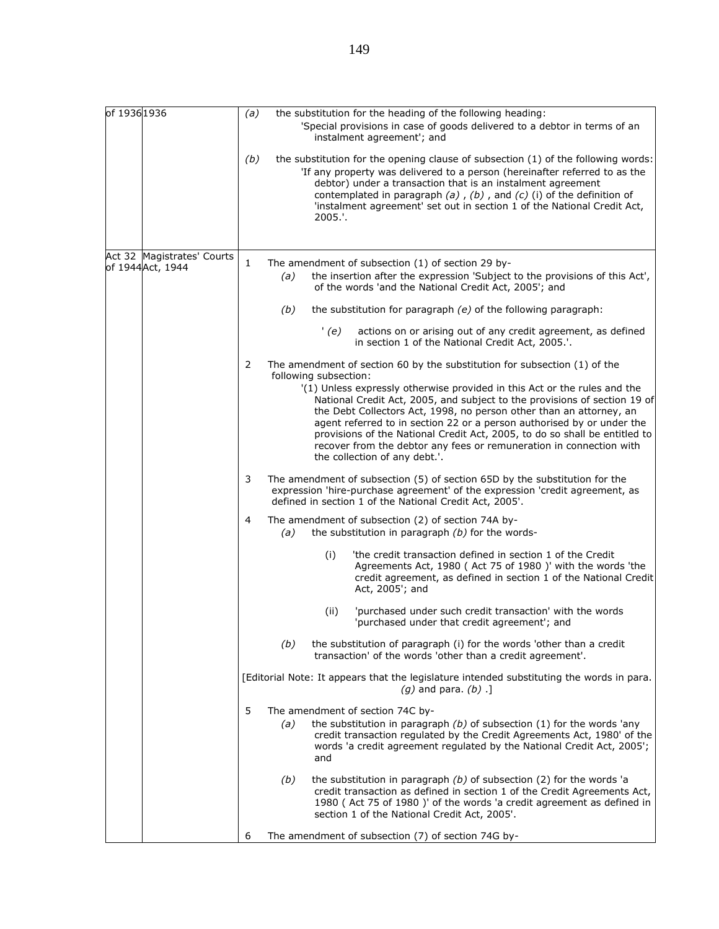| of 19361936       |                            | (a)                                                                                                                  |     |                       | the substitution for the heading of the following heading:<br>'Special provisions in case of goods delivered to a debtor in terms of an<br>instalment agreement'; and                                                                                                                                                                                                                                                                                                                         |  |  |
|-------------------|----------------------------|----------------------------------------------------------------------------------------------------------------------|-----|-----------------------|-----------------------------------------------------------------------------------------------------------------------------------------------------------------------------------------------------------------------------------------------------------------------------------------------------------------------------------------------------------------------------------------------------------------------------------------------------------------------------------------------|--|--|
|                   |                            | (b)                                                                                                                  |     | 2005.'.               | the substitution for the opening clause of subsection (1) of the following words:<br>'If any property was delivered to a person (hereinafter referred to as the<br>debtor) under a transaction that is an instalment agreement<br>contemplated in paragraph $(a)$ , $(b)$ , and $(c)$ (i) of the definition of<br>'instalment agreement' set out in section 1 of the National Credit Act,                                                                                                     |  |  |
|                   | Act 32 Magistrates' Courts |                                                                                                                      |     |                       |                                                                                                                                                                                                                                                                                                                                                                                                                                                                                               |  |  |
| of 1944 Act, 1944 |                            | 1                                                                                                                    | (a) |                       | The amendment of subsection (1) of section 29 by-<br>the insertion after the expression 'Subject to the provisions of this Act',<br>of the words 'and the National Credit Act, 2005'; and                                                                                                                                                                                                                                                                                                     |  |  |
|                   |                            |                                                                                                                      | (b) |                       | the substitution for paragraph (e) of the following paragraph:                                                                                                                                                                                                                                                                                                                                                                                                                                |  |  |
|                   |                            |                                                                                                                      |     | (e)                   | actions on or arising out of any credit agreement, as defined<br>in section 1 of the National Credit Act, 2005.'.                                                                                                                                                                                                                                                                                                                                                                             |  |  |
|                   |                            | 2                                                                                                                    |     | following subsection: | The amendment of section 60 by the substitution for subsection $(1)$ of the                                                                                                                                                                                                                                                                                                                                                                                                                   |  |  |
|                   |                            |                                                                                                                      |     |                       | '(1) Unless expressly otherwise provided in this Act or the rules and the<br>National Credit Act, 2005, and subject to the provisions of section 19 of<br>the Debt Collectors Act, 1998, no person other than an attorney, an<br>agent referred to in section 22 or a person authorised by or under the<br>provisions of the National Credit Act, 2005, to do so shall be entitled to<br>recover from the debtor any fees or remuneration in connection with<br>the collection of any debt.'. |  |  |
|                   |                            | 3                                                                                                                    |     |                       | The amendment of subsection (5) of section 65D by the substitution for the<br>expression 'hire-purchase agreement' of the expression 'credit agreement, as<br>defined in section 1 of the National Credit Act, 2005'.                                                                                                                                                                                                                                                                         |  |  |
|                   |                            | 4                                                                                                                    | (a) |                       | The amendment of subsection (2) of section 74A by-<br>the substitution in paragraph $(b)$ for the words-                                                                                                                                                                                                                                                                                                                                                                                      |  |  |
|                   |                            |                                                                                                                      |     | (i)                   | 'the credit transaction defined in section 1 of the Credit<br>Agreements Act, 1980 ( Act 75 of 1980 )' with the words 'the<br>credit agreement, as defined in section 1 of the National Credit<br>Act, 2005'; and                                                                                                                                                                                                                                                                             |  |  |
|                   |                            |                                                                                                                      |     | (ii)                  | 'purchased under such credit transaction' with the words<br>'purchased under that credit agreement'; and                                                                                                                                                                                                                                                                                                                                                                                      |  |  |
| 5                 |                            |                                                                                                                      | (b) |                       | the substitution of paragraph (i) for the words 'other than a credit<br>transaction' of the words 'other than a credit agreement'.                                                                                                                                                                                                                                                                                                                                                            |  |  |
|                   |                            | [Editorial Note: It appears that the legislature intended substituting the words in para.<br>$(q)$ and para. $(b)$ . |     |                       |                                                                                                                                                                                                                                                                                                                                                                                                                                                                                               |  |  |
|                   |                            |                                                                                                                      | (a) | and                   | The amendment of section 74C by-<br>the substitution in paragraph $(b)$ of subsection (1) for the words 'any<br>credit transaction regulated by the Credit Agreements Act, 1980' of the<br>words 'a credit agreement regulated by the National Credit Act, 2005';                                                                                                                                                                                                                             |  |  |
|                   |                            |                                                                                                                      | (b) |                       | the substitution in paragraph $(b)$ of subsection (2) for the words 'a<br>credit transaction as defined in section 1 of the Credit Agreements Act,<br>1980 (Act 75 of 1980)' of the words 'a credit agreement as defined in<br>section 1 of the National Credit Act, 2005'.                                                                                                                                                                                                                   |  |  |
|                   |                            | 6                                                                                                                    |     |                       | The amendment of subsection (7) of section 74G by-                                                                                                                                                                                                                                                                                                                                                                                                                                            |  |  |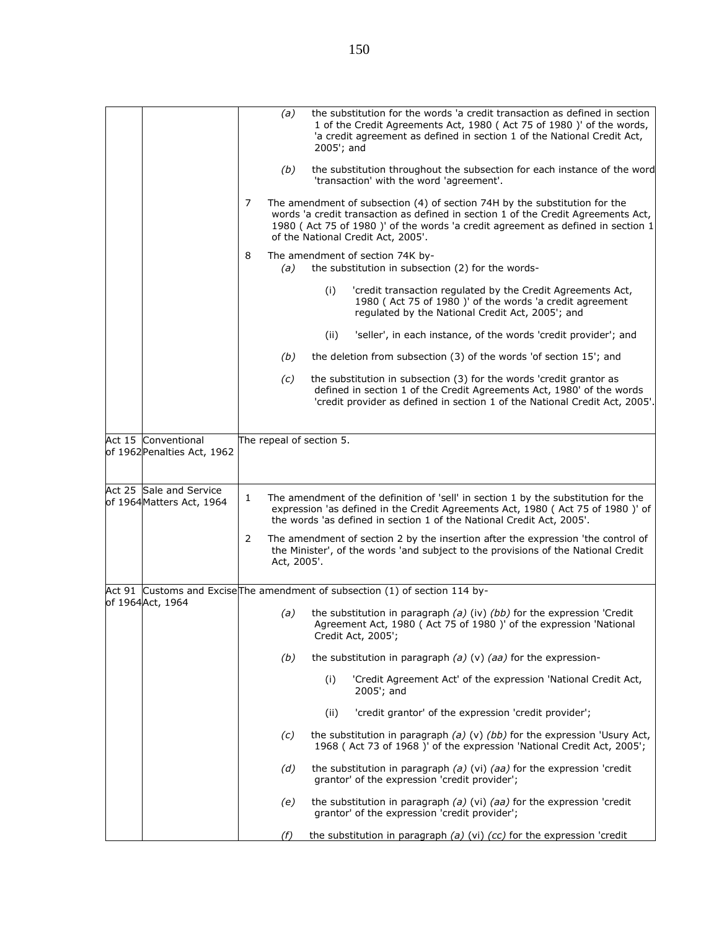|                                                      |   | (a)         | 2005'; and               | the substitution for the words 'a credit transaction as defined in section<br>1 of the Credit Agreements Act, 1980 (Act 75 of 1980)' of the words,<br>'a credit agreement as defined in section 1 of the National Credit Act,                                                            |
|------------------------------------------------------|---|-------------|--------------------------|------------------------------------------------------------------------------------------------------------------------------------------------------------------------------------------------------------------------------------------------------------------------------------------|
|                                                      |   | (b)         |                          | the substitution throughout the subsection for each instance of the word<br>'transaction' with the word 'agreement'.                                                                                                                                                                     |
|                                                      | 7 |             |                          | The amendment of subsection (4) of section 74H by the substitution for the<br>words 'a credit transaction as defined in section 1 of the Credit Agreements Act,<br>1980 (Act 75 of 1980)' of the words 'a credit agreement as defined in section 1<br>of the National Credit Act, 2005'. |
|                                                      | 8 | (a)         |                          | The amendment of section 74K by-<br>the substitution in subsection (2) for the words-                                                                                                                                                                                                    |
|                                                      |   |             | (i)                      | 'credit transaction regulated by the Credit Agreements Act,<br>1980 (Act 75 of 1980)' of the words 'a credit agreement<br>regulated by the National Credit Act, 2005'; and                                                                                                               |
|                                                      |   |             | (ii)                     | 'seller', in each instance, of the words 'credit provider'; and                                                                                                                                                                                                                          |
|                                                      |   | (b)         |                          | the deletion from subsection (3) of the words 'of section 15'; and                                                                                                                                                                                                                       |
|                                                      |   | (c)         |                          | the substitution in subsection (3) for the words 'credit grantor as<br>defined in section 1 of the Credit Agreements Act, 1980' of the words<br>'credit provider as defined in section 1 of the National Credit Act, 2005'.                                                              |
|                                                      |   |             |                          |                                                                                                                                                                                                                                                                                          |
| Act 15 Conventional<br>of 1962 Penalties Act, 1962   |   |             | The repeal of section 5. |                                                                                                                                                                                                                                                                                          |
| Act 25 Sale and Service<br>of 1964 Matters Act, 1964 | 1 |             |                          | The amendment of the definition of 'sell' in section 1 by the substitution for the<br>expression 'as defined in the Credit Agreements Act, 1980 (Act 75 of 1980 )' of<br>the words 'as defined in section 1 of the National Credit Act, 2005'.                                           |
|                                                      | 2 | Act, 2005'. |                          | The amendment of section 2 by the insertion after the expression 'the control of<br>the Minister', of the words 'and subject to the provisions of the National Credit                                                                                                                    |
|                                                      |   |             |                          | Act 91 Customs and Excise The amendment of subsection (1) of section 114 by-                                                                                                                                                                                                             |
| of 1964Act, 1964                                     |   | (a)         |                          | the substitution in paragraph $(a)$ (iv) $(bb)$ for the expression 'Credit<br>Agreement Act, 1980 ( Act 75 of 1980 )' of the expression 'National<br>Credit Act, 2005';                                                                                                                  |
|                                                      |   | (b)         |                          | the substitution in paragraph $(a)$ (v) $(aa)$ for the expression-                                                                                                                                                                                                                       |
|                                                      |   |             | (i)                      | 'Credit Agreement Act' of the expression 'National Credit Act,<br>2005'; and                                                                                                                                                                                                             |
|                                                      |   |             | (ii)                     | 'credit grantor' of the expression 'credit provider';                                                                                                                                                                                                                                    |
|                                                      |   | (c)         |                          | the substitution in paragraph (a) (v) (bb) for the expression 'Usury Act,<br>1968 ( Act 73 of 1968 )' of the expression 'National Credit Act, 2005';                                                                                                                                     |
|                                                      |   | (d)         |                          | the substitution in paragraph $(a)$ (vi) $(aa)$ for the expression 'credit<br>grantor' of the expression 'credit provider';                                                                                                                                                              |
|                                                      |   | (e)         |                          | the substitution in paragraph $(a)$ (vi) $(aa)$ for the expression 'credit<br>grantor' of the expression 'credit provider';                                                                                                                                                              |
|                                                      |   | (f)         |                          | the substitution in paragraph (a) (vi) ( $cc$ ) for the expression 'credit                                                                                                                                                                                                               |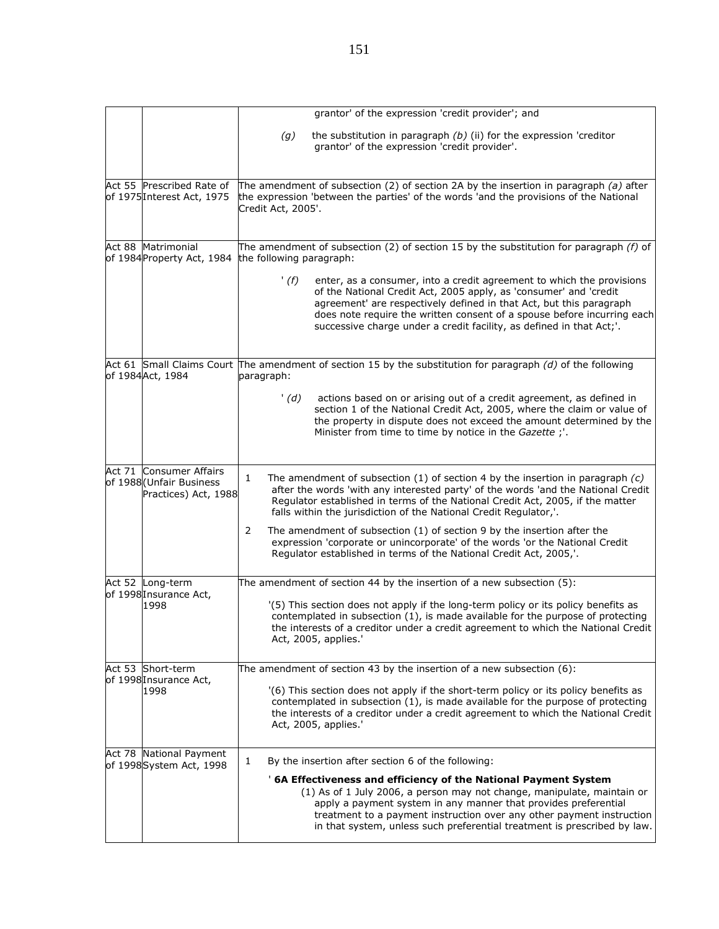|        |                                                                             | grantor' of the expression 'credit provider'; and                                                                                                                                                                                                                                                                                                                            |
|--------|-----------------------------------------------------------------------------|------------------------------------------------------------------------------------------------------------------------------------------------------------------------------------------------------------------------------------------------------------------------------------------------------------------------------------------------------------------------------|
|        |                                                                             | (g)<br>the substitution in paragraph $(b)$ (ii) for the expression 'creditor<br>grantor' of the expression 'credit provider'.                                                                                                                                                                                                                                                |
|        | Act 55 Prescribed Rate of<br>of 1975 Interest Act, 1975                     | The amendment of subsection (2) of section 2A by the insertion in paragraph (a) after<br>the expression 'between the parties' of the words 'and the provisions of the National<br>Credit Act, 2005'.                                                                                                                                                                         |
|        | Act 88 Matrimonial                                                          | The amendment of subsection (2) of section 15 by the substitution for paragraph $(f)$ of                                                                                                                                                                                                                                                                                     |
|        | of 1984 Property Act, 1984                                                  | the following paragraph:                                                                                                                                                                                                                                                                                                                                                     |
|        |                                                                             | '(f)<br>enter, as a consumer, into a credit agreement to which the provisions<br>of the National Credit Act, 2005 apply, as 'consumer' and 'credit<br>agreement' are respectively defined in that Act, but this paragraph<br>does note require the written consent of a spouse before incurring each<br>successive charge under a credit facility, as defined in that Act;'. |
|        | of 1984Act, 1984                                                            | Act 61 Small Claims Court The amendment of section 15 by the substitution for paragraph (d) of the following<br>paragraph:                                                                                                                                                                                                                                                   |
|        |                                                                             | actions based on or arising out of a credit agreement, as defined in<br>'(d)<br>section 1 of the National Credit Act, 2005, where the claim or value of<br>the property in dispute does not exceed the amount determined by the<br>Minister from time to time by notice in the Gazette;'.                                                                                    |
|        |                                                                             |                                                                                                                                                                                                                                                                                                                                                                              |
| Act 71 | <b>Consumer Affairs</b><br>of 1988 (Unfair Business<br>Practices) Act, 1988 | 1<br>The amendment of subsection $(1)$ of section 4 by the insertion in paragraph $(c)$<br>after the words 'with any interested party' of the words 'and the National Credit<br>Regulator established in terms of the National Credit Act, 2005, if the matter<br>falls within the jurisdiction of the National Credit Regulator,'.                                          |
|        |                                                                             | 2<br>The amendment of subsection $(1)$ of section 9 by the insertion after the<br>expression 'corporate or unincorporate' of the words 'or the National Credit<br>Regulator established in terms of the National Credit Act, 2005,'.                                                                                                                                         |
|        | Act 52 Long-term                                                            | The amendment of section 44 by the insertion of a new subsection $(5)$ :                                                                                                                                                                                                                                                                                                     |
|        | of 1998 Insurance Act,<br>1998                                              | '(5) This section does not apply if the long-term policy or its policy benefits as<br>contemplated in subsection (1), is made available for the purpose of protecting<br>the interests of a creditor under a credit agreement to which the National Credit<br>Act, 2005, applies.'                                                                                           |
|        | Act 53 Short-term                                                           | The amendment of section 43 by the insertion of a new subsection $(6)$ :                                                                                                                                                                                                                                                                                                     |
|        | of 1998 Insurance Act,<br>1998                                              | '(6) This section does not apply if the short-term policy or its policy benefits as<br>contemplated in subsection (1), is made available for the purpose of protecting<br>the interests of a creditor under a credit agreement to which the National Credit<br>Act, 2005, applies.'                                                                                          |
|        | Act 78 National Payment                                                     | By the insertion after section 6 of the following:<br>1                                                                                                                                                                                                                                                                                                                      |
|        | of 1998System Act, 1998                                                     | '6A Effectiveness and efficiency of the National Payment System<br>(1) As of 1 July 2006, a person may not change, manipulate, maintain or<br>apply a payment system in any manner that provides preferential<br>treatment to a payment instruction over any other payment instruction<br>in that system, unless such preferential treatment is prescribed by law.           |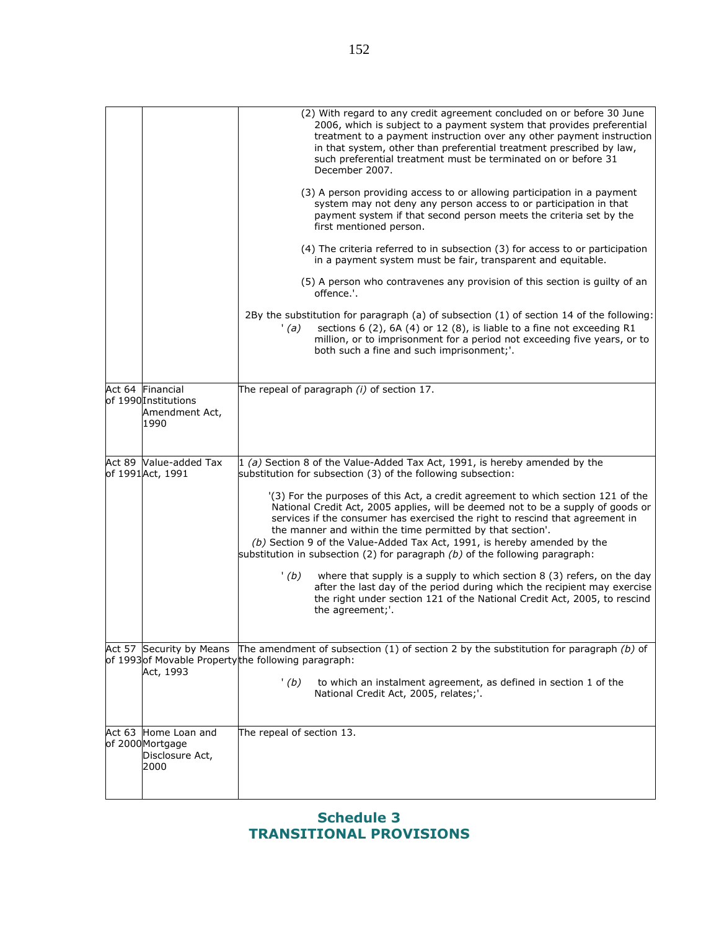|                                                                    | (2) With regard to any credit agreement concluded on or before 30 June<br>2006, which is subject to a payment system that provides preferential<br>treatment to a payment instruction over any other payment instruction<br>in that system, other than preferential treatment prescribed by law,<br>such preferential treatment must be terminated on or before 31<br>December 2007.<br>(3) A person providing access to or allowing participation in a payment<br>system may not deny any person access to or participation in that<br>payment system if that second person meets the criteria set by the<br>first mentioned person. |
|--------------------------------------------------------------------|---------------------------------------------------------------------------------------------------------------------------------------------------------------------------------------------------------------------------------------------------------------------------------------------------------------------------------------------------------------------------------------------------------------------------------------------------------------------------------------------------------------------------------------------------------------------------------------------------------------------------------------|
|                                                                    | (4) The criteria referred to in subsection (3) for access to or participation<br>in a payment system must be fair, transparent and equitable.                                                                                                                                                                                                                                                                                                                                                                                                                                                                                         |
|                                                                    | (5) A person who contravenes any provision of this section is guilty of an<br>offence.'.                                                                                                                                                                                                                                                                                                                                                                                                                                                                                                                                              |
|                                                                    | 2By the substitution for paragraph (a) of subsection (1) of section 14 of the following:<br>sections 6 (2), 6A (4) or 12 (8), is liable to a fine not exceeding R1<br>'(a)<br>million, or to imprisonment for a period not exceeding five years, or to<br>both such a fine and such imprisonment;'.                                                                                                                                                                                                                                                                                                                                   |
|                                                                    |                                                                                                                                                                                                                                                                                                                                                                                                                                                                                                                                                                                                                                       |
| Act 64 Financial<br>of 1990 Institutions<br>Amendment Act,<br>1990 | The repeal of paragraph $(i)$ of section 17.                                                                                                                                                                                                                                                                                                                                                                                                                                                                                                                                                                                          |
| Act 89 Value-added Tax                                             | $1(a)$ Section 8 of the Value-Added Tax Act, 1991, is hereby amended by the                                                                                                                                                                                                                                                                                                                                                                                                                                                                                                                                                           |
| of 1991 Act, 1991                                                  | substitution for subsection (3) of the following subsection:                                                                                                                                                                                                                                                                                                                                                                                                                                                                                                                                                                          |
|                                                                    | '(3) For the purposes of this Act, a credit agreement to which section 121 of the<br>National Credit Act, 2005 applies, will be deemed not to be a supply of goods or<br>services if the consumer has exercised the right to rescind that agreement in<br>the manner and within the time permitted by that section'.<br>(b) Section 9 of the Value-Added Tax Act, 1991, is hereby amended by the<br>substitution in subsection (2) for paragraph $(b)$ of the following paragraph:                                                                                                                                                    |
|                                                                    | '(b)<br>where that supply is a supply to which section 8 (3) refers, on the day<br>after the last day of the period during which the recipient may exercise<br>the right under section 121 of the National Credit Act, 2005, to rescind<br>the agreement;'.                                                                                                                                                                                                                                                                                                                                                                           |
| Act 57 Security by Means                                           | The amendment of subsection (1) of section 2 by the substitution for paragraph $(b)$ of                                                                                                                                                                                                                                                                                                                                                                                                                                                                                                                                               |
|                                                                    | of 1993 of Movable Propertythe following paragraph:                                                                                                                                                                                                                                                                                                                                                                                                                                                                                                                                                                                   |
| Act, 1993                                                          | '(b)<br>to which an instalment agreement, as defined in section 1 of the<br>National Credit Act, 2005, relates;'.                                                                                                                                                                                                                                                                                                                                                                                                                                                                                                                     |
| Act 63 Home Loan and                                               | The repeal of section 13.                                                                                                                                                                                                                                                                                                                                                                                                                                                                                                                                                                                                             |
| of 2000 Mortgage<br>Disclosure Act,<br>2000                        |                                                                                                                                                                                                                                                                                                                                                                                                                                                                                                                                                                                                                                       |
|                                                                    |                                                                                                                                                                                                                                                                                                                                                                                                                                                                                                                                                                                                                                       |

# Schedule 3 TRANSITIONAL PROVISIONS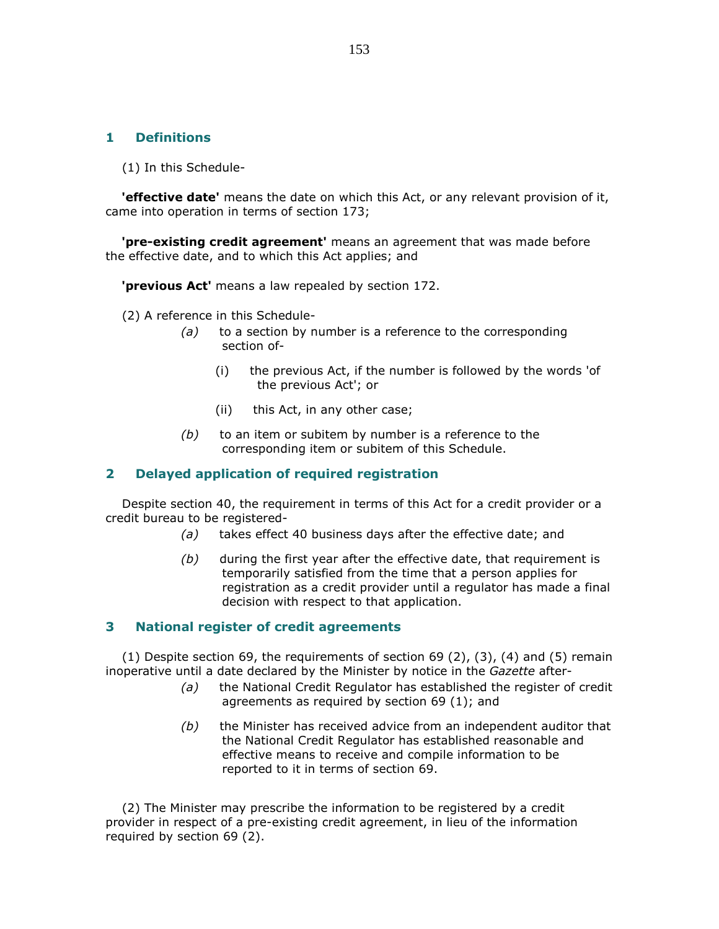## 1 Definitions

(1) In this Schedule-

**'effective date'** means the date on which this Act, or any relevant provision of it, came into operation in terms of section 173;

 'pre-existing credit agreement' means an agreement that was made before the effective date, and to which this Act applies; and

**previous Act'** means a law repealed by section 172.

(2) A reference in this Schedule-

- $(a)$  to a section by number is a reference to the corresponding section of-
	- (i) the previous Act, if the number is followed by the words 'of the previous Act'; or
	- (ii) this Act, in any other case;
- $(b)$  to an item or subitem by number is a reference to the corresponding item or subitem of this Schedule.

#### 2 Delayed application of required registration

 Despite section 40, the requirement in terms of this Act for a credit provider or a credit bureau to be registered-

- (a) takes effect 40 business days after the effective date; and
- $(b)$  during the first year after the effective date, that requirement is temporarily satisfied from the time that a person applies for registration as a credit provider until a regulator has made a final decision with respect to that application.

### 3 National register of credit agreements

(1) Despite section 69, the requirements of section 69  $(2)$ ,  $(3)$ ,  $(4)$  and  $(5)$  remain inoperative until a date declared by the Minister by notice in the Gazette after-

- (a) the National Credit Regulator has established the register of credit agreements as required by section 69 (1); and
- $(b)$  the Minister has received advice from an independent auditor that the National Credit Regulator has established reasonable and effective means to receive and compile information to be reported to it in terms of section 69.

 (2) The Minister may prescribe the information to be registered by a credit provider in respect of a pre-existing credit agreement, in lieu of the information required by section 69 (2).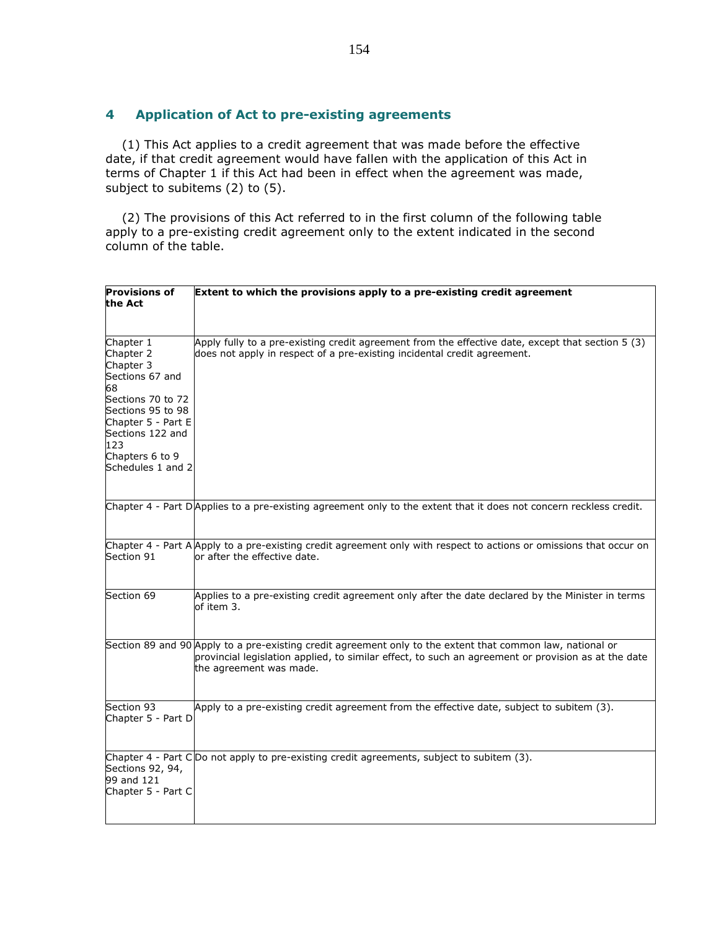## 4 Application of Act to pre-existing agreements

 (1) This Act applies to a credit agreement that was made before the effective date, if that credit agreement would have fallen with the application of this Act in terms of Chapter 1 if this Act had been in effect when the agreement was made, subject to subitems (2) to (5).

 (2) The provisions of this Act referred to in the first column of the following table apply to a pre-existing credit agreement only to the extent indicated in the second column of the table.

| <b>Provisions of</b><br>the Act                                                                                                                                                                 | Extent to which the provisions apply to a pre-existing credit agreement                                                                                                                                                                      |
|-------------------------------------------------------------------------------------------------------------------------------------------------------------------------------------------------|----------------------------------------------------------------------------------------------------------------------------------------------------------------------------------------------------------------------------------------------|
| Chapter 1<br>Chapter 2<br>Chapter 3<br>Sections 67 and<br>68<br>Sections 70 to 72<br>Sections 95 to 98<br>Chapter 5 - Part E<br>Sections 122 and<br>123<br>Chapters 6 to 9<br>Schedules 1 and 2 | Apply fully to a pre-existing credit agreement from the effective date, except that section 5 (3)<br>does not apply in respect of a pre-existing incidental credit agreement.                                                                |
|                                                                                                                                                                                                 | Chapter 4 - Part DApplies to a pre-existing agreement only to the extent that it does not concern reckless credit.                                                                                                                           |
| Section 91                                                                                                                                                                                      | Chapter 4 - Part A Apply to a pre-existing credit agreement only with respect to actions or omissions that occur on<br>or after the effective date.                                                                                          |
| Section 69                                                                                                                                                                                      | Applies to a pre-existing credit agreement only after the date declared by the Minister in terms<br>of item 3.                                                                                                                               |
|                                                                                                                                                                                                 | Section 89 and 90 Apply to a pre-existing credit agreement only to the extent that common law, national or<br>provincial legislation applied, to similar effect, to such an agreement or provision as at the date<br>the agreement was made. |
| Section 93<br>Chapter 5 - Part D                                                                                                                                                                | Apply to a pre-existing credit agreement from the effective date, subject to subitem (3).                                                                                                                                                    |
| Sections 92, 94,<br>99 and 121<br>Chapter 5 - Part C                                                                                                                                            | Chapter 4 - Part C Do not apply to pre-existing credit agreements, subject to subitem $(3)$ .                                                                                                                                                |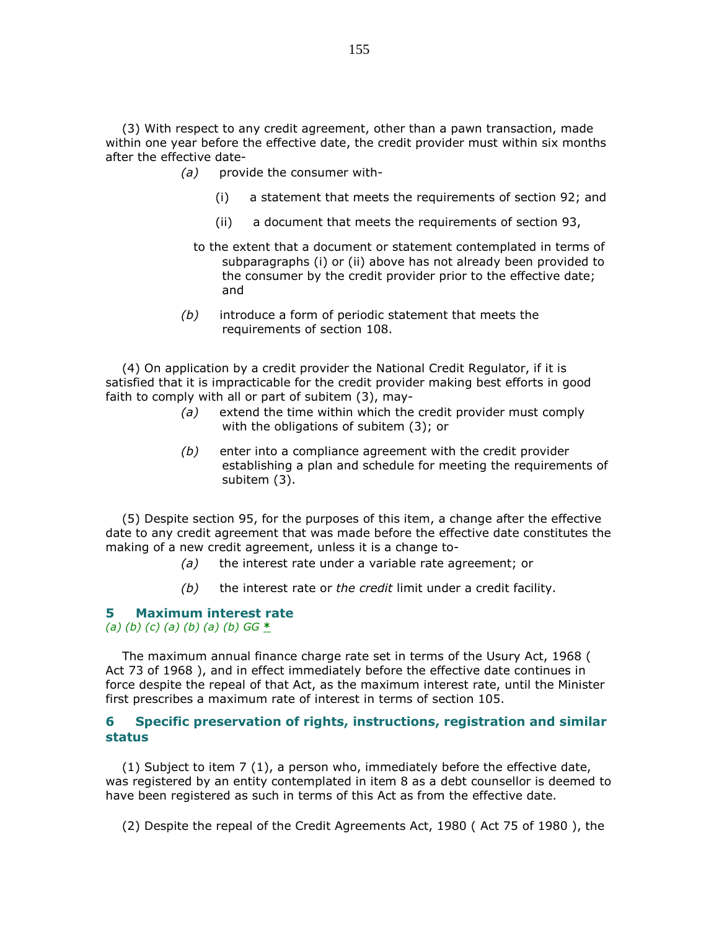(3) With respect to any credit agreement, other than a pawn transaction, made within one year before the effective date, the credit provider must within six months after the effective date-

- (a) provide the consumer with-
	- (i) a statement that meets the requirements of section 92; and
	- (ii) a document that meets the requirements of section 93,
	- to the extent that a document or statement contemplated in terms of subparagraphs (i) or (ii) above has not already been provided to the consumer by the credit provider prior to the effective date; and
- $(b)$  introduce a form of periodic statement that meets the requirements of section 108.

 (4) On application by a credit provider the National Credit Regulator, if it is satisfied that it is impracticable for the credit provider making best efforts in good faith to comply with all or part of subitem (3), may-

- (a) extend the time within which the credit provider must comply with the obligations of subitem (3); or
- $(b)$  enter into a compliance agreement with the credit provider establishing a plan and schedule for meeting the requirements of subitem (3).

 (5) Despite section 95, for the purposes of this item, a change after the effective date to any credit agreement that was made before the effective date constitutes the making of a new credit agreement, unless it is a change to-

- $(a)$  the interest rate under a variable rate agreement; or
- $(b)$  the interest rate or the credit limit under a credit facility.

#### 5 Maximum interest rate (a) (b) (c) (a) (b) (a) (b)  $GG *$

 The maximum annual finance charge rate set in terms of the Usury Act, 1968 ( Act 73 of 1968 ), and in effect immediately before the effective date continues in force despite the repeal of that Act, as the maximum interest rate, until the Minister first prescribes a maximum rate of interest in terms of section 105.

## 6 Specific preservation of rights, instructions, registration and similar status

 (1) Subject to item 7 (1), a person who, immediately before the effective date, was registered by an entity contemplated in item 8 as a debt counsellor is deemed to have been registered as such in terms of this Act as from the effective date.

(2) Despite the repeal of the Credit Agreements Act, 1980 ( Act 75 of 1980 ), the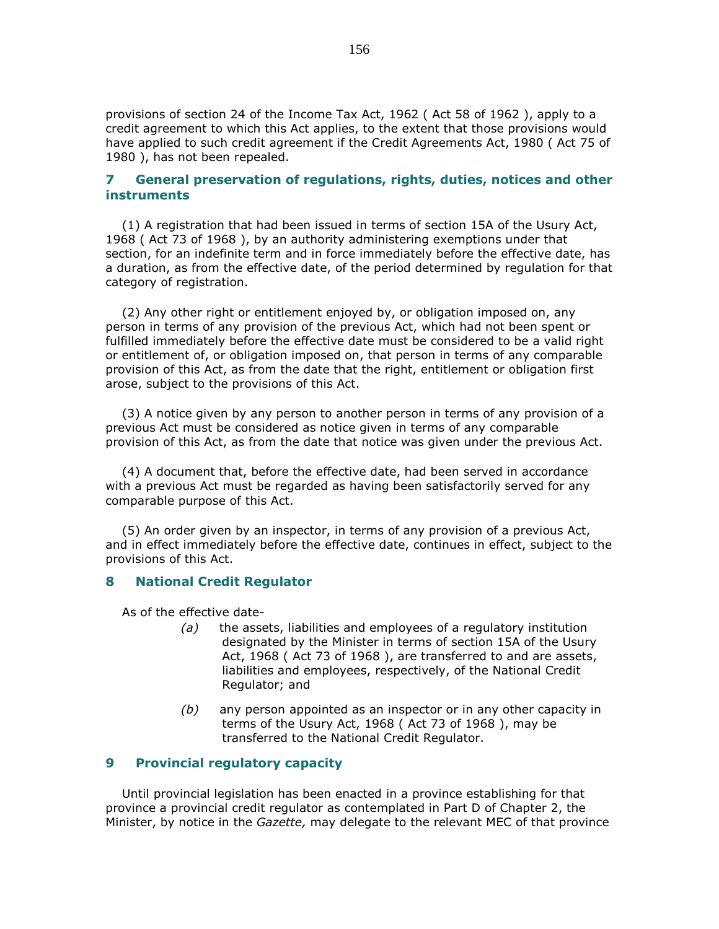provisions of section 24 of the Income Tax Act, 1962 ( Act 58 of 1962 ), apply to a credit agreement to which this Act applies, to the extent that those provisions would have applied to such credit agreement if the Credit Agreements Act, 1980 ( Act 75 of 1980 ), has not been repealed.

## 7 General preservation of regulations, rights, duties, notices and other instruments

 (1) A registration that had been issued in terms of section 15A of the Usury Act, 1968 ( Act 73 of 1968 ), by an authority administering exemptions under that section, for an indefinite term and in force immediately before the effective date, has a duration, as from the effective date, of the period determined by regulation for that category of registration.

 (2) Any other right or entitlement enjoyed by, or obligation imposed on, any person in terms of any provision of the previous Act, which had not been spent or fulfilled immediately before the effective date must be considered to be a valid right or entitlement of, or obligation imposed on, that person in terms of any comparable provision of this Act, as from the date that the right, entitlement or obligation first arose, subject to the provisions of this Act.

 (3) A notice given by any person to another person in terms of any provision of a previous Act must be considered as notice given in terms of any comparable provision of this Act, as from the date that notice was given under the previous Act.

 (4) A document that, before the effective date, had been served in accordance with a previous Act must be regarded as having been satisfactorily served for any comparable purpose of this Act.

 (5) An order given by an inspector, in terms of any provision of a previous Act, and in effect immediately before the effective date, continues in effect, subject to the provisions of this Act.

#### 8 National Credit Regulator

As of the effective date-

- $(a)$  the assets, liabilities and employees of a regulatory institution designated by the Minister in terms of section 15A of the Usury Act, 1968 ( Act 73 of 1968 ), are transferred to and are assets, liabilities and employees, respectively, of the National Credit Regulator; and
- $(b)$  any person appointed as an inspector or in any other capacity in terms of the Usury Act, 1968 ( Act 73 of 1968 ), may be transferred to the National Credit Regulator.

## 9 Provincial regulatory capacity

 Until provincial legislation has been enacted in a province establishing for that province a provincial credit regulator as contemplated in Part D of Chapter 2, the Minister, by notice in the Gazette, may delegate to the relevant MEC of that province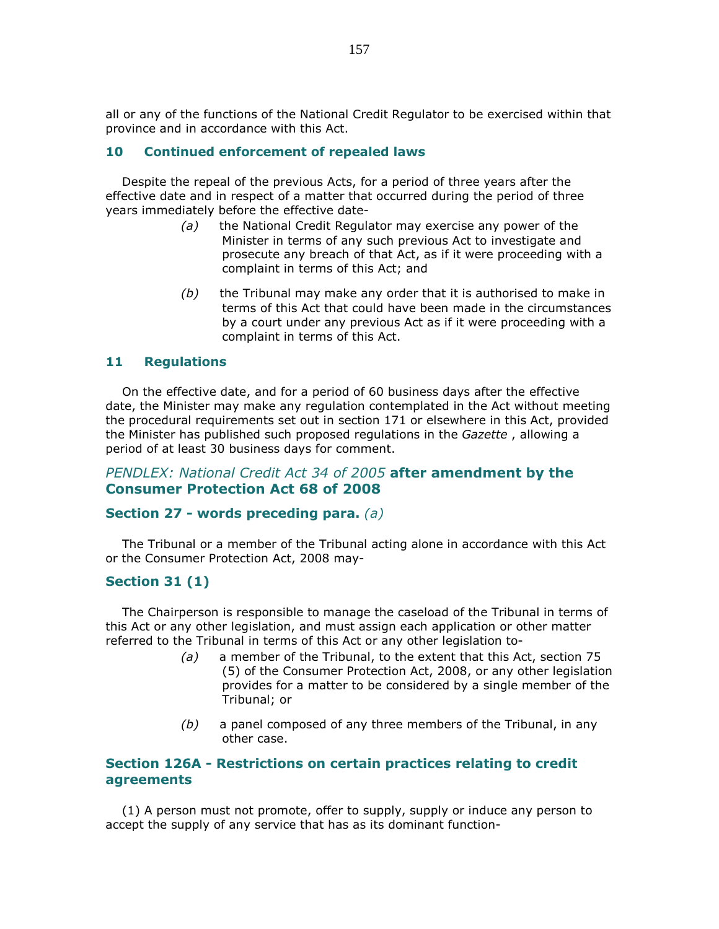all or any of the functions of the National Credit Regulator to be exercised within that province and in accordance with this Act.

## 10 Continued enforcement of repealed laws

 Despite the repeal of the previous Acts, for a period of three years after the effective date and in respect of a matter that occurred during the period of three years immediately before the effective date-

- (a) the National Credit Regulator may exercise any power of the Minister in terms of any such previous Act to investigate and prosecute any breach of that Act, as if it were proceeding with a complaint in terms of this Act; and
- $(b)$  the Tribunal may make any order that it is authorised to make in terms of this Act that could have been made in the circumstances by a court under any previous Act as if it were proceeding with a complaint in terms of this Act.

## 11 Regulations

 On the effective date, and for a period of 60 business days after the effective date, the Minister may make any regulation contemplated in the Act without meeting the procedural requirements set out in section 171 or elsewhere in this Act, provided the Minister has published such proposed regulations in the Gazette, allowing a period of at least 30 business days for comment.

## PENDLEX: National Credit Act 34 of 2005 after amendment by the Consumer Protection Act 68 of 2008

#### Section 27 - words preceding para. (a)

 The Tribunal or a member of the Tribunal acting alone in accordance with this Act or the Consumer Protection Act, 2008 may-

## Section 31 (1)

 The Chairperson is responsible to manage the caseload of the Tribunal in terms of this Act or any other legislation, and must assign each application or other matter referred to the Tribunal in terms of this Act or any other legislation to-

- $(a)$  a member of the Tribunal, to the extent that this Act, section 75 (5) of the Consumer Protection Act, 2008, or any other legislation provides for a matter to be considered by a single member of the Tribunal; or
- $(b)$  a panel composed of any three members of the Tribunal, in any other case.

## Section 126A - Restrictions on certain practices relating to credit agreements

 (1) A person must not promote, offer to supply, supply or induce any person to accept the supply of any service that has as its dominant function-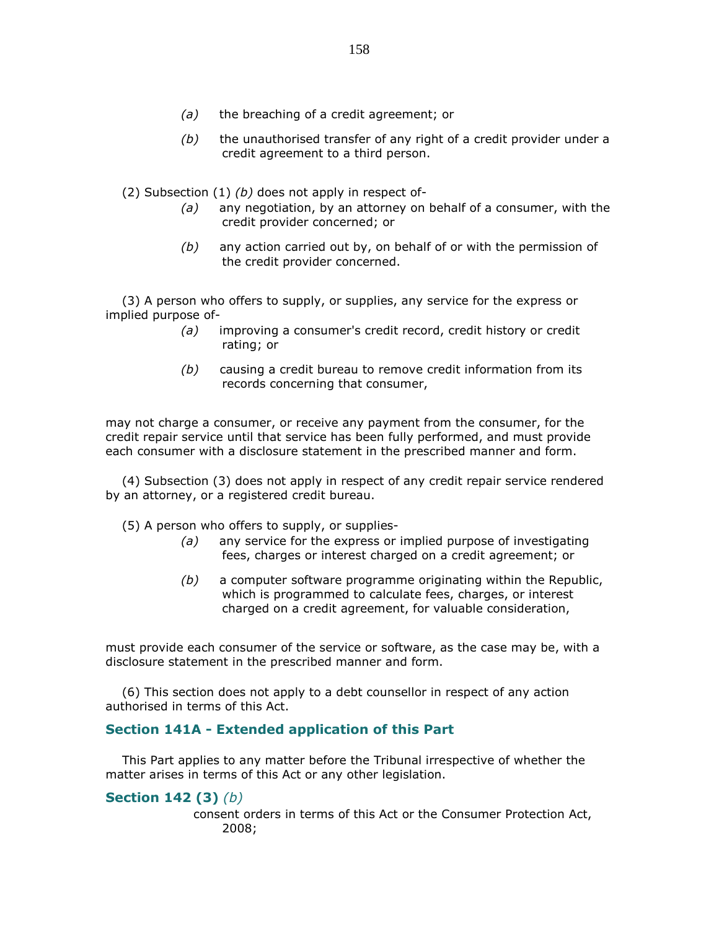- (a) the breaching of a credit agreement; or
- $(b)$  the unauthorised transfer of any right of a credit provider under a credit agreement to a third person.

(2) Subsection  $(1)$   $(b)$  does not apply in respect of-

- $(a)$  any negotiation, by an attorney on behalf of a consumer, with the credit provider concerned; or
- $(b)$  any action carried out by, on behalf of or with the permission of the credit provider concerned.

 (3) A person who offers to supply, or supplies, any service for the express or implied purpose of-

- (a) improving a consumer's credit record, credit history or credit rating; or
- (b) causing a credit bureau to remove credit information from its records concerning that consumer,

may not charge a consumer, or receive any payment from the consumer, for the credit repair service until that service has been fully performed, and must provide each consumer with a disclosure statement in the prescribed manner and form.

 (4) Subsection (3) does not apply in respect of any credit repair service rendered by an attorney, or a registered credit bureau.

(5) A person who offers to supply, or supplies-

- (a) any service for the express or implied purpose of investigating fees, charges or interest charged on a credit agreement; or
- (b) a computer software programme originating within the Republic, which is programmed to calculate fees, charges, or interest charged on a credit agreement, for valuable consideration,

must provide each consumer of the service or software, as the case may be, with a disclosure statement in the prescribed manner and form.

 (6) This section does not apply to a debt counsellor in respect of any action authorised in terms of this Act.

## Section 141A - Extended application of this Part

 This Part applies to any matter before the Tribunal irrespective of whether the matter arises in terms of this Act or any other legislation.

## **Section 142 (3)** (b)

 consent orders in terms of this Act or the Consumer Protection Act, 2008;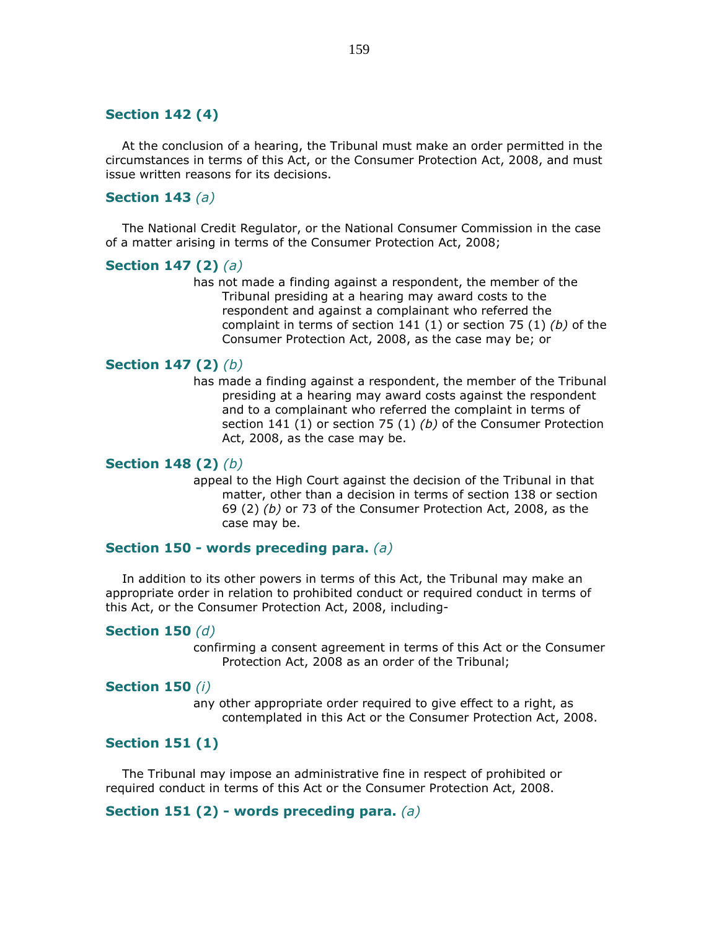## Section 142 (4)

 At the conclusion of a hearing, the Tribunal must make an order permitted in the circumstances in terms of this Act, or the Consumer Protection Act, 2008, and must issue written reasons for its decisions.

## Section 143  $(a)$

 The National Credit Regulator, or the National Consumer Commission in the case of a matter arising in terms of the Consumer Protection Act, 2008;

### **Section 147 (2)** (a)

 has not made a finding against a respondent, the member of the Tribunal presiding at a hearing may award costs to the respondent and against a complainant who referred the complaint in terms of section 141 (1) or section 75 (1)  $(b)$  of the Consumer Protection Act, 2008, as the case may be; or

### **Section 147 (2)** (b)

 has made a finding against a respondent, the member of the Tribunal presiding at a hearing may award costs against the respondent and to a complainant who referred the complaint in terms of section 141 (1) or section 75 (1) (b) of the Consumer Protection Act, 2008, as the case may be.

## Section 148 (2) (b)

 appeal to the High Court against the decision of the Tribunal in that matter, other than a decision in terms of section 138 or section 69 (2) (b) or 73 of the Consumer Protection Act, 2008, as the case may be.

## Section 150 - words preceding para. (a)

 In addition to its other powers in terms of this Act, the Tribunal may make an appropriate order in relation to prohibited conduct or required conduct in terms of this Act, or the Consumer Protection Act, 2008, including-

#### Section 150  $(d)$

 confirming a consent agreement in terms of this Act or the Consumer Protection Act, 2008 as an order of the Tribunal;

#### Section 150 (i)

 any other appropriate order required to give effect to a right, as contemplated in this Act or the Consumer Protection Act, 2008.

# Section 151 (1)

 The Tribunal may impose an administrative fine in respect of prohibited or required conduct in terms of this Act or the Consumer Protection Act, 2008.

## Section 151 (2) - words preceding para.  $(a)$